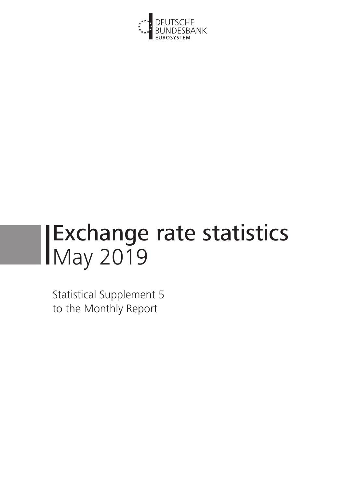

# May 2019 Exchange rate statistics

Statistical Supplement 5 to the Monthly Report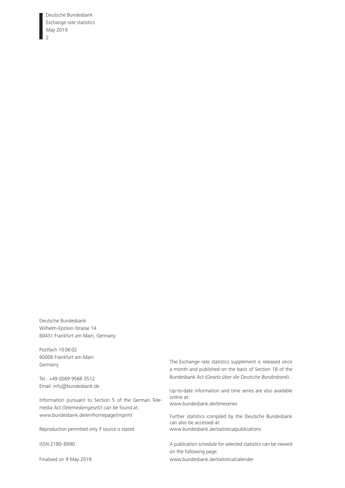Deutsche Bundesbank [Exchange rate statistics](#page-2-0) May 2019 2

Deutsche Bundesbank Wilhelm-Epstein-Strasse 14 60431 Frankfurt am Main, Germany

Postfach 10 06 02 60006 Frankfurt am Main Germany

Tel.: +49 (0)69 9566 3512 Email: info@bundesbank.de

Information pursuant to Section 5 of the German Telemedia Act (*Telemediengesetz*) can be found at: www.bundesbank.de/en/homepage/imprint

Reproduction permitted only if source is stated.

ISSN 2190–8990

Finalised on 9 May 2019.

The Exchange rate statistics supplement is released once a month and published on the basis of Section 18 of the Bundesbank Act (*Gesetz über die Deutsche Bundesbank*).

Up-to-date information and time series are also available online at: www.bundesbank.de/timeseries

Further statistics compiled by the Deutsche Bundesbank can also be accessed at: www.bundesbank.de/statisticalpublications

A publication schedule for selected statistics can be viewed on the following page: www.bundesbank.de/statisticalcalender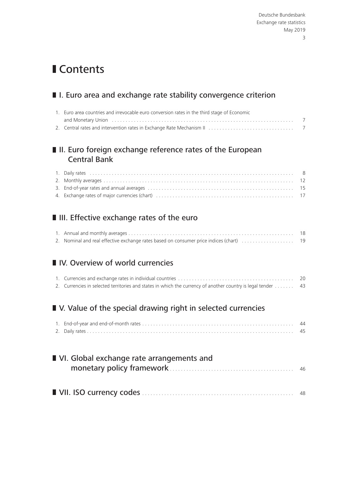# Contents

# ■ [I. Euro area and exchange rate stability convergence criterion](#page-6-0)

| 1. Euro area countries and irrevocable euro conversion rates in the third stage of Economic |  |
|---------------------------------------------------------------------------------------------|--|
|                                                                                             |  |
|                                                                                             |  |

# ■ II. Euro foreign exchange reference rates of the European [Central Bank](#page-7-0)

# [III. Effective exchange rates of the euro](#page-17-0)

# [IV. Overview of world currencies](#page-19-0)

<span id="page-2-0"></span>

| 2. Currencies in selected territories and states in which the currency of another country is legal tender 43 |  |
|--------------------------------------------------------------------------------------------------------------|--|
| ■ V. Value of the special drawing right in selected currencies                                               |  |
|                                                                                                              |  |
| ■ VI. Global exchange rate arrangements and                                                                  |  |
|                                                                                                              |  |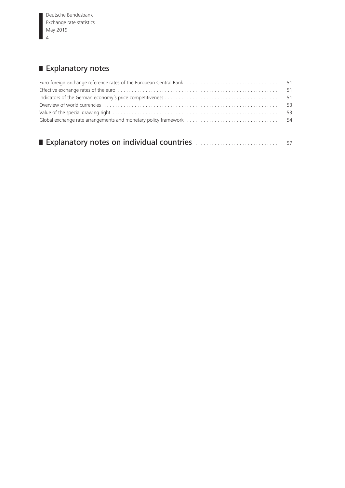# [Explanatory notes](#page-50-0)

| Overview of world currencies exclude the contract of the contract of the contract of the contract of the control of the contract of the control of the control of the control of the control of the control of the control of |  |
|-------------------------------------------------------------------------------------------------------------------------------------------------------------------------------------------------------------------------------|--|
|                                                                                                                                                                                                                               |  |
|                                                                                                                                                                                                                               |  |
|                                                                                                                                                                                                                               |  |
|                                                                                                                                                                                                                               |  |

<span id="page-3-0"></span>[Explanatory notes on individual countries](#page-56-0) . 57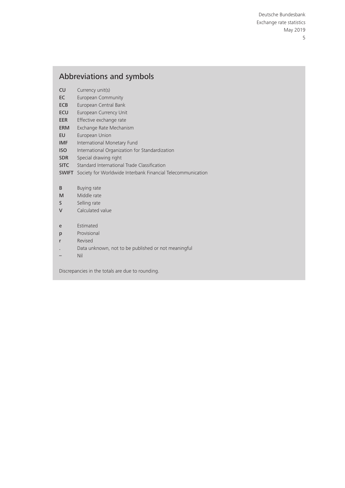Deutsche Bundesbank [Exchange rate statistics](#page-2-0) May 2019 5

# Abbreviations and symbols

| CU           | Currency unit(s)                                            |
|--------------|-------------------------------------------------------------|
| EC           | European Community                                          |
| <b>ECB</b>   | European Central Bank                                       |
| <b>ECU</b>   | European Currency Unit                                      |
| <b>EER</b>   | Effective exchange rate                                     |
| <b>ERM</b>   | Exchange Rate Mechanism                                     |
| EU           | European Union                                              |
| <b>IMF</b>   | International Monetary Fund                                 |
| <b>ISO</b>   | International Organization for Standardization              |
| <b>SDR</b>   | Special drawing right                                       |
| <b>SITC</b>  | Standard International Trade Classification                 |
| <b>SWIFT</b> | Society for Worldwide Interbank Financial Telecommunication |
|              |                                                             |
|              |                                                             |
| B            | <b>Buying rate</b>                                          |
| M            | Middle rate                                                 |
| S            | Selling rate                                                |
| V            | Calculated value                                            |
|              |                                                             |
| e            | Estimated                                                   |
| p            | Provisional                                                 |
| r            | Revised                                                     |
|              | Data unknown, not to be published or not meaningful         |
|              | Nil                                                         |

Discrepancies in the totals are due to rounding.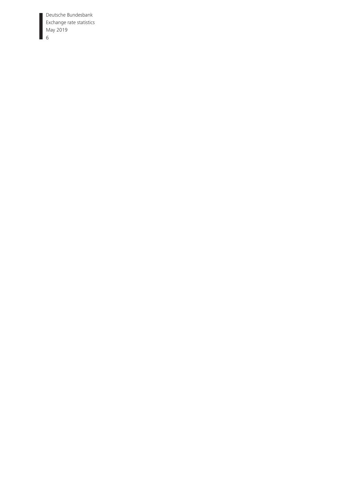Deutsche Bundesbank [Exchange rate statistics](#page-2-0) May 2019  $\overline{\phantom{a}}$  6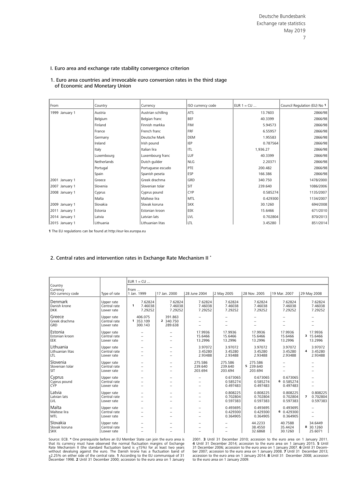#### I. Euro area and exchange rate stability convergence criterion

#### 1. Euro area countries and irrevocable euro conversion rates in the third stage of Economic and Monetary Union

| From           | Country     | Currency           | ISO currency code | EUR $1 = CU$ | Council Regulation (EU) No 1 |
|----------------|-------------|--------------------|-------------------|--------------|------------------------------|
| 1999 January 1 | Austria     | Austrian schilling | <b>ATS</b>        | 13.7603      | 2866/98                      |
|                | Belgium     | Belgian franc      | BEF               | 40.3399      | 2866/98                      |
|                | Finland     | Finnish markka     | <b>FIM</b>        | 5.94573      | 2866/98                      |
|                | France      | French franc       | <b>FRF</b>        | 6.55957      | 2866/98                      |
|                | Germany     | Deutsche Mark      | DEM               | 1.95583      | 2866/98                      |
|                | Ireland     | Irish pound        | <b>IEP</b>        | 0.787564     | 2866/98                      |
|                | Italy       | Italian lira       | <b>ITL</b>        | 1,936.27     | 2866/98                      |
|                | Luxembourg  | Luxembourg franc   | LUF               | 40.3399      | 2866/98                      |
|                | Netherlands | Dutch guilder      | <b>NLG</b>        | 2.20371      | 2866/98                      |
|                | Portugal    | Portuguese escudo  | PTE               | 200.482      | 2866/98                      |
|                | Spain       | Spanish peseta     | <b>ESP</b>        | 166.386      | 2866/98                      |
| 2001 January 1 | Greece      | Greek drachma      | GRD               | 340.750      | 1478/2000                    |
| 2007 January 1 | Slovenia    | Slovenian tolar    | SIT               | 239.640      | 1086/2006                    |
| 2008 January 1 | Cyprus      | Cyprus pound       | <b>CYP</b>        | 0.585274     | 1135/2007                    |
|                | Malta       | Maltese lira       | MTL               | 0.429300     | 1134/2007                    |
| 2009 January 1 | Slovakia    | Slovak koruna      | <b>SKK</b>        | 30.1260      | 694/2008                     |
| 2011 January 1 | Estonia     | Estonian kroon     | EEK               | 15.6466      | 671/2010                     |
| 2014 January 1 | Latvia      | Latvian lats       | <b>LVL</b>        | 0.702804     | 870/2013                     |
| 2015 January 1 | Lithuania   | Lithuanian litas   | LTL               | 3.45280      | 851/2014                     |

**1** The EU regulations can be found at http://eur-lex.europa.eu

#### 2. Central rates and intervention rates in Exchange Rate Mechanism II \*

|                                             |                                          | EUR $1 = CU$                                  |                                 |                               |                                  |                                  |                                    |                                                    |
|---------------------------------------------|------------------------------------------|-----------------------------------------------|---------------------------------|-------------------------------|----------------------------------|----------------------------------|------------------------------------|----------------------------------------------------|
| Country<br>Currency<br>ISO currency code    | Type of rate                             | From<br>1 Jan. 1999                           | 17 Jan. 2000                    | 28 June 2004                  | 2 May 2005                       | 28 Nov. 2005                     | 19 Mar. 2007                       | 29 May 2008                                        |
| Denmark<br>Danish krone<br><b>DKK</b>       | Upper rate<br>Central rate<br>Lower rate | 7.62824<br>$\mathbf{1}$<br>7.46038<br>7.29252 | 7.62824<br>7.46038<br>7.29252   | 7.62824<br>7.46038<br>7.29252 | 7.62824<br>7.46038<br>7.29252    | 7.62824<br>7.46038<br>7.29252    | 7.62824<br>7.46038<br>7.29252      | 7.62824<br>7.46038<br>7.29252                      |
| Greece<br>Greek drachma<br>GRD              | Upper rate<br>Central rate<br>Lower rate | 406.075<br>1 353,109<br>300.143               | 391.863<br>2 340,750<br>289.638 |                               |                                  |                                  |                                    |                                                    |
| Estonia<br>Estonian kroon<br>EEK            | Upper rate<br>Central rate<br>Lower rate |                                               |                                 | 17.9936<br>15.6466<br>13.2996 | 17.9936<br>15.6466<br>13.2996    | 17.9936<br>15.6466<br>13.2996    | 17.9936<br>15.6466<br>13.2996      | 17.9936<br>3 15.6466<br>13.2996                    |
| Lithuania<br>Lithuanian litas<br><b>LTL</b> | Upper rate<br>Central rate<br>Lower rate |                                               |                                 | 3.97072<br>3.45280<br>2.93488 | 3.97072<br>3.45280<br>2.93488    | 3.97072<br>3.45280<br>2.93488    | 3.97072<br>3.45280<br>2.93488      | 3.97072<br>$\overline{4}$<br>3.45280<br>2.93488    |
| Slovenia<br>Slovenian tolar<br>SIT          | Upper rate<br>Central rate<br>Lower rate |                                               |                                 | 275.586<br>239.640<br>203.694 | 275.586<br>239.640<br>203.694    | 275.586<br>5 239.640<br>203.694  |                                    |                                                    |
| Cyprus<br>Cyprus pound<br><b>CYP</b>        | Upper rate<br>Central rate<br>Lower rate |                                               |                                 |                               | 0.673065<br>0.585274<br>0.497483 | 0.673065<br>0.585274<br>0.497483 | 0.673065<br>6 0.585274<br>0.497483 |                                                    |
| Latvia<br>Latvian lats<br>LVL               | Upper rate<br>Central rate<br>Lower rate |                                               |                                 |                               | 0.808225<br>0.702804<br>0.597383 | 0.808225<br>0.702804<br>0.597383 | 0.808225<br>0.702804<br>0.597383   | 0.808225<br>$\overline{ }$<br>0.702804<br>0.597383 |
| Malta<br>Maltese lira<br>MTL                | Upper rate<br>Central rate<br>Lower rate |                                               |                                 |                               | 0.493695<br>0.429300<br>0.364905 | 0.493695<br>0.429300<br>0.364905 | 0.493695<br>6 0.429300<br>0.364905 |                                                    |
| Slovakia<br>Slovak koruna<br><b>SKK</b>     | Upper rate<br>Central rate<br>Lower rate |                                               |                                 |                               | $\qquad \qquad$                  | 44.2233<br>38.4550<br>32.6868    | 40.7588<br>35.4424<br>30.1260      | 34.6449<br>8 30.1260<br>25.6071                    |

<span id="page-6-0"></span>Source: ECB. \* One prerequisite before an EU Member State can join the euro area is 2001. **3** Until 31 December 2010; accession to the euro area on 1 January 2011.<br>That its currency must have observed the normal fluctuatio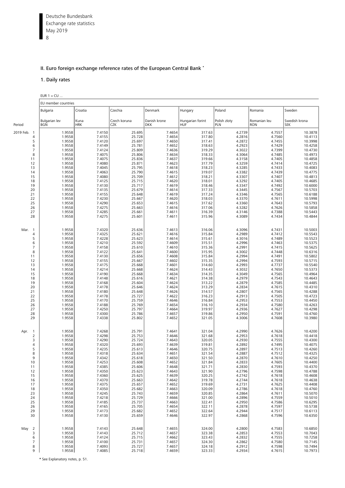Deutsche Bundesbank 8 [Exchange rate statistics](#page-2-0) May 2019

#### II. Euro foreign exchange reference rates of the European Central Bank \*

#### 1. Daily rates

|  | $\sim$ |  |  | $\sim$ |  |  |
|--|--------|--|--|--------|--|--|
|--|--------|--|--|--------|--|--|

|                        | EU member countries         |                    |                            |                            |                                |                     |                            |                             |
|------------------------|-----------------------------|--------------------|----------------------------|----------------------------|--------------------------------|---------------------|----------------------------|-----------------------------|
|                        | Bulgaria                    | Croatia            | Czechia                    | Denmark                    | Hungary                        | Poland              | Romania                    | Sweden                      |
| Period                 | Bulgarian lev<br><b>BGN</b> | Kuna<br><b>HRK</b> | Czech koruna<br><b>CZK</b> | Danish krone<br><b>DKK</b> | Hungarian forint<br><b>HUF</b> | Polish zloty<br>PLN | Romanian leu<br><b>RON</b> | Swedish krona<br><b>SEK</b> |
| 2019 Feb. 1            | 1.9558                      | 7.4150             | 25.695                     | 7.4654                     | 317.63                         | 4.2739              | 4.7557                     | 10.3878                     |
| $\overline{4}$         | 1.9558                      | 7.4155             | 25.728                     | 7.4654                     | 317.80                         | 4.2816              | 4.7560                     | 10.4113                     |
| 5                      | 1.9558                      | 7.4120             | 25.697                     | 7.4650                     | 317.41                         | 4.2872              | 4.7455                     | 10.3998                     |
| 6                      | 1.9558                      | 7.4149             | 25.781                     | 7.4652                     | 318.63                         | 4.2923              | 4.7429                     | 10.4258                     |
| $\overline{7}$         | 1.9558                      | 7.4124             | 25.809                     | 7.4636                     | 319.29                         | 4.3022              | 4.7399                     | 10.4730                     |
| 8                      | 1.9558                      | 7.4075             | 25.806                     | 7.4634                     | 318.33                         | 4.3064              | 4.7485                     | 10.4973                     |
| 11                     | 1.9558                      | 7.4075             | 25.836                     | 7.4637                     | 319.66                         | 4.3158              | 4.7405                     | 10.4858                     |
| 12                     | 1.9558                      | 7.4080             | 25.871                     | 7.4623                     | 317.79                         | 4.3259              | 4.7414                     | 10.4725                     |
| 13                     | 1.9558                      | 7.4045             | 25.795                     | 7.4618                     | 318.23                         | 4.3285              | 4.7433                     | 10.4083                     |
| 14                     | 1.9558                      | 7.4063             | 25.790                     | 7.4615                     | 319.07                         | 4.3382              | 4.7439                     | 10.4775                     |
| 15                     | 1.9558                      | 7.4080             | 25.709                     | 7.4612                     | 318.21                         | 4.3307              | 4.7407                     | 10.4813                     |
| 18<br>19               | 1.9558<br>1.9558            | 7.4125<br>7.4130   | 25.715<br>25.717           | 7.4620<br>7.4619           | 318.01<br>318.46               | 4.3292<br>4.3347    | 4.7405<br>4.7492           | 10.4685<br>10.6000          |
| 20                     | 1.9558                      | 7.4135             | 25.679                     | 7.4614                     | 317.33                         | 4.3445              | 4.7567                     | 10.5703                     |
| 21                     | 1.9558                      | 7.4155             | 25.648                     | 7.4619                     | 317.24                         | 4.3346              | 4.7565                     | 10.6188                     |
| 22                     | 1.9558                      | 7.4230             | 25.667                     | 7.4620                     | 318.03                         | 4.3370              | 4.7611                     | 10.5998                     |
| 25                     | 1.9558                      | 7.4290             | 25.653                     | 7.4615                     | 317.62                         | 4.3360              | 4.7643                     | 10.5793                     |
| 26                     | 1.9558                      | 7.4275             | 25.663                     | 7.4616                     | 317.06                         | 4.3282              | 4.7626                     | 10.5858                     |
| 27                     | 1.9558                      | 7.4285             | 25.661                     | 7.4611                     | 316.39                         | 4.3146              | 4.7388                     | 10.5443                     |
| 28                     | 1.9558                      | 7.4275             | 25.601                     | 7.4611                     | 315.96                         | 4.3089              | 4.7434                     | 10.4844                     |
|                        |                             |                    |                            |                            |                                |                     |                            |                             |
| Mar. 1                 | 1.9558                      | 7.4320             | 25.636                     | 7.4613                     | 316.06                         | 4.3096              | 4.7431                     | 10.5003                     |
| $\overline{4}$         | 1.9558                      | 7.4325             | 25.621                     | 7.4616                     | 315.84                         | 4.2989              | 4.7412                     | 10.5543                     |
| 5                      | 1.9558                      | 7.4228             | 25.623                     | 7.4614                     | 315.61                         | 4.3016              | 4.7489                     | 10.5523                     |
| 6                      | 1.9558                      | 7.4210             | 25.592                     | 7.4609                     | 315.51                         | 4.2996              | 4.7463                     | 10.5375                     |
| $\overline{7}$         | 1.9558                      | 7.4158             | 25.610                     | 7.4610                     | 315.36                         | 4.2991              | 4.7415                     | 10.5625                     |
| 8<br>11                | 1.9558<br>1.9558            | 7.4122<br>7.4130   | 25.641<br>25.656           | 7.4600<br>7.4608           | 315.95<br>315.84               | 4.3002<br>4.2994    | 4.7448<br>4.7491           | 10.6316<br>10.5802          |
| 12                     | 1.9558                      | 7.4155             | 25.667                     | 7.4602                     | 315.35                         | 4.2994              | 4.7593                     | 10.5715                     |
| 13                     | 1.9558                      | 7.4175             | 25.668                     | 7.4601                     | 314.60                         | 4.2993              | 4.7737                     | 10.5540                     |
| 14                     | 1.9558                      | 7.4214             | 25.668                     | 7.4624                     | 314.43                         | 4.3032              | 4.7650                     | 10.5373                     |
| 15                     | 1.9558                      | 7.4190             | 25.668                     | 7.4634                     | 314.35                         | 4.3049              | 4.7565                     | 10.4964                     |
| 18                     | 1.9558                      | 7.4148             | 25.616                     | 7.4621                     | 314.38                         | 4.2979              | 4.7543                     | 10.4643                     |
| 19                     | 1.9558                      | 7.4168             | 25.604                     | 7.4624                     | 313.22                         | 4.2879              | 4.7585                     | 10.4485                     |
| 20                     | 1.9558                      | 7.4178             | 25.646                     | 7.4624                     | 313.29                         | 4.2834              | 4.7615                     | 10.4310                     |
| 21                     | 1.9558                      | 7.4180             | 25.648                     | 7.4626                     | 314.57                         | 4.2807              | 4.7565                     | 10.4288                     |
| 22                     | 1.9558                      | 7.4178             | 25.727                     | 7.4622                     | 316.23                         | 4.2913              | 4.7505                     | 10.4723                     |
| 25                     | 1.9558                      | 7.4170             | 25.759                     | 7.4646                     | 316.84                         | 4.2953              | 4.7553                     | 10.4450                     |
| 26                     | 1.9558                      | 7.4188             | 25.769                     | 7.4654                     | 316.10                         | 4.2934              | 4.7580                     | 10.4263                     |
| 27                     | 1.9558                      | 7.4250             | 25.797                     | 7.4664                     | 319.97                         | 4.2936              | 4.7627                     | 10.4298                     |
| 28<br>29               | 1.9558<br>1.9558            | 7.4300<br>7.4338   | 25.786<br>25.802           | 7.4657<br>7.4652           | 319.86<br>321.05               | 4.2950<br>4.3006    | 4.7591<br>4.7608           | 10.4760<br>10.3980          |
|                        |                             |                    |                            |                            |                                |                     |                            |                             |
| Apr.<br>$\overline{1}$ | 1.9558                      | 7.4268             | 25.791                     | 7.4641                     | 321.04                         | 4.2990              | 4.7626                     | 10.4200                     |
| 2                      | 1.9558                      | 7.4298             | 25.753                     | 7.4646                     | 321.68                         | 4.2953              | 4.7618                     | 10.4418                     |
| 3                      | 1.9558                      | 7.4290             | 25.724                     | 7.4643                     | 320.05                         | 4.2930              | 4.7555                     | 10.4300                     |
| 4<br>5                 | 1.9558<br>1.9558            | 7.4320<br>7.4235   | 25.693<br>25.613           | 7.4639<br>7.4646           | 319.81<br>320.75               | 4.2892<br>4.2897    | 4.7495<br>4.7513           | 10.4075<br>10.4260          |
| 8                      | 1.9558                      | 7.4318             | 25.634                     | 7.4651                     | 321.54                         | 4.2887              | 4.7512                     | 10.4325                     |
| 9                      | 1.9558                      | 7.4342             | 25.618                     | 7.4650                     | 321.50                         | 4.2870              | 4.7610                     | 10.4250                     |
| 10                     | 1.9558                      | 7.4253             | 25.608                     | 7.4652                     | 321.84                         | 4.2833              | 4.7605                     | 10.4400                     |
| 11                     | 1.9558                      | 7.4385             | 25.606                     | 7.4648                     | 321.71                         | 4.2830              | 4.7593                     | 10.4370                     |
| 12                     | 1.9558                      | 7.4350             | 25.623                     | 7.4643                     | 321.90                         | 4.2796              | 4.7598                     | 10.4788                     |
| 15                     | 1.9558                      | 7.4360             | 25.625                     | 7.4639                     | 320.25                         | 4.2742              | 4.7618                     | 10.4608                     |
| 16                     | 1.9558                      | 7.4370             | 25.663                     | 7.4642                     | 319.78                         | 4.2744              | 4.7618                     | 10.4638                     |
| 17                     | 1.9558                      | 7.4375             | 25.657                     | 7.4652                     | 319.69                         | 4.2731              | 4.7625                     | 10.4408                     |
| 18                     | 1.9558                      | 7.4350             | 25.682                     | 7.4663                     | 320.09                         | 4.2786              | 4.7618                     | 10.4760                     |
| 23                     | 1.9558                      | 7.4245             | 25.743                     | 7.4659                     | 320.85                         | 4.2864              | 4.7611                     | 10.5070                     |
| 24                     | 1.9558                      | 7.4218<br>7.4185   | 25.729<br>25.737           | 7.4666                     | 321.00<br>322.41               | 4.2896<br>4.2950    | 4.7559                     | 10.5010<br>10.6295          |
| 25<br>26               | 1.9558<br>1.9558            | 7.4165             | 25.705                     | 7.4663<br>7.4654           | 322.11                         | 4.2878              | 4.7586<br>4.7597           | 10.5738                     |
| 29                     | 1.9558                      | 7.4173             | 25.682                     | 7.4652                     | 322.64                         | 4.2944              | 4.7517                     | 10.6113                     |
| 30                     | 1.9558                      | 7.4130             | 25.659                     | 7.4646                     | 322.97                         | 4.2868              | 4.7596                     | 10.6350                     |
|                        |                             |                    |                            |                            |                                |                     |                            |                             |
| May 2                  | 1.9558                      | 7.4143             | 25.648                     | 7.4655                     | 324.00                         | 4.2800              | 4.7583                     | 10.6850                     |
| 3<br>6                 | 1.9558<br>1.9558            | 7.4143<br>7.4124   | 25.712<br>25.715           | 7.4657<br>7.4662           | 323.38<br>323.43               | 4.2853<br>4.2832    | 4.7553<br>4.7555           | 10.7043<br>10.7258          |
| 7                      | 1.9558                      | 7.4100             | 25.731                     | 7.4657                     | 324.30                         | 4.2862              | 4.7580                     | 10.7145                     |
| 8                      | 1.9558                      | 7.4093             | 25.727                     | 7.4657                     | 324.18                         | 4.2912              | 4.7598                     | 10.7494                     |
| 9                      | 1.9558                      | 7.4085             | 25.718                     | 7.4659                     | 323.33                         | 4.2934              | 4.7615                     | 10.7973                     |

<span id="page-7-0"></span>**\*** See Explanatory notes, p. 51.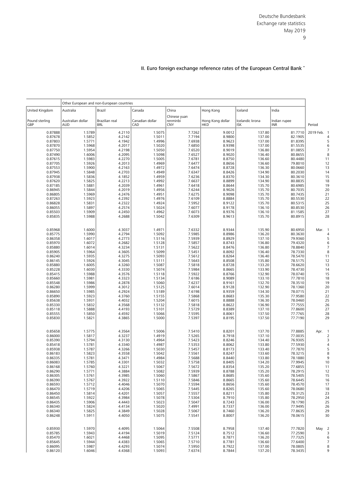### II. Euro foreign exchange reference rates of the European Central Bank \*

|                       |                                 | Other European and non-European countries |                        |                                        |                                |                               |                            |                |
|-----------------------|---------------------------------|-------------------------------------------|------------------------|----------------------------------------|--------------------------------|-------------------------------|----------------------------|----------------|
| United Kingdom        | Australia                       | Brazil                                    | Canada                 | China                                  | Hong Kong                      | Iceland                       | India                      |                |
| Pound sterling<br>GBP | Australian dollar<br><b>AUD</b> | Brazilian real<br><b>BRL</b>              | Canadian dollar<br>CAD | Chinese yuan<br>renminbi<br><b>CNY</b> | Hong Kong dollar<br><b>HKD</b> | Icelandic krona<br><b>ISK</b> | Indian rupee<br><b>INR</b> | Period         |
| 0.87888               | 1.5789                          | 4.2110                                    | 1.5075                 | 7.7262                                 | 9.0012                         | 137.80                        | 81.7710                    | 2019 Feb.      |
| 0.87678               | 1.5852                          | 4.2142                                    | 1.5011                 | 7.7194                                 | 8.9800                         | 137.00                        | 82.1905                    |                |
| 0.87803               | 1.5771<br>1.5968                | 4.1942<br>4.2017                          | 1.4996                 | 7.6938                                 | 8.9623<br>8.9398               | 137.00<br>137.00              | 81.8395                    | 5<br>6         |
| 0.87870<br>0.87750    | 1.5954                          | 4.2198                                    | 1.5020<br>1.5050       | 7.6850<br>7.6520                       | 8.9019                         | 136.80                        | 81.5535<br>81.0855         | $\overline{7}$ |
| 0.87490               | 1.6006                          | 4.2095                                    | 1.5098                 | 7.6527                                 | 8.9020                         | 136.40                        | 80.8655                    | 8              |
| 0.87615               | 1.5983                          | 4.2270                                    | 1.5005                 | 7.6781                                 | 8.8750                         | 136.60                        | 80.4480                    | 11             |
| 0.87705               | 1.5926                          | 4.2013                                    | 1.4969                 | 7.6477                                 | 8.8656                         | 136.60                        | 79.8010                    | 12             |
| 0.87553               | 1.5900                          | 4.2163                                    | 1.4972                 | 7.6474                                 | 8.8728                         | 136.30                        | 80.0660                    | 13             |
| 0.87945               | 1.5848                          | 4.2703                                    | 1.4949                 | 7.6347                                 | 8.8426                         | 134.90                        | 80.2030                    | 14             |
| 0.87938               | 1.5836                          | 4.1852                                    | 1.4959                 | 7.6236                                 | 8.8370                         | 134.30                        | 80.3610                    | 15             |
| 0.87620<br>0.87185    | 1.5825<br>1.5881                | 4.2213<br>4.2039                          | 1.4992<br>1.4961       | 7.6637<br>7.6418                       | 8.8899<br>8.8644               | 134.90<br>135.70              | 80.8835<br>80.6985         | 18<br>19       |
| 0.86945               | 1.5844                          | 4.2019                                    | 1.4956                 | 7.6244                                 | 8.9026                         | 135.70                        | 80.7035                    | 20             |
| 0.86805               | 1.5969                          | 4.2476                                    | 1.4951                 | 7.6275                                 | 8.9098                         | 135.70                        | 80.7435                    | 21             |
| 0.87263               | 1.5923                          | 4.2392                                    | 1.4976                 | 7.6109                                 | 8.8884                         | 135.70                        | 80.5530                    | 22             |
| 0.86828               | 1.5831                          | 4.2322                                    | 1.4924                 | 7.5952                                 | 8.9122                         | 135.70                        | 80.5315                    | 25             |
| 0.86055               | 1.5897                          | 4.2574                                    | 1.5024                 | 7.6077                                 | 8.9178                         | 136.10                        | 80.8530                    | 26             |
| 0.85503               | 1.5909                          | 4.2450                                    | 1.4962                 | 7.6073                                 | 8.9376                         | 136.10                        | 81.1585                    | 27             |
| 0.85835               | 1.5988                          | 4.2688                                    | 1.5042                 | 7.6309                                 | 8.9613                         | 135.70                        | 80.8915                    | 28             |
| 0.85968               | 1.6000                          | 4.3037                                    | 1.4971                 | 7.6332                                 | 8.9344                         | 135.90                        | 80.6950                    | Mar. 1         |
| 0.85775               | 1.5990                          | 4.2794                                    | 1.5092                 | 7.5985                                 | 8.8986                         | 136.20                        | 80.3630                    |                |
| 0.86358               | 1.6017                          | 4.2773                                    | 1.5116                 | 7.5939                                 | 8.8929                         | 137.10                        | 79.9360                    | 5              |
| 0.85970               | 1.6072                          | 4.2682                                    | 1.5128                 | 7.5857                                 | 8.8743                         | 136.80                        | 79.4320                    | 6              |
| 0.85880               | 1.6014                          | 4.3234                                    | 1.5131                 | 7.5622                                 | 8.8476                         | 136.80                        | 78.8840                    | $\overline{7}$ |
| 0.85905               | 1.5964                          | 4.3605                                    | 1.5099                 | 7.5451                                 | 8.8092                         | 136.40                        | 78.7330                    | 8              |
| 0.86240               | 1.5935                          | 4.3275                                    | 1.5093                 | 7.5612                                 | 8.8264                         | 136.40                        | 78.5470                    | 11             |
| 0.86145               | 1.5926<br>1.6005                | 4.3045<br>4.3260                          | 1.5111                 | 7.5643<br>7.5818                       | 8.8508<br>8.8728               | 135.80<br>133.20              | 78.5175<br>78.6620         | 12             |
| 0.85880<br>0.85228    | 1.6030                          | 4.3330                                    | 1.5087<br>1.5074       | 7.5984                                 | 8.8665                         | 133.90                        | 78.4730                    | 13<br>14       |
| 0.85415               | 1.5988                          | 4.3576                                    | 1.5118                 | 7.5922                                 | 8.8766                         | 132.90                        | 78.0740                    | 15             |
| 0.85660               | 1.5981                          | 4.3323                                    | 1.5134                 | 7.6186                                 | 8.9089                         | 133.10                        | 77.7810                    | 18             |
| 0.85548               | 1.5986                          | 4.2878                                    | 1.5060                 | 7.6237                                 | 8.9161                         | 132.70                        | 78.3510                    | 19             |
| 0.86280               | 1.5999                          | 4.3012                                    | 1.5125                 | 7.6014                                 | 8.9128                         | 132.90                        | 78.1360                    | 20             |
| 0.86650               | 1.5985                          | 4.2924                                    | 1.5189                 | 7.6198                                 | 8.9359                         | 134.30                        | 78.0715                    | 21             |
| 0.85890               | 1.5923                          | 4.3760                                    | 1.5155                 | 7.5868                                 | 8.8683                         | 135.30                        | 77.9580                    | 22             |
| 0.85638<br>0.85330    | 1.5931<br>1.5832                | 4.4032<br>4.3568                          | 1.5204<br>1.5132       | 7.6015<br>7.5818                       | 8.8888<br>8.8622               | 136.30<br>136.90              | 78.0460<br>77.7555         | 25<br>26       |
| 0.85118               | 1.5888                          | 4.4193                                    | 1.5101                 | 7.5729                                 | 8.8389                         | 137.10                        | 77.8600                    | 27             |
| 0.85555               | 1.5850                          | 4.4592                                    | 1.5066                 | 7.5595                                 | 8.8061                         | 137.50                        | 77.7765                    | 28             |
| 0.85830               | 1.5821                          | 4.3865                                    | 1.5000                 | 7.5397                                 | 8.8195                         | 137.50                        | 77.7190                    | 29             |
|                       |                                 |                                           |                        |                                        |                                |                               |                            |                |
| 0.85658               | 1.5775                          | 4.3564                                    | 1.5006                 | 7.5410                                 | 8.8201                         | 137.70                        | 77.8885                    | Apr.<br>-1     |
| 0.86000               | 1.5817                          | 4.3237                                    | 1.4919                 | 7.5265                                 | 8.7918                         | 137.10                        | 77.0035                    | $\overline{2}$ |
| 0.85390<br>0.85418    | 1.5794<br>1.5781                | 4.3130<br>4.3340                          | 1.4964<br>1.4987       | 7.5423<br>7.5353                       | 8.8246<br>8.8062               | 134.40<br>133.80              | 76.9305<br>77.5930         | 3<br>4         |
| 0.85938               | 1.5787                          | 4.3266                                    | 1.5030                 | 7.5457                                 | 8.8173                         | 133.40                        | 77.7870                    | 5              |
| 0.86183               | 1.5823                          | 4.3558                                    | 1.5042                 | 7.5561                                 | 8.8247                         | 133.60                        | 78.3215                    | 8              |
| 0.86335               | 1.5781                          | 4.3471                                    | 1.4984                 | 7.5688                                 | 8.8440                         | 133.80                        | 78.1880                    | 9              |
| 0.86083               | 1.5785                          | 4.3301                                    | 1.5032                 | 7.5758                                 | 8.8405                         | 134.20                        | 77.9945                    | 10             |
| 0.86168               | 1.5760                          | 4.3221                                    | 1.5067                 | 7.5672                                 | 8.8354                         | 135.20                        | 77.6855                    | 11             |
| 0.86290               | 1.5771                          | 4.3884                                    | 1.5082                 | 7.5939                                 | 8.8788                         | 135.20                        | 78.2915                    | 12             |
| 0.86305<br>0.86390    | 1.5761                          | 4.3985                                    | 1.5060                 | 7.5867                                 | 8.8685                         | 135.60                        | 78.5405<br>78.6445         | 15             |
| 0.86593               | 1.5767<br>1.5712                | 4.3922<br>4.4046                          | 1.5110<br>1.5070       | 7.5846<br>7.5594                       | 8.8665<br>8.8656               | 135.60<br>135.60              | 78.4570                    | 16<br>17       |
| 0.86470               | 1.5719                          | 4.4206                                    | 1.5065                 | 7.5445                                 | 8.8265                         | 135.60                        | 78.0680                    | 18             |
| 0.86450               | 1.5814                          | 4.4201                                    | 1.5057                 | 7.5557                                 | 8.8211                         | 135.80                        | 78.3125                    | 23             |
| 0.86545               | 1.5922                          | 4.3984                                    | 1.5078                 | 7.5304                                 | 8.7910                         | 135.80                        | 78.2950                    | 24             |
| 0.86435               | 1.5906                          | 4.4443                                    | 1.5023                 | 7.5047                                 | 8.7243                         | 136.00                        | 78.1790                    | 25             |
| 0.86340               | 1.5824                          | 4.4134                                    | 1.5020                 | 7.4991                                 | 8.7337                         | 136.00                        | 77.9495                    | 26             |
| 0.86340<br>0.86248    | 1.5825<br>1.5911                | 4.3849<br>4.4050                          | 1.5028<br>1.5075       | 7.5067<br>7.5541                       | 8.7460<br>8.8007               | 136.20<br>136.20              | 77.8635<br>78.0615         | 29<br>30       |
|                       |                                 |                                           |                        |                                        |                                |                               |                            |                |
| 0.85930               | 1.5970                          | 4.4095                                    | 1.5064                 | 7.5508                                 | 8.7958                         | 137.40                        | 77.7820                    | May<br>2       |
| 0.85785               | 1.5943                          | 4.4194                                    | 1.5019                 | 7.5124                                 | 8.7512                         | 136.60                        | 77.2590                    |                |
| 0.85470               | 1.6021                          | 4.4468                                    | 1.5095                 | 7.5771                                 | 8.7871                         | 136.20                        | 77.7325                    | 6              |
| 0.85645<br>0.86095    | 1.5944<br>1.5987                | 4.4383<br>4.4293                          | 1.5065<br>1.5074       | 7.5710<br>7.5950                       | 8.7781<br>8.7922               | 136.60<br>137.00              | 77.6400<br>78.0805         | 7<br>8         |
| 0.86120               | 1.6046                          | 4.4368                                    | 1.5093                 | 7.6374                                 | 8.7844                         | 137.20                        | 78.3435                    | 9              |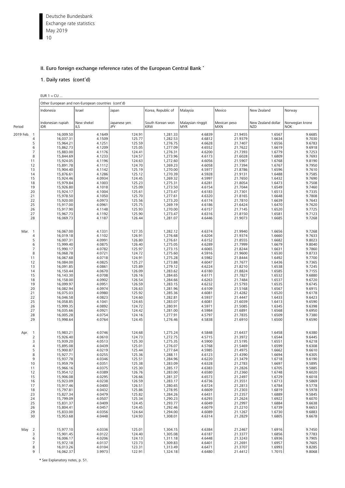Deutsche Bundesbank 10 [Exchange rate statistics](#page-2-0) May 2019

#### II. Euro foreign exchange reference rates of the European Central Bank \*

#### 1. Daily rates (cont'd)

EUR  $1 = CU$  ...

| Indonesia<br>Israel<br>Korea, Republic of<br>Malaysia<br>Mexico<br>New Zealand<br>Japan<br>New Zealand dollar<br>Indonesian rupiah<br>New shekel<br>Japanese yen<br>South Korean won<br>Malaysian ringgit<br>Mexican peso<br><b>JPY</b><br><b>ILS</b><br>Period<br><b>IDR</b><br><b>KRW</b><br><b>MYR</b><br><b>MXN</b><br><b>NZD</b><br>16,009.50<br>4.6839<br>4.1649<br>124.91<br>1,281.33<br>21.9455<br>2019 Feb. 1<br>$\overline{4}$<br>16,037.31<br>4.1509<br>125.77<br>1,282.53<br>4.6812<br>21.9379<br>5<br>125.59<br>15,964.21<br>4.1251<br>1,276.75<br>4.6628<br>21.7407<br>6<br>15,862.73<br>125.05<br>1,277.09<br>4.6552<br>4.1209<br>21.7622<br>$\overline{7}$<br>15,883.00<br>4.1176<br>124.41<br>4.6200<br>21.7393<br>1,276.31<br>8<br>124.57<br>15,844.69<br>4.1233<br>1,273.96<br>4.6173<br>21.6028<br>11<br>15,924.05<br>4.1196<br>124.63<br>1,272.60<br>4.6056<br>21.5907<br>124.70<br>4.6058<br>12<br>15,891.78<br>4.1112<br>1,269.23<br>21.7394 | 1.6567<br>1.6634<br>1.6556<br>1.6619<br>1.6779<br>1.6809<br>1.6768<br>1.6767<br>1.6596<br>1.6488<br>1.6432<br>1.6473<br>1.6549 | Norway<br>Norwegian krone<br>NOK<br>9.6685<br>9.7030<br>9.6783<br>9.6918<br>9.7253<br>9.7693<br>9.8190<br>9.7950<br>9.7610<br>9.7585 |
|---------------------------------------------------------------------------------------------------------------------------------------------------------------------------------------------------------------------------------------------------------------------------------------------------------------------------------------------------------------------------------------------------------------------------------------------------------------------------------------------------------------------------------------------------------------------------------------------------------------------------------------------------------------------------------------------------------------------------------------------------------------------------------------------------------------------------------------------------------------------------------------------------------------------------------------------------------------------|--------------------------------------------------------------------------------------------------------------------------------|--------------------------------------------------------------------------------------------------------------------------------------|
|                                                                                                                                                                                                                                                                                                                                                                                                                                                                                                                                                                                                                                                                                                                                                                                                                                                                                                                                                                     |                                                                                                                                |                                                                                                                                      |
|                                                                                                                                                                                                                                                                                                                                                                                                                                                                                                                                                                                                                                                                                                                                                                                                                                                                                                                                                                     |                                                                                                                                |                                                                                                                                      |
|                                                                                                                                                                                                                                                                                                                                                                                                                                                                                                                                                                                                                                                                                                                                                                                                                                                                                                                                                                     |                                                                                                                                |                                                                                                                                      |
|                                                                                                                                                                                                                                                                                                                                                                                                                                                                                                                                                                                                                                                                                                                                                                                                                                                                                                                                                                     |                                                                                                                                |                                                                                                                                      |
|                                                                                                                                                                                                                                                                                                                                                                                                                                                                                                                                                                                                                                                                                                                                                                                                                                                                                                                                                                     |                                                                                                                                |                                                                                                                                      |
|                                                                                                                                                                                                                                                                                                                                                                                                                                                                                                                                                                                                                                                                                                                                                                                                                                                                                                                                                                     |                                                                                                                                |                                                                                                                                      |
|                                                                                                                                                                                                                                                                                                                                                                                                                                                                                                                                                                                                                                                                                                                                                                                                                                                                                                                                                                     |                                                                                                                                |                                                                                                                                      |
|                                                                                                                                                                                                                                                                                                                                                                                                                                                                                                                                                                                                                                                                                                                                                                                                                                                                                                                                                                     |                                                                                                                                |                                                                                                                                      |
|                                                                                                                                                                                                                                                                                                                                                                                                                                                                                                                                                                                                                                                                                                                                                                                                                                                                                                                                                                     |                                                                                                                                |                                                                                                                                      |
| 13<br>4.1142<br>125.19<br>4.5977<br>21.8786<br>15,904.40<br>1,270.00                                                                                                                                                                                                                                                                                                                                                                                                                                                                                                                                                                                                                                                                                                                                                                                                                                                                                                |                                                                                                                                |                                                                                                                                      |
| 125.12<br>4.5928<br>14<br>15,876.61<br>4.1286<br>1,270.39<br>21.9131                                                                                                                                                                                                                                                                                                                                                                                                                                                                                                                                                                                                                                                                                                                                                                                                                                                                                                |                                                                                                                                |                                                                                                                                      |
| 4.5997<br>15<br>15,924.46<br>4.0934<br>124.45<br>1,269.32<br>21.7650                                                                                                                                                                                                                                                                                                                                                                                                                                                                                                                                                                                                                                                                                                                                                                                                                                                                                                |                                                                                                                                | 9.7690                                                                                                                               |
| 125.23<br>18<br>15,979.84<br>4.1003<br>1,275.31<br>4.6281<br>21.8054<br>19<br>15,926.80<br>4.1018<br>125.09<br>1,273.50<br>4.6154<br>21.7044                                                                                                                                                                                                                                                                                                                                                                                                                                                                                                                                                                                                                                                                                                                                                                                                                        |                                                                                                                                | 9.7508<br>9.7460                                                                                                                     |
| 20<br>15,924.17<br>4.1004<br>125.61<br>1,273.47<br>4.6183<br>21.7301                                                                                                                                                                                                                                                                                                                                                                                                                                                                                                                                                                                                                                                                                                                                                                                                                                                                                                | 1.6513                                                                                                                         | 9.7335                                                                                                                               |
| 4.1050<br>125.70<br>4.6320<br>21<br>15,978.50<br>1,277.61<br>21.8165                                                                                                                                                                                                                                                                                                                                                                                                                                                                                                                                                                                                                                                                                                                                                                                                                                                                                                | 1.6648                                                                                                                         | 9.7808                                                                                                                               |
| 22<br>4.0973<br>125.56<br>15,920.00<br>1,273.20<br>4.6174<br>21.7810                                                                                                                                                                                                                                                                                                                                                                                                                                                                                                                                                                                                                                                                                                                                                                                                                                                                                                | 1.6639                                                                                                                         | 9.7643                                                                                                                               |
| 25<br>125.75<br>15,917.00<br>4.0961<br>1,269.19<br>4.6186<br>21.6424                                                                                                                                                                                                                                                                                                                                                                                                                                                                                                                                                                                                                                                                                                                                                                                                                                                                                                | 1.6470                                                                                                                         | 9.7620                                                                                                                               |
| 26<br>125.93<br>15,917.90<br>4.1148<br>1,270.00<br>4.6157<br>21.7145                                                                                                                                                                                                                                                                                                                                                                                                                                                                                                                                                                                                                                                                                                                                                                                                                                                                                                | 1.6520                                                                                                                         | 9.7725                                                                                                                               |
| 27<br>15,967.73<br>4.1192<br>125.90<br>1,273.47<br>4.6316<br>21.8150                                                                                                                                                                                                                                                                                                                                                                                                                                                                                                                                                                                                                                                                                                                                                                                                                                                                                                | 1.6581                                                                                                                         | 9.7123                                                                                                                               |
| 28<br>16,069.73<br>4.1187<br>126.44<br>4.6446<br>1,281.07<br>21.9073                                                                                                                                                                                                                                                                                                                                                                                                                                                                                                                                                                                                                                                                                                                                                                                                                                                                                                | 1.6685                                                                                                                         | 9.7268                                                                                                                               |
| 16,067.00<br>4.1331<br>127.35<br>1,282.12<br>4.6374<br>Mar. 1<br>21.9940                                                                                                                                                                                                                                                                                                                                                                                                                                                                                                                                                                                                                                                                                                                                                                                                                                                                                            | 1.6656                                                                                                                         | 9.7268                                                                                                                               |
| 16,019.18<br>4.1102<br>126.91<br>1,276.68<br>4.6204<br>4<br>21.9374                                                                                                                                                                                                                                                                                                                                                                                                                                                                                                                                                                                                                                                                                                                                                                                                                                                                                                 | 1.6660                                                                                                                         | 9.7633                                                                                                                               |
| 5<br>126.80<br>16,007.31<br>4.0991<br>1,276.61<br>4.6152<br>21.8555                                                                                                                                                                                                                                                                                                                                                                                                                                                                                                                                                                                                                                                                                                                                                                                                                                                                                                 | 1.6682                                                                                                                         | 9.8023                                                                                                                               |
| 6<br>4.6289<br>15,999.40<br>4.0875<br>126.40<br>1,275.05<br>21.7999                                                                                                                                                                                                                                                                                                                                                                                                                                                                                                                                                                                                                                                                                                                                                                                                                                                                                                 | 1.6679                                                                                                                         | 9.8040                                                                                                                               |
| $\overline{7}$<br>125.97<br>15,990.17<br>4.0782<br>1,273.15<br>4.6065<br>21.8244                                                                                                                                                                                                                                                                                                                                                                                                                                                                                                                                                                                                                                                                                                                                                                                                                                                                                    | 1.6631                                                                                                                         | 9.7860                                                                                                                               |
| 8<br>16,068.78<br>4.0721<br>124.72<br>1,275.60<br>4.5916<br>21.9600<br>4.5982<br>11<br>16,067.68<br>4.0718<br>124.91<br>1,275.28<br>21.8444                                                                                                                                                                                                                                                                                                                                                                                                                                                                                                                                                                                                                                                                                                                                                                                                                         | 1.6530<br>1.6492                                                                                                               | 9.8733<br>9.7700                                                                                                                     |
| 4.0825<br>125.27<br>4.6047<br>12<br>16,084.00<br>1,273.88<br>21.7677                                                                                                                                                                                                                                                                                                                                                                                                                                                                                                                                                                                                                                                                                                                                                                                                                                                                                                | 1.6436                                                                                                                         | 9.7365                                                                                                                               |
| 13<br>16,091.85<br>4.0861<br>125.89<br>1,279.12<br>4.6224<br>21.8210                                                                                                                                                                                                                                                                                                                                                                                                                                                                                                                                                                                                                                                                                                                                                                                                                                                                                                | 1.6538                                                                                                                         | 9.7245                                                                                                                               |
| 126.09<br>14<br>16,150.44<br>4.0670<br>1,283.62<br>4.6180<br>21.8824                                                                                                                                                                                                                                                                                                                                                                                                                                                                                                                                                                                                                                                                                                                                                                                                                                                                                                | 1.6585                                                                                                                         | 9.7155                                                                                                                               |
| 15<br>4.0708<br>16,143.30<br>126.16<br>1,284.65<br>4.6171<br>21.7827                                                                                                                                                                                                                                                                                                                                                                                                                                                                                                                                                                                                                                                                                                                                                                                                                                                                                                | 1.6532                                                                                                                         | 9.6880                                                                                                                               |
| 16,158.00<br>4.0902<br>126.54<br>4.6263<br>18<br>1,284.66<br>21.7484                                                                                                                                                                                                                                                                                                                                                                                                                                                                                                                                                                                                                                                                                                                                                                                                                                                                                                | 1.6537                                                                                                                         | 9.6720                                                                                                                               |
| 19<br>16,099.97<br>4.0951<br>126.59<br>4.6232<br>1,283.15<br>21.5793                                                                                                                                                                                                                                                                                                                                                                                                                                                                                                                                                                                                                                                                                                                                                                                                                                                                                                | 1.6535                                                                                                                         | 9.6745                                                                                                                               |
| 16,082.94<br>4.0974<br>126.63<br>1,281.96<br>4.6109<br>20<br>21.5168<br>4.6081<br>21<br>16,075.03<br>4.0980<br>125.92<br>1,285.36<br>21.4282                                                                                                                                                                                                                                                                                                                                                                                                                                                                                                                                                                                                                                                                                                                                                                                                                        | 1.6567<br>1.6520                                                                                                               | 9.6915<br>9.6178                                                                                                                     |
| 124.60<br>4.5937<br>22<br>16,046.58<br>4.0823<br>1,282.81<br>21.4447                                                                                                                                                                                                                                                                                                                                                                                                                                                                                                                                                                                                                                                                                                                                                                                                                                                                                                | 1.6433                                                                                                                         | 9.6423                                                                                                                               |
| 25<br>4.1041<br>4.6081<br>21.6039<br>16,058.85<br>124.65<br>1,283.07                                                                                                                                                                                                                                                                                                                                                                                                                                                                                                                                                                                                                                                                                                                                                                                                                                                                                                | 1.6413                                                                                                                         | 9.6590                                                                                                                               |
| 26<br>15,999.35<br>4.0892<br>124.72<br>1,280.91<br>4.5971<br>21.5085                                                                                                                                                                                                                                                                                                                                                                                                                                                                                                                                                                                                                                                                                                                                                                                                                                                                                                | 1.6345                                                                                                                         | 9.6398                                                                                                                               |
| 124.42<br>4.5984<br>27<br>16,035.66<br>4.0921<br>1,281.00<br>21.6891                                                                                                                                                                                                                                                                                                                                                                                                                                                                                                                                                                                                                                                                                                                                                                                                                                                                                                | 1.6568                                                                                                                         | 9.6950                                                                                                                               |
| 28<br>16,005.28<br>4.0754<br>124.16<br>1,277.91<br>4.5797<br>21.7835                                                                                                                                                                                                                                                                                                                                                                                                                                                                                                                                                                                                                                                                                                                                                                                                                                                                                                | 1.6509                                                                                                                         | 9.7380                                                                                                                               |
| 29<br>15,998.64<br>4.0764<br>124.45<br>1,276.46<br>4.5838<br>21.6910                                                                                                                                                                                                                                                                                                                                                                                                                                                                                                                                                                                                                                                                                                                                                                                                                                                                                                | 1.6500                                                                                                                         | 9.6590                                                                                                                               |
| 15,983.21<br>4.0746<br>124.68<br>1,275.24<br>4.5848<br>Apr.<br>$\overline{\phantom{0}}$<br>21.6437                                                                                                                                                                                                                                                                                                                                                                                                                                                                                                                                                                                                                                                                                                                                                                                                                                                                  | 1.6458                                                                                                                         | 9.6380                                                                                                                               |
| $\overline{2}$<br>124.73<br>1,272.75<br>4.5715<br>15,926.40<br>4.0610<br>21.3972<br>3<br>4.5900<br>15,939.20<br>4.0513<br>125.30<br>1,275.35<br>21.5195                                                                                                                                                                                                                                                                                                                                                                                                                                                                                                                                                                                                                                                                                                                                                                                                             | 1.6544<br>1.6551                                                                                                               | 9.6445<br>9.6218                                                                                                                     |
| 125.01<br>4.5768<br>15,895.08<br>4.0439<br>1,276.07<br>21.5469<br>4                                                                                                                                                                                                                                                                                                                                                                                                                                                                                                                                                                                                                                                                                                                                                                                                                                                                                                 | 1.6599                                                                                                                         | 9.6308                                                                                                                               |
| 5<br>4.0219<br>4.5985<br>15,900.87<br>125.44<br>1,277.64<br>21.4975                                                                                                                                                                                                                                                                                                                                                                                                                                                                                                                                                                                                                                                                                                                                                                                                                                                                                                 | 1.6662                                                                                                                         | 9.6610                                                                                                                               |
| 8<br>4.0255<br>125.36<br>15,927.71<br>1,288.11<br>4.6123<br>21.4390                                                                                                                                                                                                                                                                                                                                                                                                                                                                                                                                                                                                                                                                                                                                                                                                                                                                                                 | 1.6694                                                                                                                         | 9.6305                                                                                                                               |
| 15,937.78<br>125.51<br>1,284.96<br>21.3479<br>9<br>4.0346<br>4.6220                                                                                                                                                                                                                                                                                                                                                                                                                                                                                                                                                                                                                                                                                                                                                                                                                                                                                                 | 1.6718                                                                                                                         | 9.6190                                                                                                                               |
| 10<br>15,959.79<br>4.0351<br>125.38<br>4.6328<br>1,283.09<br>21.2783                                                                                                                                                                                                                                                                                                                                                                                                                                                                                                                                                                                                                                                                                                                                                                                                                                                                                                | 1.6697                                                                                                                         | 9.5895                                                                                                                               |
| 4.0375<br>125.30<br>1,285.17<br>4.6383<br>11<br>15,966.16<br>21.2826<br>15,954.12<br>126.76<br>1,283.00<br>21.2360<br>12<br>4.0389<br>4.6580                                                                                                                                                                                                                                                                                                                                                                                                                                                                                                                                                                                                                                                                                                                                                                                                                        | 1.6705<br>1.6748                                                                                                               | 9.5885<br>9.6020                                                                                                                     |
| 4.0295<br>126.66<br>1,281.37<br>15<br>15,906.08<br>4.6573<br>21.2497                                                                                                                                                                                                                                                                                                                                                                                                                                                                                                                                                                                                                                                                                                                                                                                                                                                                                                | 1.6729                                                                                                                         | 9.6018                                                                                                                               |
| 126.59<br>16<br>15,923.09<br>4.0238<br>1,283.17<br>4.6736<br>21.3551                                                                                                                                                                                                                                                                                                                                                                                                                                                                                                                                                                                                                                                                                                                                                                                                                                                                                                | 1.6713                                                                                                                         | 9.5869                                                                                                                               |
| 17<br>15,917.46<br>4.0400<br>126.51<br>1,280.65<br>4.6724<br>21.2813                                                                                                                                                                                                                                                                                                                                                                                                                                                                                                                                                                                                                                                                                                                                                                                                                                                                                                | 1.6784                                                                                                                         | 9.5778                                                                                                                               |
| 18<br>15,797.81<br>4.0432<br>125.86<br>1,278.95<br>4.6609<br>21.2303                                                                                                                                                                                                                                                                                                                                                                                                                                                                                                                                                                                                                                                                                                                                                                                                                                                                                                | 1.6819                                                                                                                         | 9.5978                                                                                                                               |
| 15,827.34<br>4.0479<br>125.82<br>1,284.26<br>4.6431<br>21.2357<br>23                                                                                                                                                                                                                                                                                                                                                                                                                                                                                                                                                                                                                                                                                                                                                                                                                                                                                                | 1.6889                                                                                                                         | 9.5845                                                                                                                               |
| 24<br>4.0507<br>125.34<br>1,290.23<br>15,799.09<br>4.6293<br>21.2624                                                                                                                                                                                                                                                                                                                                                                                                                                                                                                                                                                                                                                                                                                                                                                                                                                                                                                | 1.6922                                                                                                                         | 9.6070                                                                                                                               |
| 25<br>15,831.37<br>4.0409<br>124.45<br>1,293.77<br>4.6049<br>21.2997<br>26<br>15,804.41<br>4.0457<br>124.45<br>1,292.46<br>4.6079<br>21.2210                                                                                                                                                                                                                                                                                                                                                                                                                                                                                                                                                                                                                                                                                                                                                                                                                        | 1.6884<br>1.6739                                                                                                               | 9.6638<br>9.6653                                                                                                                     |
| 29<br>15,833.00<br>4.0356<br>124.64<br>1,294.00<br>4.6089<br>21.1267                                                                                                                                                                                                                                                                                                                                                                                                                                                                                                                                                                                                                                                                                                                                                                                                                                                                                                | 1.6730                                                                                                                         | 9.6883                                                                                                                               |
| 30<br>15,953.68<br>4.0448<br>124.93<br>1,308.01<br>4.6314<br>21.2829                                                                                                                                                                                                                                                                                                                                                                                                                                                                                                                                                                                                                                                                                                                                                                                                                                                                                                | 1.6805                                                                                                                         | 9.6678                                                                                                                               |
| 15,977.10<br>4.0336<br>125.01<br>1,304.15<br>4.6384<br>21.2467<br>May<br>$\overline{\phantom{0}}$                                                                                                                                                                                                                                                                                                                                                                                                                                                                                                                                                                                                                                                                                                                                                                                                                                                                   | 1.6916                                                                                                                         | 9.7450                                                                                                                               |
| 3<br>15,901.45<br>4.0122<br>124.40<br>1,305.08<br>4.6187<br>21.3377                                                                                                                                                                                                                                                                                                                                                                                                                                                                                                                                                                                                                                                                                                                                                                                                                                                                                                 | 1.6856                                                                                                                         | 9.7783                                                                                                                               |
| 6<br>16,006.17<br>4.0206<br>124.13<br>1,311.18<br>4.6448<br>21.3243                                                                                                                                                                                                                                                                                                                                                                                                                                                                                                                                                                                                                                                                                                                                                                                                                                                                                                 | 1.6936                                                                                                                         | 9.7905                                                                                                                               |
| 123.73<br>7<br>15,972.18<br>4.0137<br>1,309.83<br>4.6401<br>21.2691                                                                                                                                                                                                                                                                                                                                                                                                                                                                                                                                                                                                                                                                                                                                                                                                                                                                                                 | 1.6957                                                                                                                         | 9.7605                                                                                                                               |
| 123.31<br>8<br>16,013.26<br>4.0104<br>1,313.49<br>4.6471<br>21.3707<br>16,062.37<br>3.9973<br>122.91<br>1,324.18<br>9<br>4.6480<br>21.4412                                                                                                                                                                                                                                                                                                                                                                                                                                                                                                                                                                                                                                                                                                                                                                                                                          | 1.6993                                                                                                                         | 9.8285<br>1.7015<br>9.8068                                                                                                           |

**\*** See Explanatory notes, p. 51.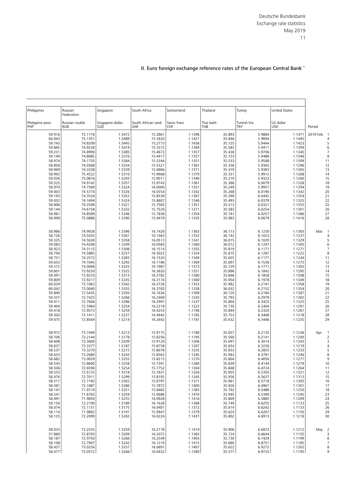### II. Euro foreign exchange reference rates of the European Central Bank \*

| Philippines            | Russian<br>Federation        | Singapore               | South Africa              | Switzerland        | Thailand         | Turkey                     | <b>United States</b>    |                     |
|------------------------|------------------------------|-------------------------|---------------------------|--------------------|------------------|----------------------------|-------------------------|---------------------|
| Philippine peso<br>PHP | Russian rouble<br><b>RUB</b> | Singapore dollar<br>SGD | South African rand<br>ZAR | Swiss franc<br>CHF | Thai baht<br>THB | Turkish lira<br><b>TRY</b> | US dollar<br><b>USD</b> | Period              |
| 59.916                 | 75.1176                      | 1.5472                  | 15.2861                   | 1.1396             | 35.893           | 5.9884                     | 1.1471                  | 2019 Feb.           |
| 60.043                 | 75.1351                      | 1.5489                  | 15.3420                   | 1.1421             | 35.846           | 5.9694                     | 1.1445                  |                     |
| 59.743                 | 74.8209                      | 1.5445                  | 15.2773                   | 1.1436             | 35.725           | 5.9444                     | 1.1423                  | 5                   |
| 59.665                 | 74.9228                      | 1.5419                  | 15.3372                   | 1.1394             | 35.583           | 5.9411                     | 1.1394                  | 6                   |
| 59.231<br>59.149       | 74.8990<br>74.8085           | 1.5385<br>1.5376        | 15.4673<br>15.4417        | 1.1357<br>1.1357   | 35.436<br>35.723 | 5.9706<br>5.9488           | 1.1345<br>1.1346        | $\overline{7}$<br>8 |
| 58.974                 | 74.1735                      | 1.5364                  | 15.5344                   | 1.1351             | 35.533           | 5.9588                     | 1.1309                  | 11                  |
| 58.858                 | 74.0368                      | 1.5334                  | 15.5521                   | 1.1381             | 35.356           | 5.9365                     | 1.1296                  | 12                  |
| 58.969                 | 74.3338                      | 1.5339                  | 15.6866                   | 1.1371             | 35.419           | 5.9383                     | 1.1305                  | 13                  |
| 58.992                 | 75.4522                      | 1.5310                  | 15.9668                   | 1.1370             | 35.331           | 5.9912                     | 1.1268                  | 14                  |
| 59.036                 | 75.0816                      | 1.5293                  | 15.9011                   | 1.1340             | 35.210           | 5.9322                     | 1.1260                  | 15                  |
| 59.325                 | 74.9142                      | 1.5357                  | 15.9743                   | 1.1361             | 35.366           | 6.0079                     | 1.1328                  | 18                  |
| 58.970                 | 74.7569                      | 1.5324<br>1.5326        | 16.0000                   | 1.1351             | 35.249           | 5.9957                     | 1.1294                  | 19<br>20            |
| 59.003<br>59.193       | 74.5774<br>74.3534           | 1.5352                  | 16.0354<br>15.8539        | 1.1342<br>1.1367   | 35.268<br>35.390 | 6.0190<br>6.0442           | 1.1342<br>1.1354        | 21                  |
| 59.052                 | 74.1694                      | 1.5324                  | 15.8607                   | 1.1346             | 35.493           | 6.0378                     | 1.1325                  | 22                  |
| 58.906                 | 74.2508                      | 1.5321                  | 15.7583                   | 1.1351             | 35.513           | 6.0321                     | 1.1355                  | 25                  |
| 59.144                 | 74.6158                      | 1.5332                  | 15.7520                   | 1.1371             | 35.583           | 6.0254                     | 1.1361                  | 26                  |
| 58.981                 | 74.8589                      | 1.5346                  | 15.7838                   | 1.1354             | 35.741           | 6.0257                     | 1.1386                  | 27                  |
| 58.999                 | 75.0888                      | 1.5390                  | 15.9479                   | 1.1335             | 35.983           | 6.0679                     | 1.1416                  | 28                  |
| 58.986                 | 74.9928                      | 1.5396                  | 16.1426                   | 1.1363             | 36.113           | 6.1230                     | 1.1383                  | Mar.                |
| 58.726                 | 74.5435                      | 1.5361                  | 16.1463                   | 1.1352             | 36.142           | 6.1023                     | 1.1337                  | 4                   |
| 59.325                 | 74.5028                      | 1.5358                  | 16.0513                   | 1.1341             | 36.015           | 6.1029                     | 1.1329                  | 5                   |
| 59.083                 | 74.4208                      | 1.5349                  | 16.0583                   | 1.1360             | 36.012           | 6.1247                     | 1.1305                  | 6                   |
| 58.923<br>58.706       | 74.3115<br>74.5885           | 1.5308<br>1.5257        | 16.1514<br>16.3022        | 1.1355<br>1.1324   | 35.819<br>35.675 | 6.1171<br>6.1287           | 1.1271<br>1.1222        | 7<br>8              |
| 58.751                 | 74.2572                      | 1.5283                  | 16.1520                   | 1.1349             | 35.655           | 6.1177                     | 1.1244                  | 11                  |
| 59.633                 | 74.1045                      | 1.5292                  | 16.1186                   | 1.1369             | 35.697           | 6.1536                     | 1.1275                  | 12                  |
| 59.572                 | 74.0008                      | 1.5325                  | 16.1987                   | 1.1373             | 35.729           | 6.1771                     | 1.1303                  | 13                  |
| 59.601                 | 73.9250                      | 1.5325                  | 16.3820                   | 1.1351             | 35.896           | 6.1842                     | 1.1295                  | 14                  |
| 59.491                 | 73.9233                      | 1.5313                  | 16.3782                   | 1.1360             | 35.846           | 6.1858                     | 1.1308                  | 15                  |
| 59.809                 | 72.9217                      | 1.5335                  | 16.3174                   | 1.1360             | 35.954           | 6.1978                     | 1.1349                  | 18                  |
| 60.029<br>60.042       | 73.1062<br>73.0040           | 1.5342<br>1.5335        | 16.3726<br>16.3783        | 1.1353<br>1.1338   | 35.982<br>36.032 | 6.2191<br>6.2152           | 1.1358<br>1.1354        | 19<br>20            |
| 59.890                 | 72.5435                      | 1.5350                  | 16.1636                   | 1.1309             | 36.120           | 6.2160                     | 1.1387                  | 21                  |
| 59.337                 | 72.7425                      | 1.5266                  | 16.2469                   | 1.1243             | 35.793           | 6.2979                     | 1.1302                  | 22                  |
| 59.411                 | 72.7646                      | 1.5286                  | 16.2997                   | 1.1237             | 35.804           | 6.3425                     | 1.1325                  | 25                  |
| 59.404                 | 72.5964                      | 1.5254                  | 16.2218                   | 1.1222             | 35.730           | 6.2404                     | 1.1291                  | 26                  |
| 59.418                 | 72.9572                      | 1.5259                  | 16.4253                   | 1.1196             | 35.844           | 6.2320                     | 1.1261                  | 27                  |
| 59.303                 | 73.1411                      | 1.5227<br>1.5214        | 16.4942                   | 1.1185             | 35.752           | 6.3408                     | 1.1218                  | 28<br>29            |
| 59.075                 | 72.8564                      |                         | 16.2642                   | 1.1181             | 35.632           | 6.3446                     | 1.1235                  |                     |
| 58.972<br>58.706       | 73.7449<br>73.2144           | 1.5213<br>1.5178        | 15.9175<br>15.8256        | 1.1180             | 35.657<br>35.560 | 6.2135<br>6.2141           | 1.1236<br>1.1200        | Apr.                |
| 58.608                 | 73.3600                      | 1.5209                  | 15.9120                   | 1.1195<br>1.1206   | 35.697           | 6.3014                     | 1.1243                  | 2<br>3              |
| 58.637                 | 73.3377                      | 1.5187                  | 15.8758                   | 1.1207             | 35.654           | 6.3230                     | 1.1219                  | 4                   |
| 58.537                 | 73.3270                      | 1.5215                  | 15.8078                   | 1.1235             | 35.833           | 6.2855                     | 1.1233                  | 5                   |
| 58.633                 | 73.2680                      | 1.5243                  | 15.8562                   | 1.1245             | 35.942           | 6.3781                     | 1.1246                  | 8                   |
| 58.682                 | 73.0029                      | 1.5255                  | 15.8215                   | 1.1270             | 35.804           | 6.4056                     | 1.1277                  | 9                   |
| 58.543                 | 72.8600                      | 1.5258                  | 15.7391                   | 1.1280             | 35.839           | 6.4144                     | 1.1279                  | 10                  |
| 58.506<br>58.553       | 72.6590<br>72.6133           | 1.5254<br>1.5318        | 15.7752<br>15.7631        | 1.1304<br>1.1326   | 35.848<br>35.955 | 6.4724<br>6.5350           | 1.1264<br>1.1321        | 11<br>12            |
| 58.476                 | 72.7011                      | 1.5299                  | 15.8192                   | 1.1345             | 35.936           | 6.5637                     | 1.1313                  | 15                  |
| 58.517                 | 72.7183                      | 1.5302                  | 15.8797                   | 1.1371             | 35.961           | 6.5718                     | 1.1305                  | 16                  |
| 58.381                 | 72.1887                      | 1.5286                  | 15.7872                   | 1.1400             | 35.926           | 6.4967                     | 1.1301                  | 17                  |
| 58.147                 | 71.9719                      | 1.5251                  | 15.8482                   | 1.1383             | 35.792           | 6.5486                     | 1.1250                  | 18                  |
| 58.541                 | 71.6763                      | 1.5259                  | 15.9686                   | 1.1470             | 35.945           | 6.5390                     | 1.1245                  | 23                  |
| 58.491                 | 71.9850                      | 1.5235                  | 16.0928                   | 1.1416             | 35.869           | 6.5885                     | 1.1209                  | 24                  |
| 58.156<br>58.074       | 72.2100<br>72.1131           | 1.5189<br>1.5175        | 16.1628<br>16.0481        | 1.1368<br>1.1372   | 35.749<br>35.614 | 6.6255<br>6.6242           | 1.1123<br>1.1133        | 25<br>26            |
| 58.114                 | 71.9802                      | 1.5191                  | 15.9947                   | 1.1379             | 35.624           | 6.6207                     | 1.1150                  | 29                  |
| 58.125                 | 72.2099                      | 1.5263                  | 16.0224                   | 1.1437             | 35.802           | 6.6913                     | 1.1218                  | 30                  |
| 58.023                 | 73.2535                      | 1.5259                  | 16.2178                   | 1.1419             | 35.906           | 6.6872                     | 1.1212                  | May<br>2            |
| 57.860                 | 72.8703                      | 1.5209                  | 16.2072                   | 1.1383             | 35.724           | 6.6644                     | 1.1155                  |                     |
| 58.187                 | 72.9750                      | 1.5266                  | 16.2549                   | 1.1403             | 35.730           | 6.7429                     | 1.1199                  |                     |
| 58.108                 | 72.7907                      | 1.5242                  | 16.1219                   | 1.1415             | 35.680           | 6.8751                     | 1.1185                  | 7                   |
| 58.437                 | 73.0256                      | 1.5257                  | 16.0691                   | 1.1407             | 35.622           | 6.9272                     | 1.1202                  | 8                   |
| 58.477                 | 73.0572                      | 1.5266                  | 16.0432                   | 1.1390             | 35.577           | 6.9725                     | 1.1193                  | 9                   |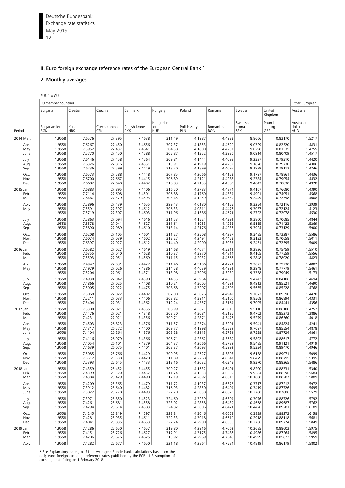Deutsche Bundesbank 12 [Exchange rate statistics](#page-2-0) May 2019

#### II. Euro foreign exchange reference rates of the European Central Bank \*

#### 2. Monthly averages +

|                   | EUR $1 = CU$                |                    |                            |                            |                                   |                     |                            |                                |                          |                                    |
|-------------------|-----------------------------|--------------------|----------------------------|----------------------------|-----------------------------------|---------------------|----------------------------|--------------------------------|--------------------------|------------------------------------|
|                   | EU member countries         |                    |                            |                            |                                   |                     |                            |                                |                          | Other European                     |
|                   | Bulgaria                    | Croatia            | Czechia                    | Denmark                    | Hungary                           | Poland              | Romania                    | Sweden                         | United<br>Kingdom        | Australia                          |
| Period            | Bulgarian lev<br><b>BGN</b> | Kuna<br><b>HRK</b> | Czech koruna<br><b>CZK</b> | Danish krone<br><b>DKK</b> | Hungarian<br>forint<br><b>HUF</b> | Polish zloty<br>PLN | Romanian leu<br><b>RON</b> | Swedish<br>krona<br><b>SEK</b> | Pound<br>sterling<br>GBP | Australian<br>dollar<br><b>AUD</b> |
| 2014 Mar.         | 1.9558                      | 7.6576             | 27.395                     | 7.4638                     | 311.49                            | 4.1987              | 4.4933                     | 8.8666                         | 0.83170                  | 1.5217                             |
| Apr.              | 1.9558                      | 7.6267             | 27.450                     | 7.4656                     | 307.37                            | 4.1853              | 4.4620                     | 9.0329                         | 0.82520                  | 1.4831                             |
| May<br>June       | 1.9558<br>1.9558            | 7.5952<br>7.5770   | 27.437<br>27.450           | 7.4641<br>7.4588           | 304.58<br>305.87                  | 4.1800<br>4.1352    | 4.4237<br>4.3930           | 9.0298<br>9.0914               | 0.81535<br>0.80409       | 1.4755<br>1.4517                   |
| July<br>Aug.      | 1.9558<br>1.9558            | 7.6146<br>7.6326   | 27.458<br>27.816           | 7.4564<br>7.4551           | 309.81<br>313.91                  | 4.1444<br>4.1919    | 4.4098<br>4.4252           | 9.2327<br>9.1878               | 0.79310<br>0.79730       | 1.4420<br>1.4306                   |
| Sep.              | 1.9558                      | 7.6236             | 27.599                     | 7.4449                     | 313.20                            | 4.1899              | 4.4095                     | 9.1929                         | 0.79113                  | 1.4246                             |
| Oct.<br>Nov.      | 1.9558<br>1.9558            | 7.6573<br>7.6700   | 27.588<br>27.667           | 7.4448<br>7.4415           | 307.85<br>306.89                  | 4.2066<br>4.2121    | 4.4153<br>4.4288           | 9.1797<br>9.2384               | 0.78861<br>0.79054       | 1.4436<br>1.4432                   |
| Dec.              | 1.9558                      | 7.6682             | 27.640                     | 7.4402                     | 310.83                            | 4.2155              | 4.4583                     | 9.4043                         | 0.78830                  | 1.4928                             |
| 2015 Jan.<br>Feb. | 1.9558<br>1.9558            | 7.6883<br>7.7114   | 27.895<br>27.608           | 7.4406<br>7.4501           | 316.50<br>306.88                  | 4.2783<br>4.1760    | 4.4874<br>4.4334           | 9.4167<br>9.4901               | 0.76680<br>0.74051       | 1.4390<br>1.4568                   |
| Mar.              | 1.9558                      | 7.6467             | 27.379                     | 7.4593                     | 303.45                            | 4.1259              | 4.4339                     | 9.2449                         | 0.72358                  | 1.4008                             |
| Apr.<br>May       | 1.9558<br>1.9558            | 7.5896<br>7.5591   | 27.439<br>27.397           | 7.4655<br>7.4612           | 299.43<br>306.33                  | 4.0180<br>4.0811    | 4.4155<br>4.4477           | 9.3254<br>9.3037               | 0.72116<br>0.72124       | 1.3939<br>1.4123                   |
| June              | 1.9558                      | 7.5719             | 27.307                     | 7.4603                     | 311.96                            | 4.1586              | 4.4671                     | 9.2722                         | 0.72078                  | 1.4530                             |
| July              | 1.9558<br>1.9558            | 7.5863<br>7.5578   | 27.094<br>27.041           | 7.4616<br>7.4627           | 311.53<br>311.61                  | 4.1524<br>4.1953    | 4.4391<br>4.4235           | 9.3860<br>9.5155               | 0.70685<br>0.71423       | 1.4844<br>1.5269                   |
| Aug.<br>Sep.      | 1.9558                      | 7.5890             | 27.089                     | 7.4610                     | 313.14                            | 4.2176              | 4.4236                     | 9.3924                         | 0.73129                  | 1.5900                             |
| Oct.<br>Nov.      | 1.9558<br>1.9558            | 7.6208<br>7.6074   | 27.105<br>27.039           | 7.4601<br>7.4602           | 311.27<br>312.27                  | 4.2508<br>4.2494    | 4.4227<br>4.4453           | 9.3485<br>9.3133               | 0.73287<br>0.70658       | 1.5586<br>1.5011                   |
| Dec.              | 1.9558                      | 7.6397             | 27.027                     | 7.4612                     | 314.40                            | 4.2900              | 4.5033                     | 9.2451                         | 0.72595                  | 1.5009                             |
| 2016 Jan.<br>Feb. | 1.9558<br>1.9558            | 7.6582<br>7.6355   | 27.027<br>27.040           | 7.4619<br>7.4628           | 314.68<br>310.37                  | 4.4074<br>4.3970    | 4.5311<br>4.4814           | 9.2826<br>9.4105               | 0.75459<br>0.77559       | 1.5510<br>1.5556                   |
| Mar.              | 1.9558                      | 7.5593             | 27.051                     | 7.4569                     | 311.15                            | 4.2932              | 4.4666                     | 9.2848                         | 0.78020                  | 1.4823                             |
| Apr.              | 1.9558                      | 7.4947             | 27.031                     | 7.4427                     | 311.46<br>314.58                  | 4.3106              | 4.4724<br>4.4991           | 9.2027                         | 0.79230                  | 1.4802                             |
| May<br>June       | 1.9558<br>1.9558            | 7.4979<br>7.5204   | 27.026<br>27.061           | 7.4386<br>7.4371           | 313.98                            | 4.4039<br>4.3996    | 4.5230                     | 9.2948<br>9.3338               | 0.77779<br>0.79049       | 1.5461<br>1.5173                   |
| July              | 1.9558                      | 7.4930             | 27.042                     | 7.4390                     | 314.35                            | 4.3964              | 4.4856                     | 9.4742                         | 0.84106                  | 1.4694                             |
| Aug.<br>Sep.      | 1.9558<br>1.9558            | 7.4866<br>7.5005   | 27.025<br>27.022           | 7.4408<br>7.4475           | 310.21<br>308.68                  | 4.3005<br>4.3207    | 4.4591<br>4.4502           | 9.4913<br>9.5655               | 0.85521<br>0.85228       | 1.4690<br>1.4768                   |
| Oct.<br>Nov.      | 1.9558<br>1.9558            | 7.5068<br>7.5211   | 27.022<br>27.033           | 7.4402<br>7.4406           | 307.00<br>308.82                  | 4.3076<br>4.3911    | 4.4942<br>4.5100           | 9.7073<br>9.8508               | 0.89390<br>0.86894       | 1.4470<br>1.4331                   |
| Dec.              | 1.9558                      | 7.5404             | 27.031                     | 7.4362                     | 312.24                            | 4.4357              | 4.5164                     | 9.7095                         | 0.84441                  | 1.4356                             |
| 2017 Jan.<br>Feb. | 1.9558<br>1.9558            | 7.5300<br>7.4476   | 27.021<br>27.021           | 7.4355<br>7.4348           | 308.99<br>308.50                  | 4.3671<br>4.3081    | 4.5018<br>4.5136           | 9.5110<br>9.4762               | 0.86100<br>0.85273       | 1.4252<br>1.3886                   |
| Mar.              | 1.9558                      | 7.4231             | 27.021                     | 7.4356                     | 309.71                            | 4.2871              | 4.5476                     | 9.5279                         | 0.86560                  | 1.4018                             |
| Apr.              | 1.9558<br>1.9558            | 7.4503<br>7.4317   | 26.823<br>26.572           | 7.4376<br>7.4400           | 311.57<br>309.77                  | 4.2374<br>4.1998    | 4.5291<br>4.5539           | 9.5941<br>9.7097               | 0.84824<br>0.85554       | 1.4241<br>1.4878                   |
| May<br>June       | 1.9558                      | 7.4104             | 26.264                     | 7.4376                     | 308.28                            | 4.2113              | 4.5721                     | 9.7538                         | 0.87724                  | 1.4861                             |
| July<br>Aug.      | 1.9558<br>1.9558            | 7.4116<br>7.4054   | 26.079<br>26.101           | 7.4366<br>7.4379           | 306.71<br>304.37                  | 4.2362<br>4.2666    | 4.5689<br>4.5789           | 9.5892<br>9.5485               | 0.88617<br>0.91121       | 1.4772<br>1.4919                   |
| Sep.              | 1.9558                      | 7.4639             | 26.075                     | 7.4401                     | 308.37                            | 4.2693              | 4.5992                     | 9.5334                         | 0.89470                  | 1.4946                             |
| Oct.<br>Nov.      | 1.9558<br>1.9558            | 7.5085<br>7.5512   | 25.766<br>25.538           | 7.4429<br>7.4420           | 309.95<br>311.89                  | 4.2627<br>4.2268    | 4.5895<br>4.6347           | 9.6138<br>9.8479               | 0.89071<br>0.88795       | 1.5099<br>1.5395                   |
| Dec.              | 1.9558                      | 7.5393             | 25.645                     | 7.4433                     | 313.16                            | 4.2032              | 4.6348                     | 9.9370                         | 0.88265                  | 1.5486                             |
| 2018 Jan.<br>Feb. | 1.9558<br>1.9558            | 7.4359<br>7.4399   | 25.452<br>25.320           | 7.4455<br>7.4457           | 309.27<br>311.74                  | 4.1632<br>4.1653    | 4.6491<br>4.6559           | 9.8200<br>9.9384               | 0.88331<br>0.88396       | 1.5340<br>1.5684                   |
| Mar.              | 1.9558                      | 7.4384             | 25.429                     | 7.4490                     | 312.19                            | 4.2092              | 4.6613                     | 10.1608                        | 0.88287                  | 1.5889                             |
| Apr.<br>May       | 1.9558<br>1.9558            | 7.4209<br>7.3912   | 25.365<br>25.640           | 7.4479<br>7.4482           | 311.72<br>316.93                  | 4.1937<br>4.2850    | 4.6578<br>4.6404           | 10.3717<br>10.3419             | 0.87212<br>0.87726       | 1.5972<br>1.5695                   |
| June              | 1.9558                      | 7.3822             | 25.778                     | 7.4493                     | 322.70                            | 4.3038              | 4.6623                     | 10.2788                        | 0.87886                  | 1.5579                             |
| July              | 1.9558<br>1.9558            | 7.3971<br>7.4261   | 25.850<br>25.681           | 7.4523<br>7.4558           | 324.60<br>323.02                  | 4.3239<br>4.2858    | 4.6504<br>4.6439           | 10.3076<br>10.4668             | 0.88726<br>0.89687       | 1.5792<br>1.5762                   |
| Aug.<br>Sep.      | 1.9558                      | 7.4294             | 25.614                     | 7.4583                     | 324.82                            | 4.3006              | 4.6471                     | 10.4426                        | 0.89281                  | 1.6189                             |
| Oct.<br>Nov.      | 1.9558<br>1.9558            | 7.4245<br>7.4281   | 25.819<br>25.935           | 7.4597<br>7.4611           | 323.84<br>322.33                  | 4.3046<br>4.3018    | 4.6658<br>4.6610           | 10.3839<br>10.2918             | 0.88272<br>0.88118       | 1.6158<br>1.5681                   |
| Dec.              | 1.9558                      | 7.4041             | 25.835                     | 7.4653                     | 322.74                            | 4.2900              | 4.6536                     | 10.2766                        | 0.89774                  | 1.5849                             |
| 2019 Jan.<br>Feb. | 1.9558<br>1.9558            | 7.4286<br>7.4151   | 25.650<br>25.726           | 7.4657<br>7.4627           | 319.80<br>317.91                  | 4.2916<br>4.3175    | 4.7062<br>4.7486           | 10.2685<br>10.4986             | 0.88603<br>0.87264       | 1.5975<br>1.5895                   |
| Mar.              | 1.9558                      | 7.4206             | 25.676                     | 7.4625                     | 315.92                            | 4.2969              | 4.7546                     | 10.4999                        | 0.85822                  | 1.5959                             |

<span id="page-11-0"></span>Apr. 1.9558 7.4282 25.677 7.4650 321.18 4.2864 4.7584 10.4819 0.86179 1.5802

\* See Explanatory notes, p. 51. + Averages: Bundesbank calculations based on the<br>daily euro foreign exchange reference rates published by the ECB. **1** Resumption of<br>exchange rate fixing on 1 February 2018.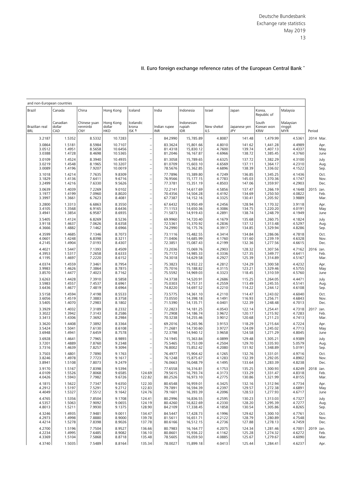### II. Euro foreign exchange reference rates of the European Central Bank \*

|                       | and non-European countries |                                        |                                   |                                                      |                            |                                    |                          |                     |                                   |                                    |                   |
|-----------------------|----------------------------|----------------------------------------|-----------------------------------|------------------------------------------------------|----------------------------|------------------------------------|--------------------------|---------------------|-----------------------------------|------------------------------------|-------------------|
| Brazil                | Canada                     | China                                  | Hong Kong                         | Iceland                                              | India                      | Indonesia                          | Israel                   | Japan               | Korea,<br>Republic of             | Malaysia                           |                   |
| Brazilian real<br>BRL | Canadian<br>dollar<br>CAD  | Chinese yuan<br>renminbi<br><b>CNY</b> | Hong Kong<br>dollar<br><b>HKD</b> | Icelandic<br>krona<br>ISK <sub>1</sub>               | Indian rupee<br><b>INR</b> | Indonesian<br>rupiah<br><b>IDR</b> | New shekel<br><b>ILS</b> | Japanese yen<br>JPY | South<br>Korean won<br><b>KRW</b> | Malaysian<br>ringgit<br><b>MYR</b> | Period            |
| 3.2187                | 1.5352                     | 8.5332                                 | 10.7283                           |                                                      | 84.2990                    | 15,785.89                          | 4.8087                   | 141.48              | 1,479.99                          | 4.5361                             | 2014 Mar.         |
| 3.0864                | 1.5181                     | 8.5984                                 | 10.7107                           |                                                      | 83.3624                    | 15,801.66                          | 4.8010                   | 141.62              | 1,441.28                          | 4.4989                             | Apr.              |
| 3.0512<br>3.0388      | 1.4951<br>1.4728           | 8.5658<br>8.4698                       | 10.6456<br>10.5365                | $\overline{\phantom{0}}$<br>$\overline{\phantom{0}}$ | 81.4318<br>81.2046         | 15,830.12<br>16,167.87             | 4.7600<br>4.6966         | 139.74<br>138.72    | 1,407.13<br>1,385.45              | 4.4337<br>4.3760                   | May<br>June       |
| 3.0109                | 1.4524                     | 8.3940                                 | 10.4935                           | $\overline{\phantom{0}}$                             | 81.3058                    | 15,789.65                          | 4.6325                   | 137.72              | 1,382.29                          | 4.3100                             | July              |
| 3.0219                | 1.4548                     | 8.1965                                 | 10.3207                           | $\overline{\phantom{0}}$                             | 81.0709                    | 15,603.10                          | 4.6569                   | 137.11              | 1,364.17                          | 4.2310                             | Aug               |
| 3.0089                | 1.4196                     | 7.9207                                 | 10.0019                           | $\qquad \qquad -$                                    | 78.5676                    | 15,362.85                          | 4.6896                   | 138.39              | 1,336.02                          | 4.1522                             | Sep.              |
| 3.1018<br>3.1829      | 1.4214<br>1.4136           | 7.7635<br>7.6411                       | 9.8309<br>9.6716                  | $\qquad \qquad -$<br>$\overline{\phantom{0}}$        | 77.7896<br>76.9566         | 15,389.80<br>15, 177. 15           | 4.7249<br>4.7783         | 136.85<br>145.03    | 1,345.25<br>1,370.36              | 4.1436<br>4.1747                   | Oct.<br>Nov.      |
| 3.2499                | 1.4216                     | 7.6330                                 | 9.5626                            | $\overline{\phantom{0}}$                             | 77.3781                    | 15,351.19                          | 4.8503                   | 147.06              | 1,359.97                          | 4.2903                             | Dec.              |
| 3.0639                | 1.4039                     | 7.2269                                 | 9.0102                            | -                                                    | 72.2141                    | 14,617.69                          | 4.5856                   | 137.47              | 1,266.19                          | 4.1648                             | 2015 Jan.         |
| 3.1977                | 1.4199                     | 7.0960                                 | 8.8020                            | $\overline{\phantom{0}}$                             | 70.4356                    | 14,504.28                          | 4.4192                   | 134.69              | 1,250.50                          | 4.0822                             | Feb.              |
| 3.3997                | 1.3661                     | 6.7623                                 | 8.4081                            |                                                      | 67.7387                    | 14,152.16                          | 4.3325                   | 130.41              | 1,205.92                          | 3.9889                             | Mar.              |
| 3.2800<br>3.4105      | 1.3313<br>1.3568           | 6.6863<br>6.9165                       | 8.3550<br>8.6436                  | $\qquad \qquad -$<br>$\overline{\phantom{0}}$        | 67.6432<br>71.1153         | 13,950.49<br>14,650.36             | 4.2456<br>4.3086         | 128.94<br>134.75    | 1,170.32<br>1,220.20              | 3.9118<br>4.0191                   | Apr.<br>May       |
| 3.4941                | 1.3854                     | 6.9587                                 | 8.6935                            | $\qquad \qquad -$                                    | 71.5873                    | 14,919.43                          | 4.2891                   | 138.74              | 1,248.79                          | 4.1949                             | June              |
| 3.5405                | 1.4124                     | 6.8269                                 | 8.5236                            |                                                      | 69.9960                    | 14,720.40                          | 4.1679                   | 135.68              | 1,260.75                          | 4.1824                             | July              |
| 3.9118<br>4.3666      | 1.4637<br>1.4882           | 7.0626<br>7.1462                       | 8.6358<br>8.6966                  | $\qquad \qquad -$<br>$\qquad \qquad -$               | 72.5361<br>74.2990         | 15,370.92<br>16,175.76             | 4.2836<br>4.3917         | 137.12<br>134.85    | 1,313.48<br>1,329.94              | 4.5297<br>4.8286                   | Aug.<br>Sep.      |
| 4.3599                | 1.4685                     | 7.1346                                 | 8.7073                            |                                                      | 73.1116                    | 15,482.55                          | 4.3414                   | 134.84              | 1,286.06                          | 4.7818                             | Oct.              |
| 4.0601                | 1.4248                     | 6.8398                                 | 8.3211                            | $\overline{\phantom{0}}$                             | 71.0406                    | 14,685.99                          | 4.1760                   | 131.60              | 1,239.19                          | 4.6328                             | Nov.              |
| 4.2145                | 1.4904                     | 7.0193                                 | 8.4307                            | $\overline{\phantom{0}}$                             | 72.3851                    | 15,087.43                          | 4.2199                   | 132.36              | 1,277.56                          | 4.6615                             | Dec.              |
| 4.4021<br>4.3953      | 1.5447<br>1.5317           | 7.1393<br>7.2658                       | 8.4509<br>8.6333                  | $\qquad \qquad -$                                    | 73.2036<br>75.7172         | 15,069.76<br>14,985.33             | 4.2903<br>4.3336         | 128.32<br>127.35    | 1,307.56<br>1,349.77              | 4.7162<br>4.6411                   | 2016 Jan.<br>Feb. |
| 4.1195                | 1.4697                     | 7.2220                                 | 8.6152                            | $\qquad \qquad -$                                    | 74.3018                    | 14,629.58                          | 4.2927                   | 125.39              | 1,314.89                          | 4.5167                             | Mar.              |
| 4.0374                | 1.4559                     | 7.3461                                 | 8.7954                            |                                                      | 75.3823                    | 14,932.22                          | 4.2812                   | 124.29              | 1,300.58                          | 4.4232                             | Apr.              |
| 3.9983<br>3.8570      | 1.4626<br>1.4477           | 7.3864<br>7.4023                       | 8.7815<br>8.7162                  | $\qquad \qquad -$<br>$\qquad \qquad -$               | 75.7016<br>75.5592         | 15,188.82<br>14,969.03             | 4.3115<br>4.3323         | 123.21<br>118.45    | 1,329.46<br>1,310.59              | 4.5755<br>4.5760                   | May<br>June       |
| 3.6263                | 1.4428                     | 7.3910                                 | 8.5858                            | $\qquad \qquad -$                                    | 74.3738                    | 14,520.91                          | 4.2686                   | 115.25              | 1,264.05                          | 4.4471                             | July              |
| 3.5983                | 1.4557                     | 7.4537                                 | 8.6961                            | $\qquad \qquad -$                                    | 75.0303                    | 14,757.31                          | 4.2559                   | 113.49              | 1,245.55                          | 4.5141                             | Aug.              |
| 3.6436                | 1.4677                     | 7.4819                                 | 8.6964                            | $\overline{a}$                                       | 74.8220                    | 14,697.52                          | 4.2210                   | 114.22              | 1,244.12                          | 4.6108                             | Sep.              |
| 3.5158<br>3.6056      | 1.4594<br>1.4519           | 7.4198<br>7.3883                       | 8.5533<br>8.3758                  | $\overline{\phantom{0}}$<br>$\overline{\phantom{0}}$ | 73.5775<br>73.0550         | 14,361.10<br>14,398.18             | 4.2110<br>4.1491         | 114.47<br>116.93    | 1,243.02<br>1,256.71              | 4.6040<br>4.6843                   | Oct.<br>Nov.      |
| 3.5405                | 1.4070                     | 7.2983                                 | 8.1802                            | $\qquad \qquad -$                                    | 71.5390                    | 14,135.71                          | 4.0401                   | 122.39              | 1,248.48                          | 4.7013                             | Dec.              |
| 3.3929                | 1.4032                     | 7.3189                                 | 8.2332                            | $\overline{\phantom{0}}$                             | 72.2823                    | 14,181.25                          | 4.0543                   | 122.14              | 1,254.41                          | 4.7318                             | 2017 Jan.         |
| 3.3022<br>3.3413      | 1.3942<br>1.4306           | 7.3143<br>7.3692                       | 8.2586<br>8.2984                  | $\overline{\phantom{0}}$<br>$\overline{\phantom{0}}$ | 71.2908<br>70.3238         | 14,186.74<br>14,255.46             | 3.9672<br>3.9012         | 120.17<br>120.68    | 1,215.92<br>1,211.23              | 4.7283<br>4.7413                   | Feb.<br>Mar.      |
| 3.3620                | 1.4408                     | 7.3892                                 | 8.3364                            |                                                      | 69.2016                    | 14.265.96                          | 3.9153                   | 118.29              | 1,215.64                          | 4.7224                             | Apr.              |
| 3.5424                | 1.5041                     | 7.6130                                 | 8.6108                            | $\overline{\phantom{0}}$                             | 71.2681                    | 14,730.60                          | 3.9727                   | 124.09              | 1,245.02                          | 4.7713                             | May               |
| 3.6948                | 1.4941                     | 7.6459                                 | 8.7578                            | $\overline{\phantom{0}}$                             | 72.3798                    | 14,940.12                          | 3.9658                   | 124.58              | 1,271.29                          | 4.8045                             | June              |
| 3.6928<br>3.7201      | 1.4641<br>1.4889           | 7.7965<br>7.8760                       | 8.9893<br>9.2348                  | $\overline{\phantom{0}}$                             | 74.1945<br>75.5465         | 15,363.84<br>15,753.09             | 4.0899<br>4.2504         | 129.48<br>129.70    | 1,305.21<br>1,335.93              | 4.9389<br>5.0579                   | July<br>Aug       |
| 3.7316                | 1.4639                     | 7.8257                                 | 9.3094                            |                                                      | 76.8002                    | 15,852.42                          | 4.2080                   | 131.92              | 1,348.89                          | 5.0191                             | Sep.              |
| 3.7503                | 1.4801                     | 7.7890                                 | 9.1763                            | $\qquad \qquad -$                                    | 76.4977                    | 15,904.42                          | 4.1265                   | 132.76              | 1,331.01                          | 4.9716                             | Oct.              |
| 3.8246<br>3.8941      | 1.4978<br>1.5108           | 7.7723<br>7.8073                       | 9.1617<br>9.2479                  | -                                                    | 76.1248<br>76.0663         | 15,875.67<br>16,048.79             | 4.1283<br>4.1495         | 132.39<br>133.64    | 1,292.05<br>1,283.39              | 4.8902<br>4.8238                   | Nov.<br>Dec.      |
| 3.9170                | 1.5167                     | 7.8398                                 | 9.5394                            |                                                      | 77.6558                    | 16,316.81                          | 4.1753                   | 135.25              | 1,300.93                          | 4.8249                             | 2018 Jan.         |
| 4.0109                | 1.5526                     | 7.8068                                 | 9.6585                            | 124.69                                               | 79.5615                    | 16,793.74                          | 4.3173                   | 133.29              | 1,331.47                          | 4.8318                             | Feb.              |
| 4.0426                | 1.5943                     | 7.7982                                 | 9.6726                            | 122.82                                               | 80.2526                    | 16,973.10                          | 4.2775                   | 130.86              | 1,321.99                          | 4.8155                             | Mar.              |
| 4.1815<br>4.2912      | 1.5622<br>1.5197           | 7.7347<br>7.5291                       | 9.6350<br>9.2712                  | 122.30<br>122.83                                     | 80.6548<br>79.7891         | 16,959.01<br>16,594.39             | 4.3425<br>4.2397         | 132.16<br>129.57    | 1,312.94<br>1,272.38              | 4.7734<br>4.6891                   | Apr.<br>May       |
| 4.4049                | 1.5327                     | 7.5512                                 | 9.1642                            | 124.76                                               | 79.1601                    | 16,393.39                          | 4.2096                   | 128.53              | 1,277.93                          | 4.6717                             | June              |
| 4.4765                | 1.5356                     | 7.8504                                 | 9.1708                            | 124.41                                               | 80.2996                    | 16,836.55                          | 4.2595                   | 130.23              | 1,313.03                          | 4.7327                             | July              |
| 4.5357<br>4.8013      | 1.5063<br>1.5211           | 7.9092<br>7.9930                       | 9.0655<br>9.1375                  | 124.19<br>128.90                                     | 80.4260<br>84.2109         | 16,822.69<br>17,338.45             | 4.2330<br>4.1858         | 128.20<br>130.54    | 1,295.39<br>1,305.86              | 4.7277<br>4.8265                   | Aug<br>Sep.       |
| 4.3246                | 1.4935                     | 7.9481                                 | 9.0011                            | 134.47                                               | 84.5447                    | 17,428.73                          | 4.1996                   | 129.62              | 1,300.10                          | 4.7761                             | Oct.              |
| 4.2973                | 1.4998                     | 7.8880                                 | 8.9000                            | 139.78                                               | 81.5611                    | 16,651.71                          | 4.2122                   | 128.79              | 1,280.89                          | 4.7548                             | Nov.              |
| 4.4214                | 1.5278                     | 7.8398                                 | 8.9026                            | 137.78                                               | 80.6166                    | 16,512.15                          | 4.2736                   | 127.88              | 1,278.13                          | 4.7459                             | Dec.              |
| 4.2700<br>4.2234      | 1.5196<br>1.4995           | 7.7504<br>7.6485                       | 8.9527<br>8.9082                  | 136.66<br>136.10                                     | 80.7983<br>80.8601         | 16,164.77<br>15,936.22             | 4.2075<br>4.1162         | 124.34<br>125.28    | 1,281.46<br>1,274.32              | 4.7001<br>4.6272                   | 2019 Jan.<br>Feb. |
| 4.3369                | 1.5104                     | 7.5868                                 | 8.8718                            | 135.48                                               | 78.5605                    | 16,059.50                          | 4.0885                   | 125.67              | 1,279.67                          | 4.6090                             | Mar.              |
| 4.3740                | 1.5035                     | 7.5489                                 | 8.8164                            | 135.34                                               | 78.0027                    | 15,899.18                          | 4.0413                   | 125.44              | 1,284.41                          | 4.6237                             | Apr.              |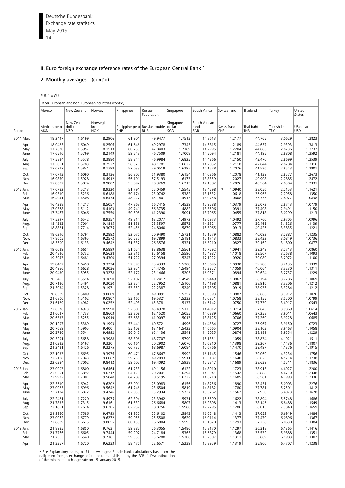Deutsche Bundesbank  $14$ [Exchange rate statistics](#page-2-0) May 2019

#### II. Euro foreign exchange reference rates of the European Central Bank '

#### 2. Monthly averages + (cont'd)

EUR  $1 = CU$ ... Other European and non-European countries (cont'd) Mexico |New Zealand |Norway |Philippines |Russian |Singapore |South Africa |Switzerland |Thailand |Turkey |United states and the states of the states of the states of the states of the states of the states of the states of the states of the states of the states of the states of the states of the states of the states of the states of t New Zealand Norwegian Philippine peso Russian rouble dollar strand rand Mexican peso |dollar | krone | Philippine peso Russian rouble |dollar | rand | Swiss franc | Thai baht | Turkish lira | US dollar Period MXN NZD NOK PHP RUB SGD ZAR CHF THB TRY USD 2014 Mar. | 18.2447| 1.6199| 8.2906| 61.901| 49.9477| 1.7513| 14.8613| 1.2177| 44.765| 3.0629| 1.3823 Apr. 18.0485 1.6049 8.2506 61.646 49.2978 1.7345 14.5815 1.2189 44.657 2.9393 1.3813 May 17.7620 1.5957 8.1513 60.258 47.8403 1.7189 14.2995 1.2204 44.686 2.8736 1.3732 June 17.6516 1.5769 8.2149 59.543 46.7509 1.7008 14.5094 1.2181 44.195 2.8808 1.3592 July 17.5834 1.5578 8.3880 58.844 46.9984 1.6825 14.4366 1.2150 43.470 2.8699 1.3539 Aug. 17.5051 1.5783 8.2522 58.320 48.1781 1.6622 14.2052 1.2118 42.644 2.8784 1.3316 Sep. 17.0717 1.5841 8.1798 57.033 49.0519 1.6295 14.1578 1.2076 41.536 2.8543 1.2901 0ct. | 17.0713| 1.6090 8.3136| 56.807| 51.9380| 1.6154| 14.0266| 1.2078| 41.139| 2.8577| 1.2673 Nov. 16.9850 1.5928 8.4912 56.101 57.5193 1.6173 13.8359 1.2027 40.908 2.7885 1.2472 Dec. 17.8692 1.5874 8.9802 55.092 70.3269 1.6213 14.1582 1.2026 40.564 2.8304 1.2331 2015 Jan. 17.0782 1.5213 8.9320 51.791 75.0459 1.5545 13.4598 **1** 1.0940 38.056 2.7153 [1.1621](http://www.bundesbank.de/Navigation/EN/Statistics/Time_series_databases/Macro_economic_time_series/its_details_value_node.html?tsId=BBEX3.M.USD.EUR.BB.AC.A02) Feb. 16.9310 1.5236 8.6188 50.174 73.0742 1.5382 13.1532 1.0618 36.963 2.7958 1.1350 Mar. 16.4941 1.4506 8.6434 48.227 65.1401 1.4913 13.0756 1.0608 35.355 2.8077 1.0838 Apr. 16.4288 1.4217 8.5057 47.863 56.7415 1.4539 12.9588 1.0379 35.072 2.8743 1.0779 May | 17.0378| 1.5112| 8.4103| 49.741| 56.3735| 1.4882| 13.3506| 1.0391| 37.408| 2.9491| 1.1150 June 17.3467 1.6046 8.7550 50.508 61.2390 1.5091 13.7965 1.0455 37.818 3.0299 1.1213 July 17.5297 1.6542 8.9357 49.814 63.2077 1.4972 13.6973 1.0492 37.760 2.9705 1.0996 Aug. | 18.4333| 1.7001| 9.1815| 51.536| 73.3597| 1.5573| 14.3821| 1.0777| 39.465| 3.1826| 1.1139 Sep. 18.8821 1.7714 9.3075 52.456 74.8040 1.5879 15.3065 1.0913 40.426 3.3835 1.1221 Oct. 18.6216 1.6794 9.2892 52.070 70.9490 1.5731 15.1579 1.0882 40.092 3.2887 1.1235 Nov. 17.8605 1.6365 9.2572 50.537 69.7899 1.5181 15.1743 1.0833 38.432 3.0849 1.0736 Dec. 18.5500 1.6133 9.4642 51.337 76.3576 1.5321 16.3210 1.0827 39.162 3.1800 1.0877 2016 Jan. | 19.6039 1.6654 9.5899 51.654 83.8638 1.5561 17.7592 1.0941 39.249 3.2713 1.0860 Feb. 20.4826 1.6732 9.5628 52.816 85.6158 1.5596 17.4987 1.1018 39.507 3.2638 1.1093 Mar. 19.5943 1.6481 9.4300 51.722 77.9394 1.5247 17.1222 1.0920 39.089 3.2072 1.1100 Apr. | 19.8402| 1.6458| 9.3224| 52.598| 75.4333| 1.5308| 16.5695| 1.0930| 39.780| 3.2135| 1.1339 May 20.4956 1.6628 9.3036 52.951 74.4745 1.5494 17.3357 1.1059 40.064 3.3230 1.1311 June 20.9430 1.5955 9.3278 52.172 73.1466 1.5205 16.9371 1.0894 39.624 3.2737 1.1229 July 20.5453 1.5514 9.3690 52.102 71.2417 1.4949 15.9449 1.0867 38.794 3.2786 1.1069 Aug. 20.7136 1.5491 9.3030 52.254 72.7952 1.5106 15.4198 1.0881 38.916 3.3206 1.1212 Sep. 21.5034 1.5328 9.1971 53.359 72.2387 1.5240 15.7305 1.0919 38.935 3.3284 1.1212 Oct. 20.8389 1.5409 9.0009 53.304 69.0091 1.5257 15.3593 1.0887 38.666 3.3912 1.1026 Nov. 21.6800 1.5102 9.0807 53.160 69.5321 1.5232 15.0351 1.0758 38.155 3.5500 1.0799 Dec. 21.6189 1.4982 9.0252 52.493 65.3781 1.5137 14.6142 1.0750 37.730 3.6917 1.0543 2017 Jan. | 22.6576| 1.4923| 8.9990| 52.800| 63.4978| 1.5175| 14.4012| 1.0714| 37.645| 3.9869| 1.0614 Feb. 21.6027 1.4733 8.8603 53.208 62.1520 1.5055 14.0389 1.0660 37.258 3.9011 1.0643 Mar. 20.6333 1.5255 9.0919 53.683 61.9097 1.5013 13.8125 1.0706 37.260 3.9228 1.0685 Apr. 20.1297 1.5389 9.1993 53.441 60.5721 1.4996 14.4384 1.0727 36.967 3.9150 1.0723 May | 20.7659| 1.5905| 9.4001| 55.108| 63.1641| 1.5423| 14.6665| 1.0904| 38.103| 3.9463| 1.1058 June 20.3786 1.5544 9.4992 56.045 65.1136 1.5541 14.5025 1.0874 38.181 3.9554 1.1229 July 20.5291 1.5658 9.3988 58.306 68.7707 1.5790 15.1351 1.1059 38.834 4.1021 1.1511 Aug. | 21.0333| 1.6167| 9.3201| 60.161| 70.2902| 1.6070| 15.6310| 1.1398| 39.267| 4.1436| 1.1807 Sep. 21.2431 1.6426 9.3275 60.732 68.6987 1.6084 15.6766 1.1470 39.497 4.1376 1.1915 Oct. 22.1033 1.6695 9.3976 60.471 67.8647 1.5992 16.1145 1.1546 39.069 4.3234 1.1756 Nov. 22.2188 1.7043 9.6082 59.733 69.2093 1.5911 16.5187 1.1640 38.623 4.5714 1.1738 Dec. 22.6384 1.7002 9.8412 59.602 69.4092 1.5938 15.5847 1.1689 38.639 4.5511 1.1836 2018 Jan. | 23.0903| 1.6800| 9.6464| 61.733| 69.1156| 1.6122| 14.8910| 1.1723| 38.913| 4.6027| 1.2200 Feb. 23.0251 1.6892 9.6712 64.123 70.2041 1.6294 14.6041 1.1542 38.888 4.6710 1.2348 Mar. 22.9932 1.7001 9.5848 64.289 70.5195 1.6222 14.6218 1.1685 38.581 4.7993 1.2336 Apr. 22.5610 1.6942 9.6202 63.901 75.0983 1.6156 14.8756 1.1890 38.451 5.0003 1.2276 May 23.0985 1.6996 9.5642 61.746 73.6504 1.5819 14.8182 1.1780 37.781 5.2501 1.1812 June 23.7134 1.6822 9.4746 62.038 73.2934 1.5737 15.5262 1.1562 37.930 5.4073 1.1678 July 22.2481 1.7220 9.4975 62.394 73.3942 1.5931 15.6599 1.1622 38.894 5.5748 1.1686 Aug. | 21.7835| 1.7315| 9.6161| 61.539| 76.6684| 1.5807| 16.2808| 1.1413| 38.146| 6.8488| 1.1549 Sep. 22.1891 1.7674 9.6205 62.957 78.8756 1.5986 17.2295 1.1286 38.013 7.3840 1.1659 0ct. | [21.9950](http://www.bundesbank.de/Navigation/EN/Statistics/Time_series_databases/Macro_economic_time_series/its_details_value_node.html?tsId=BBEX3.M.MXN.EUR.BB.AC.A02)| [1.7586](http://www.bundesbank.de/Navigation/EN/Statistics/Time_series_databases/Macro_economic_time_series/its_details_value_node.html?tsId=BBEX3.M.NZD.EUR.BB.AC.A02)| [9.4793](http://www.bundesbank.de/Navigation/EN/Statistics/Time_series_databases/Macro_economic_time_series/its_details_value_node.html?tsId=BBEX3.M.NOK.EUR.BB.AC.A02)| [61.950](http://www.bundesbank.de/Navigation/EN/Statistics/Time_series_databases/Macro_economic_time_series/its_details_value_node.html?tsId=BBEX3.M.PHP.EUR.BB.AC.A02)| [75.6102](http://www.bundesbank.de/Navigation/EN/Statistics/Time_series_databases/Macro_economic_time_series/its_details_value_node.html?tsId=BBEX3.M.RUB.EUR.BB.AC.A02)| [1.5843](http://www.bundesbank.de/Navigation/EN/Statistics/Time_series_databases/Macro_economic_time_series/its_details_value_node.html?tsId=BBEX3.M.SGD.EUR.BB.AC.A02)| [16.6548](http://www.bundesbank.de/Navigation/EN/Statistics/Time_series_databases/Macro_economic_time_series/its_details_value_node.html?tsId=BBEX3.M.ZAR.EUR.BB.AC.A02)| [1.1413](http://www.bundesbank.de/Navigation/EN/Statistics/Time_series_databases/Macro_economic_time_series/its_details_value_node.html?tsId=BBEX3.M.CHF.EUR.BB.AC.A02)| [37.652](http://www.bundesbank.de/Navigation/EN/Statistics/Time_series_databases/Macro_economic_time_series/its_details_value_node.html?tsId=BBEX3.M.THB.EUR.BB.AC.A02)| [6.6919](http://www.bundesbank.de/Navigation/EN/Statistics/Time_series_databases/Macro_economic_time_series/its_details_value_node.html?tsId=BBEX3.M.TRY.EUR.BB.AC.A02)| 1.1484 Nov. 23.0062 1.6779 9.6272 59.958 75.5508 1.5629 16.0114 1.1377 37.470 6.0896 1.1367 Dec. 22.8889 1.6675 9.8055 60.135 76.6804 1.5595 16.1870 1.1293 37.238 6.0630 1.1384 2019 Jan. | 21.8985 | 1.6850 | 9.7631 | 59.882 | 76.3055 | 1.5486 | 15.8170 | 1.1297 | 36.318 | 6.1365 | 1.1416 Feb. 21.7766 1.6605 9.7444 59.207 74.7184 1.5365 15.6879 1.1368 35.532 5.9888 1.1351 Mar. 21.7363 1.6540 9.7181 59.358 73.6288 1.5306 16.2507 1.1311 35.869 6.1983 1.1302

Apr. 21.3367 1.6720 9.6233 58.470 72.6571 1.5239 15.8959 1.1319 35.800 6.4707 1.1238

**\*** See Explanatory notes, p. 51. **+** Averages: Bundesbank calculations based on the daily euro foreign exchange reference rates published by the ECB. **1** Discontinuation of the minimum exchange rate on 15 January 2015.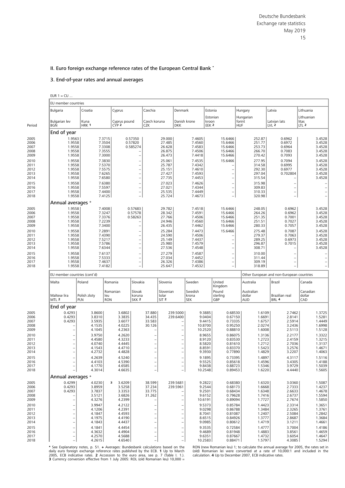#### II. Euro foreign exchange reference rates of the European Central Bank \*

#### 3. End-of-year rates and annual averages

| EUR $1 = CU$                     |            |                          |                                  |                            |                     |                           |                                        |                     |                           |                                            |                      |                                           |                           |
|----------------------------------|------------|--------------------------|----------------------------------|----------------------------|---------------------|---------------------------|----------------------------------------|---------------------|---------------------------|--------------------------------------------|----------------------|-------------------------------------------|---------------------------|
| EU member countries              |            |                          |                                  |                            |                     |                           |                                        |                     |                           |                                            |                      |                                           |                           |
| Bulgaria                         |            | Croatia                  | Cyprus                           |                            | Czechia             |                           | Denmark                                |                     | Estonia                   |                                            | Hungary              | Latvia                                    | Lithuania                 |
|                                  |            |                          |                                  |                            |                     |                           |                                        |                     | Estonian                  |                                            | Hungarian            |                                           | Lithuanian                |
| Bulgarian lev<br><b>BGN</b>      |            | Kuna<br>HRK <sub>1</sub> | Cyprus pound<br>CYP <sub>2</sub> |                            | Czech koruna<br>CZK |                           | Danish krone<br><b>DKK</b>             |                     | kroon<br>EEK <sub>2</sub> |                                            | forint<br><b>HUF</b> | Latvian lats<br>LVL <sub>2</sub>          | litas<br>LTL <sub>2</sub> |
| End of year                      |            |                          |                                  |                            |                     |                           |                                        |                     |                           |                                            |                      |                                           |                           |
| 1.9563                           |            | 7.3715                   |                                  | 0.57350                    |                     | 29.000                    |                                        | 7.4605              |                           | 15.6466                                    | 252.87               | 0.6962                                    | 3.4528                    |
| 1.9558                           |            | 7.3504                   |                                  | 0.57820                    |                     | 27.485                    |                                        | 7.4560              |                           | 15.6466                                    | 251.77               | 0.6972                                    | 3.4528                    |
| 1.9558                           |            | 7.3308                   |                                  | 0.585274                   |                     | 26.628                    |                                        | 7.4583              |                           | 15.6466                                    | 253.73               | 0.6964                                    | 3.4528                    |
| 1.9558<br>1.9558                 |            | 7.3555<br>7.3000         |                                  |                            |                     | 26.875<br>26.473          |                                        | 7.4506<br>7.4418    |                           | 15.6466<br>15.6466                         | 266.70<br>270.42     | 0.7083<br>0.7093                          | 3.4528<br>3.4528          |
| 1.9558                           |            |                          |                                  |                            |                     | 25.061                    |                                        | 7.4535              |                           | 15.6466                                    | 277.95               | 0.7094                                    | 3.4528                    |
| 1.9558                           |            | 7.3830<br>7.5370         |                                  |                            |                     | 25.787                    |                                        | 7.4342              |                           |                                            | 314.58               | 0.6995                                    | 3.4528                    |
| 1.9558                           |            | 7.5575                   |                                  |                            |                     | 25.151                    |                                        | 7.4610              |                           |                                            | 292.30               | 0.6977                                    | 3.4528                    |
| 1.9558                           |            | 7.6265                   |                                  |                            |                     | 27.427                    |                                        | 7.4593              |                           | $\overline{\phantom{0}}$                   | 297.04               | 0.702804                                  | 3.4528                    |
| 1.9558                           |            | 7.6580                   |                                  |                            |                     | 27.735                    |                                        | 7.4453              |                           | $\overline{a}$                             | 315.54               |                                           | 3.4528                    |
| 1.9558<br>1.9558                 |            | 7.6380<br>7.5597         |                                  |                            |                     | 27.023<br>27.021          |                                        | 7.4626<br>7.4344    |                           | $\overline{\phantom{0}}$                   | 315.98<br>309.83     |                                           | $\overline{\phantom{0}}$  |
| 1.9558                           |            | 7.4400                   |                                  |                            |                     | 25.535                    |                                        | 7.4449              |                           |                                            | 310.33               |                                           | $\overline{\phantom{0}}$  |
| 1.9558                           |            | 7.4125                   |                                  |                            |                     | 25.724                    |                                        | 7.4673              |                           |                                            | 320.98               |                                           | $\overline{\phantom{0}}$  |
| Annual averages +                |            |                          |                                  |                            |                     |                           |                                        |                     |                           |                                            |                      |                                           |                           |
| 1.9558                           |            | 7.4008                   |                                  | 0.57683                    |                     | 29.782                    |                                        | 7.4518              |                           | 15.6466                                    | 248.05               | 0.6962                                    | 3.4528                    |
| 1.9558                           |            | 7.3247                   |                                  | 0.57578                    |                     | 28.342                    |                                        | 7.4591              |                           | 15.6466                                    | 264.26               | 0.6962                                    | 3.4528                    |
| 1.9558<br>1.9558                 |            | 7.3376<br>7.2239         |                                  | 0.58263                    |                     | 27.766<br>24.946          |                                        | 7.4506<br>7.4560    |                           | 15.6466<br>15.6466                         | 251.35<br>251.51     | 0.7001<br>0.7027                          | 3.4528<br>3.4528          |
| 1.9558                           |            | 7.3400                   |                                  |                            |                     | 26.435                    |                                        | 7.4462              |                           | 15.6466                                    | 280.33               | 0.7057                                    | 3.4528                    |
| 1.9558                           |            | 7.2891                   |                                  |                            |                     | 25.284                    |                                        | 7.4473              |                           | 15.6466                                    | 275.48               | 0.7087                                    | 3.4528                    |
| 1.9558                           |            | 7.4390                   |                                  |                            |                     | 24.590                    |                                        | 7.4506              |                           |                                            | 279.37               | 0.7063                                    | 3.4528                    |
| 1.9558<br>1.9558                 |            | 7.5217<br>7.5786         |                                  | $\equiv$                   |                     | 25.149<br>25.980          |                                        | 7.4437<br>7.4579    |                           | $\overline{a}$<br>$\overline{\phantom{0}}$ | 289.25<br>296.87     | 0.6973<br>0.7015                          | 3.4528<br>3.4528          |
| 1.9558                           |            | 7.6344                   |                                  |                            |                     | 27.536                    |                                        | 7.4548              |                           | $\overline{a}$                             | 308.71               |                                           | 3.4528                    |
| 1.9558                           |            | 7.6137                   |                                  |                            |                     | 27.279                    |                                        | 7.4587              |                           | $\overline{\phantom{0}}$                   | 310.00               |                                           | $\qquad \qquad -$         |
| 1.9558                           |            | 7.5333                   |                                  |                            |                     | 27.034                    |                                        | 7.4452              |                           | $\overline{\phantom{0}}$                   | 311.44               |                                           |                           |
| 1.9558<br>1.9558                 |            | 7.4637<br>7.4182         |                                  |                            |                     | 26.326<br>25.647          |                                        | 7.4386<br>7.4532    |                           | $\overline{\phantom{0}}$                   | 309.19<br>318.89     |                                           |                           |
| EU member countries (cont'd)     |            |                          |                                  |                            |                     |                           |                                        |                     |                           |                                            |                      | Other European and non-European countries |                           |
| Malta                            |            | Poland                   | Romania                          | Slovakia                   |                     | Slovenia                  |                                        | Sweden              |                           | United                                     | Australia            | Brazil                                    | Canada                    |
|                                  |            |                          | Romanian                         | Slovak                     |                     | Slovenian                 |                                        | Swedish             |                           | Kingdom<br>Pound                           | Australian           |                                           | Canadian                  |
| Maltese lira<br>MTL <sub>2</sub> | <b>PLN</b> | Polish zloty<br>leu      | <b>RON</b>                       | koruna<br>SKK <sub>2</sub> |                     | tolar<br>SIT <sub>2</sub> |                                        | krona<br><b>SEK</b> |                           | sterling<br>GBP                            | dollar<br><b>AUD</b> | Brazilian real<br>BRL 4                   | dollar<br>CAD             |
| End of year                      |            |                          |                                  |                            |                     |                           |                                        |                     |                           |                                            |                      |                                           |                           |
| 0.4293                           |            | 3.8600                   | 3.6802                           |                            | 37.880              |                           | 239.5000                               |                     | 9.3885                    | 0.68530                                    | 1.6109               | 2.7462                                    | 1.3725                    |
| 0.4293                           |            | 3.8310                   | 3.3835                           |                            | 34.435              |                           | 239.6400                               |                     | 9.0404                    | 0.67150                                    | 1.6691               | 2.8141                                    | 1.5281                    |
| 0.4293                           |            | 3.5935                   | 3.6077                           |                            | 33.583              |                           | $\overline{\phantom{0}}$               |                     | 9.4415                    | 0.73335                                    | 1.6757               | 2.5914                                    | 1.4449                    |
|                                  |            | 4.1535                   | 4.0225                           |                            | 30.126              |                           |                                        |                     | 10.8700                   | 0.95250                                    | 2.0274               | 3.2436                                    | 1.6998                    |
|                                  |            | 4.1045                   | 4.2363                           |                            |                     |                           |                                        |                     | 10.2520                   | 0.88810                                    | 1.6008               | 2.5113                                    | 1.5128                    |
|                                  |            | 3.9750<br>4.4580         | 4.2620<br>4.3233                 |                            |                     |                           |                                        |                     | 8.9655<br>8.9120          | 0.86075<br>0.83530                         | 1.3136<br>1.2723     | 2.2177<br>2.4159                          | 1.3322<br>1.3215          |
| $\overline{\phantom{0}}$         |            | 4.0740                   | 4.4445                           |                            |                     |                           |                                        |                     | 8.5820                    | 0.81610                                    | 1.2712               | 2.7036                                    | 1.3137                    |
|                                  |            | 4.1543                   | 4.4710                           |                            |                     |                           |                                        |                     | 8.8591                    | 0.83370                                    | 1.5423               | 3.2576                                    | 1.4671                    |
|                                  |            | 4.2732                   | 4.4828                           |                            |                     |                           |                                        |                     | 9.3930                    | 0.77890                                    | 1.4829               | 3.2207                                    | 1.4063                    |
|                                  |            | 4.2639<br>4.4103         | 4.5240<br>4.5390                 |                            |                     |                           | $\qquad \qquad -$<br>$\qquad \qquad -$ |                     | 9.1895<br>9.5525          | 0.73395<br>0.85618                         | 1.4897<br>1.4596     | 4.3117<br>3.4305                          | 1.5116<br>1.4188          |
|                                  |            | 4.1770                   | 4.6585                           |                            |                     |                           | $\overline{\phantom{0}}$               |                     | 9.8438                    | 0.88723                                    | 1.5346               | 3.9729                                    | 1.5039                    |
|                                  |            | 4.3014                   | 4.6635                           |                            |                     |                           | $\overline{\phantom{0}}$               |                     | 10.2548                   | 0.89453                                    | 1.6220               | 4.4440                                    | 1.5605                    |
| Annual averages +                |            |                          |                                  |                            |                     |                           |                                        |                     |                           |                                            |                      |                                           |                           |
| 0.4299                           |            | 4.0230                   | з<br>3.6209                      |                            | 38.599              |                           | 239.5681                               |                     | 9.2822                    | 0.68380                                    | 1.6320               | 3.0360                                    | 1.5087                    |
| 0.4293<br>0.4293                 |            | 3.8959<br>3.7837         | 3.5258<br>3.3353                 |                            | 37.234<br>33.775    |                           | 239.5961                               |                     | 9.2544<br>9.2501          | 0.68173<br>0.68434                         | 1.6668<br>1.6348     | 2.7333<br>2.6633                          | 1.4237<br>1.4678          |
|                                  |            | 3.5121                   | 3.6826                           |                            | 31.262              |                           |                                        |                     | 9.6152                    | 0.79628                                    | 1.7416               | 2.6737                                    | 1.5594                    |
| $\rightarrow$                    |            | 4.3276                   | 4.2399                           |                            |                     |                           | $\overline{\phantom{a}}$               |                     | 10.6191                   | 0.89094                                    | 1.7727               | 2.7674                                    | 1.5850                    |
|                                  |            | 3.9947                   | 4.2122                           |                            |                     |                           |                                        |                     | 9.5373                    | 0.85784                                    | 1.4423               | 2.3314                                    | 1.3651                    |
|                                  |            | 4.1206                   | 4.2391                           |                            |                     |                           | $\overline{\phantom{0}}$               |                     | 9.0298                    | 0.86788                                    | 1.3484               | 2.3265                                    | 1.3761                    |
|                                  |            | 4.1847<br>4.1975         | 4.4593<br>4.4190                 |                            |                     |                           | $\overline{\phantom{0}}$               |                     | 8.7041<br>8.6515          | 0.81087<br>0.84926                         | 1.2407<br>1.3777     | 2.5084<br>2.8687                          | 1.2842<br>1.3684          |
|                                  |            | 4.1843                   | 4.4437                           |                            |                     |                           | $\overline{\phantom{0}}$               |                     | 9.0985                    | 0.80612                                    | 1.4719               | 3.1211                                    | 1.4661                    |
|                                  |            | 4.1841                   | 4.4454                           |                            |                     |                           |                                        |                     | 9.3535                    | 0.72584                                    | 1.4777               | 3.7004                                    | 1.4186                    |
|                                  |            | 4.3632                   | 4.4904                           |                            |                     |                           |                                        |                     | 9.4689                    | 0.81948                                    | 1.4883               | 3.8561                                    | 1.4659                    |
|                                  |            | 4.2570<br>4.2615         | 4.5688<br>4.6540                 |                            | $\sim$              |                           | $\qquad \qquad -$                      |                     | 9.6351<br>10.2583         | 0.87667<br>0.88471                         | 1.4732<br>1.5797     | 3.6054<br>4.3085                          | 1.4647<br>1.5294          |
|                                  |            |                          |                                  |                            |                     |                           |                                        |                     |                           |                                            |                      |                                           |                           |

<span id="page-14-0"></span>\* See Explanatory notes, p. 51. + Averages: Bundesbank calculations based on the MON (new Romanian leu) 1; to calculate the annual average for 2005, the rates set in<br>daily euro foreign exchange reference rates published by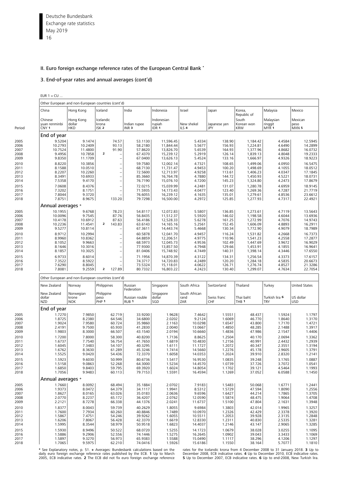#### II. Euro foreign exchange reference rates of the European Central Bank \*

#### 3. End-of-year rates and annual averages (cont'd)

EUR  $1 = CU \dots$ 

|              |                                              | Other European and non-European countries (cont'd) |                                        |                                                          |                                          |                                |                            |                                   |                                          |                                     |
|--------------|----------------------------------------------|----------------------------------------------------|----------------------------------------|----------------------------------------------------------|------------------------------------------|--------------------------------|----------------------------|-----------------------------------|------------------------------------------|-------------------------------------|
|              | China                                        | Hong Kong                                          | Iceland                                | India                                                    | Indonesia                                | Israel                         | Japan                      | Korea,<br>Republic of             | Malaysia                                 | Mexico                              |
| Period       | Chinese<br>yuan renminbi<br>CNY <sub>1</sub> | Hong Kong<br>dollar<br><b>HKD</b>                  | Icelandic<br>krona<br>ISK <sub>2</sub> | Indian rupee<br>INR <sub>3</sub>                         | Indonesian<br>rupiah<br>IDR <sub>1</sub> | New shekel<br>ILS <sub>4</sub> | Japanese yen<br><b>JPY</b> | South<br>Korean won<br><b>KRW</b> | Malaysian<br>ringgit<br>MYR <sub>1</sub> | Mexican<br>peso<br>MXN <sub>5</sub> |
|              | End of year                                  |                                                    |                                        |                                                          |                                          |                                |                            |                                   |                                          |                                     |
| 2005         | 9.5204                                       | 9.1474                                             | 74.57                                  | 53.1130                                                  | 11,596.45                                | 5.4334                         | 138.90                     | 1,184.42                          | 4.4584                                   | 12.5945                             |
| 2006         | 10.2793                                      | 10.2409                                            | 93.13                                  | 58.2180                                                  | 11,844.44                                | 5.5677                         | 156.93                     | 1,224.81                          | 4.6490                                   | 14.2899                             |
| 2007         | 10.7524                                      | 11.4800                                            | 91.90                                  | 57.8620                                                  | 13,826.70                                | 5.6539                         | 164.93                     | 1,377.96                          | 4.8682                                   | 16.0732                             |
| 2008         | 9.4956                                       | 10.7858                                            | $\overline{2}$                         | 67.4370<br>-                                             | 15,239.12                                | 5.2919                         | 126.14                     | 1,839.13                          | 4.8048                                   | 19.2333                             |
| 2009         | 9.8350                                       | 11.1709                                            |                                        | 67.0400                                                  | 13,626.13                                | 5.4524                         | 133.16                     | 1,666.97                          | 4.9326                                   | 18.9223                             |
| 2010         | 8.8220                                       | 10.3856                                            |                                        | 59.7580                                                  | 12,002.14                                | 4.7321                         | 108.65                     | 1,499.06                          | 4.0950                                   | 16.5475                             |
| 2011         | 8.1588<br>8.2207                             | 10.0510<br>10.2260                                 |                                        | 68.7130<br>$\qquad \qquad -$<br>72.5600                  | 11,731.47<br>12,713.97                   | 4.9453<br>4.9258               | 100.20<br>113.61           | 1,498.69<br>1,406.23              | 4.1055<br>4.0347                         | 18.0512<br>17.1845                  |
| 2012<br>2013 | 8.3491                                       | 10.6933                                            |                                        | $\overline{\phantom{0}}$<br>85.3660<br>$\qquad \qquad -$ | 16,764.78                                | 4.7880                         | 144.72                     | 1,450.93                          | 4.5221                                   | 18.0731                             |
| 2014         | 7.5358                                       | 9.4170                                             |                                        | 76.7190                                                  | 15,076.10                                | 4.7200                         | 145.23                     | 1,324.80                          | 4.2473                                   | 17.8679                             |
| 2015         | 7.0608                                       | 8.4376                                             |                                        | 72.0215                                                  | 15,039.99                                | 4.2481                         | 131.07                     | 1,280.78                          | 4.6959                                   | 18.9145                             |
| 2016         | 7.3202                                       | 8.1751                                             |                                        | 71.5935<br>$\overline{\phantom{0}}$                      | 14,173.43                                | 4.0477                         | 123.40                     | 1,269.36                          | 4.7287                                   | 21.7719                             |
| 2017         | 7.8044                                       | 9.3720                                             |                                        | 76.6055                                                  | 16,239.12                                | 4.1635                         | 135.01                     | 1,279.61                          | 4.8536                                   | 23.6612                             |
| 2018         | 7.8751                                       | 8.9675                                             | 133.20                                 | 79.7298                                                  | 16,500.00                                | 4.2972                         | 125.85                     | 1,277.93                          | 4.7317                                   | 22.4921                             |
|              | Annual averages +                            |                                                    |                                        |                                                          |                                          |                                |                            |                                   |                                          |                                     |
| 2005         | 10.1955                                      | 9.6768                                             | 78.23                                  | 54.8117                                                  | 12,072.83                                | 5.5807                         | 136.85                     | 1,273.61                          | 4.7119                                   | 13.5643                             |
| 2006         | 10.0096                                      | 9.7545                                             | 87.76                                  | 56.8435                                                  | 11,512.37                                | 5.5920                         | 146.02                     | 1,198.58                          | 4.6044                                   | 13.6936                             |
| 2007         | 10.4178                                      | 10.6912                                            | 87.63                                  | 56.4186                                                  | 12,528.33                                | 5.6278                         | 161.25                     | 1,272.99                          | 4.7076                                   | 14.9743                             |
| 2008         | 10.2236                                      | 11.4541                                            | $\overline{2}$<br>143.83               | 63.6143                                                  | 14,165.16<br>14,443.74                   | 5.2561                         | 152.45<br>130.34           | 1,606.09                          | 4.8893<br>4.9079                         | 16.2911                             |
| 2009         | 9.5277                                       | 10.8114                                            |                                        | 67.3611                                                  |                                          | 5.4668                         |                            | 1,772.90                          |                                          | 18.7989                             |
| 2010<br>2011 | 8.9712<br>8.9960                             | 10.2994<br>10.8362                                 |                                        | 60.5878<br>64.8859<br>$\qquad \qquad -$                  | 12,041.70<br>12,206.51                   | 4.9457<br>4.9775               | 116.24<br>110.96           | 1,531.82<br>1,541.23              | 4.2668<br>4.2558                         | 16.7373<br>17.2877                  |
| 2012         | 8.1052                                       | 9.9663                                             |                                        | 68.5973<br>$\overline{\phantom{a}}$                      | 12,045.73                                | 4.9536                         | 102.49                     | 1,447.69                          | 3.9672                                   | 16.9029                             |
| 2013         | 8.1646                                       | 10.3016                                            |                                        | 77.9300                                                  | 13,857.50                                | 4.7948                         | 129.66                     | 1,453.91                          | 4.1855                                   | 16.9641                             |
| 2014         | 8.1857                                       | 10.3025                                            |                                        | 81.0406<br>$\overline{\phantom{a}}$                      | 15,748.92                                | 4.7449                         | 140.31                     | 1,398.14                          | 4.3446                                   | 17.6550                             |
| 2015         | 6.9733                                       | 8.6014                                             |                                        | 71.1956<br>$\qquad \qquad -$                             | 14,870.39                                | 4.3122                         | 134.31                     | 1,256.54                          | 4.3373                                   | 17.6157                             |
| 2016         | 7.3522                                       | 8.5922                                             |                                        | 74.3717                                                  | 14,720.83                                | 4.2489                         | 120.20                     | 1,284.18                          | 4.5835                                   | 20.6673                             |
| 2017         | 7.6290                                       | 8.8045                                             |                                        | 73.5324                                                  | 15,118.01                                | 4.0622                         | 126.71                     | 1,276.74                          | 4.8527                                   | 21.3286                             |
| 2018         | 7.8081                                       | 9.2559                                             | $\overline{2}$<br>127.89               | 80.7332                                                  | 16,803.22                                | 4.2423                         | 130.40                     | 1,299.07                          | 4.7634                                   | 22.7054                             |
|              |                                              |                                                    |                                        |                                                          |                                          |                                |                            |                                   |                                          |                                     |
|              |                                              | Other European and non-European countries (cont'd) |                                        |                                                          |                                          |                                |                            |                                   |                                          |                                     |
|              | New Zealand                                  | Norway                                             | Philippines                            | Russian<br>Federation                                    | Singapore                                | South Africa                   | Switzerland                | Thailand                          | Turkey                                   | <b>United States</b>                |
|              | New Zealand<br>dollar<br><b>NZD</b>          | Norwegian<br>krone<br><b>NOK</b>                   | Philippine<br>peso<br>PHP <sub>1</sub> | Russian rouble<br>RUB <sub>1</sub>                       | Singapore<br>dollar<br>SGD               | South African<br>rand<br>ZAR   | Swiss franc<br>CHF         | Thai baht<br>THB <sub>1</sub>     | Turkish lira 6<br><b>TRY</b>             | US dollar<br><b>USD</b>             |
|              | End of year                                  |                                                    |                                        |                                                          |                                          |                                |                            |                                   |                                          |                                     |
| 2005         | 1.7270                                       | 7.9850                                             | 62.719                                 | 33.9200                                                  | 1.9628                                   | 7.4642                         | 1.5551                     | 48.437                            | 1.5924                                   | 1.1797                              |
| 2006         | 1.8725                                       | 8.2380                                             | 64.546                                 | 34.6800                                                  | 2.0202                                   | 9.2124                         | 1.6069                     | 46.770                            | 1.8640                                   | 1.3170                              |
| 2007         | 1.9024                                       | 7.9580                                             | 60.724                                 | 35.9860                                                  | 2.1163                                   | 10.0298                        | 1.6547                     | 43.800                            | 1.7170                                   | 1.4721                              |
| 2008         | 2.4191                                       | 9.7500                                             | 65.930                                 | 41.2830                                                  | 2.0040                                   | 13.0667                        | 1.4850                     | 48.285                            | 2.1488                                   | 1.3917                              |
| 2009         | 1.9803                                       | 8.3000                                             | 66.507                                 | 43.1540                                                  | 2.0194                                   | 10.6660                        | 1.4836                     | 47.986                            | 2.1547                                   | 1.4406                              |
| 2010         | 1.7200                                       | 7.8000                                             | 58.300                                 | 40.8200                                                  | 1.7136                                   | 8.8625                         | 1.2504                     | 40.170                            | 2.0694                                   | 1.3362                              |
| 2011<br>2012 | 1.6737<br>1.6045                             | 7.7540<br>7.3483                                   | 56.754<br>54.107                       | 41.7650<br>40.3295                                       | 1.6819<br>1.6111                         | 10.4830<br>11.1727             | 1.2156<br>1.2072           | 40.991<br>40.347                  | 2.4432<br>2.3551                         | 1.2939<br>1.3194                    |
| 2013         | 1.6762                                       | 8.3630                                             | 61.289                                 | 45.3246                                                  | 1.7414                                   | 14.5660                        | 1.2276                     | 45.178                            | 2.9605                                   | 1.3791                              |
| 2014         | 1.5525                                       | 9.0420                                             | 54.436                                 | 72.3370                                                  | 1.6058                                   | 14.0353                        | 1.2024                     | 39.910                            | 2.8320                                   | 1.2141                              |
| 2015         | 1.5923                                       | 9.6030                                             | 50.999                                 | 80.6736                                                  | 1.5417                                   | 16.9530                        | 1.0835                     | 39.248                            | 3.1765                                   | 1.0887                              |
| 2016         | 1.5158                                       | 9.0863                                             | 52.268                                 | 64.3000                                                  | 1.5234                                   | 14.4570                        | 1.0739                     | 37.726                            | 3.7072                                   | 1.0541                              |
| 2017         | 1.6850                                       | 9.8403                                             | 59.795                                 | 69.3920                                                  | 1.6024                                   | 14.8054                        | 1.1702                     | 39.121                            | 4.5464                                   | 1.1993                              |
| 2018         | 1.7056                                       | 9.9483                                             | 60.113                                 | 79.7153                                                  | 1.5591                                   | 16.4594                        | 1.1269                     | 37.052                            | 6.0588                                   | 1.1450                              |
|              | Annual averages +                            |                                                    |                                        |                                                          |                                          |                                |                            |                                   |                                          |                                     |
| 2005         | 1.7660                                       | 8.0092                                             | 68.494                                 | 35.1884                                                  | 2.0702                                   | 7.9183                         | 1.5483                     | 50.068                            | 1.6771                                   | 1.2441                              |
| 2006<br>2007 | 1.9373<br>1.8627                             | 8.0472<br>8.0165                                   | 64.379<br>63.026                       | 34.1117<br>35.0183                                       | 1.9941<br>2.0636                         | 8.5312<br>9.6596               | 1.5729<br>1.6427           | 47.594<br>44.214                  | 1.8090<br>1.7865                         | 1.2556<br>1.3705                    |
| 2008         | 2.0770                                       | 8.2237                                             | 65.172                                 | 36.4207                                                  | 2.0762                                   | 12.0590                        | 1.5874                     | 48.475                            | 1.9064                                   | 1.4708                              |
| 2009         | 2.2121                                       | 8.7278                                             | 66.338                                 | 44.1376                                                  | 2.0241                                   | 11.6737                        | 1.5100                     | 47.804                            | 2.1631                                   | 1.3948                              |
| 2010         | 1.8377                                       | 8.0043                                             | 59.739                                 | 40.2629                                                  | 1.8055                                   | 9.6984                         | 1.3803                     | 42.014                            | 1.9965                                   | 1.3257                              |
| 2011         | 1.7600                                       | 7.7934                                             | 60.260                                 | 40.8846                                                  | 1.7489                                   | 10.0970                        | 1.2326                     | 42.429                            | 2.3378                                   | 1.3920                              |
| 2012         | 1.5867                                       | 7.4751                                             | 54.246                                 | 39.9262                                                  | 1.6055                                   | 10.5511                        | 1.2053                     | 39.928                            | 2.3135                                   | 1.2848                              |
| 2013         | 1.6206<br>1.5995                             | 7.8067<br>8.3544                                   | 56.428<br>58.979                       | 42.3370<br>50.9518                                       | 1.6619                                   | 12.8330<br>14.4037             | 1.2311<br>1.2146           | 40.830<br>43.147                  | 2.5335<br>2.9065                         | 1.3281<br>1.3285                    |
| 2014         |                                              |                                                    |                                        |                                                          | 1.6823                                   |                                |                            |                                   |                                          |                                     |
| 2015<br>2016 | 1.5930<br>1.5886                             | 8.9496<br>9.2906                                   | 50.522<br>52.556                       | 68.0720<br>74.1446                                       | 1.5255<br>1.5275                         | 14.1723<br>16.2645             | 1.0679<br>1.0902           | 38.028<br>39.043                  | 3.0255<br>3.3433                         | 1.1095<br>1.1069                    |
| 2017<br>2018 | 1.5897<br>1.7065                             | 9.3270<br>9.5975                                   | 56.973<br>62.210                       | 65.9383<br>74.0416                                       | 1.5588<br>1.5926                         | 15.0490<br>15.6186             | 1.1117<br>1.1550           | 38.296<br>38.164                  | 4.1206<br>5.7077                         | 1.1297<br>1.1810                    |

\* See Explanatory notes, p. 51. + Averages: Bundesbank calculations based on the trates for the Icelandic krona from 4 December 2008 to 31 January 2018. 3 Up to<br>daily euro foreign exchange reference rates published by the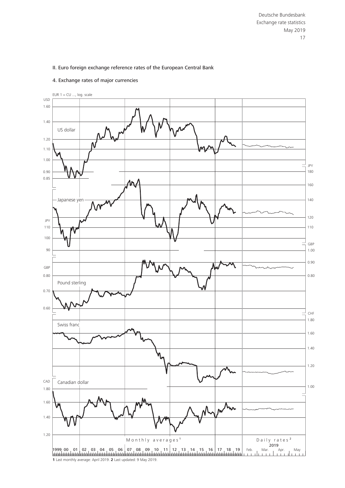#### II. Euro foreign exchange reference rates of the European Central Bank



#### 4. Exchange rates of major currencies

<span id="page-16-0"></span>**1** Last monthly average: April 2019. **2** Last updated: 9 May 2019.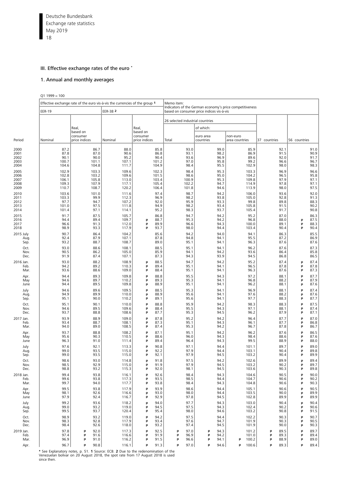Deutsche Bundesbank 18 [Exchange rate statistics](#page-2-0) May 2019

#### III. Effective exchange rates of the euro \*

#### 1. Annual and monthly averages

 $Q1 1999 = 100$ 

|                                      |                                           | Effective exchange rate of the euro vis-à-vis the currencies of the group 1 |                                           |                                                  | Memo item:<br>Indicators of the German economy's price competitiveness |                                           |                                           |                                      |                                                  |  |
|--------------------------------------|-------------------------------------------|-----------------------------------------------------------------------------|-------------------------------------------|--------------------------------------------------|------------------------------------------------------------------------|-------------------------------------------|-------------------------------------------|--------------------------------------|--------------------------------------------------|--|
|                                      | <b>EER-19</b>                             |                                                                             | EER-38 2                                  |                                                  |                                                                        | based on consumer price indices vis-à-vis |                                           |                                      |                                                  |  |
|                                      |                                           |                                                                             |                                           |                                                  | 26 selected industrial countries                                       |                                           |                                           |                                      |                                                  |  |
|                                      |                                           | Real,                                                                       |                                           | Real,                                            |                                                                        | of which:                                 |                                           |                                      |                                                  |  |
| Period                               | Nominal                                   | based on<br>consumer<br>price indices                                       | Nominal                                   | based on<br>consumer<br>price indices            | Total                                                                  | euro area<br>countries                    | non-euro<br>area countries                | 37 countries                         | 56 countries                                     |  |
| 2000<br>2001<br>2002<br>2003<br>2004 | 87.2<br>87.8<br>90.1<br>100.7<br>104.6    | 86.7<br>87.0<br>90.0<br>101.1<br>104.8                                      | 88.0<br>90.6<br>95.2<br>107.1<br>111.7    | 85.8<br>86.8<br>90.4<br>101.2<br>104.9           | 93.0<br>93.1<br>93.6<br>97.0<br>98.4                                   | 99.0<br>98.2<br>96.9<br>95.8<br>95.5      | 85.9<br>86.9<br>89.6<br>99.2<br>102.9     | 92.1<br>91.5<br>92.0<br>96.6<br>98.0 | 91.0<br>90.9<br>91.7<br>96.7<br>98.3             |  |
| 2005<br>2006<br>2007<br>2008<br>2009 | 102.9<br>102.8<br>106.1<br>109.3<br>110.7 | 103.3<br>103.2<br>105.8<br>107.9<br>108.7                                   | 109.6<br>109.6<br>113.0<br>117.1<br>120.2 | 102.3<br>101.5<br>103.4<br>105.4<br>106.4        | 98.4<br>98.6<br>100.9<br>102.2<br>101.8                                | 95.3<br>95.0<br>95.3<br>94.7<br>94.6      | 103.3<br>104.2<br>109.8<br>114.9<br>113.9 | 96.9<br>96.5<br>97.9<br>97.8<br>98.0 | 96.6<br>95.8<br>97.1<br>97.1<br>97.5             |  |
| 2010<br>2011<br>2012<br>2013<br>2014 | 103.6<br>103.3<br>97.7<br>101.0<br>101.4  | 101.0<br>99.9<br>94.7<br>97.5<br>97.1                                       | 111.6<br>112.3<br>107.2<br>111.8<br>114.1 | 97.4<br>96.9<br>92.0<br>94.9<br>95.2             | 98.7<br>98.2<br>95.9<br>98.2<br>98.3                                   | 94.2<br>93.8<br>93.3<br>93.4<br>93.7      | 106.0<br>105.0<br>99.8<br>105.8<br>105.4  | 93.6<br>92.8<br>89.8<br>91.5<br>91.7 | 92.0<br>91.3<br>88.3<br>90.2<br>90.8             |  |
| 2015<br>2016<br>2017<br>2018         | 91.7<br>94.4<br>96.6<br>98.9              | 87.5<br>89.4<br>91.3<br>93.3                                                | 105.7<br>109.7<br>112.0<br>117.9          | 86.8<br>88.7<br>p<br>p<br>89.9<br>93.7<br>p      | 94.7<br>95.3<br>96.6<br>98.0                                           | 94.2<br>94.2<br>94.3<br>94.4              | 95.2<br>96.8<br>100.0<br>103.4            | 87.0<br>88.0<br>89.1<br>90.4         | 86.3<br>87.5<br>p<br>88.3<br>p<br>p<br>90.4      |  |
| 2015 July<br>Aug.<br>Sep.<br>Oct.    | 90.7<br>92.4<br>93.2<br>93.0              | 86.4<br>87.9<br>88.7<br>88.6                                                | 104.2<br>107.1<br>108.7<br>108.1          | 85.6<br>87.8<br>89.0<br>88.5                     | 94.2<br>94.8<br>95.1<br>95.1                                           | 94.0<br>94.1<br>94.1<br>94.1              | 94.1<br>95.5<br>96.3<br>96.2              | 86.3<br>87.2<br>87.6<br>87.6         | 85.5<br>86.9<br>87.6<br>87.3                     |  |
| Nov.<br>Dec.<br>2016 Jan.            | 90.5<br>91.9<br>93.0                      | 86.2<br>87.4<br>88.2                                                        | 105.0<br>107.1<br>108.9                   | 85.9<br>87.3<br>p<br>88.5                        | 94.1<br>94.3<br>94.7                                                   | 94.2<br>93.9<br>94.2                      | 93.6<br>94.5<br>95.2                      | 86.4<br>86.8<br>87.4                 | 85.8<br>86.5<br>87.4<br>p                        |  |
| Feb.<br>Mar.<br>Apr.                 | 94.2<br>93.6<br>94.4                      | 89.2<br>88.6<br>89.3                                                        | 110.3<br>109.0<br>109.8                   | 89.4<br>p<br>88.4<br>p<br>88.8<br>p              | 95.1<br>95.1<br>95.5                                                   | 94.1<br>94.1<br>94.3                      | 96.5<br>96.3<br>97.2                      | 87.8<br>87.6<br>88.1                 | 87.8<br>p<br>87.3<br>p<br>87.7<br>p              |  |
| May<br>June<br>July                  | 94.6<br>94.4<br>94.6                      | 89.7<br>89.5<br>89.6                                                        | 110.2<br>109.8<br>109.5                   | 89.3<br>p<br>88.9<br>p<br>88.5<br>p              | 95.3<br>95.1<br>95.3                                                   | 94.1<br>94.1<br>94.1                      | 96.8<br>96.2<br>96.9                      | 88.2<br>88.1<br>88.1                 | 87.9<br>p<br>87.6<br>p<br>87.4<br>p              |  |
| Aug.<br>Sep.<br>Oct.                 | 94.9<br>95.1<br>95.1                      | 89.9<br>90.0<br>90.1                                                        | 110.0<br>110.2<br>110.0                   | 88.9<br>p<br>89.1<br>р<br>88.8<br>p              | 95.6<br>95.6<br>95.9                                                   | 94.1<br>94.1<br>94.2                      | 97.6<br>97.7<br>98.3                      | 88.2<br>88.3<br>88.3                 | 87.6<br>p<br>87.7<br>p<br>87.5<br>p              |  |
| Nov.<br>Dec.<br>2017 Jan.            | 94.6<br>93.7<br>93.9                      | 89.5<br>88.8<br>88.9                                                        | 109.6<br>108.6<br>109.0                   | 88.4<br>p<br>87.7<br>р<br>87.8<br>p              | 95.5<br>95.3<br>95.2                                                   | 94.3<br>94.5<br>94.2                      | 97.1<br>96.2<br>96.4                      | 88.1<br>87.9<br>87.7                 | 87.4<br>p<br>87.1<br>p<br>87.0<br>p              |  |
| Feb.<br>Mar.<br>Apr.<br>May          | 93.4<br>94.0<br>93.7<br>95.6              | 88.7<br>89.0<br>88.8<br>90.3                                                | 108.1<br>108.5<br>108.2<br>110.5          | 87.3<br>p<br>87.4<br>р<br>87.1<br>р<br>88.6<br>р | 95.1<br>95.3<br>95.1<br>96.0                                           | 94.3<br>94.2<br>94.2<br>94.3              | 96.1<br>96.7<br>96.2<br>98.4              | 87.7<br>87.8<br>87.6<br>88.6         | 86.8<br>p<br>86.7<br>p<br>86.5<br>p<br>87.6<br>p |  |
| June<br>July<br>Aug.<br>Sep.         | 96.3<br>97.6<br>99.0<br>99.0              | 91.0<br>92.1<br>93.5<br>93.5                                                | 111.4<br>113.3<br>115.0<br>115.0          | 89.4<br>p<br>90.8<br>p<br>p<br>92.2<br>92.1<br>p | 96.4<br>97.1<br>97.9<br>97.9                                           | 94.3<br>94.4<br>94.4<br>94.5              | 99.5<br>101.1<br>103.1<br>103.2           | 88.9<br>89.7<br>90.4<br>90.4         | 88.0<br>p<br>89.0<br>p<br>89.8<br>p<br>89.9<br>p |  |
| Oct.<br>Nov.<br>Dec.                 | 98.6<br>98.5<br>98.8                      | 93.0<br>92.9<br>93.2                                                        | 114.8<br>115.0<br>115.3                   | 91.8<br>р<br>91.9<br>р<br>92.0<br>p              | 97.5<br>97.9<br>98.1                                                   | 94.2<br>94.5<br>94.5                      | 102.6<br>103.2<br>103.6                   | 89.9<br>90.2<br>90.3                 | p<br>89.4<br>89.7<br>p<br>89.8<br>p              |  |
| 2018 Jan.<br>Feb.<br>Mar.            | 99.4<br>99.6<br>99.7                      | 93.8<br>93.8<br>94.0                                                        | 116.1<br>117.3<br>117.7                   | 92.6<br>p<br>93.5<br>p<br>93.8<br>р              | 98.4<br>98.5<br>98.4                                                   | 94.3<br>94.4<br>94.3                      | 104.6<br>104.7<br>104.8                   | 90.5<br>90.6<br>90.6                 | 90.0<br>p<br>90.2<br>p<br>90.3<br>p              |  |
| Apr.<br>May<br>June<br>July          | 99.5<br>98.1<br>97.9<br>99.2              | 93.8<br>92.6<br>92.4<br>93.6                                                | 117.9<br>116.6<br>116.7<br>118.2          | 93.9<br>p<br>93.0<br>p<br>92.9<br>p<br>94.0<br>p | 98.6<br>98.0<br>97.8<br>97.7                                           | 94.4<br>94.4<br>94.5<br>94.3              | 105.1<br>103.5<br>102.8<br>103.0          | 90.6<br>90.0<br>89.9<br>90.4         | 90.5<br>p<br>89.9<br>p<br>89.9<br>p<br>90.4<br>p |  |
| Aug.<br>Sep.<br>Oct.                 | 99.0<br>99.5<br>98.9                      | 93.2<br>93.7<br>93.2                                                        | 119.0<br>120.4<br>119.0                   | 94.5<br>p<br>р<br>95.4<br>94.2<br>p              | 97.5<br>98.0<br>97.5                                                   | 94.3<br>94.6<br>94.4                      | 102.4<br>103.2<br>102.2                   | 90.2<br>90.8<br>90.3                 | 90.6<br>p<br>91.5<br>р<br>90.7<br>p              |  |
| Nov.<br>Dec.<br>2019 Jan.            | 98.3<br>98.4<br>97.8                      | 92.8<br>92.6<br>92.0<br>p                                                   | 117.9<br>118.0<br>117.3                   | 93.4<br>p<br>93.2<br>p<br>92.5<br>p              | 97.6<br>97.4<br>97.0<br>p                                              | 94.7<br>94.5<br>94.3<br>p                 | 101.9<br>101.9<br>101.2                   | 90.3<br>90.0<br>89.5<br>р            | 90.5<br>p<br>90.3<br>p<br>89.7<br>p              |  |
| Feb.<br>Mar.<br>Apr.                 | 97.4<br>96.9<br>96.7                      | 91.6<br>р<br>91.0<br>р<br>90.8<br>p                                         | 116.6<br>116.2<br>116.1                   | 91.9<br>p<br>91.5<br>p<br>91.3<br>p              | 96.9<br>p<br>96.6<br>p<br>97.0<br>p                                    | 94.2<br>p<br>94.1<br>р<br>94.6<br>р       | 101.0<br>100.2<br>р<br>100.6<br>p         | p<br>89.3<br>p<br>88.9<br>89.3<br>p  | 89.4<br>р<br>89.0<br>р<br>89.4<br>p              |  |

<span id="page-17-0"></span>**\*** See Explanatory notes, p. 51. **1** Source: ECB. **2** Due to the redenomination of the Venezuelan bolívar on 20 August 2018, the spot rate from 17 August 2018 is used since then.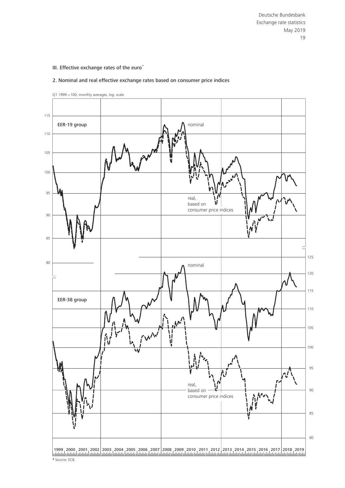#### III. Effective exchange rates of the euro<sup>\*</sup>

#### 2. Nominal and real effective exchange rates based on consumer price indices

<span id="page-18-0"></span>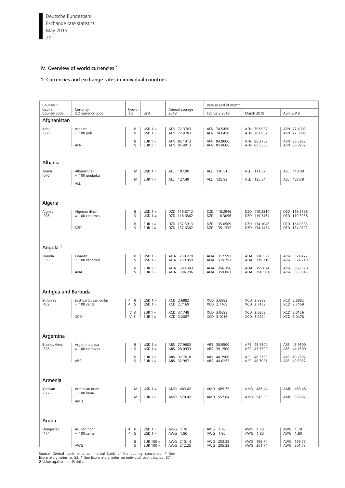Deutsche Bundesbank 20 [Exchange rate statistics](#page-2-0) May 2019

#### IV. Overview of world currencies \*

#### 1. Currencies and exchange rates in individual countries

| Country 1<br>Capital       | Currency                               | Type of                                |                        | Annual average                | Rate at end of month             |                               |                              |
|----------------------------|----------------------------------------|----------------------------------------|------------------------|-------------------------------|----------------------------------|-------------------------------|------------------------------|
| Country code               | ISO currency code                      | rate                                   | Unit                   | 2018                          | February 2019                    | March 2019                    | April 2019                   |
| Afghanistan                |                                        |                                        |                        |                               |                                  |                               |                              |
| Kabul                      | Afghani                                | В                                      | $USD 1 =$              | AFN 72.3703                   | AFN 74.5450                      | AFN 75.9937                   | AFN 77.4903                  |
| 660                        | $= 100$ puls                           | S                                      | $USD 1 =$              | AFN 72.4703                   | AFN 74.6450                      | AFN 76.0937                   | AFN 77.5903                  |
|                            | AFN                                    | B<br>S                                 | EUR $1 =$<br>EUR $1 =$ | AFN 85.1413<br>AFN 85.4013    | AFN 84.8006<br>AFN 85.0606       | AFN 85.2759<br>AFN 85.5359    | AFN 86.5632<br>AFN 86.8232   |
|                            |                                        |                                        |                        |                               |                                  |                               |                              |
|                            |                                        |                                        |                        |                               |                                  |                               |                              |
| Albania                    |                                        |                                        |                        |                               |                                  |                               |                              |
| Tirana<br>070              | Albanian lek<br>$= 100$ qindarka       | M                                      | $USD 1 =$              | ALL 107.90                    | ALL 110.51                       | ALL 111.67                    | ALL 110.09                   |
|                            | ALL                                    | Μ                                      | EUR $1 =$              | ALL 127.49                    | ALL 125.92                       | ALL 125.34                    | ALL 123.38                   |
|                            |                                        |                                        |                        |                               |                                  |                               |                              |
|                            |                                        |                                        |                        |                               |                                  |                               |                              |
| Algeria                    |                                        |                                        |                        |                               |                                  |                               |                              |
| Algiers                    | Algerian dinar                         | В                                      | $USD 1 =$              | DZD 116.6712                  | DZD 118.2946                     | DZD 119.3314                  | DZD 119.3788                 |
| 208                        | $= 100$ centimes                       | S                                      | $USD 1 =$              | DZD 116.6862                  | DZD 118.3096                     | DZD 119.3464                  | DZD 119.3938                 |
|                            | <b>DZD</b>                             | B<br>S                                 | EUR $1 =$<br>EUR $1 =$ | DZD 137.5913<br>DZD 137.6362  | DZD 135.0569<br>DZD 135.1332     | DZD 134.1046<br>DZD 134.1454  | DZD 134.0385<br>DZD 134.0792 |
|                            |                                        |                                        |                        |                               |                                  |                               |                              |
|                            |                                        |                                        |                        |                               |                                  |                               |                              |
| Angola <sup>1</sup>        |                                        |                                        |                        |                               |                                  |                               |                              |
| Luanda<br>330              | Kwanza<br>$= 100$ cêntimos             | В<br>S                                 | $USD 1 =$<br>$USD 1 =$ | AOA 258.279<br>259.059<br>AOA | AOA 312.593<br>AOA<br>315.751    | AOA 316.522<br>AOA 319.719    | AOA 321.472<br>AOA 324.719   |
|                            |                                        |                                        |                        |                               |                                  |                               |                              |
|                            | <b>AOA</b>                             | B<br>S                                 | EUR $1 =$<br>EUR $1 =$ | AOA 303.343<br>AOA<br>304.296 | AOA<br>356.356<br>AOA<br>359.861 | AOA 355.074<br>358.501<br>AOA | AOA 360.370<br>AOA 363.945   |
|                            |                                        |                                        |                        |                               |                                  |                               |                              |
|                            |                                        |                                        |                        |                               |                                  |                               |                              |
| Antigua and Barbuda        |                                        |                                        |                        |                               |                                  |                               |                              |
| St John's<br>459           | East Caribbean dollar<br>$= 100$ cents | 2<br>B<br>2 <sub>5</sub>               | $USD 1 =$<br>$USD 1 =$ | XCD 2.6882<br>XCD 2.7169      | XCD 2.6882<br>XCD 2.7169         | XCD 2.6882<br>XCD 2.7169      | XCD 2.6882<br>XCD 2.7169     |
|                            |                                        | V, B                                   | $EUR 1 =$              | XCD 3.1748                    | XCD 3.0688                       | XCD 3.0202                    | XCD 3.0156                   |
|                            | <b>XCD</b>                             | V, S                                   | EUR $1 =$              | XCD 3.2087                    | XCD 3.1016                       | XCD 3.0524                    | XCD 3.0478                   |
|                            |                                        |                                        |                        |                               |                                  |                               |                              |
| Argentina                  |                                        |                                        |                        |                               |                                  |                               |                              |
|                            |                                        |                                        | $USD 1 =$              | ARS 27.9603                   |                                  | ARS 43.1500                   | ARS 43.9500                  |
| <b>Buenos Aires</b><br>528 | Argentine peso<br>$= 100$ centavos     | В<br>S                                 | $USD 1 =$              | ARS 28.0933                   | ARS 38.9500<br>ARS 39.1500       | ARS 43.3500                   | ARS 44.1500                  |
|                            |                                        | B                                      | EUR $1 =$              | ARS 32.7610                   | 44.2900<br>ARS                   | ARS 48.3755                   | ARS 49.2592                  |
|                            | ARS                                    | S                                      | $ $ EUR 1 =            | ARS 32.9871                   | ARS 44.6153                      | ARS 48.7081                   | ARS 49.5937                  |
|                            |                                        |                                        |                        |                               |                                  |                               |                              |
| Armenia                    |                                        |                                        |                        |                               |                                  |                               |                              |
| Yerevan                    | Armenian dram                          | M                                      | $USD 1 =$              | AMD 483.02                    | AMD 489.72                       | AMD 486.44                    | AMD 480.48                   |
| 077                        | $= 100$ luma                           | M                                      | EUR $1 =$              | AMD 570.42                    | AMD 557.84                       | AMD 545.30                    | AMD 538.67                   |
|                            | AMD                                    |                                        |                        |                               |                                  |                               |                              |
|                            |                                        |                                        |                        |                               |                                  |                               |                              |
| Aruba                      |                                        |                                        |                        |                               |                                  |                               |                              |
|                            |                                        |                                        |                        |                               |                                  |                               |                              |
| Oranjestad<br>474          | Aruban florin<br>$= 100$ cents         | 2<br>B<br>$\mathbf{z}$<br><sub>S</sub> | $USD 1 =$<br>$USD 1 =$ | AWG 1.78<br>AWG 1.80          | AWG 1.78<br>AWG 1.80             | AWG 1.78<br>AWG 1.80          | AWG 1.78<br>AWG 1.80         |
|                            |                                        | В                                      | EUR $100 =$            | AWG 210.14                    | AWG 203.33                       | AWG 199.74                    | AWG 199.73                   |
|                            | AWG                                    | S                                      | EUR $100 =$            | AWG 212.25                    | AWG 205.38                       | AWG 201.74                    | AWG 201.73                   |

<span id="page-19-0"></span>Source: Central bank or a commercial bank of the country concerned. **\*** See Explanatory notes, p. 53. **1** See Explanatory notes on individual countries, pp. 57 ff. **2** Value against the US dollar.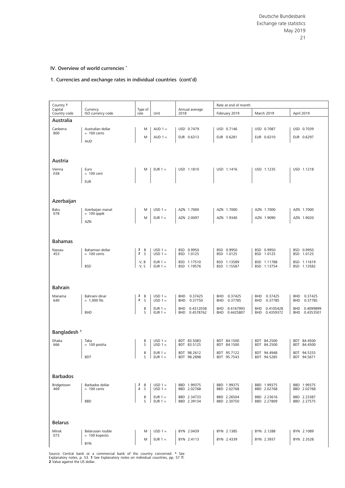#### 1. Currencies and exchange rates in individual countries (cont'd)

| Country 1               |                                  |                 |                        |                                                    | Rate at end of month              |                                             |                                      |
|-------------------------|----------------------------------|-----------------|------------------------|----------------------------------------------------|-----------------------------------|---------------------------------------------|--------------------------------------|
| Capital<br>Country code | Currency<br>ISO currency code    | Type of<br>rate | Unit                   | Annual average<br>2018                             | February 2019                     | March 2019                                  | April 2019                           |
| Australia               |                                  |                 |                        |                                                    |                                   |                                             |                                      |
| Canberra                | Australian dollar                | M               | $AUD1 =$               | USD 0.7479                                         | USD 0.7146                        | USD 0.7087                                  | USD 0.7039                           |
| 800                     | $= 100$ cents                    | M               | $AUD 1 =$              | EUR 0.6313                                         | EUR 0.6281                        | EUR 0.6310                                  | EUR 0.6297                           |
|                         | <b>AUD</b>                       |                 |                        |                                                    |                                   |                                             |                                      |
|                         |                                  |                 |                        |                                                    |                                   |                                             |                                      |
| Austria                 |                                  |                 |                        |                                                    |                                   |                                             |                                      |
| Vienna<br>038           | Euro<br>$= 100$ cent             | M               | EUR $1 =$              | USD 1.1810                                         | USD 1.1416                        | USD 1.1235                                  | USD 1.1218                           |
|                         | EUR                              |                 |                        |                                                    |                                   |                                             |                                      |
|                         |                                  |                 |                        |                                                    |                                   |                                             |                                      |
| Azerbaijan              |                                  |                 |                        |                                                    |                                   |                                             |                                      |
| Baku                    | Azerbaijan manat                 | M               | $USD 1 =$              | AZN 1.7000                                         | AZN 1.7000                        | AZN 1.7000                                  | AZN 1.7000                           |
| 078                     | $= 100$ qapik                    | M               | EUR $1 =$              | AZN 2.0097                                         | AZN 1.9340                        | AZN 1.9090                                  | AZN 1.9020                           |
|                         | AZN                              |                 |                        |                                                    |                                   |                                             |                                      |
|                         |                                  |                 |                        |                                                    |                                   |                                             |                                      |
| <b>Bahamas</b>          |                                  |                 |                        |                                                    |                                   |                                             |                                      |
| Nassau                  | Bahamian dollar                  | $2 \quad B$     | $USD 1 =$              | BSD 0.9950                                         | BSD 0.9950                        | BSD 0.9950                                  | BSD 0.9950                           |
| 453                     | $= 100$ cents                    | 2 S             | $USD 1 =$              | BSD 1.0125                                         | BSD 1.0125                        | BSD 1.0125                                  | BSD 1.0125                           |
|                         | <b>BSD</b>                       | V, B<br>V, S    | EUR $1 =$<br>EUR $1 =$ | BSD 1.17510<br>BSD 1.19576                         | BSD 1.13589<br>BSD 1.15587        | BSD 1.11788<br>BSD 1.13754                  | BSD 1.11619<br>BSD 1.13582           |
|                         |                                  |                 |                        |                                                    |                                   |                                             |                                      |
| <b>Bahrain</b>          |                                  |                 |                        |                                                    |                                   |                                             |                                      |
| Manama                  | Bahraini dinar                   | $2 \quad B$     | $USD 1 =$              | BHD 0.37425                                        | BHD 0.37425                       | BHD 0.37425                                 | BHD 0.37425                          |
| 640                     | $= 1,000$ fils                   | 2 S             | $USD 1 =$              | BHD<br>0.37750                                     | BHD<br>0.37785                    | BHD<br>0.37785                              | BHD<br>0.37785                       |
|                         | <b>BHD</b>                       | B<br>S          | EUR $1 =$<br>EUR $1 =$ | <b>BHD</b><br>0.4312038<br><b>BHD</b><br>0.4578762 | BHD 0.4167993<br>BHD<br>0.4425807 | <b>BHD</b><br>0.4105428<br>BHD<br>0.4359372 | BHD<br>0.4099899<br>BHD<br>0.4353501 |
|                         |                                  |                 |                        |                                                    |                                   |                                             |                                      |
|                         |                                  |                 |                        |                                                    |                                   |                                             |                                      |
| Bangladesh <sup>1</sup> |                                  |                 |                        |                                                    |                                   |                                             |                                      |
| Dhaka<br>666            | Taka<br>$= 100$ poisha           | В<br>S          | $USD 1 =$<br>$USD 1 =$ | BDT 83.5083<br>BDT 83.5125                         | BDT 84.1500<br>BDT 84.1500        | BDT 84.2500<br>BDT 84.2500                  | BDT 84.4500<br>BDT 84.4500           |
|                         | <b>BDT</b>                       | B<br>S          | EUR $1 =$              | BDT 98.2612                                        | BDT 95.7122<br>BDT 95.7543        | BDT 94.4948                                 | BDT 94.5333                          |
|                         |                                  |                 | EUR $1 =$              | BDT 98.2898                                        |                                   | BDT 94.5285                                 | BDT 94.5671                          |
|                         |                                  |                 |                        |                                                    |                                   |                                             |                                      |
| <b>Barbados</b>         |                                  |                 |                        |                                                    |                                   |                                             |                                      |
| Bridgetown<br>469       | Barbados dollar<br>$= 100$ cents | 2 B<br>2 S      | $USD 1 =$<br>$USD 1 =$ | BBD 1.99375<br>BBD 2.02768                         | BBD 1.99375<br>BBD 2.02768        | BBD 1.99375<br>BBD 2.02768                  | BBD 1.99375<br>BBD 2.02768           |
|                         |                                  | B               | EUR $1 =$              | BBD 2.34733                                        | BBD 2.26504                       | BBD 2.23616                                 | BBD 2.23387                          |
|                         | <b>BBD</b>                       | S               | EUR $1 =$              | BBD 2.39134                                        | BBD 2.30750                       | BBD 2.27809                                 | BBD 2.27575                          |
|                         |                                  |                 |                        |                                                    |                                   |                                             |                                      |
| <b>Belarus</b>          |                                  |                 |                        |                                                    |                                   |                                             |                                      |
| Minsk                   | Belarusian rouble                | M               | $USD 1 =$              | BYN 2.0439                                         | BYN 2.1385                        | BYN 2.1288                                  | BYN 2.1089                           |
| 073                     | $= 100$ kopecks                  | M               | EUR $1 =$              | BYN 2.4113                                         | BYN 2.4339                        | BYN 2.3937                                  | BYN 2.3528                           |
|                         | <b>BYN</b>                       |                 |                        |                                                    |                                   |                                             |                                      |

Source: Central bank or a commercial bank of the country concerned. **\*** See Explanatory notes, p. 53. **1** See Explanatory notes on individual countries, pp. 57 ff. **2** Value against the US dollar.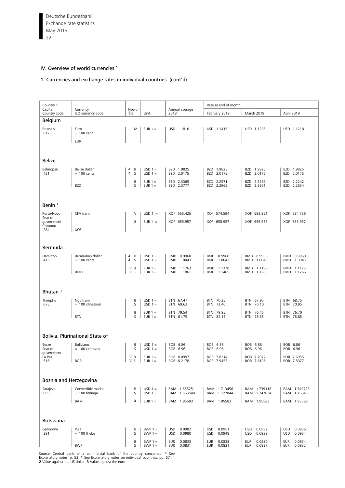Deutsche Bundesbank 22 [Exchange rate statistics](#page-2-0) May 2019

#### IV. Overview of world currencies \*

#### 1. Currencies and exchange rates in individual countries (cont'd)

| Country 1<br>Capital    | Currency                        | Type of                      |                        | Annual average                               | Rate at end of month                         |                                              |                                              |
|-------------------------|---------------------------------|------------------------------|------------------------|----------------------------------------------|----------------------------------------------|----------------------------------------------|----------------------------------------------|
| Country code<br>Belgium | ISO currency code               | rate                         | Unit                   | 2018                                         | February 2019                                | March 2019                                   | April 2019                                   |
| <b>Brussels</b>         | Euro                            | M                            | EUR $1 =$              | USD 1.1810                                   | USD 1.1416                                   | USD 1.1235                                   | USD 1.1218                                   |
| 017                     | $= 100$ cent                    |                              |                        |                                              |                                              |                                              |                                              |
|                         | <b>EUR</b>                      |                              |                        |                                              |                                              |                                              |                                              |
|                         |                                 |                              |                        |                                              |                                              |                                              |                                              |
| <b>Belize</b>           |                                 |                              |                        |                                              |                                              |                                              |                                              |
| Belmopan                | Belize dollar                   | 2<br>$\overline{B}$          | $USD 1 =$              | BZD 1.9825                                   | BZD 1.9825                                   | BZD 1.9825                                   | BZD 1.9825                                   |
| 421                     | $= 100$ cents                   | $\mathbf{2}$<br>$\mathsf{S}$ | $USD 1 =$              | BZD 2.0175                                   | BZD 2.0175                                   | BZD 2.0175                                   | BZD 2.0175                                   |
|                         | <b>BZD</b>                      | B<br>S                       | EUR $1 =$<br>EUR $1 =$ | BZD<br>2.3365<br>BZD 2.3777                  | BZD<br>2.2571<br>BZD 2.2969                  | BZD 2.2267<br>BZD 2.2661                     | BZD 2.2242<br>BZD 2.2634                     |
|                         |                                 |                              |                        |                                              |                                              |                                              |                                              |
| Benin <sup>1</sup>      |                                 |                              |                        |                                              |                                              |                                              |                                              |
| Porto-Novo              | CFA franc                       | V                            | $USD 1 =$              | XOF 555.425                                  | XOF 574.594                                  | XOF 583.851                                  | XOF 584.736                                  |
| Seat of<br>government:  |                                 | з                            | EUR $1 =$              | XOF 655.957                                  | XOF 655.957                                  | XOF 655.957                                  | XOF 655.957                                  |
| Cotonou<br>284          | <b>XOF</b>                      |                              |                        |                                              |                                              |                                              |                                              |
|                         |                                 |                              |                        |                                              |                                              |                                              |                                              |
| Bermuda                 |                                 |                              |                        |                                              |                                              |                                              |                                              |
| Hamilton                | Bermudian dollar                | 2<br>$\overline{B}$          | $USD 1 =$              | BMD 0.9960                                   | 0.9960<br><b>BMD</b>                         | BMD 0.9960                                   | BMD 0.9960                                   |
| 413                     | $= 100$ cents                   | 2 <sub>5</sub>               | $USD 1 =$              | 1.0043<br>BMD                                | 1.0043<br>BMD                                | BMD 1.0043                                   | BMD 1.0043                                   |
|                         | <b>BMD</b>                      | V, B<br>V, S                 | EUR $1 =$<br>EUR $1 =$ | BMD<br>1.1763<br>BMD<br>1.1861               | BMD<br>1.1370<br>BMD<br>1.1465               | BMD 1.1190<br>BMD<br>1.1283                  | BMD 1.1173<br>BMD 1.1266                     |
|                         |                                 |                              |                        |                                              |                                              |                                              |                                              |
|                         |                                 |                              |                        |                                              |                                              |                                              |                                              |
| Bhutan <sup>1</sup>     |                                 |                              |                        |                                              |                                              |                                              |                                              |
| Thimphu<br>675          | Ngultrum<br>$= 100$ chhetrum    | В<br>S                       | $USD 1 =$<br>$USD 1 =$ | BTN 67.47<br>BTN 69.63                       | BTN 70.25<br>BTN 72.40                       | BTN 67.95<br>BTN 70.10                       | BTN 68.75<br>BTN 70.95                       |
|                         |                                 | B                            | EUR $1 =$              | BTN 79.54                                    | BTN 79.95                                    | BTN 76.45                                    | BTN 76.70                                    |
|                         | <b>BTN</b>                      | S                            | EUR $1 =$              | BTN 81.75                                    | BTN 82.15                                    | BTN 78.55                                    | BTN 78.85                                    |
|                         |                                 |                              |                        |                                              |                                              |                                              |                                              |
|                         | Bolivia, Plurinational State of |                              |                        |                                              |                                              |                                              |                                              |
| Sucre<br>Seat of        | Boliviano<br>$= 100$ centavos   | B<br>S                       | $USD 1 =$<br>$USD 1 =$ | BOB 6.86<br>BOB<br>6.96                      | BOB 6.86<br>6.96<br>BOB                      | BOB 6.86<br>BOB 6.96                         | BOB 6.86<br>BOB 6.96                         |
| government:<br>La Paz   |                                 | V, B                         | EUR $1 =$              | BOB 8.0997                                   | BOB 7.8314                                   | BOB 7.7072                                   | BOB 7.6955                                   |
| 516                     | <b>BOB</b>                      |                              | $ V, S $ EUR 1 =       | BOB 8.2178                                   | BOB 7.9455                                   | BOB 7.8196                                   | BOB 7.8077                                   |
|                         |                                 |                              |                        |                                              |                                              |                                              |                                              |
| Bosnia and Herzegovina  |                                 |                              |                        |                                              |                                              |                                              |                                              |
| Sarajevo                | Convertible marka               | B                            | $USD 1 =$              | BAM 1.655251                                 | BAM 1.713456                                 | BAM 1.739116                                 | BAM 1.749723                                 |
| 093                     | $= 100$ feninga                 | S                            | $USD 1 =$              | 1.663548<br>BAM                              | BAM 1.722044                                 | BAM 1.747834                                 | BAM 1.758493                                 |
|                         | <b>BAM</b>                      | з                            | EUR $1 =$              | BAM 1.95583                                  | BAM 1.95583                                  | BAM 1.95583                                  | BAM 1.95583                                  |
|                         |                                 |                              |                        |                                              |                                              |                                              |                                              |
| <b>Botswana</b>         |                                 |                              |                        |                                              |                                              |                                              |                                              |
| Gaborone<br>391         | Pula<br>$= 100$ thebe           | B<br>S                       | BWP $1 =$<br>BWP $1 =$ | 0.0982<br><b>USD</b><br><b>USD</b><br>0.0980 | 0.0951<br><b>USD</b><br><b>USD</b><br>0.0948 | 0.0932<br><b>USD</b><br><b>USD</b><br>0.0929 | 0.0936<br><b>USD</b><br>0.0934<br><b>USD</b> |
|                         |                                 | B                            | $BWP 1 =$              | EUR<br>0.0833                                | EUR<br>0.0833                                | EUR<br>0.0830                                | 0.0834<br>EUR                                |
|                         | <b>BWP</b>                      | S                            | $BWP 1 =$              | <b>EUR</b><br>0.0831                         | <b>EUR</b><br>0.0831                         | <b>EUR</b><br>0.0827                         | <b>EUR</b><br>0.0832                         |

Source: Central bank or a commercial bank of the country concerned. \* See<br>Explanatory notes, p. 53. 1 See Explanatory notes on individual countries, pp. 57 ff.<br>2 Value against the US dollar. 3 Value against the euro.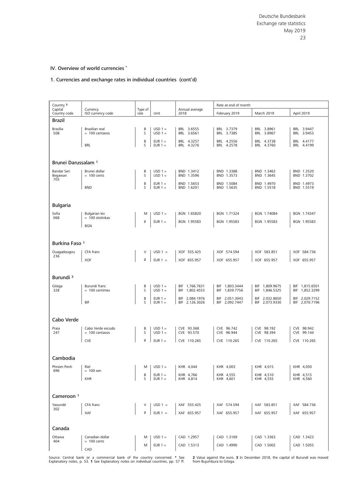#### 1. Currencies and exchange rates in individual countries (cont'd)

| Country 1                      |                                       |                         |                        |                                  | Rate at end of month                   |                                  |                                  |
|--------------------------------|---------------------------------------|-------------------------|------------------------|----------------------------------|----------------------------------------|----------------------------------|----------------------------------|
| Capital<br>Country code        | Currency<br>ISO currency code         | Type of<br>rate         | Unit                   | Annual average<br>2018           | February 2019                          | March 2019                       | April 2019                       |
| Brazil                         |                                       |                         |                        |                                  |                                        |                                  |                                  |
| Brasília                       | Brazilian real                        | B                       | $USD 1 =$              | BRL 3.6555                       | BRL 3.7379                             | BRL 3.8961                       | BRL 3.9447                       |
| 508                            | $= 100$ centavos                      | S                       | $USD 1 =$              | BRL 3.6561                       | BRL 3.7385                             | BRL 3.8967                       | BRL 3.9453                       |
|                                |                                       | B                       | EUR $1 =$              | BRL 4.3257                       | BRL 4.2556                             | BRL<br>4.3738                    | BRL 4.4177                       |
|                                | <b>BRL</b>                            | S                       | EUR $1 =$              | BRL 4.3276                       | BRL 4.2578                             | BRL 4.3760                       | BRL 4.4199                       |
|                                |                                       |                         |                        |                                  |                                        |                                  |                                  |
| Brunei Darussalam <sup>1</sup> |                                       |                         |                        |                                  |                                        |                                  |                                  |
| Bandar Seri<br>Begawan         | Brunei dollar<br>$= 100$ cents        | B<br>S                  | $USD 1 =$<br>$USD 1 =$ | BND 1.3412<br>BND 1.3596         | BND 1.3388<br>BND 1.3573               | BND 1.3463<br>BND 1.3645         | BND 1.3520<br>BND 1.3702         |
| 703                            |                                       | B                       | EUR $1 =$              | BND 1.5653                       | BND 1.5084                             | BND 1.4970                       | BND 1.4973                       |
|                                | <b>BND</b>                            | S                       | EUR $1 =$              | BND 1.6201                       | BND 1.5635                             | BND 1.5518                       | BND 1.5519                       |
|                                |                                       |                         |                        |                                  |                                        |                                  |                                  |
| <b>Bulgaria</b>                |                                       |                         |                        |                                  |                                        |                                  |                                  |
| Sofia                          | <b>Bulgarian lev</b>                  | M                       | $USD 1 =$              | BGN 1.65820                      | BGN 1.71324                            | BGN 1.74084                      | BGN 1.74347                      |
| 068                            | $= 100$ stotinkas                     | $\overline{\mathbf{2}}$ | EUR $1 =$              | BGN 1.95583                      | BGN 1.95583                            | BGN 1.95583                      | BGN 1.95583                      |
|                                | <b>BGN</b>                            |                         |                        |                                  |                                        |                                  |                                  |
|                                |                                       |                         |                        |                                  |                                        |                                  |                                  |
| Burkina Faso 1                 |                                       |                         |                        |                                  |                                        |                                  |                                  |
| Ouagadougou                    | CFA franc                             | V                       | $USD 1 =$              | XOF 555.425                      | XOF 574.594                            | XOF 583.851                      | XOF 584.736                      |
| 236                            | XOF                                   | $\overline{\mathbf{2}}$ | EUR $1 =$              | XOF 655.957                      | XOF 655.957                            | XOF 655.957                      | XOF 655.957                      |
|                                |                                       |                         |                        |                                  |                                        |                                  |                                  |
| Burundi <sup>3</sup>           |                                       |                         |                        |                                  |                                        |                                  |                                  |
| Gitega                         | Burundi franc                         | B                       | $USD 1 =$              | BIF 1,766.7631                   | 1,803.3444<br>BIF                      | BIF 1,809.9675                   | BIF 1,815.6501                   |
| 328                            | $= 100$ centimes                      | S                       | $USD 1 =$              | BIF 1,802.4553                   | BIF<br>1,839.7756                      | BIF 1,846.5325                   | BIF 1,852.3299                   |
|                                | <b>BIF</b>                            | В<br>S                  | EUR $1 =$<br>EUR $1 =$ | BIF 2,084.1976<br>BIF 2,126.3026 | 2,051.3043<br>BIF<br>BIF<br>2,092.7447 | BIF 2,032.8650<br>BIF 2,073.9330 | BIF 2,029.7152<br>BIF 2,070.7196 |
|                                |                                       |                         |                        |                                  |                                        |                                  |                                  |
|                                |                                       |                         |                        |                                  |                                        |                                  |                                  |
| Cabo Verde                     |                                       |                         |                        |                                  |                                        |                                  |                                  |
| Praia<br>247                   | Cabo Verde escudo<br>$= 100$ centavos | B<br>S                  | USD $1 =$<br>$USD 1 =$ | CVE 93.368<br>CVE 93.570         | CVE 96.742<br>CVE 96.944               | CVE 98.192<br>CVE 98.394         | CVE 98.942<br>CVE 99.144         |
|                                | <b>CVE</b>                            | $\overline{\mathbf{2}}$ | EUR $1 =$              | CVE 110.265                      | CVE 110.265                            | CVE 110.265                      | CVE 110.265                      |
|                                |                                       |                         |                        |                                  |                                        |                                  |                                  |
| Cambodia                       |                                       |                         |                        |                                  |                                        |                                  |                                  |
| Phnom Penh                     | Riel                                  | M                       | $USD 1 =$              | KHR 4,044                        | KHR 4,003                              |                                  |                                  |
| 696                            | $= 100$ sen                           |                         |                        |                                  |                                        | KHR 4,015                        | KHR 4,050                        |
|                                | <b>KHR</b>                            | B<br>S                  | EUR $1 =$<br>EUR $1 =$ | KHR 4,766<br>KHR 4,814           | KHR 4,555<br>KHR 4,601                 | KHR 4,510<br>KHR 4,555           | KHR 4,515<br>KHR 4,560           |
|                                |                                       |                         |                        |                                  |                                        |                                  |                                  |
| Cameroon <sup>1</sup>          |                                       |                         |                        |                                  |                                        |                                  |                                  |
| Yaoundé                        | CFA franc                             | V                       | $USD 1 =$              | XAF 555.425                      | XAF 574.594                            | XAF 583.851                      | XAF 584.736                      |
| 302                            | XAF                                   | 2                       | EUR $1 =$              | XAF 655.957                      | XAF 655.957                            | XAF 655.957                      | XAF 655.957                      |
|                                |                                       |                         |                        |                                  |                                        |                                  |                                  |
| Canada                         |                                       |                         |                        |                                  |                                        |                                  |                                  |
| Ottawa                         | Canadian dollar                       | M                       | $USD 1 =$              | CAD 1.2957                       | CAD 1.3169                             | CAD 1.3363                       | CAD 1.3423                       |
| 404                            | $= 100$ cents                         | M                       | EUR $1 =$              | CAD 1.5313                       | CAD 1.4990                             | CAD 1.5002                       | CAD 1.5055                       |
|                                | CAD                                   |                         |                        |                                  |                                        |                                  |                                  |

Source: Central bank or a commercial bank of the country concerned. \* See 2 Value against the euro. **3** In December 2018, the capital of Burundi was moved<br>Explanatory notes, p. 53. **1** See Explanatory notes on individual c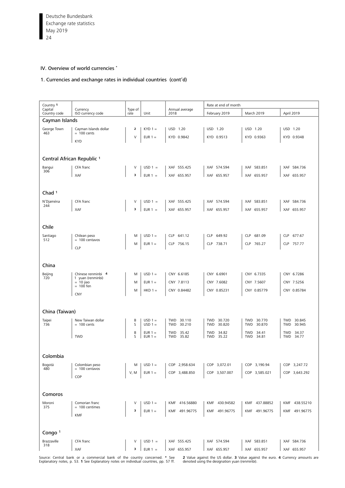Deutsche Bundesbank 24 [Exchange rate statistics](#page-2-0) May 2019

#### IV. Overview of world currencies \*

#### 1. Currencies and exchange rates in individual countries (cont'd)

| Country 1<br>Capital                  | Currency                           | Type of                 |                        | Annual average                               | Rate at end of month                  |                                              |                          |
|---------------------------------------|------------------------------------|-------------------------|------------------------|----------------------------------------------|---------------------------------------|----------------------------------------------|--------------------------|
| Country code                          | ISO currency code                  | rate                    | Unit                   | 2018                                         | February 2019                         | <b>March 2019</b>                            | April 2019               |
| Cayman Islands                        |                                    |                         |                        |                                              |                                       |                                              |                          |
| George Town                           | Cayman Islands dollar              | $\overline{\mathbf{2}}$ | $KYD 1 =$              | USD 1.20                                     | USD 1.20                              | USD 1.20                                     | USD 1.20                 |
| 463                                   | $= 100$ cents                      | V                       | EUR $1 =$              | KYD 0.9842                                   | KYD 0.9513                            | KYD 0.9363                                   | KYD 0.9348               |
|                                       | <b>KYD</b>                         |                         |                        |                                              |                                       |                                              |                          |
|                                       |                                    |                         |                        |                                              |                                       |                                              |                          |
| Central African Republic <sup>1</sup> |                                    |                         |                        |                                              |                                       |                                              |                          |
| Bangui                                | CFA franc                          | V                       | $USD 1 =$              | XAF 555.425                                  | XAF 574.594                           | XAF 583.851                                  | XAF 584.736              |
| 306                                   | <b>XAF</b>                         | з                       | EUR $1 =$              | XAF 655.957                                  | XAF 655.957                           | XAF 655.957                                  | XAF 655.957              |
|                                       |                                    |                         |                        |                                              |                                       |                                              |                          |
|                                       |                                    |                         |                        |                                              |                                       |                                              |                          |
| Chad $1$                              |                                    |                         |                        |                                              |                                       |                                              |                          |
| N'Djaména<br>244                      | CFA franc                          | V                       | $USD 1 =$              | XAF 555.425                                  | XAF 574.594                           | XAF 583.851                                  | XAF 584.736              |
|                                       | <b>XAF</b>                         | з                       | EUR $1 =$              | XAF 655.957                                  | XAF 655.957                           | XAF 655.957                                  | XAF 655.957              |
|                                       |                                    |                         |                        |                                              |                                       |                                              |                          |
| Chile                                 |                                    |                         |                        |                                              |                                       |                                              |                          |
| Santiago                              | Chilean peso                       | M                       | $USD 1 =$              | CLP 641.12                                   | CLP 649.92                            | <b>CLP</b><br>681.09                         | CLP 677.67               |
| 512                                   | $= 100$ centavos                   | M                       | EUR $1 =$              | <b>CLP</b><br>756.15                         | <b>CLP</b><br>738.71                  | <b>CLP</b><br>765.27                         | CLP 757.77               |
|                                       | <b>CLP</b>                         |                         |                        |                                              |                                       |                                              |                          |
|                                       |                                    |                         |                        |                                              |                                       |                                              |                          |
| China                                 |                                    |                         |                        |                                              |                                       |                                              |                          |
| Beijing                               | Chinese renminbi 4                 | M                       | $USD 1 =$              | CNY 6.6185                                   | CNY 6.6901                            | CNY 6.7335                                   | CNY 6.7286               |
| 720                                   | 1 yuan (renminbi)                  |                         |                        |                                              |                                       |                                              |                          |
|                                       | $= 10$ jiao<br>$= 100$ fen         | M                       | EUR $1 =$              | CNY 7.8113                                   | CNY 7.6082                            | CNY 7.5607                                   | CNY 7.5256               |
|                                       | <b>CNY</b>                         | M                       | $HKD 1 =$              | CNY 0.84482                                  | CNY 0.85231                           | CNY 0.85779                                  | CNY 0.85784              |
|                                       |                                    |                         |                        |                                              |                                       |                                              |                          |
|                                       |                                    |                         |                        |                                              |                                       |                                              |                          |
| China (Taiwan)                        |                                    |                         |                        |                                              |                                       |                                              |                          |
| Taipei<br>736                         | New Taiwan dollar<br>$= 100$ cents | B<br>S                  | $USD 1 =$<br>$USD 1 =$ | <b>TWD</b><br>30.110<br><b>TWD</b><br>30.210 | TWD<br>30.720<br><b>TWD</b><br>30.820 | <b>TWD</b><br>30.770<br><b>TWD</b><br>30.870 | TWD 30.845<br>TWD 30.945 |
|                                       |                                    | B                       | EUR $1 =$              | <b>TWD</b><br>35.42                          | <b>TWD</b><br>34.82                   | <b>TWD</b><br>34.41                          | TWD<br>34.37             |
|                                       | <b>TWD</b>                         | S                       | EUR $1 =$              | <b>TWD</b><br>35.82                          | TWD<br>35.22                          | TWD 34.81                                    | TWD 34.77                |
|                                       |                                    |                         |                        |                                              |                                       |                                              |                          |
| Colombia                              |                                    |                         |                        |                                              |                                       |                                              |                          |
|                                       |                                    |                         |                        |                                              |                                       |                                              |                          |
| Bogotá<br>480                         | Colombian peso<br>$= 100$ centavos | M                       | $USD 1 =$              | COP 2,958.634                                | COP 3,072.01                          | COP 3,190.94                                 | COP 3,247.72             |
|                                       | COP                                | V, M                    | EUR $1 =$              | COP 3,488.850                                | COP 3,507.007                         | COP 3,585.021                                | COP 3,643.292            |
|                                       |                                    |                         |                        |                                              |                                       |                                              |                          |
|                                       |                                    |                         |                        |                                              |                                       |                                              |                          |
| Comoros                               |                                    |                         |                        |                                              |                                       |                                              |                          |
| Moroni<br>375                         | Comorian franc<br>$= 100$ centimes | $\vee$                  | $USD 1 =$              | KMF 416.56880                                | 430.94582<br>KMF                      | KMF 437.88852                                | KMF 438.55210            |
|                                       | <b>KMF</b>                         | з                       | EUR $1 =$              | KMF 491.96775                                | KMF 491.96775                         | KMF 491.96775                                | KMF 491.96775            |
|                                       |                                    |                         |                        |                                              |                                       |                                              |                          |
|                                       |                                    |                         |                        |                                              |                                       |                                              |                          |
| Congo <sup>1</sup>                    |                                    |                         |                        |                                              |                                       |                                              |                          |
| Brazzaville<br>318                    | CFA franc                          | V                       | $USD 1 =$              | XAF 555.425                                  | XAF 574.594                           | XAF 583.851                                  | XAF 584.736              |
|                                       | XAF                                | з                       | EUR $1 =$              | XAF 655.957                                  | XAF 655.957                           | XAF 655.957                                  | XAF 655.957              |
|                                       |                                    |                         |                        |                                              |                                       |                                              |                          |

Source: Central bank or a commercial bank of the country concerned. \* See Explanatory notes, p. 53. **1** See Explanatory notes on individual countries, pp. 57 ff.

**2** Value against the US dollar. **3** Value against the euro. **4** Currency amounts are denoted using the designation yuan (renminbi).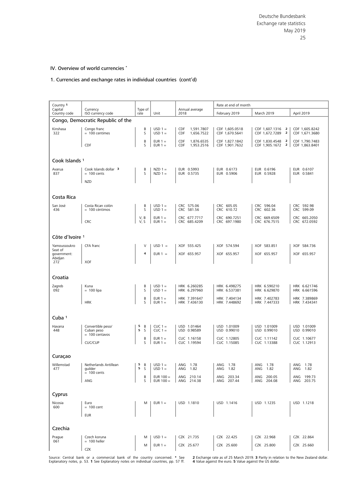#### 1. Currencies and exchange rates in individual countries (cont'd)

| Country 1                              |                                                   |                             |                            |                                        | Rate at end of month                                                                                                                                  |
|----------------------------------------|---------------------------------------------------|-----------------------------|----------------------------|----------------------------------------|-------------------------------------------------------------------------------------------------------------------------------------------------------|
| Capital<br>Country code                | Currency<br>ISO currency code                     | Type of<br>rate             | Unit                       | Annual average<br>2018                 | February 2019<br>March 2019<br>April 2019                                                                                                             |
|                                        | Congo, Democratic Republic of the                 |                             |                            |                                        |                                                                                                                                                       |
| Kinshasa<br>322                        | Congo franc<br>$= 100$ centimes                   | B<br>S                      | $USD 1 =$<br>USD $1 =$     | CDF<br>1,591.7807<br>CDF<br>1,656.7522 | CDF 1,605.0518<br>CDF 1,607.1316<br>$\overline{\mathbf{c}}$<br>CDF 1,605.8242<br>CDF 1,672.7289<br>CDF 1,670.5641<br>$\overline{z}$<br>CDF 1,671.3680 |
|                                        | CDF                                               | В<br>S                      | EUR $1 =$<br>EUR $1 =$     | CDF<br>1,876.6535<br>CDF<br>1,953.2516 | CDF 1,827.1842<br>CDF 1,830.4548<br>$\overline{2}$<br>CDF 1,790.7483<br>CDF 1,905.1672<br>CDF 1,901.7632<br>2   CDF 1,863.8401                        |
|                                        |                                                   |                             |                            |                                        |                                                                                                                                                       |
| Cook Islands <sup>1</sup>              |                                                   |                             |                            |                                        |                                                                                                                                                       |
| Avarua<br>837                          | Cook Islands dollar 3<br>$= 100$ cents            | B<br>S                      | $NZD 1 =$<br>$NZD 1 =$     | EUR 0.5993<br>EUR 0.5735               | EUR 0.6173<br>EUR 0.6196<br>EUR 0.6107<br>EUR 0.5906<br>EUR 0.5928<br>EUR 0.5841                                                                      |
|                                        | <b>NZD</b>                                        |                             |                            |                                        |                                                                                                                                                       |
| Costa Rica                             |                                                   |                             |                            |                                        |                                                                                                                                                       |
| San José<br>436                        | Costa Rican colón<br>$= 100$ céntimos             | Β<br>S                      | $USD 1 =$<br>USD $1 =$     | CRC 575.06<br>CRC 581.56               | CRC 605.05<br>CRC 596.04<br>CRC 592.98<br>CRC 610.72<br>CRC 602.36<br>CRC 599.09                                                                      |
|                                        | <b>CRC</b>                                        | V, B<br>V, S                | EUR $1 =$<br>EUR $1 =$     | CRC 677.7717<br>CRC 685.4209           | CRC 690.7251<br>CRC 669.6509<br>CRC 665.2050<br>CRC 697.1980<br>CRC 676.7515<br>CRC 672.0592                                                          |
|                                        |                                                   |                             |                            |                                        |                                                                                                                                                       |
| Côte d'Ivoire <sup>1</sup>             |                                                   | $\vee$                      |                            |                                        | XOF 583.851                                                                                                                                           |
| Yamoussoukro<br>Seat of<br>government: | CFA franc                                         | $\overline{\mathbf{4}}$     | $USD 1 =$<br>EUR $1 =$     | XOF 555.425<br>XOF 655.957             | XOF 574.594<br>XOF 584.736<br>XOF 655.957<br>XOF 655.957<br>XOF 655.957                                                                               |
| Abidjan<br>272                         | <b>XOF</b>                                        |                             |                            |                                        |                                                                                                                                                       |
|                                        |                                                   |                             |                            |                                        |                                                                                                                                                       |
| Croatia                                |                                                   |                             |                            |                                        |                                                                                                                                                       |
| Zagreb<br>092                          | Kuna<br>$= 100$ lipa                              | B<br>S                      | USD $1 =$<br>$USD 1 =$     | HRK 6.260285<br>HRK 6.297960           | HRK 6.498275<br>HRK 6.590210<br>HRK 6.621746<br>HRK 6.537381<br>HRK 6.629870<br>HRK 6.661596                                                          |
|                                        | <b>HRK</b>                                        | B<br>S                      | EUR $1 =$<br>EUR $1 =$     | HRK 7.391647<br>HRK 7.436130           | HRK 7.404134<br>HRK 7.402783<br>HRK 7.389869<br>HRK 7.448692<br>HRK 7.447333<br>HRK 7.434341                                                          |
| Cuba $1$                               |                                                   |                             |                            |                                        |                                                                                                                                                       |
| Havana<br>448                          | Convertible peso/<br>Cuban peso                   | 5<br>B<br>5<br>$\mathsf{S}$ | $CUC 1 =$<br>$CUC 1 =$     | USD 1.01464<br>USD 0.98589             | USD 1.01009<br>USD 1.01009<br>USD 1.01009<br>USD 0.99010<br>USD 0.99010<br>USD 0.99010                                                                |
|                                        | $= 100$ centavos<br><b>CUC/CUP</b>                | B<br>S                      | EUR $1 =$<br>EUR $1 =$     | CUC 1.16158<br>CUC 1.19594             | CUC 1.12805<br>CUC 1.10677<br>CUC 1.11142<br>CUC 1.15085<br>CUC 1.13388<br>CUC 1.12913                                                                |
|                                        |                                                   |                             |                            |                                        |                                                                                                                                                       |
| Curacao                                |                                                   |                             |                            |                                        |                                                                                                                                                       |
| Willemstad<br>477                      | Netherlands Antillean<br>guilder<br>$= 100$ cents | 5 B<br>5 <sub>5</sub>       | $USD 1 =$<br>$USD 1 =$     | ANG 1.78<br>ANG<br>1.82                | ANG 1.78<br>ANG 1.78<br>ANG 1.78<br>ANG<br>1.82<br>ANG<br>1.82<br>ANG<br>1.82                                                                         |
|                                        | ANG                                               | В<br>S                      | EUR $100 =$<br>EUR $100 =$ | ANG 210.14<br>ANG 214.38               | ANG 203.34<br>200.05<br>ANG<br>199.73<br>ANG<br>ANG 207.44<br>ANG<br>204.08<br>ANG 203.75                                                             |
|                                        |                                                   |                             |                            |                                        |                                                                                                                                                       |
| Cyprus                                 |                                                   |                             |                            |                                        |                                                                                                                                                       |
| Nicosia<br>600                         | Euro<br>$= 100$ cent                              | M                           | EUR $1 =$                  | USD 1.1810                             | USD 1.1416<br>USD 1.1235<br>USD 1.1218                                                                                                                |
|                                        | <b>EUR</b>                                        |                             |                            |                                        |                                                                                                                                                       |
| Czechia                                |                                                   |                             |                            |                                        |                                                                                                                                                       |
| Prague<br>061                          | Czech koruna<br>$= 100$ heller                    | M                           | $USD 1 =$                  | CZK 21.735                             | CZK 22.425<br>CZK 22.968<br>CZK 22.864                                                                                                                |
|                                        | CZK                                               | M                           | EUR $1 =$                  | CZK 25.677                             | CZK 25.600<br>CZK 25.660<br>CZK 25.800                                                                                                                |

Source: Central bank or a commercial bank of the country concerned. \* See 2 Exchange rate as of 25 March 2019. **3** Parity in relation to the New Zealand dollar.<br>Explanatory notes, p. 53. 1 See Explanatory notes on individu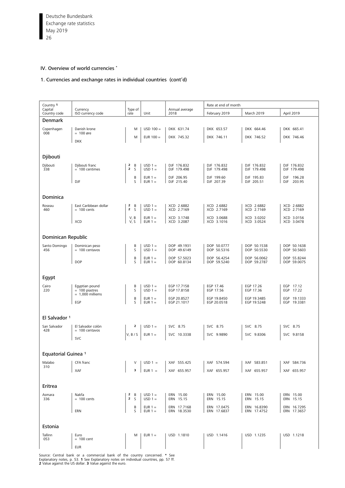Deutsche Bundesbank 26 [Exchange rate statistics](#page-2-0) May 2019

#### IV. Overview of world currencies \*

#### 1. Currencies and exchange rates in individual countries (cont'd)

| Country 1                      | Currency                               | Type of                                                        |                        | Annual average             | Rate at end of month       |                            |                                |
|--------------------------------|----------------------------------------|----------------------------------------------------------------|------------------------|----------------------------|----------------------------|----------------------------|--------------------------------|
| Capital<br>Country code        | ISO currency code                      | rate                                                           | Unit                   | 2018                       | February 2019              | March 2019                 | April 2019                     |
| <b>Denmark</b>                 |                                        |                                                                |                        |                            |                            |                            |                                |
| Copenhagen<br>008              | Danish krone<br>$= 100$ øre            | M                                                              | $USD 100 =$            | DKK 631.74                 | DKK 653.57                 | DKK 664.46                 | DKK 665.41                     |
|                                | <b>DKK</b>                             | M                                                              | EUR $100 =$            | DKK 745.32                 | DKK 746.11                 | DKK 746.52                 | DKK 746.46                     |
|                                |                                        |                                                                |                        |                            |                            |                            |                                |
| Djibouti                       |                                        |                                                                |                        |                            |                            |                            |                                |
| Djibouti<br>338                | Djibouti franc<br>$= 100$ centimes     | 2<br>B<br>$\mathbf{z}$<br>S.                                   | $USD 1 =$<br>$USD 1 =$ | DJF 176.832<br>DJF 179.498 | DJF 176.832<br>DJF 179.498 | DJF 176.832<br>DJF 179.498 | DJF 176.832<br>DJF 179.498     |
|                                | DJF                                    | B<br>S                                                         | EUR $1 =$<br>EUR $1 =$ | DJF 206.95<br>DJF 215.40   | DJF 199.60<br>DJF 207.39   | DJF 195.83<br>DJF 205.51   | 196.28<br>DJF<br>DJF<br>203.95 |
|                                |                                        |                                                                |                        |                            |                            |                            |                                |
| Dominica                       |                                        |                                                                |                        |                            |                            |                            |                                |
| Roseau<br>460                  | East Caribbean dollar<br>$= 100$ cents | $\overline{2}$<br>B<br>$\overline{\mathbf{2}}$<br><sub>S</sub> | $USD 1 =$<br>$USD 1 =$ | XCD 2.6882<br>XCD 2.7169   | XCD 2.6882<br>XCD 2.7169   | XCD 2.6882<br>XCD 2.7169   | XCD 2.6882<br>XCD 2.7169       |
|                                | <b>XCD</b>                             | V, B<br>V, S                                                   | EUR $1 =$<br>EUR $1 =$ | XCD 3.1748<br>XCD 3.2087   | XCD 3.0688<br>XCD 3.1016   | XCD 3.0202<br>XCD 3.0524   | XCD 3.0156<br>XCD 3.0478       |
|                                |                                        |                                                                |                        |                            |                            |                            |                                |
| Dominican Republic             |                                        |                                                                |                        |                            |                            |                            |                                |
| Santo Domingo<br>456           | Dominican peso<br>$= 100$ centavos     | В<br>S                                                         | $USD 1 =$<br>$USD 1 =$ | DOP 49.1931<br>DOP 49.6149 | DOP 50.0777<br>DOP 50.5316 | DOP 50.1538<br>DOP 50.5530 | DOP 50.1638<br>DOP 50.5603     |
|                                |                                        | B                                                              | EUR $1 =$              | DOP 57.5023                | DOP 56.4254                | DOP 56,0062                | DOP 55.8244                    |
|                                | <b>DOP</b>                             | S                                                              | EUR $1 =$              | DOP 60.8134                | DOP 59.5240                | DOP 59.2787                | DOP 59.0075                    |
| Egypt                          |                                        |                                                                |                        |                            |                            |                            |                                |
| Cairo                          | Egyptian pound                         | В                                                              | $USD 1 =$              | EGP 17.7158                | EGP 17.46                  | EGP 17.26                  | EGP 17.12                      |
| 220                            | $= 100$ piastres<br>$= 1,000$ milliems | S<br>B                                                         | $USD 1 =$<br>$EUR 1 =$ | EGP 17.8158<br>EGP 20.8527 | EGP 17.56<br>EGP 19.8450   | EGP 17.36<br>EGP 19.3485   | EGP 17.22<br>EGP 19.1333       |
|                                | EGP                                    | S                                                              | EUR $1 =$              | EGP 21.1017                | EGP 20.0518                | EGP 19.5248                | EGP 19.3381                    |
| El Salvador <sup>1</sup>       |                                        |                                                                |                        |                            |                            |                            |                                |
| San Salvador                   | El Salvador colón                      | 2                                                              | $USD 1 =$              | SVC 8.75                   | SVC 8.75                   | SVC 8.75                   | SVC 8.75                       |
| 428                            | $= 100$ centavos                       | V, B / S                                                       | EUR $1 =$              | SVC 10.3338                | SVC 9.9890                 | SVC 9.8306                 | SVC 9.8158                     |
|                                | <b>SVC</b>                             |                                                                |                        |                            |                            |                            |                                |
| Equatorial Guinea <sup>1</sup> |                                        |                                                                |                        |                            |                            |                            |                                |
| Malabo                         | CFA franc                              | V                                                              | $USD 1 =$              | XAF 555.425                | XAF 574.594                | XAF 583.851                | XAF 584.736                    |
| 310                            | <b>XAF</b>                             | з                                                              | EUR $1 =$              | XAF 655.957                | XAF 655.957                | XAF 655.957                | XAF 655.957                    |
|                                |                                        |                                                                |                        |                            |                            |                            |                                |
| Eritrea                        |                                        |                                                                |                        |                            |                            |                            |                                |
| Asmara<br>336                  | Nakfa<br>$= 100$ cents                 | $2 \quad B$<br>$\overline{2}$<br>- S                           | $USD 1 =$<br>$USD 1 =$ | ERN 15.00<br>ERN 15.15     | ERN 15.00<br>ERN 15.15     | ERN 15.00<br>ERN 15.15     | ERN 15.00<br>ERN 15.15         |
|                                |                                        | В                                                              | EUR $1 =$              | ERN 17.7168                | ERN 17.0475                | ERN 16.8390                | ERN 16.7295                    |
|                                | ERN                                    | S                                                              | EUR $1 =$              | ERN 18.3530                | ERN 17.6837                | ERN 17.4752                | ERN 17.3657                    |
| Estonia                        |                                        |                                                                |                        |                            |                            |                            |                                |
| Tallinn<br>053                 | Euro<br>$= 100$ cent                   | M                                                              | EUR $1 =$              | USD 1.1810                 | USD 1.1416                 | USD 1.1235                 | USD 1.1218                     |
|                                | EUR                                    |                                                                |                        |                            |                            |                            |                                |

Source: Central bank or a commercial bank of the country concerned. \* See<br>Explanatory notes, p. 53. 1 See Explanatory notes on individual countries, pp. 57 ff.<br>2 Value against the US dollar. 3 Value against the euro.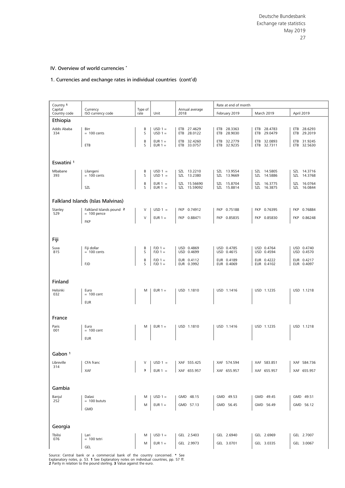#### 1. Currencies and exchange rates in individual countries (cont'd)

| Country 1<br>Capital  | Currency                          | Type of |                        | Annual average               | Rate at end of month             |                                  |                               |
|-----------------------|-----------------------------------|---------|------------------------|------------------------------|----------------------------------|----------------------------------|-------------------------------|
| Country code          | ISO currency code                 | rate    | Unit                   | 2018                         | February 2019                    | March 2019                       | April 2019                    |
| Ethiopia              |                                   |         |                        |                              |                                  |                                  |                               |
| Addis Ababa           | Birr                              | B       | $USD 1 =$              | ETB 27.4629                  | ETB<br>28.3363                   | ETB<br>28.4783                   | ETB 28.6293                   |
| 334                   | $= 100$ cents                     | S       | $USD 1 =$              | ETB<br>28.0122               | ETB<br>28.9030                   | ETB<br>29.0479                   | ETB 29.2019                   |
|                       | ETB                               | Β<br>S  | EUR $1 =$<br>EUR $1 =$ | ETB 32.4260<br>ETB 33.0757   | 32.2779<br>ETB<br>ETB<br>32.9235 | 32.0893<br>ETB<br>ETB<br>32.7311 | ETB 31.9245<br>ETB 32.5630    |
|                       |                                   |         |                        |                              |                                  |                                  |                               |
|                       |                                   |         |                        |                              |                                  |                                  |                               |
| Eswatini <sup>1</sup> |                                   |         |                        |                              |                                  |                                  |                               |
| Mbabane<br>393        | Lilangeni<br>$= 100$ cents        | В<br>S  | $USD 1 =$<br>$USD 1 =$ | SZL 13.2210<br>SZL 13.2380   | SZL 13.9554<br>SZL 13.9669       | SZL 14.5805<br>SZL 14.5886       | SZL 14.3716<br>SZL 14.3768    |
|                       |                                   |         |                        |                              |                                  |                                  |                               |
|                       | SZL                               | B<br>S  | EUR $1 =$<br>EUR $1 =$ | SZL 15.56690<br>SZL 15.59092 | SZL 15.8704<br>SZL 15.8814       | SZL 16.3775<br>SZL 16.3875       | 16.0764<br>SZL<br>SZL 16.0844 |
|                       |                                   |         |                        |                              |                                  |                                  |                               |
|                       | Falkland Islands (Islas Malvinas) |         |                        |                              |                                  |                                  |                               |
| Stanley               | Falkland Islands pound 2          | V       | $USD 1 =$              | 0.74912<br><b>FKP</b>        | 0.75188<br><b>FKP</b>            | 0.76395<br><b>FKP</b>            | FKP 0.76884                   |
| 529                   | $= 100$ pence                     | $\vee$  | EUR $1 =$              | FKP 0.88471                  | FKP 0.85835                      | FKP 0.85830                      | FKP 0.86248                   |
|                       | <b>FKP</b>                        |         |                        |                              |                                  |                                  |                               |
|                       |                                   |         |                        |                              |                                  |                                  |                               |
| Fiji                  |                                   |         |                        |                              |                                  |                                  |                               |
| Suva                  | Fiji dollar                       | В       | $FJD 1 =$              | USD 0.4869                   | USD 0.4785                       | USD 0.4764                       | USD 0.4740                    |
| 815                   | $= 100$ cents                     | S       | $FJD 1 =$              | USD 0.4699                   | USD 0.4615                       | USD 0.4594                       | USD 0.4570                    |
|                       |                                   | B       | $FJD 1 =$              | EUR 0.4112                   | EUR 0.4189                       | EUR 0.4222                       | EUR 0.4217                    |
|                       | <b>FJD</b>                        | S       | $FJD 1 =$              | EUR 0.3992                   | EUR 0.4069                       | EUR 0.4102                       | EUR 0.4097                    |
|                       |                                   |         |                        |                              |                                  |                                  |                               |
| Finland               |                                   |         |                        |                              |                                  |                                  |                               |
| Helsinki              | Euro                              | M       | EUR $1 =$              | USD 1.1810                   | USD 1.1416                       | USD 1.1235                       | USD 1.1218                    |
| 032                   | $= 100$ cent                      |         |                        |                              |                                  |                                  |                               |
|                       | <b>EUR</b>                        |         |                        |                              |                                  |                                  |                               |
|                       |                                   |         |                        |                              |                                  |                                  |                               |
| France                |                                   |         |                        |                              |                                  |                                  |                               |
| Paris                 | Euro                              | M       | EUR $1 =$              | USD 1.1810                   | USD 1.1416                       | USD 1.1235                       | USD 1.1218                    |
| 001                   | $= 100$ cent                      |         |                        |                              |                                  |                                  |                               |
|                       | <b>EUR</b>                        |         |                        |                              |                                  |                                  |                               |
|                       |                                   |         |                        |                              |                                  |                                  |                               |
| Gabon $1$             |                                   |         |                        |                              |                                  |                                  |                               |
| Libreville            | CFA franc                         | V       | $USD 1 =$              | XAF 555.425                  | XAF 574.594                      | XAF 583.851                      | XAF 584.736                   |
| 314                   | XAF                               | з       | EUR $1 =$              | XAF 655.957                  | XAF 655.957                      | XAF 655.957                      | XAF 655.957                   |
|                       |                                   |         |                        |                              |                                  |                                  |                               |
|                       |                                   |         |                        |                              |                                  |                                  |                               |
| Gambia                |                                   |         |                        |                              |                                  |                                  |                               |
| Banjul<br>252         | Dalasi<br>$= 100$ bututs          | M       | $USD 1 =$              | GMD 48.15                    | GMD 49.53                        | GMD 49.45                        | GMD 49.51                     |
|                       |                                   | M       | EUR $1 =$              | GMD 57.13                    | GMD 56.45                        | GMD 56.49                        | GMD 56.12                     |
|                       | GMD                               |         |                        |                              |                                  |                                  |                               |
|                       |                                   |         |                        |                              |                                  |                                  |                               |
| Georgia               |                                   |         |                        |                              |                                  |                                  |                               |
| Tbilisi               | Lari                              | M       | $USD 1 =$              | GEL 2.5403                   | GEL 2.6940                       | GEL 2.6969                       | GEL 2.7007                    |
| 076                   | $= 100$ tetri                     | M       | EUR $1 =$              | GEL 2.9973                   | GEL 3.0701                       | GEL 3.0335                       | GEL 3.0067                    |
|                       | GEL                               |         |                        |                              |                                  |                                  |                               |

Source: Central bank or a commercial bank of the country concerned. \* See<br>Explanatory notes, p. 53. 1 See Explanatory notes on individual countries, pp. 57 ff.<br>**2** Parity in relation to the pound sterling. **3** Value agains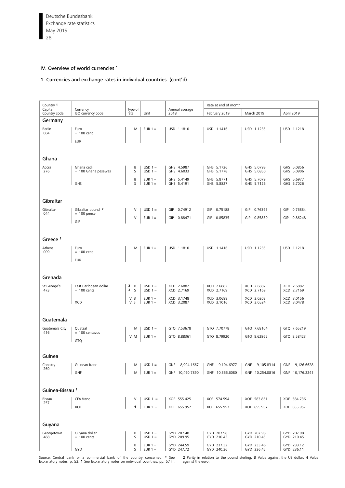Deutsche Bundesbank 28 [Exchange rate statistics](#page-2-0) May 2019

#### IV. Overview of world currencies \*

#### 1. Currencies and exchange rates in individual countries (cont'd)

| Country 1                  |                                     |                   |                        |                          | Rate at end of month     |                          |                          |
|----------------------------|-------------------------------------|-------------------|------------------------|--------------------------|--------------------------|--------------------------|--------------------------|
| Capital                    | Currency                            | Type of           |                        | Annual average           |                          |                          |                          |
| Country code               | ISO currency code                   | rate              | Unit                   | 2018                     | February 2019            | March 2019               | April 2019               |
| Germany                    |                                     |                   |                        |                          |                          |                          |                          |
| Berlin<br>004              | Euro<br>$= 100$ cent                | M                 | EUR $1 =$              | USD 1.1810               | USD 1.1416               | USD 1.1235               | USD 1.1218               |
|                            | <b>EUR</b>                          |                   |                        |                          |                          |                          |                          |
|                            |                                     |                   |                        |                          |                          |                          |                          |
|                            |                                     |                   |                        |                          |                          |                          |                          |
| Ghana                      |                                     |                   |                        |                          |                          |                          |                          |
| Accra<br>276               | Ghana cedi<br>$= 100$ Ghana pesewas | B<br>S            | $USD 1 =$<br>$USD 1 =$ | GHS 4.5987<br>GHS 4.6033 | GHS 5.1726<br>GHS 5.1778 | GHS 5.0798<br>GHS 5.0850 | GHS 5.0856<br>GHS 5.0906 |
|                            |                                     | B                 | EUR $1 =$              | GHS 5.4149               | GHS 5.8771               | GHS 5.7079               | GHS 5.6977               |
|                            | GHS                                 | S                 | EUR $1 =$              | GHS 5.4191               | GHS 5.8827               | GHS 5.7126               | GHS 5.7026               |
|                            |                                     |                   |                        |                          |                          |                          |                          |
| Gibraltar                  |                                     |                   |                        |                          |                          |                          |                          |
| Gibraltar                  | Gibraltar pound 2                   | V                 | $USD 1 =$              | 0.74912<br>GIP           | GIP<br>0.75188           | GIP<br>0.76395           | GIP<br>0.76884           |
| 044                        | $= 100$ pence                       | $\vee$            | EUR $1 =$              | GIP<br>0.88471           | GIP<br>0.85835           | GIP<br>0.85830           | GIP 0.86248              |
|                            | GIP                                 |                   |                        |                          |                          |                          |                          |
|                            |                                     |                   |                        |                          |                          |                          |                          |
| Greece <sup>1</sup>        |                                     |                   |                        |                          |                          |                          |                          |
| Athens                     | Euro                                | M                 | EUR $1 =$              | USD 1.1810               | USD 1.1416               | USD 1.1235               | USD 1.1218               |
| 009                        | $= 100$ cent                        |                   |                        |                          |                          |                          |                          |
|                            | <b>EUR</b>                          |                   |                        |                          |                          |                          |                          |
|                            |                                     |                   |                        |                          |                          |                          |                          |
| Grenada                    |                                     |                   |                        |                          |                          |                          |                          |
| St George's                | East Caribbean dollar               | з<br>- B          | $USD 1 =$              | XCD 2.6882               | XCD 2.6882               | XCD 2.6882               | XCD 2.6882               |
| 473                        | $= 100$ cents                       | з<br><sub>S</sub> | $USD 1 =$              | XCD 2.7169               | XCD 2.7169               | XCD 2.7169               | XCD 2.7169               |
|                            | XCD                                 | V, B<br>V, S      | EUR $1 =$<br>EUR $1 =$ | XCD 3.1748<br>XCD 3.2087 | XCD 3.0688<br>XCD 3.1016 | XCD 3.0202<br>XCD 3.0524 | XCD 3.0156<br>XCD 3.0478 |
|                            |                                     |                   |                        |                          |                          |                          |                          |
|                            |                                     |                   |                        |                          |                          |                          |                          |
| Guatemala                  |                                     |                   |                        |                          |                          |                          |                          |
| Guatemala City<br>416      | Quetzal<br>$= 100$ centavos         | M                 | $USD 1 =$              | GTQ 7.53678              | GTQ 7.70778              | GTQ 7.68104              | GTQ 7.65219              |
|                            | GTQ                                 | V, M              | EUR $1 =$              | GTQ 8.88361              | GTQ 8.79920              | GTQ 8.62965              | GTQ 8.58423              |
|                            |                                     |                   |                        |                          |                          |                          |                          |
| Guinea                     |                                     |                   |                        |                          |                          |                          |                          |
|                            | Guinean franc                       |                   | $USD 1 =$              | 8,904.1667               |                          |                          |                          |
| Conakry<br>260             |                                     | M                 |                        | GNF                      | GNF<br>9,104.6977        | GNF<br>9,105.8314        | GNF<br>9,126.6628        |
|                            | GNF                                 | M                 | EUR $1 =$              | GNF 10,490.7890          | GNF 10,366.6080          | GNF 10,254.0816          | GNF 10,176.2241          |
|                            |                                     |                   |                        |                          |                          |                          |                          |
| Guinea-Bissau <sup>1</sup> |                                     |                   |                        |                          |                          |                          |                          |
| Bissau                     | CFA franc                           | V                 | $USD 1 =$              | XOF 555.425              | XOF 574.594              | XOF 583.851              | XOF 584.736              |
| 257                        | <b>XOF</b>                          | 4                 | EUR $1 =$              | XOF 655.957              | XOF 655.957              | XOF 655.957              | XOF 655.957              |
|                            |                                     |                   |                        |                          |                          |                          |                          |
| Guyana                     |                                     |                   |                        |                          |                          |                          |                          |
| Georgetown                 | Guyana dollar                       | B                 | $USD 1 =$              | GYD 207.48               | GYD 207.98               | GYD 207.98               | GYD 207.98               |
| 488                        | $= 100$ cents                       | S                 | $USD 1 =$              | GYD 209.95               | GYD 210.45               | GYD 210.45               | GYD 210.45               |
|                            |                                     | B                 | EUR $1 =$              | GYD 244.59               | GYD 237.32               | GYD 233.46               | GYD 233.12               |
|                            | GYD                                 | S                 | EUR $1 =$              | GYD 247.72               | GYD 240.36               | GYD 236.45               | GYD 236.11               |

Source: Central bank or a commercial bank of the country concerned. \* See 2 Parity in relation to the pound sterling. 3 Value against the US dollar. 4 Value<br>Explanatory notes, p. 53. 1 See Explanatory notes on individual c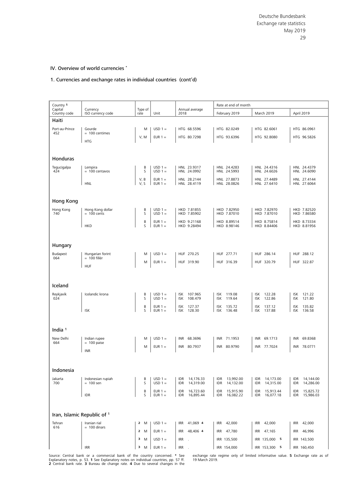#### 1. Currencies and exchange rates in individual countries (cont'd)

| Country 1               |                                    |                 |                        |                                             | Rate at end of month                               |                                                    |                                              |
|-------------------------|------------------------------------|-----------------|------------------------|---------------------------------------------|----------------------------------------------------|----------------------------------------------------|----------------------------------------------|
| Capital<br>Country code | Currency<br>ISO currency code      | Type of<br>rate | Unit                   | Annual average<br>2018                      | February 2019                                      | March 2019                                         | April 2019                                   |
| Haiti                   |                                    |                 |                        |                                             |                                                    |                                                    |                                              |
| Port-au-Prince          | Gourde                             | M               | $USD 1 =$              | HTG 68.5596                                 | HTG 82.0249                                        | HTG 82.6061                                        | HTG 86.0961                                  |
| 452                     | $= 100$ centimes                   | V, M            | EUR $1 =$              | HTG 80.7298                                 | HTG 93.6396                                        | HTG 92.8080                                        | HTG 96.5826                                  |
|                         | <b>HTG</b>                         |                 |                        |                                             |                                                    |                                                    |                                              |
|                         |                                    |                 |                        |                                             |                                                    |                                                    |                                              |
| Honduras                |                                    |                 |                        |                                             |                                                    |                                                    |                                              |
| Tegucigalpa<br>424      | Lempira<br>$= 100$ centavos        | Β<br>S          | $USD 1 =$<br>$USD 1 =$ | HNL 23.9317<br>HNL 24.0992                  | HNL 24.4283<br>HNL 24.5993                         | HNL 24.4316<br>HNL 24.6026                         | HNL 24.4379<br>HNL 24.6090                   |
|                         |                                    | V, B            | EUR $1 =$              | HNL 28.2144                                 | HNL 27.8873                                        | HNL 27.4489                                        | HNL 27.4144                                  |
|                         | <b>HNL</b>                         | V, S            | EUR $1 =$              | HNL 28.4119                                 | HNL 28.0826                                        | HNL 27.6410                                        | HNL 27.6064                                  |
|                         |                                    |                 |                        |                                             |                                                    |                                                    |                                              |
| <b>Hong Kong</b>        |                                    |                 |                        |                                             |                                                    |                                                    |                                              |
| Hong Kong               | Hong Kong dollar                   | B               | $USD 1 =$              | HKD 7.81855                                 | HKD 7.82950                                        | HKD 7.82970                                        | HKD 7.82520                                  |
| 740                     | $= 100$ cents                      | S               | $USD 1 =$              | HKD 7.85902                                 | HKD 7.87010                                        | HKD 7.87010                                        | HKD 7.86580                                  |
|                         | <b>HKD</b>                         | B<br>S          | EUR $1 =$<br>EUR $1 =$ | HKD 9.21168<br>HKD 9.28494                  | HKD 8.89514<br>HKD 8.98146                         | HKD 8.75814<br>HKD 8.84406                         | HKD 8.73334<br>HKD 8.81956                   |
|                         |                                    |                 |                        |                                             |                                                    |                                                    |                                              |
|                         |                                    |                 |                        |                                             |                                                    |                                                    |                                              |
| Hungary                 |                                    |                 |                        |                                             |                                                    |                                                    |                                              |
| Budapest<br>064         | Hungarian forint<br>$= 100$ fillér | M               | $USD 1 =$              | HUF 270.25                                  | HUF 277.71                                         | HUF 286.14                                         | HUF 288.12                                   |
|                         | <b>HUF</b>                         | M               | EUR $1 =$              | HUF 319.90                                  | HUF 316.39                                         | HUF 320.79                                         | HUF 322.87                                   |
|                         |                                    |                 |                        |                                             |                                                    |                                                    |                                              |
|                         |                                    |                 |                        |                                             |                                                    |                                                    |                                              |
| Iceland                 |                                    |                 |                        |                                             |                                                    |                                                    |                                              |
| Reykjavík<br>024        | Icelandic krona                    | B<br>S          | $USD 1 =$<br>$USD 1 =$ | 107.965<br>ISK<br><b>ISK</b><br>108.479     | 119.08<br>ISK<br><b>ISK</b><br>119.64              | 122.28<br><b>ISK</b><br><b>ISK</b><br>122.86       | <b>ISK</b><br>121.22<br><b>ISK</b><br>121.80 |
|                         |                                    | B               | EUR $1 =$              | <b>ISK</b><br>127.37                        | 135.72<br><b>ISK</b>                               | 137.12<br><b>ISK</b>                               | <b>ISK</b><br>135.82                         |
|                         | <b>ISK</b>                         | S               | EUR $1 =$              | ISK<br>128.30                               | <b>ISK</b><br>136.48                               | <b>ISK</b><br>137.88                               | <b>ISK</b><br>136.58                         |
|                         |                                    |                 |                        |                                             |                                                    |                                                    |                                              |
| India $1$               |                                    |                 |                        |                                             |                                                    |                                                    |                                              |
| New Delhi               | Indian rupee                       | M               | $USD 1 =$              | <b>INR</b><br>68.3696                       | INR 71.1953                                        | INR.<br>69.1713                                    | INR 69.8368                                  |
| 664                     | $= 100$ paise                      | M               | EUR $1 =$              | INR 80.7937                                 | INR 80.9790                                        | INR 77.7024                                        | INR 78.0771                                  |
|                         | <b>INR</b>                         |                 |                        |                                             |                                                    |                                                    |                                              |
|                         |                                    |                 |                        |                                             |                                                    |                                                    |                                              |
| Indonesia               |                                    |                 |                        |                                             |                                                    |                                                    |                                              |
| Jakarta                 | Indonesian rupiah                  | В               | $USD 1 =$              | 14,176.33<br>IDR                            | 13,992.00<br>IDR                                   | 14,173.00<br>IDR                                   | 14,144.00<br><b>IDR</b>                      |
| 700                     | $= 100$ sen                        | S               | $USD 1 =$              | IDR.<br>14,319.00                           | IDR<br>14,132.00                                   | 14,315.00<br><b>IDR</b>                            | 14,286.00<br><b>IDR</b>                      |
|                         | <b>IDR</b>                         | B<br>S          | EUR $1 =$<br>EUR $1 =$ | <b>IDR</b><br>16,723.60<br>IDR<br>16,895.44 | <b>IDR</b><br>15,915.90<br><b>IDR</b><br>16,082.22 | 15,913.44<br><b>IDR</b><br>16,077.18<br><b>IDR</b> | 15,825.72<br><b>IDR</b><br>15,986.03<br>IDR  |
|                         |                                    |                 |                        |                                             |                                                    |                                                    |                                              |
|                         | Iran, Islamic Republic of 1        |                 |                        |                                             |                                                    |                                                    |                                              |
|                         |                                    |                 |                        |                                             |                                                    |                                                    |                                              |
| Tehran<br>616           | Iranian rial<br>$= 100$ dinars     | 2 M             | $USD 1 =$              | IRR 41,069 4                                | IRR 42,000                                         | IRR<br>42,000                                      | <b>IRR</b><br>42,000                         |
|                         |                                    | 2 M             | EUR $1 =$              | 48,406 4<br><b>IRR</b>                      | IRR 47,780                                         | IRR 47,165                                         | 46,996<br>IRR                                |
|                         |                                    | з<br>M          | $USD 1 =$              | <b>IRR</b><br>$\sim$                        | IRR 135,500                                        | IRR 135,000 5                                      | IRR 143,500                                  |
|                         | <b>IRR</b>                         | з<br>M          | EUR $1 =$              | IRR .                                       | IRR 154,000                                        | IRR 153,300 5                                      | IRR 160,450                                  |

Explanatory notes, p. 53. **1** See Explanatory notes on individual countries, pp. 57 ff. 19 March 2019. **2** Central bank rate. **3** Bureau de change rate. **4** Due to several changes in the

exchange rate regime only of limited informative value. **5** Exchange rate as of 19 March 2019.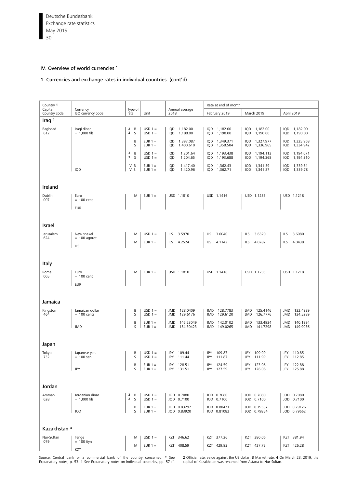Deutsche Bundesbank 30 [Exchange rate statistics](#page-2-0) May 2019

#### IV. Overview of world currencies \*

#### 1. Currencies and exchange rates in individual countries (cont'd)

| Country 1               |                                   |                                                                            |                                      | Rate at end of month                                                            |                                           |
|-------------------------|-----------------------------------|----------------------------------------------------------------------------|--------------------------------------|---------------------------------------------------------------------------------|-------------------------------------------|
| Capital<br>Country code | Currency<br>ISO currency code     | Type of<br>Unit<br>rate                                                    | Annual average<br>2018               | March 2019<br>February 2019                                                     | April 2019                                |
| Iraq <sup>1</sup>       |                                   |                                                                            |                                      |                                                                                 |                                           |
| Baghdad<br>612          | Iraqi dinar<br>$= 1,000$ fils     | 2<br>$USD 1 =$<br>B<br>2 <sub>5</sub><br>$USD 1 =$                         | IQD<br>1,182.00<br>IQD<br>1,188.00   | IQD 1,182.00<br>IQD 1,182.00<br>IQD<br>1,190.00<br>IQD 1,190.00                 | IQD 1,182.00<br>IQD<br>1,190.00           |
|                         |                                   | B<br>EUR $1 =$<br>S<br>EUR $1 =$                                           | IQD<br>1,397.087<br>IQD<br>1,400.610 | IQD 1,349.371<br>IQD 1,327.977<br>IQD<br>1,358.504<br>IQD 1,336.965             | IQD 1,325.968<br>1,334.942<br>IQD         |
|                         |                                   | з<br>$\overline{B}$<br>$USD 1 =$<br>3 <sub>5</sub><br>$USD 1 =$            | IQD<br>1,201.64<br>IQD<br>1,204.65   | IQD 1,193.438<br>IQD 1,194.113<br>IQD<br>1,193.688<br>IQD 1,194.368             | IQD<br>1,194.071<br>IQD<br>1,194.310      |
|                         | IQD                               | V, B<br>EUR $1 =$<br>V, S<br>EUR $1 =$                                     | IQD<br>1,417.40<br>IQD<br>1,420.96   | IQD<br>1,362.43<br>IQD 1,341.59<br>IQD<br>IQD<br>1,341.87<br>1,362.71           | IQD<br>1,339.51<br>IQD<br>1,339.78        |
| Ireland                 |                                   |                                                                            |                                      |                                                                                 |                                           |
| Dublin<br>007           | Euro<br>$= 100$ cent              | EUR $1 =$<br>M                                                             | USD 1.1810                           | USD 1.1416<br>USD 1.1235                                                        | USD 1.1218                                |
|                         | <b>EUR</b>                        |                                                                            |                                      |                                                                                 |                                           |
| Israel                  |                                   |                                                                            |                                      |                                                                                 |                                           |
| Jerusalem               | New shekel                        | $USD 1 =$<br>M                                                             | 3.5970<br>ILS                        | ils<br>3.6040<br>ILS<br>3.6320                                                  | ILS<br>3.6080                             |
| 624                     | $= 100$ agorot                    | M<br>EUR $1 =$                                                             | ILS<br>4.2524                        | ILS<br>ILS<br>4.1142<br>4.0782                                                  | ILS<br>4.0438                             |
|                         | ILS                               |                                                                            |                                      |                                                                                 |                                           |
| Italy                   |                                   |                                                                            |                                      |                                                                                 |                                           |
| Rome<br>005             | Euro<br>$= 100$ cent              | EUR $1 =$<br>M                                                             | USD 1.1810                           | USD 1.1416<br>USD 1.1235                                                        | USD 1.1218                                |
|                         | <b>EUR</b>                        |                                                                            |                                      |                                                                                 |                                           |
| Jamaica                 |                                   |                                                                            |                                      |                                                                                 |                                           |
| Kingston                | Jamaican dollar                   | В<br>$USD 1 =$                                                             | JMD<br>128.0409                      | JMD<br>128.7783<br><b>JMD</b><br>125.4146                                       | JMD<br>132.4939                           |
| 464                     | $= 100$ cents                     | S<br>$USD 1 =$                                                             | 129.6176<br>JMD                      | 129.6120<br>126.7776<br>JMD<br>JMD                                              | 134.5289<br>JMD                           |
|                         | <b>JMD</b>                        | B<br>EUR $1 =$<br>S<br>EUR $1 =$                                           | JMD<br>146.23049<br>JMD<br>154.30423 | JMD<br>142.0102<br><b>JMD</b><br>133.4934<br>149.0265<br>JMD<br>JMD<br>141.7298 | 140.1994<br><b>JMD</b><br>149.9036<br>JMD |
| Japan                   |                                   |                                                                            |                                      |                                                                                 |                                           |
| Tokyo<br>732            | Japanese yen<br>$= 100$ sen       | $USD 1 =$<br>В<br>S<br>$USD 1 =$                                           | JPY 109.44<br>JPY 111.44             | JPY 109.87<br>JPY 109.99<br>JPY 111.87<br>JPY 111.99                            | JPY 110.85<br>JPY 112.85                  |
|                         |                                   | EUR $1 =$<br>В                                                             | JPY<br>128.51                        | JPY 124.59<br>JPY<br>123.06                                                     | JPY 122.88                                |
|                         | <b>JPY</b>                        | S<br>EUR $1 =$                                                             | <b>JPY</b><br>131.51                 | JPY<br>127.59<br>JPY<br>126.06                                                  | JPY 125.88                                |
| Jordan                  |                                   |                                                                            |                                      |                                                                                 |                                           |
| Amman<br>628            | Jordanian dinar<br>$= 1,000$ fils | $\mathbf{2}$<br>$USD 1 =$<br>$\overline{B}$<br>2 <sub>5</sub><br>$USD 1 =$ | JOD 0.7080<br>JOD 0.7100             | JOD 0.7080<br>JOD 0.7080<br>JOD 0.7100<br>JOD 0.7100                            | JOD 0.7080<br>JOD 0.7100                  |
|                         | <b>JOD</b>                        | EUR $1 =$<br>В<br>S<br>EUR $1 =$                                           | JOD 0.83297<br>JOD 0.83920           | JOD 0.80471<br>JOD 0.79367<br>JOD 0.81082<br>JOD 0.79854                        | JOD 0.79126<br>JOD 0.79662                |
|                         |                                   |                                                                            |                                      |                                                                                 |                                           |
| Kazakhstan <sup>4</sup> |                                   |                                                                            |                                      |                                                                                 |                                           |
| Nur-Sultan<br>079       | Tenge<br>$= 100$ tiyn             | $USD 1 =$<br>M                                                             | KZT 346.62                           | KZT 380.06<br>KZT 377.26                                                        | KZT 381.94                                |
|                         | KZT                               | EUR $1 =$<br>M                                                             | KZT 408.59                           | KZT 429.93<br>KZT 427.72                                                        | KZT 426.28                                |

Source: Central bank or a commercial bank of the country concerned. \* See 2 Official rate; value against the US dollar. 3 Market rate. 4 On March 23, 2019, the Explanatory notes, p. 53. 1 See Explanatory notes, p. 53. 1 Se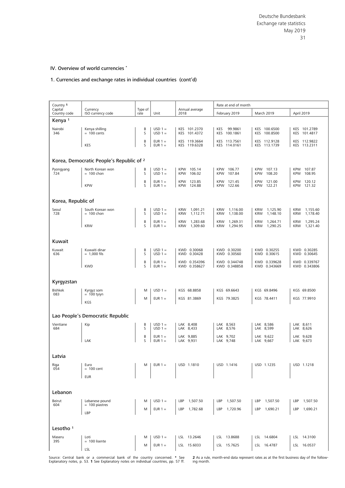#### 1. Currencies and exchange rates in individual countries (cont'd)

| Country 1               |                                                     |                 |                        |                                                  | Rate at end of month                             |                                                  |                                                  |
|-------------------------|-----------------------------------------------------|-----------------|------------------------|--------------------------------------------------|--------------------------------------------------|--------------------------------------------------|--------------------------------------------------|
| Capital<br>Country code | Currency<br>ISO currency code                       | Type of<br>rate | Unit                   | Annual average<br>2018                           | February 2019                                    | March 2019                                       | April 2019                                       |
| Kenya <sup>1</sup>      |                                                     |                 |                        |                                                  |                                                  |                                                  |                                                  |
| Nairobi                 | Kenya shilling                                      | В               | $USD 1 =$              | KES 101.2370                                     | 99.9861<br>KES                                   | KES 100.6500                                     | KES 101.2789                                     |
| 346                     | $= 100$ cents                                       | S               | $USD 1 =$              | KES<br>101.4372                                  | KES<br>100.1861                                  | KES<br>100.8500                                  | KES 101.4817                                     |
|                         | KES                                                 | B<br>S          | EUR $1 =$              | KES 119.3664                                     | KES 113.7561                                     | KES 112.9128                                     | KES 112.9822                                     |
|                         |                                                     |                 | EUR $1 =$              | KES 119.6328                                     | KES 114.0161                                     | KES 113.1739                                     | KES 113.2311                                     |
|                         | Korea, Democratic People's Republic of <sup>2</sup> |                 |                        |                                                  |                                                  |                                                  |                                                  |
| Pyongyang<br>724        | North Korean won<br>$= 100$ chon                    | В<br>S          | $USD 1 =$<br>$USD 1 =$ | <b>KPW</b><br>105.14<br><b>KPW</b><br>106.02     | KPW 106.77<br><b>KPW</b><br>107.84               | <b>KPW</b><br>107.13<br><b>KPW</b><br>108.20     | KPW 107.87<br>KPW 108.95                         |
|                         | <b>KPW</b>                                          | B<br>S          | EUR $1 =$<br>EUR $1 =$ | <b>KPW</b><br>123.85<br>KPW 124.88               | <b>KPW</b><br>121.45<br><b>KPW</b><br>122.66     | <b>KPW</b><br>121.00<br><b>KPW</b><br>122.21     | KPW 120.12<br>KPW 121.32                         |
|                         |                                                     |                 |                        |                                                  |                                                  |                                                  |                                                  |
| Korea, Republic of      |                                                     |                 |                        |                                                  |                                                  |                                                  |                                                  |
| Seoul<br>728            | South Korean won<br>$= 100$ chon                    | В<br>S          | $USD 1 =$<br>$USD 1 =$ | <b>KRW</b><br>1,091.21<br><b>KRW</b><br>1,112.71 | <b>KRW</b><br>1,116.00<br><b>KRW</b><br>1,138.00 | <b>KRW</b><br>1,125.90<br><b>KRW</b><br>1,148.10 | <b>KRW</b><br>1,155.60<br><b>KRW</b><br>1,178.40 |
|                         |                                                     | B               | EUR $1 =$              | <b>KRW</b><br>1,283.68                           | <b>KRW</b><br>1,269.31                           | <b>KRW</b><br>1,264.71                           | 1,295.24<br><b>KRW</b>                           |
|                         | <b>KRW</b>                                          | S               | EUR $1 =$              | <b>KRW</b><br>1,309.60                           | <b>KRW</b><br>1,294.95                           | 1,290.25<br><b>KRW</b>                           | <b>KRW</b><br>1,321.40                           |
|                         |                                                     |                 |                        |                                                  |                                                  |                                                  |                                                  |
| Kuwait                  |                                                     |                 |                        |                                                  |                                                  |                                                  |                                                  |
| Kuwait<br>636           | Kuwaiti dinar<br>$= 1,000$ fils                     | В<br>S          | $USD 1 =$<br>$USD 1 =$ | KWD 0.30068<br>KWD 0.30428                       | KWD 0.30200<br>KWD 0.30560                       | KWD 0.30255<br>KWD 0.30615                       | KWD 0.30285<br>KWD 0.30645                       |
|                         | <b>KWD</b>                                          | Β<br>S          | EUR $1 =$<br>EUR $1 =$ | KWD 0.354396<br>KWD 0.358627                     | KWD 0.344748<br>KWD 0.348858                     | KWD 0.339628<br>KWD 0.343669                     | KWD 0.339767<br>KWD 0.343806                     |
|                         |                                                     |                 |                        |                                                  |                                                  |                                                  |                                                  |
| Kyrgyzstan              |                                                     |                 |                        |                                                  |                                                  |                                                  |                                                  |
| Bishkek                 | Kyrgyz som                                          | M               | $USD 1 =$              | KGS 68.8858                                      | KGS 69.6643                                      | KGS 69.8496                                      | KGS 69.8500                                      |
| 083                     | $= 100$ tyiyn                                       | M               | EUR $1 =$              | KGS 81.3869                                      | KGS 79.3825                                      | KGS 78.4411                                      | KGS 77.9910                                      |
|                         | KGS                                                 |                 |                        |                                                  |                                                  |                                                  |                                                  |
|                         | Lao People's Democratic Republic                    |                 |                        |                                                  |                                                  |                                                  |                                                  |
| Vientiane<br>684        | Kip                                                 | В<br>S          | $USD 1 =$<br>$USD 1 =$ | LAK 8,408<br>LAK 8,433                           | LAK 8,563<br>LAK 8,576                           | LAK 8,586<br>LAK 8,599                           | LAK 8,611<br>LAK 8,626                           |
|                         |                                                     | B               | EUR $1 =$              | LAK 9,885                                        | LAK 9,702                                        | LAK 9,622                                        | LAK 9,628                                        |
|                         | LAK                                                 | S               | EUR $1 =$              | LAK 9,931                                        | LAK 9,748                                        | LAK 9,667                                        | LAK 9,673                                        |
|                         |                                                     |                 |                        |                                                  |                                                  |                                                  |                                                  |
| Latvia<br>Riga          | Euro                                                | M               | EUR $1 =$              | USD 1.1810                                       | USD 1.1416                                       | USD 1.1235                                       | USD 1.1218                                       |
| 054                     | $= 100$ cent                                        |                 |                        |                                                  |                                                  |                                                  |                                                  |
|                         | <b>EUR</b>                                          |                 |                        |                                                  |                                                  |                                                  |                                                  |
|                         |                                                     |                 |                        |                                                  |                                                  |                                                  |                                                  |
| Lebanon                 |                                                     |                 |                        |                                                  |                                                  |                                                  |                                                  |
| Beirut<br>604           | Lebanese pound<br>$= 100$ piastres                  | M               | $USD 1 =$              | 1,507.50<br>LBP                                  | 1,507.50<br>LBP                                  | 1,507.50<br>LBP                                  | 1,507.50<br>LBP                                  |
|                         | LBP                                                 | M               | EUR $1 =$              | LBP<br>1,782.68                                  | LBP<br>1,720.96                                  | LBP<br>1,690.21                                  | LBP<br>1,690.21                                  |
|                         |                                                     |                 |                        |                                                  |                                                  |                                                  |                                                  |
| Lesotho <sup>1</sup>    |                                                     |                 |                        |                                                  |                                                  |                                                  |                                                  |
| Maseru                  | Loti                                                | M               | $USD 1 =$              | LSL 13.2646                                      | LSL 13.8688                                      | LSL 14.6804                                      | LSL 14.3100                                      |
| 395                     | $= 100$ lisente                                     | M               | EUR $1 =$              | LSL 15.6033                                      | LSL 15.7625                                      | LSL 16.4787                                      | LSL 16.0537                                      |
|                         | <b>LSL</b>                                          |                 |                        |                                                  |                                                  |                                                  |                                                  |

Source: Central bank or a commercial bank of the country concerned. \* See Explanatory notes, p. 53. **1** See Explanatory notes on individual countries, pp. 57 ff.

**2** As a rule, month-end data represent rates as at the first business day of the following month.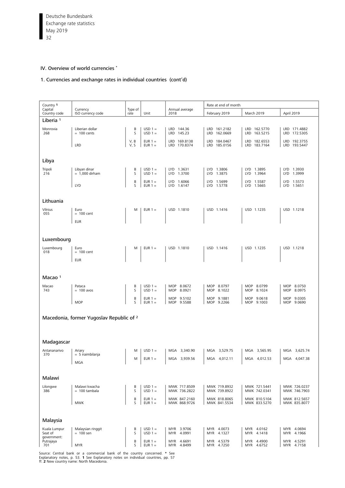Deutsche Bundesbank 32 [Exchange rate statistics](#page-2-0) May 2019

#### IV. Overview of world currencies \*

#### 1. Currencies and exchange rates in individual countries (cont'd)

| Country 1<br>Capital   | Currency                                            | Type of |                        | Annual average                 | Rate at end of month         |                              |                              |
|------------------------|-----------------------------------------------------|---------|------------------------|--------------------------------|------------------------------|------------------------------|------------------------------|
| Country code           | ISO currency code                                   | rate    | Unit                   | 2018                           | February 2019                | March 2019                   | April 2019                   |
| Liberia <sup>1</sup>   |                                                     |         |                        |                                |                              |                              |                              |
| Monrovia<br>268        | Liberian dollar<br>$= 100$ cents                    | В<br>S  | $USD 1 =$<br>$USD 1 =$ | LRD 144.36<br>LRD 145.23       | LRD 161.2182<br>LRD 162.0669 | LRD 162.5770<br>LRD 163.5215 | LRD 171,4882<br>LRD 172.5305 |
|                        |                                                     | V, B    | EUR $1 =$              | LRD 169.8138                   | LRD 184.0467                 | LRD 182.6553                 | LRD 192.3755                 |
|                        | LRD                                                 | V, S    | EUR $1 =$              | LRD 170.8374                   | LRD 185.0156                 | LRD 183.7164                 | LRD 193.5447                 |
| Libya                  |                                                     |         |                        |                                |                              |                              |                              |
| Tripoli<br>216         | Libyan dinar<br>$= 1,000$ dirham                    | B<br>S  | $USD 1 =$<br>$USD 1 =$ | LYD 1.3631<br>LYD 1.3700       | LYD 1.3806<br>LYD 1.3875     | LYD 1.3895<br>LYD 1.3964     | LYD 1.3930<br>LYD 1.3999     |
|                        |                                                     | B       | EUR $1 =$              | LYD 1.6066                     | LYD 1.5699                   | LYD 1.5587                   | LYD 1.5573                   |
|                        | LYD                                                 | S       | EUR $1 =$              | LYD 1.6147                     | LYD 1.5778                   | LYD 1.5665                   | LYD 1.5651                   |
| Lithuania              |                                                     |         |                        |                                |                              |                              |                              |
| Vilnius                | Euro                                                | M       | EUR $1 =$              | USD 1.1810                     | USD 1.1416                   | USD 1.1235                   | USD 1.1218                   |
| 055                    | $= 100$ cent                                        |         |                        |                                |                              |                              |                              |
|                        | <b>EUR</b>                                          |         |                        |                                |                              |                              |                              |
|                        |                                                     |         |                        |                                |                              |                              |                              |
| Luxembourg             |                                                     |         |                        |                                |                              |                              |                              |
| Luxembourg             | Euro                                                | M       | EUR $1 =$              | USD 1.1810                     | USD 1.1416                   | USD 1.1235                   | USD 1.1218                   |
| 018                    | $= 100$ cent                                        |         |                        |                                |                              |                              |                              |
|                        | <b>EUR</b>                                          |         |                        |                                |                              |                              |                              |
|                        |                                                     |         |                        |                                |                              |                              |                              |
| Macao <sup>1</sup>     |                                                     |         |                        |                                |                              |                              |                              |
| Macao                  | Pataca                                              | В       | $USD 1 =$              | MOP 8.0672                     | MOP 8.0797                   | MOP 8.0799                   | MOP 8.0750                   |
| 743                    | $= 100$ avos                                        | S       | $USD 1 =$              | MOP 8.0921                     | MOP 8.1022                   | MOP 8.1024                   | MOP 8.0975                   |
|                        | <b>MOP</b>                                          | B<br>S  | EUR $1 =$<br>EUR $1 =$ | MOP 9.5102<br>MOP 9.5588       | MOP 9.1881<br>MOP 9.2266     | MOP 9.0618<br>MOP 9.1003     | MOP 9.0305<br>MOP 9.0690     |
|                        |                                                     |         |                        |                                |                              |                              |                              |
|                        | Macedonia, former Yugoslav Republic of <sup>2</sup> |         |                        |                                |                              |                              |                              |
|                        |                                                     |         |                        |                                |                              |                              |                              |
|                        |                                                     |         |                        |                                |                              |                              |                              |
| Madagascar             |                                                     |         |                        |                                |                              |                              |                              |
| Antananarivo<br>370    | Ariary<br>$= 5$ iraimbilanja                        | M       | $USD 1 =$              | MGA 3,340.90                   | MGA 3,529.75                 | MGA 3,565.95                 | MGA 3,625.74                 |
|                        | MGA                                                 | Μ       | EUR $1 =$              | MGA 3,939.56                   | MGA 4,012.11                 | MGA 4,012.53                 | MGA 4,047.38                 |
|                        |                                                     |         |                        |                                |                              |                              |                              |
|                        |                                                     |         |                        |                                |                              |                              |                              |
| Malawi                 |                                                     |         |                        |                                |                              |                              |                              |
| Lilongwe<br>386        | Malawi kwacha<br>$= 100$ tambala                    | В<br>S  | $USD 1 =$<br>$USD 1 =$ | MWK 717.8509<br>MWK 736.2822   | MWK 719.8932<br>MWK 739.8922 | MWK 721.5441<br>MWK 742.0341 | MWK 726.0237<br>MWK 746.7903 |
|                        |                                                     | B       | EUR $1 =$              | MWK 847.2160                   | MWK 818.8065                 | MWK 810.5104                 | MWK 812.5657                 |
|                        | <b>MWK</b>                                          | S       | EUR $1 =$              | MWK 868.9726                   | MWK 841.5534                 | MWK 833.5270                 | MWK 835.8077                 |
|                        |                                                     |         |                        |                                |                              |                              |                              |
| Malaysia               |                                                     |         |                        |                                |                              |                              |                              |
| Kuala Lumpur           | Malaysian ringgit                                   | В       | $USD 1 =$              | MYR 3.9706                     | MYR 4.0073                   | MYR 4.0162                   | MYR 4.0694<br>MYR 4.1966     |
| Seat of<br>government: | $= 100$ sen                                         | S       | $USD 1 =$              | MYR<br>4.0991                  | MYR 4.1327                   | MYR<br>4.1418                |                              |
| Putrajaya<br>701       | <b>MYR</b>                                          | B<br>S  | EUR $1 =$<br>EUR $1 =$ | MYR<br>4.6691<br>MYR<br>4.8499 | MYR<br>4.5379<br>MYR 4.7250  | MYR 4.4900<br>MYR 4.6752     | MYR 4.5291<br>MYR 4.7158     |

Source: Central bank or a commercial bank of the country concerned. **\*** See Explanatory notes, p. 53. **1** See Explanatory notes on individual countries, pp. 57 ff. **2** New country name: North Macedonia.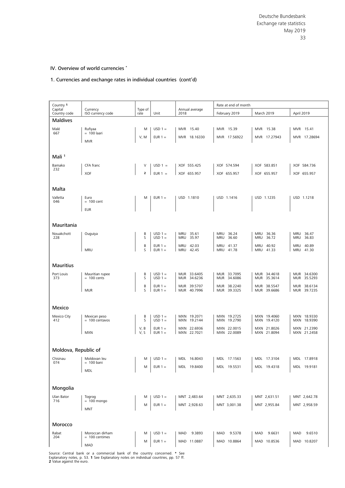#### 1. Currencies and exchange rates in individual countries (cont'd)

| Country 1               |                               |                 |                           |                              | Rate at end of month       |                            |                              |
|-------------------------|-------------------------------|-----------------|---------------------------|------------------------------|----------------------------|----------------------------|------------------------------|
| Capital<br>Country code | Currency<br>ISO currency code | Type of<br>rate | Unit                      | Annual average<br>2018       | February 2019              | March 2019                 | April 2019                   |
| <b>Maldives</b>         |                               |                 |                           |                              |                            |                            |                              |
| Malé                    | Rufiyaa                       | M               | $USD 1 =$                 | MVR 15.40                    | MVR 15.39                  | MVR 15.38                  | MVR 15.41                    |
| 667                     | $= 100$ laari                 |                 |                           |                              | MVR 17.56922               |                            |                              |
|                         | <b>MVR</b>                    | V, M            | EUR $1 =$                 | MVR 18.16330                 |                            | MVR 17.27943               | MVR 17.28694                 |
|                         |                               |                 |                           |                              |                            |                            |                              |
| Mali <sup>1</sup>       |                               |                 |                           |                              |                            |                            |                              |
| Bamako                  | CFA franc                     | V               | $USD 1 =$                 | XOF 555.425                  | XOF 574.594                | XOF 583.851                | XOF 584.736                  |
| 232                     | <b>XOF</b>                    | $\overline{2}$  | EUR $1 =$                 | XOF 655.957                  | XOF 655.957                | XOF 655.957                | XOF 655.957                  |
|                         |                               |                 |                           |                              |                            |                            |                              |
| Malta                   |                               |                 |                           |                              |                            |                            |                              |
| Valletta                | Euro                          | M               | EUR $1 =$                 | USD 1.1810                   | USD 1.1416                 | USD 1.1235                 | USD 1.1218                   |
| 046                     | $= 100$ cent                  |                 |                           |                              |                            |                            |                              |
|                         | <b>EUR</b>                    |                 |                           |                              |                            |                            |                              |
|                         |                               |                 |                           |                              |                            |                            |                              |
| Mauritania              |                               |                 |                           |                              |                            |                            |                              |
| Nouakchott<br>228       | Ouguiya                       | В<br>S          | $USD 1 =$<br>$USD 1 =$    | MRU<br>35.61<br>35.97<br>MRU | MRU 36.24<br>MRU<br>36.60  | MRU 36.36<br>36.72<br>MRU  | MRU<br>36.47<br>MRU<br>36.83 |
|                         |                               | B               | EUR $1 =$                 | MRU 42.03                    | MRU 41.37                  | MRU<br>40.92               | MRU<br>40.89                 |
|                         | <b>MRU</b>                    | S               | EUR $1 =$                 | MRU<br>42.45                 | MRU 41.78                  | MRU<br>41.33               | 41.30<br>MRU                 |
|                         |                               |                 |                           |                              |                            |                            |                              |
| <b>Mauritius</b>        |                               |                 |                           |                              |                            |                            |                              |
| Port Louis              | Mauritian rupee               | B               | $USD 1 =$                 | MUR 33.6405                  | MUR 33.7095                | MUR 34.4618                | MUR 34.6300                  |
| 373                     | $= 100$ cents                 | S               | $USD 1 =$                 | MUR 34.6236                  | MUR 34.6086                | MUR 35.3614                | MUR 35.5293                  |
|                         | <b>MUR</b>                    | B<br>S          | EUR $1 =$<br>EUR $1 =$    | MUR 39.5707<br>MUR 40.7996   | MUR 38.2240<br>MUR 39.3325 | MUR 38.5547<br>MUR 39.6686 | MUR 38.6134<br>MUR 39.7235   |
|                         |                               |                 |                           |                              |                            |                            |                              |
| Mexico                  |                               |                 |                           |                              |                            |                            |                              |
| Mexico City             | Mexican peso                  | B               | $USD 1 =$                 | MXN 19.2071                  | MXN 19.2725                | MXN 19.4060                | MXN 18.9330                  |
| 412                     | $= 100$ centavos              | S               | $USD 1 =$                 | MXN 19.2144                  | MXN 19.2790                | MXN 19.4120                | MXN 18.9390                  |
|                         | <b>MXN</b>                    | V, B<br>V, S    | EUR $1 =$<br>EUR $1 =$    | MXN 22.6936<br>MXN 22.7021   | MXN 22.0015<br>MXN 22.0089 | MXN 21.8026<br>MXN 21.8094 | MXN 21.2390<br>MXN 21.2458   |
|                         |                               |                 |                           |                              |                            |                            |                              |
|                         |                               |                 |                           |                              |                            |                            |                              |
| Moldova, Republic of    |                               |                 |                           |                              |                            |                            |                              |
| Chisinau<br>074         | Moldovan leu<br>$= 100$ bani  |                 | $\vert$ M $\vert$ USD 1 = | MDL 16.8043                  | MDL 17.1563                | MDL 17.3104                | MDL 17.8918                  |
|                         | MDL                           | M               | EUR $1 =$                 | MDL 19.8400                  | MDL 19.5531                | MDL 19.4318                | MDL 19.9181                  |
|                         |                               |                 |                           |                              |                            |                            |                              |
| Mongolia                |                               |                 |                           |                              |                            |                            |                              |
|                         |                               |                 |                           |                              |                            |                            |                              |
| Ulan Bator<br>716       | Togrog<br>$= 100$ mongo       | M               | $USD 1 =$                 | MNT 2,483.64                 | MNT 2,635.33               | MNT 2,631.51               | MNT 2,642.78                 |
|                         | <b>MNT</b>                    | M               | EUR $1 =$                 | MNT 2,928.63                 | MNT 3,001.38               | MNT 2,955.84               | MNT 2,958.59                 |
|                         |                               |                 |                           |                              |                            |                            |                              |
| Morocco                 |                               |                 |                           |                              |                            |                            |                              |
| Rabat                   | Moroccan dirham               | M               | $USD 1 =$                 | 9.3893<br>MAD                | 9.5378<br>MAD              | 9.6631<br>MAD              | MAD<br>9.6510                |
| 204                     | $= 100$ centimes              | M               | EUR $1 =$                 | MAD 11.0887                  | MAD 10.8864                | MAD 10.8536                | MAD 10.8207                  |
|                         | MAD                           |                 |                           |                              |                            |                            |                              |

Source: Central bank or a commercial bank of the country concerned. **\*** See Explanatory notes, p. 53. **1** See Explanatory notes on individual countries, pp. 57 ff. **2** Value against the euro.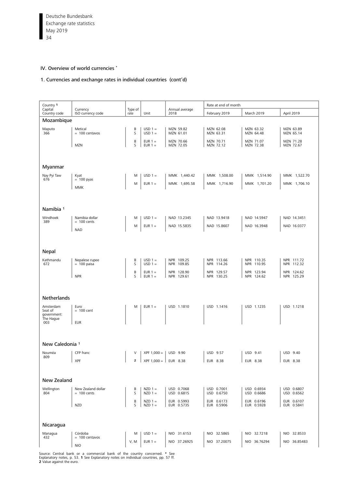Deutsche Bundesbank 34 [Exchange rate statistics](#page-2-0) May 2019

#### IV. Overview of world currencies \*

#### 1. Currencies and exchange rates in individual countries (cont'd)

| Country 1<br>Capital       | Currency                            | Type of |                        | Annual average           | Rate at end of month     |                          |                          |
|----------------------------|-------------------------------------|---------|------------------------|--------------------------|--------------------------|--------------------------|--------------------------|
| Country code               | ISO currency code                   | rate    | Unit                   | 2018                     | February 2019            | March 2019               | April 2019               |
| Mozambique                 |                                     |         |                        |                          |                          |                          |                          |
| Maputo                     | Metical                             | B       | $USD 1 =$              | MZN 59.82                | MZN 62.08                | MZN 63.32                | MZN 63.89                |
| 366                        | $= 100$ centavos                    | S       | $USD 1 =$              | MZN 61.01                | MZN 63.31                | MZN 64.48                | MZN 65.14                |
|                            | <b>MZN</b>                          | B<br>S  | EUR $1 =$<br>EUR $1 =$ | MZN 70.66<br>MZN 72.05   | MZN 70.71<br>MZN 72.12   | MZN 71.07<br>MZN 72.38   | MZN 71.28<br>MZN 72.67   |
|                            |                                     |         |                        |                          |                          |                          |                          |
|                            |                                     |         |                        |                          |                          |                          |                          |
| Myanmar                    |                                     |         |                        |                          |                          |                          |                          |
| Nay Pyi Taw                | Kyat                                | M       | $USD 1 =$              | MMK 1,440.42             | MMK 1,508.00             | MMK 1,514.90             | MMK 1,522.70             |
| 676                        | $= 100$ pyas                        |         |                        |                          |                          |                          |                          |
|                            | MMK                                 | M       | EUR $1 =$              | MMK 1,695.58             | MMK 1,716.90             | MMK 1,701.20             | MMK 1,706.10             |
|                            |                                     |         |                        |                          |                          |                          |                          |
|                            |                                     |         |                        |                          |                          |                          |                          |
| Namibia <sup>1</sup>       |                                     |         |                        |                          |                          |                          |                          |
| Windhoek                   | Namibia dollar                      | M       | $USD 1 =$              | NAD 13.2345              | NAD 13.9418              | NAD 14.5947              | NAD 14.3451              |
| 389                        | $= 100$ cents                       | M       | EUR $1 =$              | NAD 15.5835              | NAD 15.8607              | NAD 16.3948              | NAD 16.0377              |
|                            | <b>NAD</b>                          |         |                        |                          |                          |                          |                          |
|                            |                                     |         |                        |                          |                          |                          |                          |
|                            |                                     |         |                        |                          |                          |                          |                          |
| <b>Nepal</b>               |                                     |         |                        |                          |                          |                          |                          |
| Kathmandu                  | Nepalese rupee                      | В<br>S  | $USD 1 =$              | NPR 109.25<br>109.85     | NPR 113.66               | NPR 110.35               | NPR 111.72               |
| 672                        | $= 100$ paisa                       |         | $USD 1 =$              | <b>NPR</b>               | NPR 114.26               | NPR 110.95               | NPR 112.32               |
|                            | <b>NPR</b>                          | B<br>S  | EUR $1 =$<br>EUR $1 =$ | NPR 128.90<br>NPR 129.61 | NPR 129.57<br>NPR 130.25 | NPR 123.94<br>NPR 124.62 | NPR 124.62<br>NPR 125.29 |
|                            |                                     |         |                        |                          |                          |                          |                          |
|                            |                                     |         |                        |                          |                          |                          |                          |
| <b>Netherlands</b>         |                                     |         |                        |                          |                          |                          |                          |
| Amsterdam                  | Euro                                | M       | $EUR 1 =$              | USD 1.1810               | USD 1.1416               | USD 1.1235               | USD 1.1218               |
| Seat of<br>government:     | $= 100$ cent                        |         |                        |                          |                          |                          |                          |
| The Hague<br>003           | <b>EUR</b>                          |         |                        |                          |                          |                          |                          |
|                            |                                     |         |                        |                          |                          |                          |                          |
|                            |                                     |         |                        |                          |                          |                          |                          |
| New Caledonia <sup>1</sup> |                                     |         |                        |                          |                          |                          |                          |
|                            |                                     |         |                        |                          |                          |                          |                          |
| Nouméa<br>809              | CFP franc                           | V       | $XPF 1,000 =$          | USD 9.90                 | USD 9.57                 | USD 9.41                 | USD 9.40                 |
|                            | <b>XPF</b>                          | 2       | XPF 1,000 =   EUR 8.38 |                          | EUR 8.38                 | EUR 8.38                 | EUR 8.38                 |
|                            |                                     |         |                        |                          |                          |                          |                          |
| New Zealand                |                                     |         |                        |                          |                          |                          |                          |
|                            |                                     |         |                        |                          |                          |                          |                          |
| Wellington<br>804          | New Zealand dollar<br>$= 100$ cents | В<br>S  | $NZD 1 =$<br>$NZD 1 =$ | USD 0.7068<br>USD 0.6815 | USD 0.7001<br>USD 0.6750 | USD 0.6934<br>USD 0.6686 | USD 0.6807<br>USD 0.6562 |
|                            |                                     | B       | $NZD 1 =$              | EUR 0.5993               | EUR 0.6173               | EUR 0.6196               | EUR 0.6107               |
|                            | <b>NZD</b>                          | S       | $NZD 1 =$              | EUR 0.5735               | EUR 0.5906               | EUR 0.5928               | EUR 0.5841               |
|                            |                                     |         |                        |                          |                          |                          |                          |
|                            |                                     |         |                        |                          |                          |                          |                          |
| Nicaragua                  |                                     |         |                        |                          |                          |                          |                          |
| Managua<br>432             | Córdoba<br>$= 100$ centavos         | M       | $USD 1 =$              | NIO 31.6153              | NIO 32.5865              | NIO 32.7218              | NIO 32.8533              |
|                            | <b>NIO</b>                          | V, M    | EUR $1 =$              | NIO 37.26925             | NIO 37.20075             | NIO 36.76294             | NIO 36.85483             |
|                            |                                     |         |                        |                          |                          |                          |                          |

Source: Central bank or a commercial bank of the country concerned. **\*** See Explanatory notes, p. 53. **1** See Explanatory notes on individual countries, pp. 57 ff. **2** Value against the euro.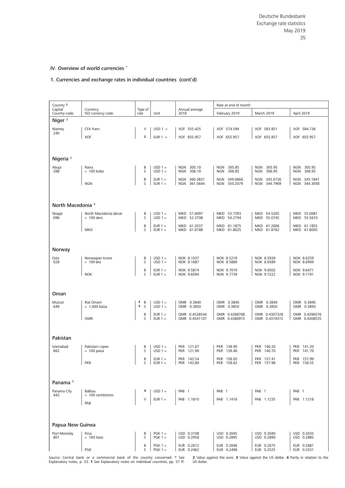#### 1. Currencies and exchange rates in individual countries (cont'd)

| Country 1                    |                                |                               |                        |                                | Rate at end of month           |                                |                                |
|------------------------------|--------------------------------|-------------------------------|------------------------|--------------------------------|--------------------------------|--------------------------------|--------------------------------|
| Capital<br>Country code      | Currency<br>ISO currency code  | Type of<br>rate               | Unit                   | Annual average<br>2018         | February 2019                  | March 2019                     | April 2019                     |
| Niger <sup>1</sup>           |                                |                               |                        |                                |                                |                                |                                |
| Niamey                       | CFA franc                      | V                             | $USD 1 =$              | XOF 555.425                    | XOF 574.594                    | XOF 583.851                    | XOF 584.736                    |
| 240                          | <b>XOF</b>                     | $\overline{\mathbf{2}}$       | EUR $1 =$              | XOF 655.957                    | XOF 655.957                    | XOF 655.957                    | XOF 655.957                    |
|                              |                                |                               |                        |                                |                                |                                |                                |
|                              |                                |                               |                        |                                |                                |                                |                                |
| Nigeria <sup>1</sup>         |                                |                               |                        |                                |                                |                                |                                |
| Abuja<br>288                 | Naira<br>$= 100$ kobo          | B<br>S                        | $USD 1 =$<br>$USD 1 =$ | NGN 305.10<br>NGN 306.10       | NGN 305.85<br>NGN 306.85       | NGN 305.95<br>NGN 306.95       | NGN 305.95<br>NGN 306.95       |
|                              |                                | B                             | EUR $1 =$              | NGN 360.3831                   | NGN 349,0666                   | NGN 343.6736                   | NGN 343.1841                   |
|                              | <b>NGN</b>                     | S                             | EUR $1 =$              | NGN 361.5644                   | NGN 350.2079                   | NGN 344.7969                   | NGN 344.3058                   |
|                              |                                |                               |                        |                                |                                |                                |                                |
| North Macedonia <sup>1</sup> |                                |                               |                        |                                |                                |                                |                                |
| Skopje                       | North Macedonia denar          | В                             | $USD 1 =$              | MKD 51.8497                    | MKD 53.7393                    | MKD 54.5265                    | MKD 55.0081                    |
| 096                          | $= 100$ deni                   | S                             | $USD 1 =$              | MKD 52.3708                    | MKD 54.2794                    | MKD 55.0745                    | MKD 55.5610                    |
|                              | <b>MKD</b>                     | B<br>S                        | EUR $1 =$<br>EUR $1 =$ | MKD 61.2037<br>MKD 61.8188     | MKD 61.1875<br>MKD 61.8025     | MKD 61.2606<br>MKD 61.8762     | MKD 61.1855<br>MKD 61.8005     |
|                              |                                |                               |                        |                                |                                |                                |                                |
|                              |                                |                               |                        |                                |                                |                                |                                |
| Norway                       |                                |                               |                        |                                |                                |                                |                                |
| Oslo<br>028                  | Norwegian krone<br>$= 100$ øre | B<br>S                        | $USD 1 =$<br>$USD 1 =$ | NOK 8.1037<br>NOK 8.1687       | NOK 8.5219<br>NOK 8.5869       | NOK 8.5939<br>NOK 8.6589       | NOK 8.6259<br>NOK 8.6909       |
|                              |                                | B                             | EUR $1 =$              | NOK 9.5874                     | NOK 9.7019                     | NOK 9.6502                     | NOK 9.6471                     |
|                              | <b>NOK</b>                     | S                             | EUR $1 =$              | NOK 9.6594                     | NOK 9.7739                     | NOK 9.7222                     | NOK 9.7191                     |
|                              |                                |                               |                        |                                |                                |                                |                                |
| Oman                         |                                |                               |                        |                                |                                |                                |                                |
| Muscat<br>649                | Rial Omani<br>$= 1,000$ baisa  | з<br>- B<br>з<br>$\mathsf{S}$ | $USD 1 =$<br>$USD 1 =$ | OMR 0.3840<br>OMR 0.3850       | OMR 0.3840<br>OMR 0.3850       | OMR 0.3840<br>OMR 0.3850       | OMR 0.3840<br>OMR 0.3850       |
|                              |                                | В                             | EUR $1 =$              | OMR 0.4528544                  | OMR 0.4368768                  | OMR 0.4307328                  | OMR 0.4296576                  |
|                              | <b>OMR</b>                     | S                             | EUR $1 =$              | OMR 0.4541107                  | OMR 0.4380915                  | OMR 0.4319315                  | OMR 0.4308535                  |
|                              |                                |                               |                        |                                |                                |                                |                                |
| Pakistan                     |                                |                               |                        |                                |                                |                                |                                |
| Islamabad                    | Pakistani rupee                | В                             | $USD 1 =$              | PKR 121.67                     | PKR 138.90                     | PKR 140.20                     | PKR 141.20                     |
| 662                          | $= 100$ paisa                  | S                             | $USD 1 =$              | PKR 121.90                     | PKR 139.40                     | PKR 140.70                     | PKR 141.70                     |
|                              | <b>PKR</b>                     | Β<br>S                        | EUR $1 =$<br>EUR $1 =$ | PKR 143.54<br>  PKR 143.80     | PKR 158.05<br>PKR 158.62       | PKR 157.41<br>PKR 157.98       | PKR 157.99<br>PKR 158.55       |
|                              |                                |                               |                        |                                |                                |                                |                                |
| Panama <sup>1</sup>          |                                |                               |                        |                                |                                |                                |                                |
|                              | Balboa                         | 4                             |                        |                                |                                |                                |                                |
| Panama City<br>442           | = 100 centésimos               | $\vee$                        | $USD 1 =$<br>EUR $1 =$ | PAB <sub>1</sub><br>PAB 1.1810 | PAB <sub>1</sub><br>PAB 1.1416 | PAB <sub>1</sub><br>PAB 1.1235 | PAB <sub>1</sub><br>PAB 1.1218 |
|                              | PAB                            |                               |                        |                                |                                |                                |                                |
|                              |                                |                               |                        |                                |                                |                                |                                |
|                              |                                |                               |                        |                                |                                |                                |                                |
| Papua New Guinea             |                                |                               |                        |                                |                                |                                |                                |
| Port Moresby<br>801          | Kina<br>$= 100$ toea           | В<br>S                        | $PGK 1 =$<br>$PGK 1 =$ | USD 0.3108<br>USD 0.2958       | USD 0.3045<br>USD 0.2895       | USD 0.3040<br>USD 0.2890       | USD 0.3035<br>USD 0.2885       |
|                              |                                | B                             | $PGK 1 =$              | EUR 0.2612                     | EUR 0.2646                     | EUR 0.2675                     | EUR 0.2681                     |
|                              | PGK                            | S                             | $PGK 1 =$              | EUR 0.2462                     | EUR 0.2496                     | EUR 0.2525                     | EUR 0.2531                     |

Source: Central bank or a commercial bank of the country concerned. \* See 2 Value against the euro. 3 Value against the US dollar. 4 Parity in relation to the<br>Explanatory notes, p. 53. 1 See Explanatory notes on individual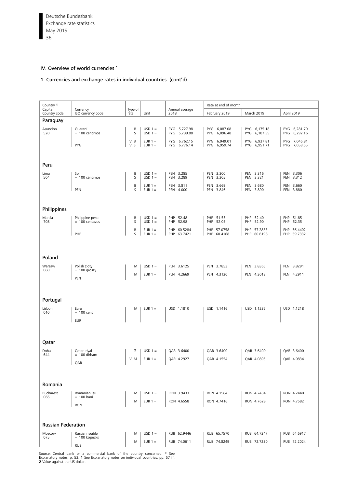Deutsche Bundesbank 36 [Exchange rate statistics](#page-2-0) May 2019

#### IV. Overview of world currencies \*

#### 1. Currencies and exchange rates in individual countries (cont'd)

| Country 1                 |                                   |                 |                        |                              | Rate at end of month          |                              |                              |
|---------------------------|-----------------------------------|-----------------|------------------------|------------------------------|-------------------------------|------------------------------|------------------------------|
| Capital<br>Country code   | Currency<br>ISO currency code     | Type of<br>rate | Unit                   | Annual average<br>2018       | February 2019                 | March 2019                   | April 2019                   |
| Paraguay                  |                                   |                 |                        |                              |                               |                              |                              |
| Asunción                  | Guaraní                           | B               | $USD 1 =$              | PYG 5,727.98                 | PYG 6,087.08                  | PYG 6,175.18                 | PYG 6,281.70                 |
| 520                       | $= 100$ céntimos                  | S               | $USD 1 =$              | PYG 5,739.88                 | PYG 6,096.48                  | PYG 6,187.55                 | PYG 6,292.16                 |
|                           | <b>PYG</b>                        | V, B<br>V, S    | EUR $1 =$<br>EUR $1 =$ | PYG 6,762.15<br>PYG 6,776.14 | PYG 6,949.01<br>PYG 6,959.74  | PYG 6,937.81<br>PYG 6,951.71 | PYG 7,046.81<br>PYG 7,058.55 |
|                           |                                   |                 |                        |                              |                               |                              |                              |
|                           |                                   |                 |                        |                              |                               |                              |                              |
| Peru                      |                                   |                 |                        |                              |                               |                              |                              |
| Lima                      | Sol                               | В               | $USD 1 =$              | PEN 3.285                    | PEN 3.300                     | PEN 3.316                    | PEN 3.306                    |
| 504                       | $= 100$ céntimos                  | S               | $USD 1 =$              | PEN 3.289                    | PEN 3.305                     | PEN 3.321                    | PEN 3.312                    |
|                           | PEN                               | B<br>S          | EUR $1 =$<br>EUR $1 =$ | PEN 3.811<br>PEN 4.000       | PEN 3.669<br>PEN 3.846        | PEN 3.680<br>PEN 3.890       | PEN 3.660<br>PEN 3.880       |
|                           |                                   |                 |                        |                              |                               |                              |                              |
|                           |                                   |                 |                        |                              |                               |                              |                              |
| Philippines               |                                   |                 |                        |                              |                               |                              |                              |
| Manila                    | Philippine peso                   | B               | $USD 1 =$              | PHP 52.48                    | PHP 51.55                     | PHP 52.40                    | PHP 51.85                    |
| 708                       | $= 100$ centavos                  | S               | $USD 1 =$              | PHP 52.98                    | PHP 52.05                     | PHP 52.90                    | PHP 52.35                    |
|                           | PHP                               | B<br>S          | $EUR 1 =$<br>EUR $1 =$ | PHP 60.5284<br>PHP 63.7421   | PHP<br>57.0758<br>PHP 60.4168 | PHP 57.2833<br>PHP 60.6198   | PHP 56.4402<br>PHP 59.7332   |
|                           |                                   |                 |                        |                              |                               |                              |                              |
|                           |                                   |                 |                        |                              |                               |                              |                              |
| Poland                    |                                   |                 |                        |                              |                               |                              |                              |
| Warsaw                    | Polish zloty                      | M               | $USD 1 =$              | PLN 3.6125                   | PLN 3.7853                    | PLN 3.8365                   | PLN 3.8291                   |
| 060                       | $= 100$ groszy                    |                 |                        |                              |                               |                              |                              |
|                           | PLN                               | M               | EUR $1 =$              | PLN 4.2669                   | PLN 4.3120                    | PLN 4.3013                   | PLN 4.2911                   |
|                           |                                   |                 |                        |                              |                               |                              |                              |
|                           |                                   |                 |                        |                              |                               |                              |                              |
| Portugal                  |                                   |                 |                        |                              |                               |                              |                              |
| Lisbon                    | Euro                              | M               | EUR $1 =$              | USD 1.1810                   | USD 1.1416                    | USD 1.1235                   | USD 1.1218                   |
| 010                       | $= 100$ cent                      |                 |                        |                              |                               |                              |                              |
|                           | <b>EUR</b>                        |                 |                        |                              |                               |                              |                              |
|                           |                                   |                 |                        |                              |                               |                              |                              |
| Qatar                     |                                   |                 |                        |                              |                               |                              |                              |
|                           |                                   |                 |                        |                              |                               |                              |                              |
| Doha<br>644               | Qatari riyal<br>$= 100$ dirham    | $\overline{2}$  | $USD 1 =$              | QAR 3.6400                   | QAR 3.6400                    | QAR 3.6400                   | QAR 3.6400                   |
|                           | QAR                               |                 | $V, M$   EUR 1 =       | QAR 4.2927                   | QAR 4.1554                    | QAR 4.0895                   | QAR 4.0834                   |
|                           |                                   |                 |                        |                              |                               |                              |                              |
|                           |                                   |                 |                        |                              |                               |                              |                              |
| Romania                   |                                   |                 |                        |                              |                               |                              |                              |
| Bucharest                 | Romanian leu                      | M               | $USD 1 =$              | RON 3.9433                   | RON 4.1584                    | RON 4.2434                   | RON 4.2440                   |
| 066                       | $= 100$ bani                      | M               | $EUR 1 =$              | RON 4.6558                   | RON 4.7416                    | RON 4.7628                   | RON 4.7582                   |
|                           | <b>RON</b>                        |                 |                        |                              |                               |                              |                              |
|                           |                                   |                 |                        |                              |                               |                              |                              |
| <b>Russian Federation</b> |                                   |                 |                        |                              |                               |                              |                              |
|                           |                                   |                 |                        |                              |                               |                              |                              |
| Moscow<br>075             | Russian rouble<br>$= 100$ kopecks | M               | $USD 1 =$              | RUB 62.9446                  | RUB 65.7570                   | RUB 64.7347                  | RUB 64.6917                  |
|                           | <b>RUB</b>                        | M               | EUR $1 =$              | RUB 74.0611                  | RUB 74.8249                   | RUB 72.7230                  | RUB 72.2024                  |

Source: Central bank or a commercial bank of the country concerned. **\*** See Explanatory notes, p. 53. **1** See Explanatory notes on individual countries, pp. 57 ff. **2** Value against the US dollar.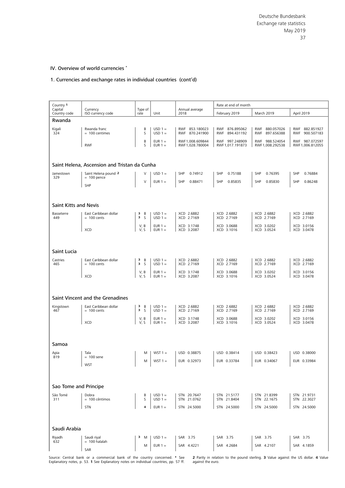#### 1. Currencies and exchange rates in individual countries (cont'd)

| Country 1                    |                                              |                        |                        |                                      | Rate at end of month                                                                                                            |
|------------------------------|----------------------------------------------|------------------------|------------------------|--------------------------------------|---------------------------------------------------------------------------------------------------------------------------------|
| Capital<br>Country code      | Currency<br>ISO currency code                | Type of<br>rate        | Unit                   | Annual average<br>2018               | April 2019<br>February 2019<br>March 2019                                                                                       |
| Rwanda                       |                                              |                        |                        |                                      |                                                                                                                                 |
| Kigali                       | Rwanda franc                                 | В                      | $USD 1 =$              | <b>RWF</b><br>853.180023             | RWF 876.895062<br>RWF<br>880.057026<br><b>RWF</b><br>882.851927                                                                 |
| 324                          | $= 100$ centimes                             | S<br>B                 | $USD 1 =$<br>EUR $1 =$ | RWF<br>870.241900<br>RWF1,008.609844 | RWF<br>894.431192<br><b>RWF</b><br>897.656388<br><b>RWF</b><br>900.507183<br>RWF 987.072597<br>RWF 997.248909<br>RWF 988.524054 |
|                              | <b>RWF</b>                                   | S                      | EUR $1 =$              | RWF1,028.780004                      | RWF1,008.292538<br>RWF1,017.191873<br>RWF1,006.812055                                                                           |
|                              |                                              |                        |                        |                                      |                                                                                                                                 |
|                              | Saint Helena, Ascension and Tristan da Cunha |                        |                        |                                      |                                                                                                                                 |
| Jamestown                    | Saint Helena pound 2                         | V                      | $USD 1 =$              | <b>SHP</b><br>0.74912                | SHP<br>0.75188<br>SHP<br>0.76395<br>SHP<br>0.76884                                                                              |
| 329                          | $= 100$ pence                                | V                      | EUR $1 =$              | SHP<br>0.88471                       | SHP<br>SHP<br>SHP<br>0.85835<br>0.85830<br>0.86248                                                                              |
|                              | SHP                                          |                        |                        |                                      |                                                                                                                                 |
|                              |                                              |                        |                        |                                      |                                                                                                                                 |
| <b>Saint Kitts and Nevis</b> |                                              |                        |                        |                                      |                                                                                                                                 |
| Basseterre<br>449            | East Caribbean dollar<br>$= 100$ cents       | з<br>B<br>3<br>- S     | $USD 1 =$<br>$USD 1 =$ | XCD 2.6882<br>XCD 2.7169             | XCD 2.6882<br>XCD 2.6882<br>XCD 2.6882<br>XCD 2.7169<br>XCD 2.7169<br>XCD 2.7169                                                |
|                              |                                              | V, B                   | EUR $1 =$              | XCD 3.1748                           | XCD 3.0156<br>XCD 3.0688<br>XCD 3.0202                                                                                          |
|                              | <b>XCD</b>                                   | V, S                   | EUR $1 =$              | XCD 3.2087                           | XCD 3.1016<br>XCD 3.0524<br>XCD 3.0478                                                                                          |
|                              |                                              |                        |                        |                                      |                                                                                                                                 |
| Saint Lucia                  |                                              |                        |                        |                                      |                                                                                                                                 |
| Castries                     | East Caribbean dollar                        | $3 \quad B$            | $USD 1 =$              | XCD 2.6882                           | XCD 2.6882<br>XCD 2.6882<br>XCD 2.6882                                                                                          |
| 465                          | $= 100$ cents                                | 3 <sub>5</sub><br>V, B | $USD 1 =$<br>EUR $1 =$ | XCD 2.7169                           | XCD 2.7169<br>XCD 2.7169<br>XCD 2.7169<br>XCD 3.0688<br>XCD 3.0202<br>XCD 3.0156                                                |
|                              | <b>XCD</b>                                   | V, S                   | EUR $1 =$              | XCD 3.1748<br>XCD 3.2087             | XCD 3.0478<br>XCD 3.1016<br>XCD 3.0524                                                                                          |
|                              |                                              |                        |                        |                                      |                                                                                                                                 |
|                              | Saint Vincent and the Grenadines             |                        |                        |                                      |                                                                                                                                 |
| Kingstown                    | East Caribbean dollar                        | з<br>B                 | $USD 1 =$              | XCD 2.6882                           | XCD 2.6882<br>XCD 2.6882<br>XCD 2.6882                                                                                          |
| 467                          | $= 100$ cents                                | 3<br><sub>S</sub>      | $USD 1 =$              | XCD 2.7169                           | XCD 2.7169<br>XCD 2.7169<br>XCD 2.7169                                                                                          |
|                              | <b>XCD</b>                                   | V, B<br>V, S           | EUR $1 =$<br>EUR $1 =$ | XCD 3.1748<br>XCD 3.2087             | XCD 3.0688<br>XCD 3.0202<br>XCD 3.0156<br>XCD 3.1016<br>XCD 3.0524<br>XCD 3.0478                                                |
|                              |                                              |                        |                        |                                      |                                                                                                                                 |
|                              |                                              |                        |                        |                                      |                                                                                                                                 |
| Samoa                        |                                              |                        |                        |                                      |                                                                                                                                 |
| Apia<br>819                  | Tala<br>$= 100$ sene                         | M                      | $WST 1 =$              | USD 0.38875                          | USD 0.38414<br>USD 0.38423<br>USD 0.38000                                                                                       |
|                              | WST                                          | Μ                      | $WST 1 =$              | EUR 0.32973                          | EUR 0.33784<br>EUR 0.34067<br>EUR 0.33984                                                                                       |
|                              |                                              |                        |                        |                                      |                                                                                                                                 |
|                              |                                              |                        |                        |                                      |                                                                                                                                 |
| Sao Tome and Principe        |                                              |                        |                        |                                      |                                                                                                                                 |
| São Tomé<br>311              | Dobra<br>$= 100$ cêntimos                    | В<br>S                 | $USD 1 =$<br>$USD 1 =$ | STN 20.7647<br>STN 21.0762           | STN 21.5177<br>STN 21.8399<br>STN 21.9731<br>STN 21.8404<br>STN 22.1675<br>STN 22.3027                                          |
|                              | <b>STN</b>                                   | 4                      | EUR $1 =$              | STN 24.5000                          | STN 24.5000<br>STN 24.5000<br>STN 24.5000                                                                                       |
|                              |                                              |                        |                        |                                      |                                                                                                                                 |
|                              |                                              |                        |                        |                                      |                                                                                                                                 |
| Saudi Arabia                 |                                              |                        |                        |                                      |                                                                                                                                 |
| Riyadh<br>632                | Saudi riyal<br>$= 100$ halalah               | 3 M                    | $USD 1 =$              | SAR 3.75                             | SAR 3.75<br>SAR 3.75<br>SAR 3.75                                                                                                |
|                              | SAR                                          | M                      | EUR $1 =$              | SAR 4.4221                           | SAR 4.1859<br>SAR 4.2684<br>SAR 4.2107                                                                                          |

Source: Central bank or a commercial bank of the country concerned. \* See 2 Parity in relation to the pound sterling. 3 Value against the US dollar. 4 Value<br>Explanatory notes, p. 53. 1 See Explanatory notes on individual c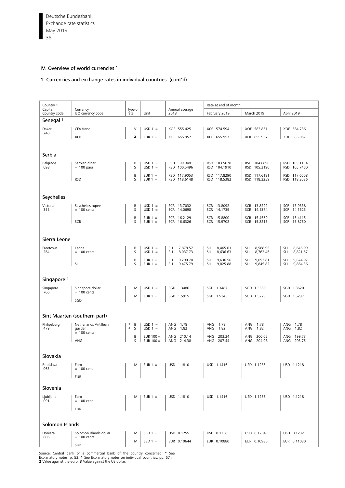Deutsche Bundesbank 38 [Exchange rate statistics](#page-2-0) May 2019

#### IV. Overview of world currencies \*

#### 1. Currencies and exchange rates in individual countries (cont'd)

| Country 1<br>Capital   | Currency                                          | Type of                     |                            | Annual average                                  | Rate at end of month                   |                                    |                                    |
|------------------------|---------------------------------------------------|-----------------------------|----------------------------|-------------------------------------------------|----------------------------------------|------------------------------------|------------------------------------|
| Country code           | ISO currency code                                 | rate                        | Unit                       | 2018                                            | February 2019                          | March 2019                         | April 2019                         |
| Senegal <sup>1</sup>   |                                                   |                             |                            |                                                 |                                        |                                    |                                    |
| Dakar                  | CFA franc                                         | V                           | $USD 1 =$                  | XOF 555.425                                     | XOF 574.594                            | XOF 583.851                        | XOF 584.736                        |
| 248                    | <b>XOF</b>                                        | 2                           | EUR $1 =$                  | XOF 655.957                                     | XOF 655.957                            | XOF 655.957                        | XOF 655.957                        |
|                        |                                                   |                             |                            |                                                 |                                        |                                    |                                    |
| Serbia                 |                                                   |                             |                            |                                                 |                                        |                                    |                                    |
| Belgrade<br>098        | Serbian dinar<br>$= 100$ para                     | В<br>S                      | $USD 1 =$<br>$USD 1 =$     | 99.9481<br><b>RSD</b><br><b>RSD</b><br>100.5496 | 103.5678<br><b>RSD</b><br>RSD 104.1910 | RSD 104.6890<br>RSD 105.3190       | RSD 105.1134<br>RSD 105.7460       |
|                        | <b>RSD</b>                                        | B<br>S                      | EUR $1 =$<br>EUR $1 =$     | RSD 117.9053<br>RSD 118.6148                    | <b>RSD</b><br>117.8290<br>RSD 118.5382 | RSD 117.6181<br>RSD 118.3259       | RSD 117.6008<br>RSD 118.3086       |
|                        |                                                   |                             |                            |                                                 |                                        |                                    |                                    |
| Seychelles             |                                                   |                             |                            |                                                 |                                        |                                    |                                    |
| Victoria<br>355        | Seychelles rupee<br>$= 100$ cents                 | В<br>S                      | $USD 1 =$<br>$USD 1 =$     | SCR 13.7032<br>SCR 14.0698                      | SCR 13.8092<br>SCR 14.1739             | SCR 13.8222<br>SCR 14.1374         | SCR 13.9338<br>SCR 14.1525         |
|                        |                                                   | B<br>S                      | EUR $1 =$                  | SCR 16.2129                                     | SCR 15.8800                            | SCR 15.4569                        | SCR 15.4115                        |
|                        | <b>SCR</b>                                        |                             | EUR $1 =$                  | SCR 16.6326                                     | SCR 15.9702                            | SCR 15.8213                        | SCR 15.8750                        |
| Sierra Leone           |                                                   |                             |                            |                                                 |                                        |                                    |                                    |
| Freetown<br>264        | Leone<br>$= 100$ cents                            | В<br>S                      | $USD 1 =$<br>$USD 1 =$     | 7,878.57<br>SLL<br>SLL<br>8,037.73              | 8,465.61<br>SLL<br>SLL<br>8,636.63     | 8,588.95<br>SLL<br>SLL<br>8,762.46 | 8,646.99<br>SLL<br>SLL<br>8,821.67 |
|                        |                                                   | B                           | EUR $1 =$                  | SLL<br>9,290.70                                 | <b>SLL</b><br>9,636.56                 | <b>SLL</b><br>9,653.81             | SLL<br>9,674.97                    |
|                        | SLL                                               | S                           | EUR $1 =$                  | SLL<br>9,475.79                                 | SLL<br>9,825.88                        | SLL<br>9,845.82                    | SLL<br>9,864.36                    |
| Singapore <sup>1</sup> |                                                   |                             |                            |                                                 |                                        |                                    |                                    |
| Singapore<br>706       | Singapore dollar<br>$= 100$ cents                 | M                           | $USD 1 =$                  | SGD 1.3486                                      | SGD 1.3487                             | SGD 1.3559                         | SGD 1.3620                         |
|                        | SGD                                               | M                           | EUR $1 =$                  | SGD 1.5915                                      | SGD 1.5345                             | SGD 1.5223                         | SGD 1.5237                         |
|                        |                                                   |                             |                            |                                                 |                                        |                                    |                                    |
|                        | Sint Maarten (southern part)                      |                             |                            |                                                 |                                        |                                    |                                    |
| Philipsburg<br>479     | Netherlands Antillean<br>quilder<br>$= 100$ cents | з<br>B<br>з<br><sub>S</sub> | $USD 1 =$<br>$USD 1 =$     | 1.78<br>ANG<br>ANG<br>1.82                      | ANG<br>1.78<br>ANG<br>1.82             | ANG<br>1.78<br>1.82<br>ANG         | ANG<br>1.78<br>ANG<br>1.82         |
|                        | ANG                                               | B<br>S                      | EUR $100 =$<br>EUR $100 =$ | ANG<br>210.14<br>ANG<br>214.38                  | 203.34<br>ANG<br>ANG<br>207.44         | 200.05<br>ANG<br>ANG<br>204.08     | 199.73<br>ANG<br>ANG<br>203.75     |
|                        |                                                   |                             |                            |                                                 |                                        |                                    |                                    |
| Slovakia               |                                                   |                             |                            |                                                 |                                        |                                    |                                    |
| Bratislava<br>063      | Euro<br>$= 100$ cent                              | M                           | EUR $1 =$                  | USD 1.1810                                      | USD 1.1416                             | USD 1.1235                         | USD 1.1218                         |
|                        | <b>EUR</b>                                        |                             |                            |                                                 |                                        |                                    |                                    |
| Slovenia               |                                                   |                             |                            |                                                 |                                        |                                    |                                    |
| Ljubljana<br>091       | Euro<br>$= 100$ cent                              | M                           | EUR $1 =$                  | USD 1.1810                                      | USD 1.1416                             | USD 1.1235                         | USD 1.1218                         |
|                        | <b>EUR</b>                                        |                             |                            |                                                 |                                        |                                    |                                    |
|                        |                                                   |                             |                            |                                                 |                                        |                                    |                                    |
| Solomon Islands        |                                                   |                             |                            |                                                 |                                        |                                    |                                    |
| Honiara<br>806         | Solomon Islands dollar<br>$= 100$ cents           | M                           | $SBD 1 =$                  | USD 0.1255                                      | USD 0.1238                             | USD 0.1234                         | USD 0.1232                         |
|                        | SBD                                               | M                           | $SBD 1 =$                  | EUR 0.10644                                     | EUR 0.10880                            | EUR 0.10980                        | EUR 0.11030                        |
|                        |                                                   |                             |                            |                                                 |                                        |                                    |                                    |

Source: Central bank or a commercial bank of the country concerned. \* See<br>Explanatory notes, p. 53. 1 See Explanatory notes on individual countries, pp. 57 ff.<br>2 Value against the euro. 3 Value against the US dollar.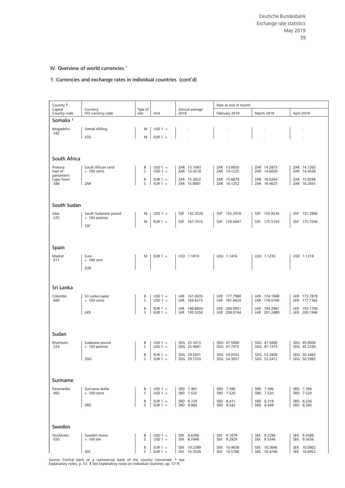#### 1. Currencies and exchange rates in individual countries (cont'd)

| Country 1                |                                     |                 |                                    |                              | Rate at end of month         |                              |                              |
|--------------------------|-------------------------------------|-----------------|------------------------------------|------------------------------|------------------------------|------------------------------|------------------------------|
| Capital<br>Country code  | Currency<br>ISO currency code       | Type of<br>rate | Unit                               | Annual average<br>2018       | February 2019                | March 2019                   | April 2019                   |
| Somalia <sup>1</sup>     |                                     |                 |                                    |                              |                              |                              |                              |
| Mogadishu                | Somali shilling                     | M               | $USD 1 =$                          |                              |                              |                              |                              |
| 342                      | SOS                                 | M               | EUR $1 =$                          |                              |                              |                              |                              |
|                          |                                     |                 |                                    |                              |                              |                              |                              |
|                          |                                     |                 |                                    |                              |                              |                              |                              |
| South Africa             |                                     |                 |                                    |                              |                              |                              |                              |
| Pretoria<br>Seat of      | South African rand<br>$= 100$ cents | B<br>S          | $USD 1 =$<br>$USD 1 =$             | ZAR 13.1043<br>ZAR 13.4218   | ZAR 13.8050<br>ZAR 14.1225   | ZAR 14.2875<br>ZAR 14.6050   | ZAR 14.1263<br>ZAR 14.4438   |
| parliament:<br>Cape Town |                                     | B               | EUR $1 =$                          | ZAR 15.3622                  | ZAR 15.6879                  | ZAR 16.0264                  | ZAR 15.8296                  |
| 388                      | ZAR                                 | S               | EUR $1 =$                          | ZAR 15.8001                  | ZAR 16.1252                  | ZAR 16.4625                  | ZAR 16.2655                  |
|                          |                                     |                 |                                    |                              |                              |                              |                              |
| South Sudan              |                                     |                 |                                    |                              |                              |                              |                              |
| Juba                     | South Sudanese pound                | M               | $USD 1 =$                          | SSP 142.3526                 | SSP 155.2918                 | SSP 155.9236                 | SSP 157.3906                 |
| 225                      | $= 100$ piastres                    | M               | EUR $1 =$                          | SSP 167.7415                 | SSP<br>176.6447              | SSP 175.5154                 | SSP 175.7030                 |
|                          | SSP                                 |                 |                                    |                              |                              |                              |                              |
|                          |                                     |                 |                                    |                              |                              |                              |                              |
| Spain                    |                                     |                 |                                    |                              |                              |                              |                              |
| Madrid                   | Euro                                | M               | EUR $1 =$                          | USD 1.1810                   | USD 1.1416                   | USD 1.1235                   | USD 1.1218                   |
| 011                      | $= 100$ cent<br><b>EUR</b>          |                 |                                    |                              |                              |                              |                              |
|                          |                                     |                 |                                    |                              |                              |                              |                              |
|                          |                                     |                 |                                    |                              |                              |                              |                              |
| Sri Lanka                |                                     |                 |                                    |                              |                              |                              |                              |
| Colombo<br>669           | Sri Lanka rupee<br>$= 100$ cents    | В<br>S          | $USD 1 =$<br>$USD 1 =$             | LKR 161.0435<br>LKR 164.6315 | LKR 177.7980<br>LKR 181.6620 | LKR 174.1668<br>LKR 178.0169 | LKR 173.7878<br>LKR 177.7363 |
|                          |                                     | B               | EUR $1 =$                          | LKR 188.8604                 | LKR 200.9951                 | LKR 194.2961                 | LKR 193.1700                 |
|                          | LKR                                 | S               | EUR $1 =$                          | LKR 195.5350                 | LKR 208.0744                 | LKR 201.2489                 | LKR 200.1946                 |
|                          |                                     |                 |                                    |                              |                              |                              |                              |
| Sudan                    |                                     |                 |                                    |                              |                              |                              |                              |
| Khartoum                 | Sudanese pound                      | В               | $USD 1 =$                          | SDG 25.3413                  | SDG 47.5000                  | SDG 47.5000                  | SDG 45.0000                  |
| 224                      | $= 100$ piastres                    | S               | $USD 1 =$                          | SDG 25.4681                  | SDG 47.7375                  | SDG 47.7375                  | SDG 45.2250                  |
|                          | SDG                                 | B               | EUR $1 =$<br>$S \parallel$ EUR 1 = | SDG 29.5831<br>SDG 29.7310   | SDG 54.0355<br>SDG 54.3057   | SDG 53.2808<br>SDG 53.5472   | SDG 50.3465<br>SDG 50.5982   |
|                          |                                     |                 |                                    |                              |                              |                              |                              |
|                          |                                     |                 |                                    |                              |                              |                              |                              |
| Suriname                 |                                     |                 |                                    |                              |                              |                              |                              |
| Paramaribo<br>492        | Suriname dollar<br>$= 100$ cents    | В<br>S          | $USD 1 =$<br>$USD 1 =$             | SRD 7.401<br>SRD 7.525       | SRD 7.396<br>SRD 7.520       | SRD 7.396<br>SRD 7.520       | SRD 7.396<br>SRD 7.520       |
|                          |                                     | Β               | EUR $1 =$                          | SRD 8.729                    | SRD 8.411                    | SRD 8.319                    | SRD 8.236                    |
|                          | SRD                                 | S               | EUR $1 =$                          | SRD 8.866                    | SRD 8.542                    | SRD 8.449                    | SRD 8.365                    |
|                          |                                     |                 |                                    |                              |                              |                              |                              |
| Sweden                   |                                     |                 |                                    |                              |                              |                              |                              |
| Stockholm                | Swedish krona                       | В               | $USD 1 =$                          | SEK 8.6396                   | SEK 9.1879                   | SEK 9.2296                   | SEK 9.4586                   |
| 030                      | $= 100$ öre                         | S               | $USD 1 =$                          | SEK 8.7446                   | SEK 9.2929                   | SEK 9.3346                   | SEK 9.5636                   |
|                          | SEK                                 | Β<br>S          | EUR $1 =$<br>EUR $1 =$             | SEK 10.2389<br>SEK 10.3539   | SEK 10.4638<br>SEK 10.5788   | SEK 10.3646<br>SEK 10.4796   | SEK 10.5802<br>SEK 10.6952   |

Source: Central bank or a commercial bank of the country concerned. **\*** See Explanatory notes, p. 53. **1** See Explanatory notes on individual countries, pp. 57 ff.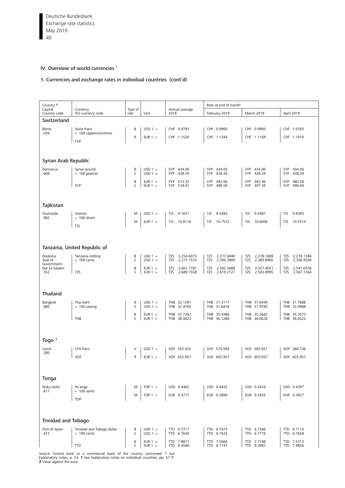Deutsche Bundesbank 40 [Exchange rate statistics](#page-2-0) May 2019

#### IV. Overview of world currencies \*

#### 1. Currencies and exchange rates in individual countries (cont'd)

| Country 1               |                               |                         |                        |                                               | Rate at end of month                   |                                        |                                        |
|-------------------------|-------------------------------|-------------------------|------------------------|-----------------------------------------------|----------------------------------------|----------------------------------------|----------------------------------------|
| Capital<br>Country code | Currency<br>ISO currency code | Type of<br>rate         | Unit                   | Annual average<br>2018                        | February 2019                          | March 2019                             | April 2019                             |
| Switzerland             |                               |                         |                        |                                               |                                        |                                        |                                        |
| Berne                   | Swiss franc                   | В                       | $USD 1 =$              | CHF 0.9783                                    | CHF 0.9960                             | CHF 0.9960                             | CHF 1.0183                             |
| 039                     | $= 100$ rappen/centimes       | B                       | EUR $1 =$              | CHF 1.1520                                    | CHF 1.1344                             | CHF 1.1169                             | CHF 1.1410                             |
|                         | CHF                           |                         |                        |                                               |                                        |                                        |                                        |
|                         |                               |                         |                        |                                               |                                        |                                        |                                        |
| Syrian Arab Republic    |                               |                         |                        |                                               |                                        |                                        |                                        |
| Damascus                | Syrian pound                  | В                       | $USD 1 =$              | SYP<br>434.00                                 | SYP<br>434.00                          | SYP<br>434.00                          | SYP 434.00                             |
| 608                     | $= 100$ piastres              | S                       | $USD 1 =$              | SYP<br>438.30                                 | SYP<br>438.34                          | SYP<br>438.34                          | SYP 438.34                             |
|                         | SYP                           | B<br>S                  | EUR $1 =$<br>EUR $1 =$ | SYP<br>513.32<br>SYP<br>518.41                | SYP<br>493.66<br>SYP<br>498.59         | SYP<br>492.46<br>SYP<br>497.39         | SYP 485.58<br>SYP 490.44               |
|                         |                               |                         |                        |                                               |                                        |                                        |                                        |
| Tajikistan              |                               |                         |                        |                                               |                                        |                                        |                                        |
| Dushanbe                | Somoni                        | M                       | $USD 1 =$              | TJS<br>9.1637                                 | 9.4384<br>TJS                          | 9.4387<br>TJS                          | TJS<br>9.4393                          |
| 082                     | $= 100$ diram                 | M                       | EUR $1 =$              | TJS<br>10.8116                                | TJS<br>10.7532                         | TJS<br>10.6006                         | TJS<br>10.5314                         |
|                         | TJS                           |                         |                        |                                               |                                        |                                        |                                        |
|                         |                               |                         |                        |                                               |                                        |                                        |                                        |
|                         | Tanzania, United Republic of  |                         |                        |                                               |                                        |                                        |                                        |
| Dodoma                  | Tanzania shilling             | В                       | $USD 1 =$              | 2,254.6073<br>TZS                             | 2,277.6040<br>TZS                      | 2,278.1089<br>TZS                      | 2,278.1386<br>TZS                      |
| Seat of<br>Government:  | $= 100$ cents                 | S                       | $USD 1 =$              | TZS<br>2,277.1533                             | TZS<br>2,300.3800                      | TZS<br>2,300.8900                      | TZS<br>2,300.9200                      |
| Dar es Salaam<br>352    | <b>TZS</b>                    | B<br>S                  | EUR $1 =$<br>EUR $1 =$ | TZS<br>2,661.7781<br><b>TZS</b><br>2,689.1558 | TZS<br>2,592.3688<br>TZS<br>2,619.2127 | TZS<br>2,557.4051<br>TZS<br>2,583.8995 | TZS<br>2,541.0358<br>TZS<br>2,567.1364 |
|                         |                               |                         |                        |                                               |                                        |                                        |                                        |
|                         |                               |                         |                        |                                               |                                        |                                        |                                        |
| Thailand                |                               |                         |                        |                                               |                                        |                                        |                                        |
| Bangkok<br>680          | Thai baht<br>$= 100$ satang   | B<br>S                  | $USD 1 =$<br>$USD 1 =$ | THB 32.1291<br>THB 32.4704                    | THB<br>31.3117<br>THB<br>31.6416       | THB 31.6449<br>THB 31.9785             | THB 31.7688<br>THB 32.0988             |
|                         |                               | B                       | EUR $1 =$              | THB 37.7262                                   | THB 35.4386                            | THB 35.3682                            | THB 35.3573                            |
|                         | THB                           | S                       | EUR $1 =$              | THB 38.4623                                   | THB 36.1286                            | THB 36.0628                            | THB 36.0522                            |
|                         |                               |                         |                        |                                               |                                        |                                        |                                        |
| Togo <sup>1</sup>       |                               |                         |                        |                                               |                                        |                                        |                                        |
| Lomé                    | CFA franc                     | V                       | $USD 1 =$              | XOF 555.425                                   | XOF 574.594                            | XOF 583.851                            | XOF 584.736                            |
| 280                     | XOF                           | $\overline{\mathbf{2}}$ | EUR $1 =$              | XOF 655.957                                   | XOF 655.957                            | XOF 655.957                            | XOF 655.957                            |
|                         |                               |                         |                        |                                               |                                        |                                        |                                        |
|                         |                               |                         |                        |                                               |                                        |                                        |                                        |
| Tonga                   |                               |                         |                        |                                               |                                        |                                        |                                        |
| Nuku'alofa<br>817       | Pa'anga                       | M                       | TOP $1 =$              | USD 0.4462                                    | USD 0.4432                             | USD 0.4416                             | USD 0.4397                             |
|                         | $= 100$ seniti<br><b>TOP</b>  | M                       | TOP $1 =$              | EUR 0.3777                                    | EUR 0.3894                             | EUR 0.3925                             | EUR 0.3927                             |
|                         |                               |                         |                        |                                               |                                        |                                        |                                        |
|                         |                               |                         |                        |                                               |                                        |                                        |                                        |
| Trinidad and Tobago     |                               |                         |                        |                                               |                                        |                                        |                                        |
| Port-of-Spain           | Trinidad and Tobago dollar    | B                       | $USD 1 =$              | TTD 6.7317                                    | TTD 6.7474                             | TTD 6.7366                             | TTD 6.7110                             |
| 472                     | $= 100$ cents                 | S                       | $USD 1 =$              | TTD 6.7630                                    | TTD 6.7632                             | TTD 6.7774                             | TTD 6.7658                             |
|                         | <b>TTD</b>                    | B<br>S                  | EUR $1 =$<br>EUR $1 =$ | TTD 7.8811<br>TTD 8.4568                      | TTD 7.5666<br>TTD 8.1141               | TTD 7.7748<br>TTD 8.3987               | TTD 7.5313<br>TTD 7.9856               |

Source: Central bank or a commercial bank of the country concerned. **\*** See Explanatory notes, p. 53. **1** See Explanatory notes on individual countries, pp. 57 ff. **2** Value against the euro.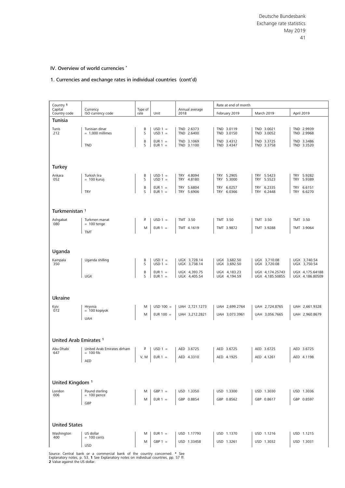#### 1. Currencies and exchange rates in individual countries (cont'd)

| Country 1                         |                                             |                 |                        | Rate at end of month         |                              |                              |                              |
|-----------------------------------|---------------------------------------------|-----------------|------------------------|------------------------------|------------------------------|------------------------------|------------------------------|
| Capital<br>Country code           | Currency<br>ISO currency code               | Type of<br>rate | Unit                   | Annual average<br>2018       | February 2019                | March 2019                   | April 2019                   |
| <b>Tunisia</b>                    |                                             |                 |                        |                              |                              |                              |                              |
| Tunis                             | Tunisian dinar                              | B               | $USD 1 =$              | TND 2.6373                   | TND 3.0119                   | TND 3.0021                   | TND 2.9939                   |
| 212                               | $= 1,000$ millimes                          | S               | $USD 1 =$              | TND 2.6400                   | TND 3.0150                   | TND 3.0052                   | TND 2.9968                   |
|                                   | <b>TND</b>                                  | B<br>S          | EUR $1 =$<br>EUR $1 =$ | TND 3.1069<br>TND 3.1100     | TND 3.4312<br>TND 3.4347     | TND 3.3725<br>TND 3.3758     | TND 3.3486<br>TND 3.3520     |
|                                   |                                             |                 |                        |                              |                              |                              |                              |
|                                   |                                             |                 |                        |                              |                              |                              |                              |
| <b>Turkey</b>                     |                                             |                 |                        |                              |                              |                              |                              |
| Ankara<br>052                     | Turkish lira<br>$= 100$ kuruş               | B<br>S          | $USD 1 =$<br>$USD 1 =$ | TRY 4.8094<br>TRY 4.8180     | TRY 5.2905<br>TRY 5.3000     | TRY 5.5423<br>TRY 5.5523     | TRY 5.9282<br>TRY 5.9389     |
|                                   |                                             | B               | EUR $1 =$              | TRY 5.6804                   | TRY 6.0257                   | TRY 6.2335                   | TRY 6.6151                   |
|                                   | TRY                                         | S               | EUR $1 =$              | TRY 5.6906                   | TRY 6.0366                   | TRY 6.2448                   | TRY 6.6270                   |
|                                   |                                             |                 |                        |                              |                              |                              |                              |
| Turkmenistan <sup>1</sup>         |                                             |                 |                        |                              |                              |                              |                              |
| Ashgabat                          | Turkmen manat                               | 2               | $USD 1 =$              | TMT 3.50                     | TMT 3.50                     | TMT 3.50                     | TMT 3.50                     |
| 080                               | $= 100$ tenge                               | M               | EUR $1 =$              | TMT 4.1619                   | TMT 3.9872                   | TMT 3.9288                   | TMT 3.9064                   |
|                                   | <b>TMT</b>                                  |                 |                        |                              |                              |                              |                              |
|                                   |                                             |                 |                        |                              |                              |                              |                              |
| Uganda                            |                                             |                 |                        |                              |                              |                              |                              |
| Kampala<br>350                    | Uganda shilling                             | B<br>S          | $USD 1 =$<br>$USD 1 =$ | UGX 3,728.14<br>UGX 3,738.14 | UGX 3,682.50<br>UGX 3,692.50 | UGX 3,710.08<br>UGX 3,720.08 | UGX 3,740.54<br>UGX 3,750.54 |
|                                   |                                             | B               | EUR $1 =$              | UGX 4,393.75                 | UGX 4,183.23                 | UGX 4,174.25743              | UGX 4,175.64188              |
|                                   | <b>UGX</b>                                  | S               | EUR $1 =$              | UGX 4,405.54                 | UGX 4,194.59                 | UGX 4,185.50855              | UGX 4,186.80509              |
|                                   |                                             |                 |                        |                              |                              |                              |                              |
| Ukraine                           |                                             |                 |                        |                              |                              |                              |                              |
| Kyiv                              | Hryvnia                                     | M               | $USD 100 =$            | UAH 2,721.1273               | UAH 2,699.2764               | UAH 2,724.8765               | UAH 2,661.9328               |
| 072                               | $= 100$ kopiyok                             | M               | EUR $100 =$            | UAH 3,212.2821               | UAH 3,073.3961               | UAH 3,056.7665               | UAH 2,960.8679               |
|                                   | <b>UAH</b>                                  |                 |                        |                              |                              |                              |                              |
|                                   |                                             |                 |                        |                              |                              |                              |                              |
| United Arab Emirates <sup>1</sup> |                                             |                 |                        |                              |                              |                              |                              |
| Abu Dhabi                         |                                             | 2               |                        |                              |                              |                              |                              |
| 647                               | United Arab Emirates dirham<br>$= 100$ fils |                 | $USD 1 =$              | AED 3.6725                   | AED 3.6725<br>AED 4.1925     | AED 3.6725<br>AED 4.1261     | AED 3.6725                   |
|                                   | AED                                         | V, M            | EUR $1 =$              | AED 4.3310                   |                              |                              | AED 4.1198                   |
|                                   |                                             |                 |                        |                              |                              |                              |                              |
|                                   |                                             |                 |                        |                              |                              |                              |                              |
| United Kingdom <sup>1</sup>       |                                             |                 |                        |                              |                              |                              |                              |
| London<br>006                     | Pound sterling<br>$= 100$ pence             | M               | GBP $1 =$              | USD 1.3350                   | USD 1.3300                   | USD 1.3030                   | USD 1.3036                   |
|                                   | GBP                                         | M               | EUR $1 =$              | GBP 0.8854                   | GBP 0.8562                   | GBP 0.8617                   | GBP 0.8597                   |
|                                   |                                             |                 |                        |                              |                              |                              |                              |
|                                   |                                             |                 |                        |                              |                              |                              |                              |
| <b>United States</b>              |                                             |                 |                        |                              |                              |                              |                              |
| Washington<br>400                 | US dollar<br>$= 100$ cents                  | M               | EUR $1 =$              | USD 1.17793                  | USD 1.1370                   | USD 1.1216                   | USD 1.1215                   |
|                                   | <b>USD</b>                                  | M               | GBP $1 =$              | USD 1.33458                  | USD 1.3261                   | USD 1.3032                   | USD 1.3031                   |

Source: Central bank or a commercial bank of the country concerned. **\*** See Explanatory notes, p. 53. **1** See Explanatory notes on individual countries, pp. 57 ff. **2** Value against the US dollar.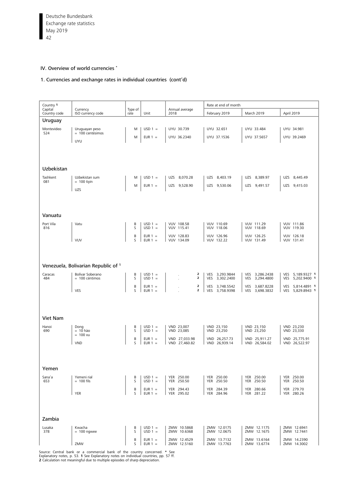Deutsche Bundesbank 42 [Exchange rate statistics](#page-2-0) May 2019

#### IV. Overview of world currencies \*

#### 1. Currencies and exchange rates in individual countries (cont'd)

| Country 1         |                                     |         |                        |                                           | Rate at end of month             |                                  |                                            |
|-------------------|-------------------------------------|---------|------------------------|-------------------------------------------|----------------------------------|----------------------------------|--------------------------------------------|
| Capital           | Currency                            | Type of |                        | Annual average                            |                                  |                                  |                                            |
| Country code      | ISO currency code                   | rate    | Unit                   | 2018                                      | February 2019                    | March 2019                       | April 2019                                 |
| Uruguay           |                                     |         |                        |                                           |                                  |                                  |                                            |
| Montevideo<br>524 | Uruguayan peso<br>= 100 centésimos  | M       | $USD 1 =$              | UYU 30.739                                | UYU 32.651                       | UYU 33.484                       | UYU 34.981                                 |
|                   | <b>UYU</b>                          | M       | EUR $1 =$              | UYU 36.2340                               | UYU 37.1536                      | UYU 37.5657                      | UYU 39.2469                                |
|                   |                                     |         |                        |                                           |                                  |                                  |                                            |
|                   |                                     |         |                        |                                           |                                  |                                  |                                            |
|                   |                                     |         |                        |                                           |                                  |                                  |                                            |
| Uzbekistan        |                                     |         |                        |                                           |                                  |                                  |                                            |
| Tashkent<br>081   | Uzbekistan sum<br>$= 100$ tiyin     | M       | $USD 1 =$              | 8,070.28<br>UZS                           | <b>UZS</b><br>8,403.19           | UZS 8,389.97                     | UZS 8,445.49                               |
|                   | UZS                                 | M       | EUR $1 =$              | UZS 9,528.90                              | UZS 9,530.06                     | UZS 9,491.57                     | UZS 9,415.03                               |
|                   |                                     |         |                        |                                           |                                  |                                  |                                            |
|                   |                                     |         |                        |                                           |                                  |                                  |                                            |
|                   |                                     |         |                        |                                           |                                  |                                  |                                            |
| Vanuatu           |                                     |         |                        |                                           |                                  |                                  |                                            |
| Port Vila<br>816  | Vatu                                | B<br>S  | $USD 1 =$<br>$USD 1 =$ | VUV 108.58<br>VUV 115.41                  | VUV 110.69<br>VUV 118.06         | VUV 111.29<br>VUV 118.69         | VUV 111.86<br>VUV 119.30                   |
|                   |                                     | B       | EUR $1 =$              | VUV 128.83                                | VUV 126.96                       | VUV 126.25                       | VUV 126.18                                 |
|                   | VUV                                 | S       | EUR $1 =$              | VUV 134.09                                | VUV 132.22                       | VUV 131.49                       | VUV 131.41                                 |
|                   |                                     |         |                        |                                           |                                  |                                  |                                            |
|                   |                                     |         |                        |                                           |                                  |                                  |                                            |
|                   | Venezuela, Bolivarian Republic of 1 |         |                        |                                           |                                  |                                  |                                            |
| Caracas           | Bolívar Soberano                    | B       | $USD 1 =$              | $\overline{2}$                            | VES 3,293.9844                   | VES 3,286.2438                   | 5,189.9327 1<br>VES                        |
| 484               | $= 100$ céntimos                    | S       | $USD 1 =$              | $\overline{2}$<br>k.                      | <b>VES</b><br>3,302.2400         | 3,294.4800<br>VES                | 5,202.9400 1<br>VES                        |
|                   | VES                                 | B<br>S  | EUR $1 =$<br>EUR $1 =$ | $\overline{\mathbf{2}}$<br>$\overline{2}$ | VES 3,748.5542<br>VES 3,758.9398 | VES 3,687.8228<br>VES 3,698.3832 | 5,814.4891 1<br>VES<br>5,829.8943 1<br>VES |
|                   |                                     |         |                        |                                           |                                  |                                  |                                            |
|                   |                                     |         |                        |                                           |                                  |                                  |                                            |
|                   |                                     |         |                        |                                           |                                  |                                  |                                            |
| <b>Viet Nam</b>   |                                     |         |                        |                                           |                                  |                                  |                                            |
| Hanoi             | Dong                                | B       | $USD 1 =$              | VND 23,007                                | VND 23,150                       | VND 23,150                       | VND 23,230                                 |
| 690               | $= 10$ hào<br>$= 100 \text{ xu}$    | S       | $USD 1 =$              | VND 23,085                                | VND 23,250                       | VND 23,250                       | VND 23,330                                 |
|                   | <b>VND</b>                          | B<br>S  | EUR $1 =$<br>EUR $1 =$ | VND 27,033.98<br>VND 27,460.82            | VND 26,257.73<br>VND 26,939.14   | VND 25,911.27<br>VND 26,584.02   | VND 25,775.91<br>VND 26,522.97             |
|                   |                                     |         |                        |                                           |                                  |                                  |                                            |
|                   |                                     |         |                        |                                           |                                  |                                  |                                            |
|                   |                                     |         |                        |                                           |                                  |                                  |                                            |
| Yemen             |                                     |         |                        |                                           |                                  |                                  |                                            |
| Sana'a<br>653     | Yemeni rial<br>$= 100$ fils         | B<br>S  | $USD 1 =$<br>$USD 1 =$ | YER 250.00<br>YER 250.50                  | YER 250.00<br>YER 250.50         | YER 250.00<br>YER 250.50         | YER 250.00<br>YER 250.50                   |
|                   |                                     | Β       | EUR $1 =$              | YER 294.43                                | YER 284.39                       | YER 280.66                       | YER 279.70                                 |
|                   | <b>YER</b>                          | S       | EUR $1 =$              | YER 295.02                                | YER 284.96                       | YER 281.22                       | YER 280.26                                 |
|                   |                                     |         |                        |                                           |                                  |                                  |                                            |
|                   |                                     |         |                        |                                           |                                  |                                  |                                            |
| Zambia            |                                     |         |                        |                                           |                                  |                                  |                                            |
| Lusaka            | Kwacha                              | B       | $USD 1 =$              | ZMW 10.5868                               | ZMW 12.0175                      | ZMW 12.1175                      | ZMW 12.6941                                |
| 378               | $= 100$ ngwee                       | S       | $USD 1 =$              | ZMW 10.6368                               | ZMW 12.0675                      | ZMW 12.1675                      | ZMW 12.7441                                |
|                   | ZMW                                 | B<br>S  | EUR $1 =$<br>EUR $1 =$ | ZMW 12.4529<br>ZMW 12.5160                | ZMW 13.7132<br>ZMW 13.7763       | ZMW 13.6164<br>ZMW 13.6774       | ZMW 14.2390<br>ZMW 14.3002                 |

Source: Central bank or a commercial bank of the country concerned. \* See<br>Explanatory notes, p. 53. 1 See Explanatory notes on individual countries, pp. 57 ff.<br>**2** Calculation not meaningful due to multiple episodes of sha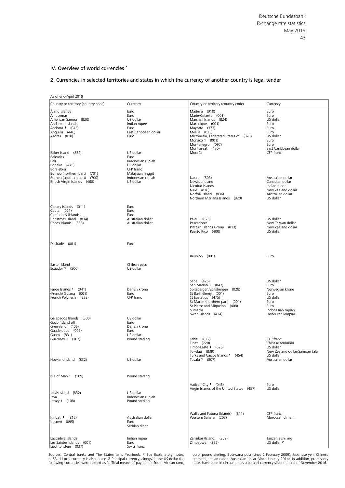#### 2. Currencies in selected territories and states in which the currency of another country is legal tender

| As of end-April 2019                                                                                                          |                                                                                       |                                                                                                                                                                                                     |                                                                                                              |
|-------------------------------------------------------------------------------------------------------------------------------|---------------------------------------------------------------------------------------|-----------------------------------------------------------------------------------------------------------------------------------------------------------------------------------------------------|--------------------------------------------------------------------------------------------------------------|
| Country or territory (country code)                                                                                           | Currency                                                                              | Country or territory (country code)                                                                                                                                                                 | Currency                                                                                                     |
| Åland Islands<br>Alhucemas<br>American Samoa<br>(830)<br>Andaman Islands<br>Andorra 1 (043)<br>Anguilla (446)<br>Azores (010) | Euro<br>Euro<br>US dollar<br>Indian rupee<br>Euro<br>East Caribbean dollar<br>Euro    | Madeira (010)<br>Marie-Galante (001)<br>Marshall Islands (824)<br>Martinique (001)<br>Mayotte (377)<br>Melilla (023)<br>Micronesia, Federated States of (823)<br>Monaco 1 (001)<br>Montenegro (097) | Euro<br>Euro<br>US dollar<br>Euro<br>Euro<br>Euro<br>US dollar<br>Euro<br>Euro                               |
| Baker Island (832)<br><b>Balearics</b><br>Bali<br>Bonaire (475)<br>Bora-Bora<br>Borneo (northern part) (701)                  | US dollar<br>Euro<br>Indonesian rupiah<br>US dollar<br>CFP franc<br>Malaysian ringgit | Montserrat (470)<br>Mooréa                                                                                                                                                                          | East Caribbean dollar<br>CFP franc                                                                           |
| Borneo (southern part) (700)<br>British Virgin Islands (468)                                                                  | Indonesian rupiah<br>US dollar                                                        | Nauru (803)<br>Newfoundland<br>Nicobar Islands<br>Niue (838)<br>Norfolk Island (836)<br>Northern Mariana Islands (820)                                                                              | Australian dollar<br>Canadian dollar<br>Indian rupee<br>New Zealand dollar<br>Australian dollar<br>US dollar |
| Canary Islands (011)<br>Ceuta (021)<br>Chafarinas (Islands)<br>Christmas Island (834)<br>Cocos Islands (833)                  | Euro<br>Euro<br>Euro<br>Australian dollar<br>Australian dollar                        | Palau (825)<br>Pescadores<br>Pitcairn Islands Group (813)<br>Puerto Rico (400)                                                                                                                      | US dollar<br>New Taiwan dollar<br>New Zealand dollar<br>US dollar                                            |
| Désirade (001)                                                                                                                | Euro                                                                                  |                                                                                                                                                                                                     |                                                                                                              |
|                                                                                                                               |                                                                                       | Réunion (001)                                                                                                                                                                                       | Euro                                                                                                         |
| Easter Island<br>Ecuador $1$ (500)                                                                                            | Chilean peso<br>US dollar                                                             | Saba (475)                                                                                                                                                                                          | US dollar                                                                                                    |
| Faroe Islands 1<br>(041)<br>(French) Guiana (001)<br>French Polynesia (822)                                                   | Danish krone<br>Euro<br>CFP franc                                                     | San Marino 1 (047)<br>Spitzbergen/Spitsbergen (028)<br>St Barthélemy (001)<br>St Eustatius (475)<br>St Martin (northern part) (001)<br>St Pierre and Miguelon (408)<br>Sumatra                      | Euro<br>Norwegian krone<br>Euro<br>US dollar<br>Euro<br>Euro<br>Indonesian rupiah                            |
| Galapagos Islands (500)<br>Gozo (Island of)<br>Greenland (406)<br>Guadeloupe (001)                                            | US dollar<br>Euro<br>Danish krone<br>Euro                                             | Swan Islands (424)                                                                                                                                                                                  | Honduran lempira                                                                                             |
| Guam (831)<br>Guernsey 1 (107)                                                                                                | US dollar<br>Pound sterling                                                           | (822)<br>Tahiti<br>Tibet (720)<br>Timor-Leste 1 (626)<br>Tokelau (839)                                                                                                                              | CFP franc<br>Chinese renminbi<br>US dollar<br>New Zealand dollar/Samoan tala                                 |
| Howland Island (832)                                                                                                          | US dollar                                                                             | Turks and Caicos Islands 1 (454)<br>Tuvalu 1 (807)                                                                                                                                                  | US dollar<br>Australian dollar                                                                               |
| Isle of Man 1 (109)                                                                                                           | Pound sterling                                                                        | Vatican City 1 (045)                                                                                                                                                                                | Euro                                                                                                         |
| Jarvis Island (832)<br>Java<br>Jersey 1 (108)                                                                                 | US dollar<br>Indonesian rupiah<br>Pound sterling                                      | Virgin Islands of the United States (457)                                                                                                                                                           | US dollar                                                                                                    |
| Kiribati 1 (812)<br>Kosovo (095)                                                                                              | Australian dollar<br>Euro<br>Serbian dinar                                            | Wallis and Futuna (Islands) (811)<br>Western Sahara (203)                                                                                                                                           | CFP franc<br>Moroccan dirham                                                                                 |
| Laccadive Islands<br>Les Saintes Islands (001)<br>Liechtenstein (037)                                                         | Indian rupee<br>Euro<br>Swiss franc                                                   | Zanzibar (Island) (352)<br>Zimbabwe (382)                                                                                                                                                           | Tanzania shilling<br>US dollar 2                                                                             |

<span id="page-42-0"></span>Sources: Central banks and The Statesman's Yearbook. \* See Explanatory notes, wero, pound sterling, Botswana pula (since 2 February 2009); Japanese yen, Chinese<br>p. 53. 1 Local currency is also in use. 2 Principal currency;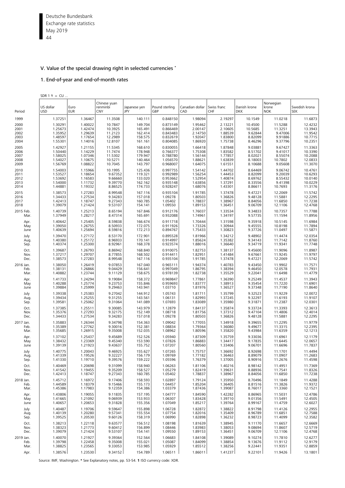Deutsche Bundesbank 44 [Exchange rate statistics](#page-2-0) May 2019

#### V. Value of the special drawing right in selected currencies \*

#### 1. End-of-year and end-of-month rates

 $SDR 1 1 = CU ...$ 

| Period                            | US dollar<br><b>USD</b>                  | Euro<br><b>EUR</b>                       | Chinese yuan<br>renminbi<br><b>CNY</b>   | Japanese yen<br><b>JPY</b>               | Pound sterling<br>GBP                        | Canadian dollar<br>CAD                   | Swiss franc<br><b>CHF</b>                | Danish krone<br><b>DKK</b>               | Norwegian<br>krone<br>NOK                | Swedish krona<br><b>SEK</b>              |
|-----------------------------------|------------------------------------------|------------------------------------------|------------------------------------------|------------------------------------------|----------------------------------------------|------------------------------------------|------------------------------------------|------------------------------------------|------------------------------------------|------------------------------------------|
| 1999                              | 1.37251                                  | 1.36467                                  | 11.3508                                  | 140.111                                  | 0.848150                                     | 1.98094                                  | 2.19297                                  | 10.1549                                  | 11.0218                                  | 11.6873                                  |
| 2000                              | 1.30291                                  | 1.40022                                  | 10.7847                                  | 149.704                                  | 0.873149                                     | 1.95462                                  | 2.13221                                  | 10.4500                                  | 11.5288                                  | 12.4232                                  |
| 2001                              | 1.25673                                  | 1.42474                                  | 10.3925                                  | 165.491                                  | 0.866469                                     | 2.00147                                  | 2.10605                                  | 10.5685                                  | 11.3251                                  | 13.3943                                  |
| 2002                              | 1.35952                                  | 1.29639                                  | 11.2123                                  | 162.414                                  | 0.843483                                     | 2.14750                                  | 1.88539                                  | 9.62844                                  | 9.47006                                  | 11.9542                                  |
| 2003                              | 1.48597                                  | 1.17654                                  | 12.2989                                  | 158.575                                  | 0.832619                                     | 1.92047                                  | 1.83800                                  | 8.82099                                  | 9.91886                                  | 10.7715                                  |
| 2004                              | 1.55301                                  | 1.14016                                  | 12.8107                                  | 161.161                                  | 0.804085                                     | 1.86920                                  | 1.75738                                  | 8.46296                                  | 9.37796                                  | 10.2351                                  |
| 2005                              | 1.42927                                  | 1.21155                                  | 11.5345                                  | 168.610                                  | 0.830055                                     | 1.66418                                  | 1.87848                                  | 9.03881                                  | 9.67427                                  | 11.3363                                  |
| 2006                              | 1.50440                                  | 1.14229                                  | 11.7474                                  | 178.948                                  | 0.766377                                     | 1.75308                                  | 1.83582                                  | 8.51702                                  | 9.41017                                  | 10.3390                                  |
| 2007                              | 1.58025                                  | 1.07346                                  | 11.5302                                  | 179.947                                  | 0.788780                                     | 1.56144                                  | 1.77857                                  | 8.02021                                  | 8.55074                                  | 10.2088                                  |
| 2008                              | 1.54027                                  | 1.10675                                  | 10.5271                                  | 140.464                                  | 1.056570                                     | 1.88621                                  | 1.63839                                  | 8.18003                                  | 10.7802                                  | 12.0833                                  |
| 2009                              | 1.56769                                  | 1.08822                                  | 10.7045                                  | 143.797                                  | 0.968007                                     | 1.64075                                  | 1.61551                                  | 8.10688                                  | 9.05608                                  | 11.3070                                  |
| 2010                              | 1.54003                                  | 1.15966                                  | 10.1995                                  | 125.436                                  | 0.997755                                     | 1.54142                                  | 1.44702                                  | 8.64469                                  | 9.06742                                  | 10.4761                                  |
| 2011                              | 1.53527                                  | 1.18654                                  | 9.67352                                  | 119.321                                  | 0.992989                                     | 1.56254                                  | 1.44453                                  | 8.82099                                  | 9.20039                                  | 10.6293                                  |
| 2012                              | 1.53692                                  | 1.16583                                  | 9.66660                                  | 133.020                                  | 0.953662                                     | 1.52954                                  | 1.40874                                  | 8.69762                                  | 8.55432                                  | 10.0140                                  |
| 2013                              | 1.54000                                  | 1.11732                                  | 9.39770                                  | 162.162                                  | 0.935148                                     | 1.63856                                  | 1.37291                                  | 8.33556                                  | 9.41398                                  | 10.0229                                  |
| 2014                              | 1.44881                                  | 1.19332                                  | 8.86525                                  | 174.733                                  | 0.928247                                     | 1.68076                                  | 1.43301                                  | 8.86611                                  | 10.7693                                  | 11.3176                                  |
| 2015                              | 1.38573                                  | 1.27283                                  | 8.99548                                  | 167.116                                  | 0.935104                                     | 1.91785                                  | 1.37478                                  | 9.47221                                  | 12.2069                                  | 11.5742                                  |
| 2016                              | 1.34433                                  | 1.27534                                  | 9.34283                                  | 157.018                                  | 1.09278                                      | 1.80503                                  | 1.36826                                  | 9.48128                                  | 11.5881                                  | 12.2295                                  |
| 2017                              | 1.42413                                  | 1.18747                                  | 9.27343                                  | 160.785                                  | 1.05402                                      | 1.78837                                  | 1.38967                                  | 8.84056                                  | 11.6850                                  | 11.7238                                  |
| 2018                              | 1.39079                                  | 1.21424                                  | 9.53107                                  | 154.141                                  | 1.09550                                      | 1.89153                                  | 1.36451                                  | 9.06709                                  | 12.1106                                  | 12.4768                                  |
| 2015 Feb.                         | 1.40739                                  | 1.25213                                  | 8.65194                                  | 167.846                                  | 0.912176                                     | 1.76037                                  | 1.33534                                  | 9.34833                                  | 10.7357                                  | 11.7788                                  |
| Mar.                              | 1.37949                                  | 1.28217                                  | 8.47314                                  | 165.691                                  | 0.932088                                     | 1.74961                                  | 1.34197                                  | 9.57735                                  | 11.1594                                  | 11.8956                                  |
| Apr.                              | 1.40642                                  | 1.25405                                  | 8.59838                                  | 166.674                                  | 0.911718                                     | 1.70444                                  | 1.31598                                  | 9.35918                                  | 10.5145                                  | 11.6984                                  |
| May                               | 1.39050                                  | 1.26755                                  | 8.50933                                  | 172.075                                  | 0.911926                                     | 1.73326                                  | 1.30944                                  | 9.45555                                  | 10.8198                                  | 11.7894                                  |
| June                              | 1.40639                                  | 1.25694                                  | 8.59816                                  | 172.213                                  | 0.894767                                     | 1.75433                                  | 1.30823                                  | 9.37726                                  | 11.0497                                  | 11.5871                                  |
| July                              | 1.39470                                  | 1.27172                                  | 8.53170                                  | 172.901                                  | 0.895528                                     | 1.81966                                  | 1.34212                                  | 9.48902                                  | 11.4474                                  | 12.0354                                  |
| Aug.                              | 1.40380                                  | 1.25172                                  | 8.96933                                  | 170.141                                  | 0.914997                                     | 1.85624                                  | 1.35382                                  | 9.34143                                  | 11.7142                                  | 11.8760                                  |
| Sep.<br>Oct.<br>Nov.<br>Dec.      | 1.40374<br>1.39687<br>1.37217<br>1.38573 | 1.25300<br>1.26793<br>1.29707            | 8.92961<br>8.86942<br>8.77855<br>8.99548 | 168.378<br>168.840<br>168.502            | 0.923574<br>0.910075<br>0.914411<br>0.935104 | 1.88016<br>1.82753<br>1.82951            | 1.36640<br>1.38137<br>1.41484<br>1.37478 | 9.34719<br>9.45600<br>9.67661<br>9.47221 | 11.9341<br>11.9096<br>11.9245<br>12.2069 | 11.7748<br>11.8987<br>11.9797<br>11.5742 |
| 2016 Jan.<br>Feb.<br>Mar.         | 1.38050<br>1.38131<br>1.40882            | 1.27283<br>1.26419<br>1.26866<br>1.23744 | 9.07853<br>9.04429<br>9.11129            | 167.116<br>167.040<br>156.641<br>158.675 | 0.965111<br>0.997049<br>0.978139             | 1.91785<br>1.94374<br>1.86795<br>1.82738 | 1.40783<br>1.38394<br>1.35529            | 9.43450<br>9.46450<br>9.22041            | 11.9902<br>12.0578<br>11.6498            | 11.7571<br>11.7931<br>11.4779            |
| Apr.                              | 1.41733                                  | 1.24294                                  | 9.19084                                  | 158.372                                  | 0.969847                                     | 1.77861                                  | 1.36390                                  | 9.25249                                  | 11.4537                                  | 11.3943                                  |
| May                               | 1.40288                                  | 1.25774                                  | 9.23753                                  | 155.846                                  | 0.959693                                     | 1.83777                                  | 1.38913                                  | 9.35454                                  | 11.7220                                  | 11.6901                                  |
| June                              | 1.39884                                  | 1.25999                                  | 9.29463                                  | 143.941                                  | 1.03710                                      | 1.81976                                  | 1.36527                                  | 9.37348                                  | 11.7190                                  | 11.8640                                  |
| July                              | 1.39338                                  | 1.25383                                  | 9.27042                                  | 144.912                                  | 1.05743                                      | 1.81711                                  | 1.35799                                  | 9.32523                                  | 11.9229                                  | 12.0072                                  |
| Aug.                              | 1.39434                                  | 1.25255                                  | 9.31255                                  | 143.561                                  | 1.06131                                      | 1.82993                                  | 1.37245                                  | 9.32297                                  | 11.6193                                  | 11.9107                                  |
| Sep.                              | 1.39581                                  | 1.25062                                  | 9.31064                                  | 141.089                                  | 1.07693                                      | 1.83089                                  | 1.35980                                  | 9.31871                                  | 11.2387                                  | 12.0301                                  |
| Oct.                              | 1.37385                                  | 1.25511                                  | 9.30085                                  | 143.979                                  | 1.12879                                      | 1.84137                                  | 1.35874                                  | 9.33724                                  | 11.3393                                  | 12.3613                                  |
| Nov.                              | 1.35376                                  | 1.27293                                  | 9.32175                                  | 152.149                                  | 1.08718                                      | 1.81756                                  | 1.37312                                  | 9.47104                                  | 11.4806                                  | 12.4014                                  |
| Dec.                              | 1.34433                                  | 1.27534                                  | 9.34283                                  | 157.018                                  | 1.09278                                      | 1.80503                                  | 1.36826                                  | 9.48128                                  | 11.5881                                  | 12.2295                                  |
| 2017 Jan.                         | 1.35883                                  | 1.26344                                  | 9.34798                                  | 154.363                                  | 1.09042                                      | 1.77055                                  | 1.34918                                  | 9.39655                                  | 11.2295                                  | 11.9779                                  |
| Feb.                              | 1.35389                                  | 1.27762                                  | 9.30016                                  | 152.381                                  | 1.08834                                      | 1.79364                                  | 1.36080                                  | 9.49677                                  | 11.3315                                  | 12.2395                                  |
| Mar.                              | 1.35685                                  | 1.26915                                  | 9.35008                                  | 152.035                                  | 1.08962                                      | 1.80596                                  | 1.35820                                  | 9.43984                                  | 11.6359                                  | 12.1213                                  |
| Apr.                              | 1.37102                                  | 1.25437                                  | 9.45689                                  | 152.526                                  | 1.05940                                      | 1.87309                                  | 1.35759                                  | 9.33036                                  | 11.6961                                  | 12.1179                                  |
| May                               | 1.38432                                  | 1.23369                                  | 9.45340                                  | 153.590                                  | 1.07826                                      | 1.86883                                  | 1.34417                                  | 9.17835                                  | 11.6445                                  | 12.0657                                  |
| June                              | 1.39139                                  | 1.21923                                  | 9.43637                                  | 155.752                                  | 1.07207                                      | 1.80560                                  | 1.33406                                  | 9.06701                                  | 11.6696                                  | 11.7837                                  |
| July                              | 1.40775                                  | 1.20043                                  | 9.46925                                  | 155.627                                  | 1.07265                                      | 1.75757                                  | 1.36692                                  | 8.92698                                  | 11.1701                                  | 11.4494                                  |
| Aug.<br>Sep.<br>Oct.              | 1.41339<br>1.41330<br>1.40469<br>1.41542 | 1.19526<br>1.19710<br>1.20698<br>1.19455 | 9.32227<br>9.39576<br>9.31099<br>9.35209 | 156.179<br>159.222<br>158.940            | 1.09769<br>1.05596<br>1.06263<br>1.05279     | 1.77182<br>1.76379<br>1.81106<br>1.82419 | 1.36463<br>1.37005<br>1.40216<br>1.39631 | 8.89079<br>8.90916<br>8.98142<br>8.88936 | 11.0907<br>11.2676<br>11.4951            | 11.2683<br>11.4598<br>11.7369<br>11.8326 |
| Nov.<br>Dec.<br>2018 Jan.<br>Feb. | 1.42413<br>1.45712<br>1.44589            | 1.18747<br>1.16972<br>1.18379            | 9.27343<br>9.17406<br>9.15466            | 158.527<br>160.785<br>158.593<br>155.173 | 1.05402<br>1.02897<br>1.04457                | 1.78837<br>1.79124<br>1.85204            | 1.38967<br>1.35950<br>1.36405            | 8.84056<br>8.70496<br>8.81516            | 11.7541<br>11.6850<br>11.1849<br>11.3826 | 11.7238<br>11.4288<br>11.9372            |
| Mar.                              | 1.45386                                  | 1.17983                                  | 9.12359                                  | 154.386                                  | 1.03379                                      | 1.87436                                  | 1.39087                                  | 8.76017                                  | 11.3360                                  | 12.1521                                  |
| Apr.                              | 1.43806                                  | 1.19055                                  | 9.11835                                  | 157.195                                  | 1.04777                                      | 1.84590                                  | 1.42282                                  | 8.86965                                  | 11.5031                                  | 12.4786                                  |
| May                               | 1.41665                                  | 1.21092                                  | 9.06939                                  | 153.933                                  | 1.06307                                      | 1.83428                                  | 1.39710                                  | 9.01356                                  | 11.5491                                  | 12.4505                                  |
| June<br>July<br>Aug.              | 1.40657<br>1.40487<br>1.40139<br>1.39525 | 1.20653<br>1.19706<br>1.20280<br>1.20530 | 9.31828<br>9.59647<br>9.57341<br>9.60126 | 155.356<br>155.898<br>155.554<br>158.319 | 1.07049<br>1.06728<br>1.07754<br>1.06990     | 1.85217<br>1.82872<br>1.82016<br>1.82898 | 1.39764<br>1.38822<br>1.35409<br>1.36232 | 8.99167<br>8.91798<br>8.96789            | 11.4759<br>11.4126<br>11.6851<br>11.4099 | 12.6027<br>12.2955<br>12.7588<br>12.3582 |
| Sep.<br>Oct.<br>Nov.<br>Dec.      | 1.38213<br>1.38323<br>1.39079            | 1.22118<br>1.21773<br>1.21424            | 9.63577<br>9.60412<br>9.53107            | 156.512<br>156.899<br>154.141            | 1.08198<br>1.08446<br>1.09550                | 1.81639<br>1.83983<br>1.89153            | 1.38945<br>1.38053<br>1.36451            | 8.98723<br>9.11170<br>9.08694<br>9.06709 | 11.6657<br>11.8607<br>12.1106            | 12.6669<br>12.5719<br>12.4768            |
| 2019 Jan.                         | 1.40070                                  | 1.21927                                  | 9.39364                                  | 152.564                                  | 1.06683                                      | 1.84108                                  | 1.39089                                  | 9.10274                                  | 11.7810                                  | 12.6277                                  |
| Feb.                              | 1.39798                                  | 1.22458                                  | 9.35008                                  | 155.021                                  | 1.05087                                      | 1.84099                                  | 1.38854                                  | 9.13676                                  | 11.9112                                  | 12.9179                                  |
| Mar.                              | 1.38825                                  | 1.23565                                  | 9.33053                                  | 153.985                                  | 1.05929                                      | 1.85512                                  | 1.38256                                  | 9.22441                                  | 11.9351                                  | 12.8859                                  |
| Apr.                              | 1.38576                                  | 1.23530                                  | 9.34152                                  | 154.789                                  | 1.06511                                      | 1.86011                                  | 1.41237                                  | 9.22101                                  | 11.9426                                  | 13.1801                                  |

<span id="page-43-0"></span>Source: IMF, Washington. **\*** See Explanatory notes, pp. 53-54. **1** ISO currency code: XDR.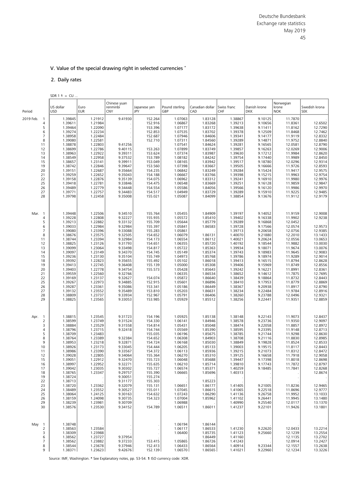#### V. Value of the special drawing right in selected currencies \*

#### 2. Daily rates

# SDR 1 **1** =  $CU$  ...

| Period                                           | US dollar<br><b>USD</b>       | Euro<br><b>EUR</b>            | Chinese yuan<br>renminbi<br><b>CNY</b> | Japanese yen<br><b>JPY</b>    | Pound sterling<br>GBP         | Canadian dollar<br>CAD        | Swiss franc<br>CHF            | Danish krone<br><b>DKK</b>    | Norwegian<br>krone<br><b>NOK</b> | Swedish krona<br><b>SEK</b> |
|--------------------------------------------------|-------------------------------|-------------------------------|----------------------------------------|-------------------------------|-------------------------------|-------------------------------|-------------------------------|-------------------------------|----------------------------------|-----------------------------|
| 2019 Feb.<br>$\mathbf{1}$<br>$\overline{4}$<br>5 | 1.39845<br>1.39611<br>1.39464 | 1.21912<br>1.21984<br>1.22090 | 9.41930                                | 152.264<br>152.916<br>153.396 | 1.07063<br>1.06867<br>1.07177 | 1.83128<br>1.83268<br>1.83172 | 1.38867<br>1.39213<br>1.39638 | 9.10125<br>9.10656<br>9.11411 | 11.7870<br>11.8361<br>11.8162    | 12.6502<br>12.7290          |
| 6                                                | 1.39274                       | 1.22234                       |                                        | 152.853                       | 1.07535                       | 1.83702                       | 1.39378                       | 9.12509                       | 11.8468                          | 12.7462                     |
| $\overline{7}$                                   | 1.38958                       | 1.22484                       |                                        | 152.687                       | 1.07946                       | 1.84606                       | 1.39341                       | 9.14177                       | 11.9119                          | 12.8332                     |
| 8                                                | 1.39080                       | 1.22581                       |                                        | 152.710                       | 1.07311                       | 1.84560                       | 1.39289                       | 9.14871                       | 11.9752                          | 12.8840                     |
| 11                                               | 1.38878                       | 1.22803                       | 9.41256                                |                               | 1.07541                       | 1.84624                       | 1.39281                       | 9.16565                       | 12.0581                          | 12.8790                     |
| 12<br>13                                         | 1.38699<br>1.38963            | 1.22786<br>1.22922            | 9.40115<br>9.39311                     | 153.263<br>153.624            | 1.07899<br>1.07374            | 1.83749<br>1.83987            | 1.39857<br>1.39630            | 9.16263<br>9.17212            | 12.0269<br>11.9984               | 12.9006<br>12.8620          |
| 14                                               | 1.38549                       | 1.22958                       | 9.37532                                | 153.789                       | 1.08182                       | 1.84242                       | 1.39754                       | 9.17440                       | 11.9989                          | 12.8450                     |
| 15                                               | 1.38657                       | 1.23141                       | 9.39911                                | 153.049                       | 1.08165                       | 1.83942                       | 1.39517                       | 9.18780                       | 12.0296                          | 12.9314                     |
| 19                                               | 1.38742                       | 1.22846                       | 9.39647                                | 153.560                       | 1.07398                       | 1.83667                       | 1.39505                       | 9.16666                       | 11.9726                          | 12.8593                     |
| 20                                               | 1.39151                       | 1.22687                       | 9.35664                                | 154.235                       | 1.06842                       | 1.83249                       | 1.39284                       | 9.15424                       | 11.9417                          | 12.9575                     |
| 21<br>22                                         | 1.39259<br>1.39158            | 1.22652<br>1.22876            | 9.35043<br>9.35139                     | 154.188<br>154.075            | 1.06667<br>1.06962            | 1.83766<br>1.83312            | 1.39398<br>1.39241            | 9.15215<br>9.16910            | 11.9963<br>11.9980               | 12.9754<br>12.9976          |
| 25                                               | 1.39418                       | 1.22781                       | 9.33846                                | 154.475                       | 1.06548                       | 1.83669                       | 1.39251                       | 9.16128                       | 11.9859                          | 12.9847                     |
| 26                                               | 1.39489                       | 1.22779                       | 9.34448                                | 154.554                       | 1.05586                       | 1.84056                       | 1.39566                       | 9.16120                       | 11.9986                          | 12.9970                     |
| 27                                               | 1.39771                       | 1.22757                       | 9.34483                                | 154.517                       | 1.04949                       | 1.83729                       | 1.39289                       | 9.15910                       | 11.9225                          | 12.9485                     |
| 28                                               | 1.39798                       | 1.22458                       | 9.35008                                | 155.021                       | 1.05087                       | 1.84099                       | 1.38854                       | 9.13676                       | 11.9112                          | 12.9179                     |
| Mar.<br>$\overline{1}$                           | 1.39448                       | 1.22506                       | 9.34510                                | 155.764                       | 1.05455                       | 1.84909                       | 1.39197                       | 9.14052                       | 11.9159                          | 12.9008                     |
| 4                                                | 1.39228                       | 1.22808                       | 9.32227                                | 155.935                       | 1.05572                       | 1.85410                       | 1.39402                       | 9.16338                       | 11.9902                          | 12.9238                     |
| 5                                                | 1.39213                       | 1.22882                       | 9.33132                                | 155.709                       | 1.05644                       | 1.85779                       | 1.39289                       | 9.16868                       | 12.0452                          |                             |
| 6<br>$\overline{7}$                              | 1.39033<br>1.39080            | 1.22984<br>1.23396            | 9.32984<br>9.33088                     | 155.397<br>155.283            | 1.05841<br>1.05861            | 1.86583                       | 1.39728<br>1.39713            | 9.17566<br>9.20658            | 12.0574<br>12.0756               | 12.9573<br>12.9385          |
| 8                                                | 1.38676                       | 1.23575                       | 9.32505                                | 154.652                       | 1.06079                       | 1.86131                       | 1.40070                       | 9.21880                       | 12.2010                          | 13.1433                     |
| 11                                               | 1.38744                       | 1.23394                       | 9.32984                                | 154.173                       | 1.06554                       | 1.86112                       | 1.40021                       | 9.20624                       | 12.0556                          | 13.0653                     |
| 12                                               | 1.38825                       | 1.23126                       | 9.31793                                | 154.651                       | 1.06355                       | 1.85720                       | 1.40192                       | 9.18544                       | 11.9882                          | 13.0030                     |
| 13                                               | 1.39099                       | 1.23064                       | 9.33498                                | 154.817                       | 1.05722                       | 1.85363                       | 1.39934                       | 9.18071                       | 11.9674                          | 13.0076                     |
| 14<br>15                                         | 1.39097                       | 1.23149                       | 9.34370                                | 154.745<br>155.749            | 1.05149                       | 1.85374                       | 1.39743                       | 9.18983                       | 11.9645                          | 12.9083                     |
| 18                                               | 1.39236<br>1.39392            | 1.23130<br>1.22823            | 9.35104<br>9.35655                     | 155.492                       | 1.04973<br>1.05102            | 1.85768<br>1.86018            | 1.39786<br>1.39413            | 9.18974<br>9.16515            | 11.9289<br>11.8794               | 12.9014<br>12.8628          |
| 19                                               | 1.39413                       | 1.22745                       | 9.36408                                | 155.139                       | 1.05000                       | 1.85308                       | 1.39406                       | 9.15969                       | 11.8749                          | 12.8556                     |
| 20                                               | 1.39403                       | 1.22778                       | 9.34754                                | 155.573                       | 1.05428                       | 1.85643                       | 1.39242                       | 9.16221                       | 11.8991                          | 12.8361                     |
| 21                                               | 1.39559                       | 1.22560                       | 9.32766                                |                               | 1.06335                       | 1.86534                       | 1.38652                       | 9.14612                       | 11.7875                          | 12.7695                     |
| 22                                               | 1.39169                       | 1.23137                       | 9.32627                                | 154.074                       | 1.05872                       | 1.86640                       | 1.38439                       | 9.18864                       | 11.8732                          | 12.8443                     |
| 25<br>26                                         | 1.39267<br>1.39287            | 1.22973<br>1.23361            | 9.34885<br>9.35086                     | 152.915<br>153.341            | 1.05601<br>1.05186            | 1.86896<br>1.86449            | 1.38410<br>1.38367            | 9.17953<br>9.20938            | 11.8779<br>11.8917               | 12.8869<br>12.8790          |
| 27                                               | 1.39132                       | 1.23552                       | 9.35489                                | 153.810                       | 1.05203                       | 1.86631                       | 1.38234                       | 9.22484                       | 11.9784                          | 12.8916                     |
| 28                                               | 1.38809                       | 1.23737                       | 9.33934                                | 152.967                       | 1.05791                       | 1.86406                       | 1.38260                       | 9.23788                       | 12.0496                          | 12.9321                     |
| 29                                               | 1.38825                       | 1.23565                       | 9.33053                                | 153.985                       | 1.05929                       | 1.85512                       | 1.38256                       | 9.22441                       | 11.9351                          | 12.8859                     |
| Apr.<br>$\overline{1}$                           | 1.38815                       | 1.23545                       | 9.31723                                | 154.196                       | 1.05925                       | 1.85138                       | 1.38148                       | 9.22143                       | 11.9073                          | 12.8437                     |
| $\overline{2}$                                   | 1.38599                       | 1.23749                       | 9.31524                                | 154.330                       | 1.06141                       | 1.84946                       | 1.38578                       | 9.23736                       | 11.9350                          | 12.9097                     |
| 3                                                | 1.38884                       | 1.23529                       | 9.31558                                | 154.814                       | 1.05431                       | 1.85048                       | 1.38474                       | 9.22058                       | 11.8857                          | 12.8972                     |
| $\overline{4}$<br>5                              | 1.38796<br>1.38709            | 1.23715<br>1.23483            | 9.32418                                | 154.744<br>155.035            | 1.05569<br>1.06196            | 1.85390<br>1.85675            | 1.38595<br>1.38785            | 9.23395<br>9.21744            | 11.9148<br>11.9298               | 12.8713<br>12.8630          |
| 8                                                | 1.38764                       | 1.23389                       | 9.32384                                | 154.652                       | 1.06308                       | 1.84903                       | 1.38708                       | 9.21116                       | 11.8830                          | 12.8985                     |
| 9                                                | 1.38953                       | 1.23218                       | 9.32871                                | 154.724                       | 1.06168                       | 1.85030                       | 1.38849                       | 9.19828                       | 11.8524                          | 12.8533                     |
| 10                                               | 1.38926                       | 1.23173                       | 9.33045                                | 154.444                       | 1.06205                       | 1.85133                       | 1.39003                       | 9.19515                       | 11.8117                          | 12.8443                     |
| 11                                               | 1.38986                       | 1.23390                       | 9.33567                                | 154.372                       | 1.06113                       | 1.85936                       | 1.39215                       | 9.21073                       | 11.8312                          | 12.8472                     |
| 12<br>15                                         | 1.39028<br>1.39051            | 1.22805<br>1.22912            | 9.34064<br>9.32470                     | 155.364<br>155.723            | 1.06270<br>1.06048            | 1.85310<br>1.85688            | 1.39125<br>1.39447            | 9.16658<br>9.17398            | 11.7918<br>11.8018               | 12.9058<br>12.8698          |
| 16                                               | 1.38997                       | 1.22952                       | 9.32271                                | 155.635                       | 1.06210                       | 1.85714                       | 1.39810                       | 9.17743                       | 11.7872                          | 12.8797                     |
| 17                                               | 1.39042                       | 1.23035                       | 9.30302                                | 155.727                       | 1.06574                       | 1.85371                       | 1.40259                       | 9.18485                       | 11.7841                          | 12.8268                     |
| 18                                               | 1.38765                       | 1.23347                       | 9.29757                                | 155.390                       | 1.06665                       | 1.85696                       | 1.40313                       |                               |                                  | 12.8674                     |
| 19                                               | 1.38724                       |                               | 9.30051                                | 155.274                       |                               |                               |                               |                               |                                  |                             |
| 22<br>23                                         | 1.38713                       |                               | 9.31177                                | 155.303<br>155.131            |                               | 1.85223                       | 1.41405                       |                               |                                  |                             |
| 24                                               | 1.38720<br>1.38489            | 1.23362<br>1.23552            | 9.32079<br>9.30527                     | 155.011                       | 1.06651<br>1.07045            | 1.86177<br>1.86615            | 1.41065                       | 9.21005<br>9.22518            | 11.8236<br>11.8696               | 12.9465<br>12.9777          |
| 25                                               | 1.38064                       | 1.24125                       | 9.30163                                | 154.632                       | 1.07243                       | 1.86290                       | 1.41136                       | 9.26758                       | 11.9952                          | 13.1033                     |
| 26                                               | 1.38159                       | 1.24098                       | 9.30735                                | 154.323                       | 1.07004                       | 1.85962                       | 1.41102                       | 9.26441                       | 11.9945                          | 13.1480                     |
| 29                                               | 1.38239                       | 1.23981                       | 9.30709                                |                               | 1.06988                       |                               | 1.40990                       | 9.25540                       | 12.0117                          | 13.1370                     |
| 30                                               | 1.38576                       | 1.23530                       | 9.34152                                | 154.789                       | 1.06511                       | 1.86011                       | 1.41237                       | 9.22101                       | 11.9426                          | 13.1801                     |
| May<br>$\mathbf{1}$                              | 1.38748                       |                               |                                        |                               | 1.06194                       | 1.86144                       |                               |                               |                                  |                             |
| 2                                                | 1.38563                       | 1.23584                       |                                        |                               | 1.06117                       | 1.86533                       | 1.41230                       | 9.22620                       | 12.0433                          | 13.2214                     |
| 3<br>6                                           | 1.38309<br>1.38562            | 1.23988<br>1.23727            | 9.37954                                |                               | 1.06400                       | 1.85735<br>1.86449            | 1.41123<br>1.41160            | 9.25660                       | 12.1239<br>12.1135               | 13.2554<br>13.2702          |
| $\overline{7}$                                   | 1.38562                       | 1.23882                       | 9.37233                                | 153.415                       | 1.05865                       | 1.86726                       | 1.41243                       |                               | 12.0914                          | 13.2427                     |
| 8                                                | 1.38544                       | 1.23678                       | 9.37946                                | 152.413                       | 1.06433                       | 1.86564                       | 1.40914                       | 9.23344                       | 12.1557                          | 13.2638                     |
| 9                                                | 1.38371                       | 1.23623                       | 9.42676                                | 152.139                       | 1.06570                       | 1.86565                       | 1.41021                       | 9.22960                       | 12.1234                          | 13.3226                     |

<span id="page-44-0"></span>Source: IMF, Washington. **\*** See Explanatory notes, pp. 53-54. **1** ISO currency code: XDR.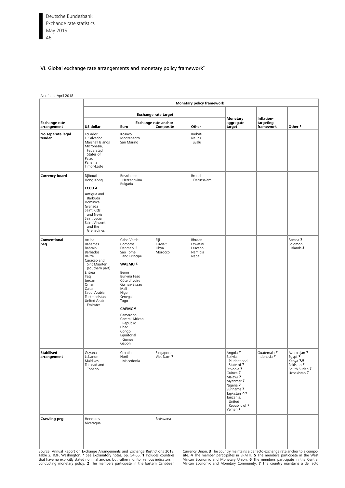Deutsche Bundesbank 46 [Exchange rate statistics](#page-2-0) May 2019

#### VI. Global exchange rate arrangements and monetary policy framework\*

As of end-April 2018

|                                     |                                                                                                                                                                                                                     |                                                                                                                                                                                                                                                                                                    |                                          | <b>Monetary policy framework</b>                  |                                                                                                                                                                                                        |                                      |                                                                                     |
|-------------------------------------|---------------------------------------------------------------------------------------------------------------------------------------------------------------------------------------------------------------------|----------------------------------------------------------------------------------------------------------------------------------------------------------------------------------------------------------------------------------------------------------------------------------------------------|------------------------------------------|---------------------------------------------------|--------------------------------------------------------------------------------------------------------------------------------------------------------------------------------------------------------|--------------------------------------|-------------------------------------------------------------------------------------|
|                                     |                                                                                                                                                                                                                     |                                                                                                                                                                                                                                                                                                    | <b>Exchange rate target</b>              |                                                   |                                                                                                                                                                                                        |                                      |                                                                                     |
| <b>Exchange rate</b><br>arrangement | US dollar                                                                                                                                                                                                           | Euro                                                                                                                                                                                                                                                                                               | <b>Exchange rate anchor</b><br>Composite | Other                                             | <b>Monetary</b><br>aggregate<br>target                                                                                                                                                                 | Inflation-<br>targeting<br>framework | Other 1                                                                             |
| No separate legal<br>tender         | Ecuador<br>El Salvador<br>Marshall Islands<br>Micronesia,<br>Federated<br>States of<br>Palau<br>Panama<br>Timor-Leste                                                                                               | Kosovo<br>Montenegro<br>San Marino                                                                                                                                                                                                                                                                 |                                          | Kiribati<br>Nauru<br>Tuvalu                       |                                                                                                                                                                                                        |                                      |                                                                                     |
| <b>Currency board</b>               | Djibouti<br>Hong Kong<br>ECCU <sub>2</sub><br>Antigua and<br>Barbuda<br>Dominica<br>Grenada<br>Saint Kitts<br>and Nevis<br>Saint Lucia<br>Saint Vincent<br>and the<br>Grenadines                                    | Bosnia and<br>Herzegovina<br>Bulgaria                                                                                                                                                                                                                                                              |                                          | Brunei<br>Darussalam                              |                                                                                                                                                                                                        |                                      |                                                                                     |
| Conventional<br>peg                 | Aruba<br><b>Bahamas</b><br>Bahrain<br>Barbados<br>Belize<br>Curaçao and<br>Sint Maarten<br>(southern part)<br>Eritrea<br>Iraq<br>Jordan<br>Oman<br>Qatar<br>Saudi Arabia<br>Turkmenistan<br>United Arab<br>Emirates | Cabo Verde<br>Comoros<br>Denmark 4<br>Sao Tome<br>and Principe<br><b>WAEMU 5</b><br>Benin<br>Burkina Faso<br>Côte d'Ivoire<br>Guinea-Bissau<br>Mali<br>Niger<br>Senegal<br>Togo<br>CAEMC <sub>6</sub><br>Cameroon<br>Central African<br>Republic<br>Chad<br>Congo<br>Equatorial<br>Guinea<br>Gabon | Fiji<br>Kuwait<br>Libya<br>Morocco       | Bhutan<br>Eswatini<br>Lesotho<br>Namibia<br>Nepal |                                                                                                                                                                                                        |                                      | Samoa 3<br>Solomon<br>Islands <sup>3</sup>                                          |
| <b>Stabilised</b><br>arrangement    | Guyana<br>Lebanon<br>Maldives<br>Trinidad and<br>Tobago                                                                                                                                                             | Croatia<br>North<br>Macedonia                                                                                                                                                                                                                                                                      | Singapore<br>Viet Nam 7                  |                                                   | Angola 7<br>Bolivia,<br>Plurinational<br>State of 7<br>Ethiopia 7<br>Guinea 7<br>Malawi 7<br>Myanmar 7<br>Nigeria 7<br>Suriname 7<br>Tajikistan 7,9<br>Tanzania,<br>United<br>Republic of 7<br>Yemen 7 | Guatemala 7<br>Indonesia 7           | Azerbaijan 7<br>Eqypt 7<br>Kenya 7,8<br>Pakistan 7<br>South Sudan 7<br>Uzbekistan 7 |
| <b>Crawling peg</b>                 | Honduras<br>Nicaragua                                                                                                                                                                                               |                                                                                                                                                                                                                                                                                                    | Botswana                                 |                                                   |                                                                                                                                                                                                        |                                      |                                                                                     |

<span id="page-45-0"></span>

Source: Annual Report on Exchange Arrangements and Exchange Restrictions 2018, Currency Union. **3** The country maintains a de facto exchange rate anchor to a compo-<br>Table 2, IMF, Washington. \* See Explanatory notes, pp. 54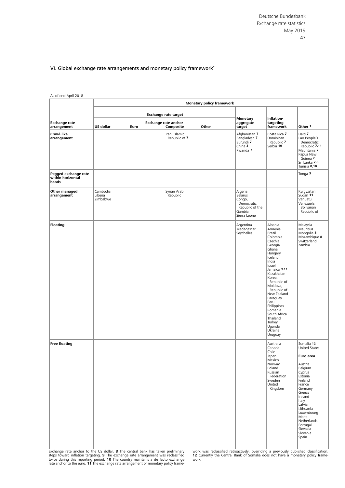#### VI. Global exchange rate arrangements and monetary policy framework\*

| AS OF CHU-APHI ZUTO                                |                                 |      |                                          | <b>Monetary policy framework</b> |                                                                                         |                                                                                                                                                                                                                                                                                                                                       |                                                                                                                                                                                                                                                                    |
|----------------------------------------------------|---------------------------------|------|------------------------------------------|----------------------------------|-----------------------------------------------------------------------------------------|---------------------------------------------------------------------------------------------------------------------------------------------------------------------------------------------------------------------------------------------------------------------------------------------------------------------------------------|--------------------------------------------------------------------------------------------------------------------------------------------------------------------------------------------------------------------------------------------------------------------|
|                                                    |                                 |      |                                          |                                  |                                                                                         |                                                                                                                                                                                                                                                                                                                                       |                                                                                                                                                                                                                                                                    |
|                                                    |                                 |      | <b>Exchange rate target</b>              |                                  | <b>Monetary</b>                                                                         | Inflation-                                                                                                                                                                                                                                                                                                                            |                                                                                                                                                                                                                                                                    |
| <b>Exchange rate</b><br>arrangement                | US dollar                       | Euro | <b>Exchange rate anchor</b><br>Composite | Other                            | aggregate<br>target                                                                     | targeting<br>framework                                                                                                                                                                                                                                                                                                                | Other 1                                                                                                                                                                                                                                                            |
| Crawl-like<br>arrangement                          |                                 |      | Iran, Islamic<br>Republic of 7           |                                  | Afghanistan 7<br>Bangladesh 7<br>Burundi 7<br>China 3<br>Rwanda 7                       | Costa Rica 7<br>Dominican<br>Republic 7<br>Serbia 10                                                                                                                                                                                                                                                                                  | Haiti 7<br>Lao People's<br>Democratic<br>Republic 7,11<br>Mauritania 7<br>Papua New<br>Guinea 7<br>Sri Lanka 7,8<br>Tunisia 8,10                                                                                                                                   |
| Pegged exchange rate<br>within horizontal<br>bands |                                 |      |                                          |                                  |                                                                                         |                                                                                                                                                                                                                                                                                                                                       | Tonga 3                                                                                                                                                                                                                                                            |
| Other managed<br>arrangement                       | Cambodia<br>Liberia<br>Zimbabwe |      | Syrian Arab<br>Republic                  |                                  | Algeria<br>Belarus<br>Congo,<br>Democratic<br>Republic of the<br>Gambia<br>Sierra Leone |                                                                                                                                                                                                                                                                                                                                       | Kyrgyzstan<br>Sudan 11<br>Vanuatu<br>Venezuela,<br>Bolivarian<br>Republic of                                                                                                                                                                                       |
| <b>Floating</b>                                    |                                 |      |                                          |                                  | Argentina<br>Madagascar<br>Seychelles                                                   | Albania<br>Armenia<br>Brazil<br>Colombia<br>Czechia<br>Georgia<br>Ghana<br>Hungary<br>Iceland<br>India<br>Israel<br>Jamaica 9,11<br>Kazakhstan<br>Korea,<br>Republic of<br>Moldova,<br>Republic of<br>New Zealand<br>Paraguay<br>Peru<br>Philippines<br>Romania<br>South Africa<br>Thailand<br>Turkey<br>Uganda<br>Ukraine<br>Uruguay | Malaysia<br>Mauritius<br>Mongolia 8<br>Mozambique 8<br>Switzerland<br>Zambia                                                                                                                                                                                       |
| <b>Free floating</b>                               |                                 |      |                                          |                                  |                                                                                         | Australia<br>Canada<br>Chile<br>Japan<br>Mexico<br>Norway<br>Poland<br>Russian<br>Federation<br>Sweden<br>United<br>Kingdom                                                                                                                                                                                                           | Somalia 12<br><b>United States</b><br>Euro area<br>Austria<br>Belgium<br>Cyprus<br>Estonia<br>Finland<br>France<br>Germany<br>Greece<br>Ireland<br>Italy<br>Latvia<br>Lithuania<br>Luxembourg<br>Malta<br>Netherlands<br>Portugal<br>Slovakia<br>Slovenia<br>Spain |

As of end-April 2018

exchange rate anchor to the US dollar. **8** The central bank has taken preliminary work was reclassified retroactively, overriding a previously published classification.<br>steps toward inflation targeting. **9** The exchange ra

I

I

 $\overline{\phantom{a}}$ 

J

I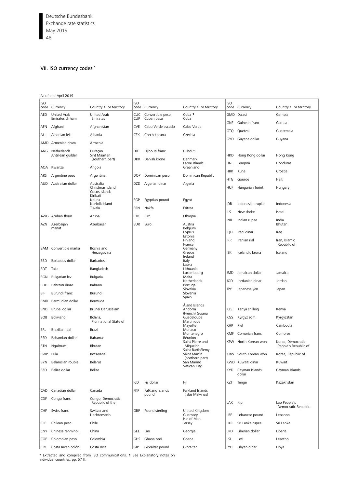Deutsche Bundesbank 48 [Exchange rate statistics](#page-2-0) May 2019

#### VII. ISO currency codes \*

As of end-April 2019

| <b>ISO</b><br>code | Currency                         | Country 1 or territory                                     | ISO<br>code | Currency                  | Country 1 or territory                      | <b>ISO</b><br>code | Currency                 | Country 1 or territory                    |
|--------------------|----------------------------------|------------------------------------------------------------|-------------|---------------------------|---------------------------------------------|--------------------|--------------------------|-------------------------------------------|
| AED                | United Arab                      | United Arab                                                | CUC         | Convertible peso          | Cuba 1                                      | GMD                | Dalasi                   | Gambia                                    |
|                    | Emirates dirham                  | Emirates                                                   | CUP         | Cuban peso                | Cuba                                        | GNF                | Guinean franc            | Guinea                                    |
| AFN                | Afghani                          | Afghanistan                                                | <b>CVE</b>  | Cabo Verde escudo         | Cabo Verde                                  | GTQ                | Quetzal                  | Guatemala                                 |
| ALL                | Albanian lek                     | Albania                                                    | CZK         | Czech koruna              | Czechia                                     | GYD                | Guyana dollar            | Guyana                                    |
| AMD                | Armenian dram                    | Armenia                                                    |             |                           |                                             |                    |                          |                                           |
| ANG                | Netherlands<br>Antillean quilder | Curacao<br>Sint Maarten                                    | DJF         | Djibouti franc            | Djibouti                                    | <b>HKD</b>         | Hong Kong dollar         | Hong Kong                                 |
|                    |                                  | (southern part)                                            | DKK         | Danish krone              | Denmark<br>Faroe Islands                    | <b>HNL</b>         | Lempira                  | Honduras                                  |
| AOA                | Kwanza                           | Angola                                                     |             |                           | Greenland                                   | <b>HRK</b>         | Kuna                     | Croatia                                   |
| ARS                | Argentine peso                   | Argentina                                                  | DOP         | Dominican peso            | Dominican Republic                          | HTG                | Gourde                   | Haiti                                     |
| AUD                | Australian dollar                | Australia<br>Christmas Island<br>Cocos Islands<br>Kiribati | DZD         | Algerian dinar            | Algeria                                     | HUF                | Hungarian forint         | Hungary                                   |
|                    |                                  | Nauru                                                      | EGP         | Egyptian pound            | Egypt                                       |                    |                          |                                           |
|                    |                                  | Norfolk Island<br>Tuvalu                                   | ERN         | Nakfa                     | Eritrea                                     | idr                | Indonesian rupiah        | Indonesia                                 |
|                    | AWG Aruban florin                | Aruba                                                      | ETB         | Birr                      | Ethiopia                                    | ILS                | New shekel               | Israel                                    |
| AZN                | Azerbaijan<br>manat              | Azerbaijan                                                 | <b>EUR</b>  | Euro                      | Austria<br>Belgium                          | INR                | Indian rupee             | India<br>Bhutan                           |
|                    |                                  |                                                            |             |                           | Cyprus<br>Estonia                           | iqd                | Iragi dinar              | Iraq                                      |
|                    |                                  |                                                            |             |                           | Finland<br>France                           | <b>IRR</b>         | Iranian rial             | Iran, Islamic<br>Republic of              |
| BAM                | Convertible marka                | Bosnia and<br>Herzegovina                                  |             |                           | Germany<br>Greece<br>Ireland                | <b>ISK</b>         | Icelandic krona          | Iceland                                   |
| BBD                | Barbados dollar                  | Barbados                                                   |             |                           | Italy                                       |                    |                          |                                           |
| BDT                | Taka                             | Bangladesh                                                 |             |                           | Latvia<br>Lithuania                         |                    |                          |                                           |
| BGN                | Bulgarian lev                    | Bulgaria                                                   |             |                           | Luxembourg<br>Malta                         | JMD                | Jamaican dollar          | Jamaica                                   |
| BHD                | Bahraini dinar                   | Bahrain                                                    |             |                           | Netherlands<br>Portugal                     | JOD                | Jordanian dinar          | Jordan                                    |
| BIF                | Burundi franc                    | Burundi                                                    |             |                           | Slovakia<br>Slovenia                        | JPY                | Japanese yen             | Japan                                     |
| BMD                | Bermudian dollar                 | Bermuda                                                    |             |                           | Spain                                       |                    |                          |                                           |
| <b>BND</b>         | Brunei dollar                    | Brunei Darussalam                                          |             |                           | Åland Islands<br>Andorra                    | KES                | Kenya shilling           | Kenya                                     |
| BOB                | Boliviano                        | Bolivia,<br>Plurinational State of                         |             |                           | (French) Guiana<br>Guadeloupe<br>Martinique | KGS                | Kyrgyz som               | Kyrgyzstan                                |
| BRL                | Brazilian real                   | Brazil                                                     |             |                           | Mayotte<br>Monaco                           | KHR                | Riel                     | Cambodia                                  |
| <b>BSD</b>         | Bahamian dollar                  | Bahamas                                                    |             |                           | Montenegro<br>Réunion                       | <b>KMF</b>         | Comorian franc           | Comoros                                   |
| <b>BTN</b>         | Ngultrum                         | Bhutan                                                     |             |                           | Saint Pierre and<br>Miquelon                | KPW                | North Korean won         | Korea, Democratic<br>People's Republic of |
| <b>BWP</b>         | Pula                             | Botswana                                                   |             |                           | Saint Barthélemy<br>Saint Martin            |                    | KRW South Korean won     | Korea, Republic of                        |
| <b>BYN</b>         | Belarusian rouble                | Belarus                                                    |             |                           | (northern part)<br>San Marino               |                    | KWD Kuwaiti dinar        | Kuwait                                    |
| <b>BZD</b>         | Belize dollar                    | Belize                                                     |             |                           | Vatican City                                | <b>KYD</b>         | Cayman Islands<br>dollar | Cayman Islands                            |
|                    |                                  |                                                            | <b>FJD</b>  | Fiji dollar               | Fiji                                        | KZT                | Tenge                    | Kazakhstan                                |
| CAD                | Canadian dollar                  | Canada                                                     | <b>FKP</b>  | Falkland Islands<br>pound | Falkland Islands<br>(Islas Malvinas)        |                    |                          |                                           |
| CDF                | Congo franc                      | Congo, Democratic<br>Republic of the                       |             |                           |                                             | LAK.               | Kip                      | Lao People's                              |
| CHF                | Swiss franc                      | Switzerland<br>Liechtenstein                               | GBP         | Pound sterling            | United Kingdom<br>Guernsey                  | LBP                | Lebanese pound           | Democratic Republic<br>Lebanon            |
| CLP                | Chilean peso                     | Chile                                                      |             |                           | Isle of Man<br>Jersey                       | LKR                | Sri Lanka rupee          | Sri Lanka                                 |
| <b>CNY</b>         | Chinese renminbi                 | China                                                      | GEL         | Lari                      | Georgia                                     | LRD                | Liberian dollar          | Liberia                                   |
| COP                | Colombian peso                   | Colombia                                                   | GHS         | Ghana cedi                | Ghana                                       | LSL                | Loti                     | Lesotho                                   |
| <b>CRC</b>         | Costa Rican colón                | Costa Rica                                                 | GIP         | Gibraltar pound           | Gibraltar                                   | <b>LYD</b>         | Libyan dinar             | Libya                                     |

<span id="page-47-0"></span>**\*** Extracted and compiled from ISO communications. **1** See Explanatory notes on individual countries, pp. 57 ff.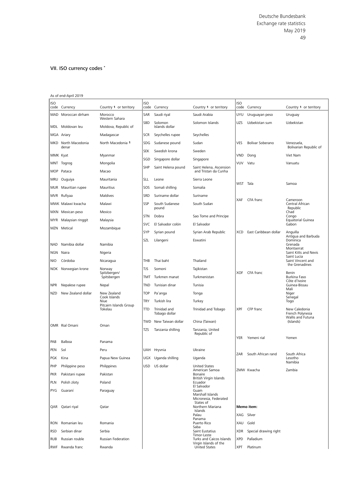### VII. ISO currency codes \*

#### As of end-April 2019

| <b>ISO</b><br>code | Currency                     | Country 1 or territory            | <b>ISO</b><br>code | Currency                      | Country 1 or territory                            | <b>ISO</b><br>code | Currency              | Country 1 or territory                                 |
|--------------------|------------------------------|-----------------------------------|--------------------|-------------------------------|---------------------------------------------------|--------------------|-----------------------|--------------------------------------------------------|
|                    | MAD Moroccan dirham          | Morocco                           | SAR                | Saudi riyal                   | Saudi Arabia                                      | <b>UYU</b>         | Uruguayan peso        | Uruguay                                                |
|                    |                              | Western Sahara                    | SBD                | Solomon                       | Solomon Islands                                   | UZS                | Uzbekistan sum        | Uzbekistan                                             |
|                    | MDL Moldovan leu             | Moldova, Republic of              |                    | Islands dollar                |                                                   |                    |                       |                                                        |
|                    | MGA Ariary                   | Madagascar                        | <b>SCR</b>         | Seychelles rupee              | Seychelles                                        |                    |                       |                                                        |
|                    | MKD North Macedonia<br>denar | North Macedonia 1                 | SDG                | Sudanese pound                | Sudan                                             | VES                | Bolívar Soberano      | Venezuela,<br>Bolivarian Republic of                   |
| MMK Kyat           |                              | Myanmar                           | <b>SEK</b>         | Swedish krona                 | Sweden                                            | <b>VND</b>         | Dong                  | Viet Nam                                               |
|                    | MNT Togrog                   | Mongolia                          | SGD                | Singapore dollar              | Singapore                                         | <b>VUV</b>         | Vatu                  | Vanuatu                                                |
|                    | MOP Pataca                   | Macao                             | SHP                | Saint Helena pound            | Saint Helena, Ascension<br>and Tristan da Cunha   |                    |                       |                                                        |
|                    | MRU Ouguiya                  | Mauritania                        | SLL                | Leone                         | Sierra Leone                                      | WST Tala           |                       | Samoa                                                  |
| MUR                | Mauritian rupee              | Mauritius                         | SOS                | Somali shilling               | Somalia                                           |                    |                       |                                                        |
|                    | MVR Rufiyaa                  | Maldives                          | <b>SRD</b>         | Suriname dollar               | Suriname                                          |                    |                       |                                                        |
|                    | MWK Malawi kwacha            | Malawi                            | SSP                | South Sudanese<br>pound       | South Sudan                                       | XAF                | CFA franc             | Cameroon<br>Central African<br>Republic                |
|                    | MXN Mexican peso             | Mexico                            | STN                | Dobra                         | Sao Tome and Principe                             |                    |                       | Chad<br>Congo                                          |
|                    | MYR Malaysian ringgit        | Malaysia                          |                    | El Salvador colón             |                                                   |                    |                       | Equatorial Guinea                                      |
|                    | MZN Metical                  | Mozambique                        | SVC                |                               | El Salvador                                       |                    |                       | Gabon                                                  |
|                    |                              |                                   | SYP                | Syrian pound                  | Syrian Arab Republic                              | <b>XCD</b>         | East Caribbean dollar | Anguilla<br>Antigua and Barbuda                        |
| <b>NAD</b>         | Namibia dollar               | Namibia                           | SZL                | Lilangeni                     | Eswatini                                          |                    |                       | Dominica<br>Grenada                                    |
| NGN                | Naira                        | Nigeria                           |                    |                               |                                                   |                    |                       | Montserrat<br>Saint Kitts and Nevis<br>Saint Lucia     |
| <b>NIO</b>         | Córdoba                      | Nicaragua                         | THB                | Thai baht                     | Thailand                                          |                    |                       | Saint Vincent and<br>the Grenadines                    |
|                    | NOK Norwegian krone          | Norway<br>Spitzbergen/            | TJS                | Somoni                        | Tajikistan                                        | <b>XOF</b>         | CFA franc             | Benin                                                  |
|                    |                              | Spitsbergen                       | TMT                | Turkmen manat                 | Turkmenistan                                      |                    |                       | Burkina Faso<br>Côte d'Ivoire                          |
| <b>NPR</b>         | Nepalese rupee               | Nepal                             | TND                | Tunisian dinar                | Tunisia                                           |                    |                       | Guinea-Bissau<br>Mali                                  |
| <b>NZD</b>         | New Zealand dollar           | New Zealand<br>Cook Islands       | <b>TOP</b>         | Pa'anga                       | Tonga                                             |                    |                       | Niger<br>Senegal                                       |
|                    |                              | Niue                              | <b>TRY</b>         | Turkish lira                  | Turkey                                            |                    |                       | Togo                                                   |
|                    |                              | Pitcairn Islands Group<br>Tokelau | <b>TTD</b>         | Trinidad and<br>Tobago dollar | Trinidad and Tobago                               | <b>XPF</b>         | CFP franc             | New Caledonia<br>French Polynesia<br>Wallis and Futuna |
|                    |                              |                                   | <b>TWD</b>         | New Taiwan dollar             | China (Taiwan)                                    |                    |                       | (Islands)                                              |
|                    | OMR Rial Omani               | Oman                              | TZS                | Tanzania shilling             | Tanzania, United<br>Republic of                   |                    |                       |                                                        |
| PAB                | Balboa                       | Panama                            |                    |                               |                                                   | <b>YER</b>         | Yemeni rial           | Yemen                                                  |
| PEN                | Sol                          | Peru                              |                    | UAH Hryvnia                   | Ukraine                                           |                    |                       |                                                        |
| PGK                | Kina                         | Papua New Guinea                  |                    | UGX Uganda shilling           | Uganda                                            | ZAR                | South African rand    | South Africa<br>Lesotho                                |
| PHP                | Philippine peso              | Philippines                       |                    | USD US dollar                 | <b>United States</b>                              |                    |                       | Namibia                                                |
| <b>PKR</b>         | Pakistani rupee              | Pakistan                          |                    |                               | American Samoa<br>Bonaire                         |                    | ZMW Kwacha            | Zambia                                                 |
| PLN                | Polish zloty                 | Poland                            |                    |                               | British Virgin Islands<br>Ecuador                 |                    |                       |                                                        |
| PYG                | Guaraní                      | Paraguay                          |                    |                               | El Salvador<br>Guam                               |                    |                       |                                                        |
|                    |                              |                                   |                    |                               | Marshall Islands<br>Micronesia, Federated         |                    |                       |                                                        |
|                    | QAR Qatari riyal             | Qatar                             |                    |                               | States of<br>Northern Mariana<br>Islands          |                    | Memo item:            |                                                        |
|                    |                              |                                   |                    |                               | Palau<br>Panama                                   |                    | XAG Silver            |                                                        |
|                    | RON Romanian leu             | Romania                           |                    |                               | Puerto Rico<br>Saba                               | XAU Gold           |                       |                                                        |
| RSD                | Serbian dinar                | Serbia                            |                    |                               | Saint Eustatius<br>Timor-Leste                    | <b>XDR</b>         | Special drawing right |                                                        |
| RUB                | Russian rouble               | Russian Federation                |                    |                               | Turks and Caicos Islands<br>Virgin Islands of the | <b>XPD</b>         | Palladium             |                                                        |
|                    | RWF Rwanda franc             | Rwanda                            |                    |                               | <b>United States</b>                              | XPT                | Platinum              |                                                        |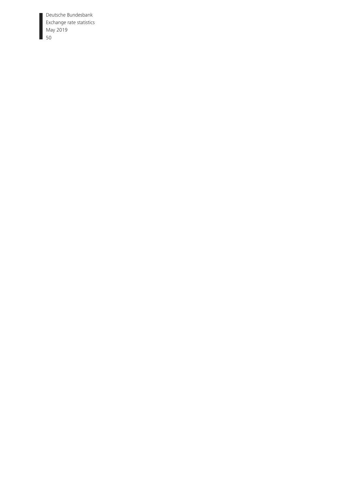Deutsche Bundesbank [Exchange rate statistics](#page-2-0) May 2019  $\frac{1}{50}$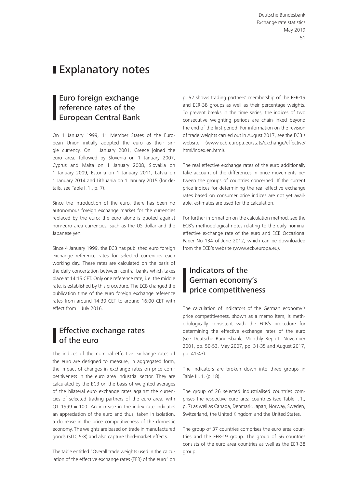# **Explanatory notes**

# Euro foreign exchange reference rates of the European Central Bank

On 1 January 1999, 11 Member States of the European Union initially adopted the euro as their single currency. On 1 January 2001, Greece joined the euro area, followed by Slovenia on 1 January 2007, Cyprus and Malta on 1 January 2008, Slovakia on 1 January 2009, Estonia on 1 January 2011, Latvia on 1 January 2014 and Lithuania on 1 January 2015 (for details, see Table I. 1., p. 7).

Since the introduction of the euro, there has been no autonomous foreign exchange market for the currencies replaced by the euro; the euro alone is quoted against non-euro area currencies, such as the US dollar and the Japanese yen.

Since 4 January 1999, the ECB has published euro foreign exchange reference rates for selected currencies each working day. These rates are calculated on the basis of the daily concertation between central banks which takes place at 14:15 CET. Only one reference rate, i. e. the middle rate, is established by this procedure. The ECB changed the publication time of the euro foreign exchange reference rates from around 14:30 CET to around 16:00 CET with effect from 1 July 2016.

# Effective exchange rates of the euro

The indices of the nominal effective exchange rates of the euro are designed to measure, in aggregated form, the impact of changes in exchange rates on price competitiveness in the euro area industrial sector. They are calculated by the ECB on the basis of weighted averages of the bilateral euro exchange rates against the currencies of selected trading partners of the euro area, with  $Q1$  1999 = 100. An increase in the index rate indicates an appreciation of the euro and thus, taken in isolation, a decrease in the price competitiveness of the domestic economy. The weights are based on trade in manufactured goods (SITC 5-8) and also capture third-market effects.

<span id="page-50-0"></span>The table entitled "Overall trade weights used in the calculation of the effective exchange rates (EER) of the euro" on

p. 52 shows trading partners' membership of the EER-19 and EER-38 groups as well as their percentage weights. To prevent breaks in the time series, the indices of two consecutive weighting periods are chain-linked beyond the end of the first period. For information on the revision of trade weights carried out in August 2017, see the ECB's website ([www.ecb.europa.eu/stats/exchange/effective/](www.ecb.europa.eu/stats/exchange/effective/html/index.en.html) [html/index.en.html](www.ecb.europa.eu/stats/exchange/effective/html/index.en.html)).

The real effective exchange rates of the euro additionally take account of the differences in price movements between the groups of countries concerned. If the current price indices for determining the real effective exchange rates based on consumer price indices are not yet available, estimates are used for the calculation.

For further information on the calculation method, see the ECB's methodological notes relating to the daily nominal effective exchange rate of the euro and ECB Occasional Paper No 134 of June 2012, which can be downloaded from the ECB's website (www.ecb.europa.eu).

## Indicators of the German economy's price competitiveness

The calculation of indicators of the German economy's price competitiveness, shown as a memo item, is methodologically consistent with the ECB's procedure for determining the effective exchange rates of the euro (see Deutsche Bundesbank, Monthly Report, November 2001, pp. 50-53, May 2007, pp. 31-35 and August 2017, pp. 41-43).

The indicators are broken down into three groups in Table III.1. (p.18).

The group of 26 selected industrialised countries comprises the respective euro area countries (see Table I. 1., p. 7) as well as Canada, Denmark, Japan, Norway, Sweden, Switzerland, the United Kingdom and the United States.

The group of 37 countries comprises the euro area countries and the EER-19 group. The group of 56 countries consists of the euro area countries as well as the EER-38 group.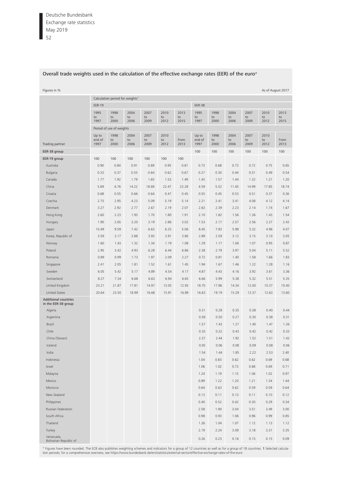Deutsche Bundesbank [Exchange rate statistics](#page-3-0) May 2019 52

| Figures in %<br>As of August 2017                  |               |                                             |            |            |            |            |               |            |            |            |            |            |
|----------------------------------------------------|---------------|---------------------------------------------|------------|------------|------------|------------|---------------|------------|------------|------------|------------|------------|
|                                                    |               | Calculation period for weights <sup>1</sup> |            |            |            |            |               |            |            |            |            |            |
|                                                    | <b>EER-19</b> |                                             |            |            |            |            | <b>EER-38</b> |            |            |            |            |            |
|                                                    | 1995          | 1998                                        | 2004       | 2007       | 2010       | 2013       | 1995          | 1998       | 2004       | 2007       | 2010       | 2013       |
|                                                    | to<br>1997    | to<br>2000                                  | to<br>2006 | to<br>2009 | to<br>2012 | to<br>2015 | to<br>1997    | to<br>2000 | to<br>2006 | to<br>2009 | to<br>2012 | to<br>2015 |
|                                                    |               | Period of use of weights                    |            |            |            |            |               |            |            |            |            |            |
|                                                    | Up to         | 1998                                        | 2004       | 2007       | 2010       |            | Up to         | 1998       | 2004       | 2007       | 2010       |            |
|                                                    | end of        | to                                          | to         | to         | to         | From       | end of        | to         | to         | to         | to         | From       |
| Trading partner                                    | 1997          | 2000                                        | 2006       | 2009       | 2012       | 2013       | 1997          | 2000       | 2006       | 2009       | 2012       | 2013       |
| EER-38 group                                       |               |                                             |            |            |            |            | 100           | 100        | 100        | 100        | 100        | 100        |
| EER-19 group                                       | 100           | 100                                         | 100        | 100        | 100        | 100        |               |            |            |            |            |            |
| Australia                                          | 0.90          | 0.84                                        | 0.91       | 0.89       | 0.95       | 0.81       | 0.73          | 0.68       | 0.73       | 0.72       | 0.75       | 0.65       |
| Bulgaria                                           | 0.33          | 0.37                                        | 0.55       | 0.64       | 0.62       | 0.67       | 0.27          | 0.30       | 0.44       | 0.51       | 0.49       | 0.54       |
| Canada                                             | 1.77          | 1.92                                        | 1.79       | 1.65       | 1.53       | 1.49       | 1.43          | 1.57       | 1.44       | 1.32       | 1.21       | 1.20       |
| China                                              | 5.69          | 6.76                                        | 14.22      | 18.69      | 22.47      | 23.28      | 4.59          | 5.52       | 11.45      | 14.99      | 17.85      | 18.74      |
| Croatia                                            | 0.68          | 0.55                                        | 0.66       | 0.64       | 0.47       | 0.45       | 0.55          | 0.45       | 0.53       | 0.51       | 0.37       | 0.36       |
| Czechia                                            | 2.75          | 2.95                                        | 4.23       | 5.09       | 5.19       | 5.14       | 2.21          | 2.41       | 3.41       | 4.08       | 4.12       | 4.14       |
| Denmark                                            | 3.27          | 2.92                                        | 2.77       | 2.67       | 2.19       | 2.07       | 2.63          | 2.39       | 2.23       | 2.14       | 1.74       | 1.67       |
| Hong Kong                                          | 2.60          | 2.23                                        | 1.93       | 1.70       | 1.80       | 1.91       | 2.10          | 1.82       | 1.56       | 1.36       | 1.43       | 1.54       |
| Hungary                                            | 1.90          | 2.65                                        | 3.20       | 3.19       | 2.86       | 3.02       | 1.53          | 2.17       | 2.57       | 2.56       | 2.27       | 2.43       |
| Japan                                              | 10.49         | 9.59                                        | 7.42       | 6.63       | 6.25       | 5.06       | 8.45          | 7.83       | 5.98       | 5.32       | 4.96       | 4.07       |
| Korea, Republic of                                 | 3.59          | 3.17                                        | 3.88       | 3.93       | 3.91       | 3.80       | 2.89          | 2.59       | 3.12       | 3.15       | 3.10       | 3.05       |
| Norway                                             | 1.60          | 1.43                                        | 1.32       | 1.34       | 1.19       | 1.08       | 1.29          | 1.17       | 1.06       | 1.07       | 0.95       | 0.87       |
| Poland                                             | 2.95          | 3.42                                        | 4.93       | 6.28       | 6.44       | 6.86       | 2.38          | 2.79       | 3.97       | 5.04       | 5.11       | 5.52       |
| Romania                                            | 0.89          | 0.99                                        | 1.73       | 1.97       | 2.09       | 2.27       | 0.72          | 0.81       | 1.40       | 1.58       | 1.66       | 1.83       |
| Singapore                                          | 2.41          | 2.05                                        | 1.81       | 1.52       | 1.61       | 1.45       | 1.94          | 1.67       | 1.46       | 1.22       | 1.28       | 1.16       |
| Sweden                                             | 6.05          | 5.42                                        | 5.17       | 4.89       | 4.54       | 4.17       | 4.87          | 4.43       | 4.16       | 3.92       | 3.61       | 3.36       |
| Switzerland                                        | 8.27          | 7.34                                        | 6.68       | 6.63       | 6.94       | 6.65       | 6.66          | 5.99       | 5.38       | 5.32       | 5.51       | 5.35       |
| United Kingdom                                     | 23.21         | 21.87                                       | 17.81      | 14.97      | 13.05      | 12.93      | 18.70         | 17.86      | 14.34      | 12.00      | 10.37      | 10.40      |
| <b>United States</b>                               | 20.64         | 23.50                                       | 18.99      | 16.68      | 15.91      | 16.89      | 16.63         | 19.19      | 15.29      | 13.37      | 12.63      | 13.60      |
| <b>Additional countries</b><br>in the EER-38 group |               |                                             |            |            |            |            |               |            |            |            |            |            |
| Algeria                                            |               |                                             |            |            |            |            | 0.31          | 0.28       | 0.35       | 0.38       | 0.40       | 0.44       |
| Argentina                                          |               |                                             |            |            |            |            | 0.58          | 0.50       | 0.27       | 0.30       | 0.38       | 0.31       |
| Brazil                                             |               |                                             |            |            |            |            | 1.57          | 1.43       | 1.27       | 1.40       | 1.47       | 1.26       |
| Chile                                              |               |                                             |            |            |            |            | 0.35          | 0.32       | 0.43       | 0.42       | 0.42       | 0.33       |
| China (Taiwan)                                     |               |                                             |            |            |            |            | 2.37          | 2.44       | 1.92       | 1.52       | 1.51       | 1.42       |
| Iceland                                            |               |                                             |            |            |            |            | 0.05          | 0.06       | 0.08       | 0.09       | 0.08       | 0.06       |
| India                                              |               |                                             |            |            |            |            | 1.54          | 1.44       | 1.85       | 2.22       | 2.53       | 2.40       |
| Indonesia                                          |               |                                             |            |            |            |            | 1.04          | 0.83       | 0.62       | 0.62       | 0.69       | 0.68       |
| Israel                                             |               |                                             |            |            |            |            | 1.06          | 1.02       | 0.73       | 0.68       | 0.69       | 0.71       |
| Malaysia                                           |               |                                             |            |            |            |            | 1.24          | 1.19       | 1.15       | 1.06       | 1.02       | 0.97       |
| Mexico                                             |               |                                             |            |            |            |            | 0.89          | 1.22       | 1.20       | 1.21       | 1.34       | 1.44       |
| Morocco                                            |               |                                             |            |            |            |            | 0.64          | 0.63       | 0.62       | 0.59       | 0.59       | 0.64       |
| New Zealand                                        |               |                                             |            |            |            |            | 0.13          | 0.11       | 0.13       | 0.11       | 0.10       | 0.12       |
| Philippines                                        |               |                                             |            |            |            |            | 0.40          | 0.52       | 0.42       | 0.30       | 0.29       | 0.34       |
| Russian Federation                                 |               |                                             |            |            |            |            | 2.58          | 1.90       | 3.04       | 3.51       | 3.49       | 3.00       |
| South Africa                                       |               |                                             |            |            |            |            | 0.98          | 0.93       | 1.06       | 0.96       | 0.99       | 0.85       |
| Thailand                                           |               |                                             |            |            |            |            | 1.26          | 1.04       | 1.07       | 1.12       | 1.13       | 1.12       |
| Turkey                                             |               |                                             |            |            |            |            | 2.19          | 2.24       | 3.09       | 3.18       | 3.31       | 3.35       |
| Venezuela,                                         |               |                                             |            |            |            |            |               |            |            |            |            |            |
| Bolivarian Republic of                             |               |                                             |            |            |            |            | 0.26          | 0.23       | 0.16       | 0.15       | 0.15       | 0.09       |

#### Overall trade weights used in the calculation of the effective exchange rates (EER) of the euro°

° Figures have been rounded. The ECB also publishes weighting schemes and indicators for a group of 12 countries as well as for a group of 18 countries. 1 Selected calcula-<br>tion periods; for a comprehensive overview, see h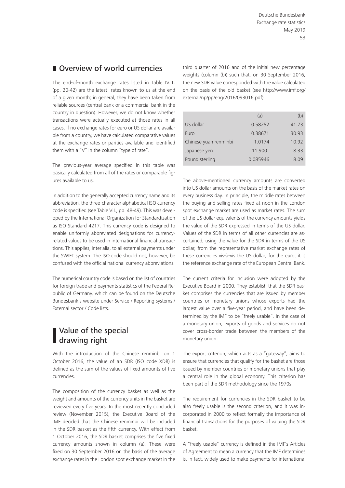The end-of-month exchange rates listed in Table IV. 1. (pp. 20-42) are the latest rates known to us at the end of a given month; in general, they have been taken from reliable sources (central bank or a commercial bank in the country in question). However, we do not know whether transactions were actually executed at those rates in all cases. If no exchange rates for euro or US dollar are available from a country, we have calculated comparative values at the exchange rates or parities available and identified them with a "V" in the column "type of rate".

The previous-year average specified in this table was basically calculated from all of the rates or comparable figures available to us.

In addition to the generally accepted currency name and its abbreviation, the three-character alphabetical ISO currency code is specified (see Table VII., pp. 48-49). This was developed by the International Organization for Standardization as ISO Standard 4217. This currency code is designed to enable uniformly abbreviated designations for currencyrelated values to be used in international financial transactions. This applies, inter alia, to all external payments under the SWIFT system. The ISO code should not, however, be confused with the official national currency abbreviations.

The numerical country code is based on the list of countries for foreign trade and payments statistics of the Federal Republic of Germany, which can be found on the Deutsche Bundesbank's website under Service / Reporting systems / External sector / Code lists.

# Value of the special drawing right

With the introduction of the Chinese renminbi on 1 October 2016, the value of an SDR (ISO code XDR) is defined as the sum of the values of fixed amounts of five currencies.

<span id="page-52-0"></span>The composition of the currency basket as well as the weight and amounts of the currency units in the basket are reviewed every five years. In the most recently concluded review (November 2015), the Executive Board of the IMF decided that the Chinese renminbi will be included in the SDR basket as the fifth currency. With effect from 1 October 2016, the SDR basket comprises the five fixed currency amounts shown in column (a). These were fixed on 30 September 2016 on the basis of the average exchange rates in the London spot exchange market in the third quarter of 2016 and of the initial new percentage weights (column (b)) such that, on 30 September 2016, the new SDR value corresponded with the value calculated on the basis of the old basket (see http://www.imf.org/ [external/np/pp/eng/2016/093016.pdf](http://www.imf.org/external/np/pp/eng/2016/093016.pdf)).

|                       | (a)      | (b)   |
|-----------------------|----------|-------|
| US dollar             | 0.58252  | 41.73 |
| Euro                  | 0.38671  | 30.93 |
| Chinese yuan renminbi | 1.0174   | 10.92 |
| Japanese yen          | 11.900   | 8.33  |
| Pound sterling        | 0.085946 | 8.09  |

The above-mentioned currency amounts are converted into US dollar amounts on the basis of the market rates on every business day. In principle, the middle rates between the buying and selling rates fixed at noon in the London spot exchange market are used as market rates. The sum of the US dollar equivalents of the currency amounts yields the value of the SDR expressed in terms of the US dollar. Values of the SDR in terms of all other currencies are ascertained, using the value for the SDR in terms of the US dollar, from the representative market exchange rates of these currencies vis-à-vis the US dollar; for the euro, it is the reference exchange rate of the European Central Bank.

The current criteria for inclusion were adopted by the Executive Board in 2000. They establish that the SDR basket comprises the currencies that are issued by member countries or monetary unions whose exports had the largest value over a five-year period, and have been determined by the IMF to be "freely usable". In the case of a monetary union, exports of goods and services do not cover cross-border trade between the members of the monetary union.

The export criterion, which acts as a "gateway", aims to ensure that currencies that qualify for the basket are those issued by member countries or monetary unions that play a central role in the global economy. This criterion has been part of the SDR methodology since the 1970s.

The requirement for currencies in the SDR basket to be also freely usable is the second criterion, and it was incorporated in 2000 to reflect formally the importance of financial transactions for the purposes of valuing the SDR basket.

A "freely usable" currency is defined in the IMF's Articles of Agreement to mean a currency that the IMF determines is, in fact, widely used to make payments for international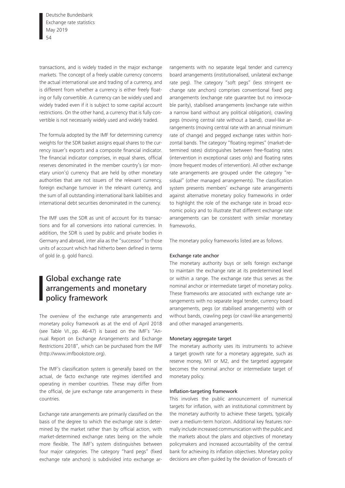Deutsche Bundesbank [Exchange rate statistics](#page-3-0) May 2019 54

transactions, and is widely traded in the major exchange markets. The concept of a freely usable currency concerns the actual international use and trading of a currency, and is different from whether a currency is either freely floating or fully convertible. A currency can be widely used and widely traded even if it is subject to some capital account restrictions. On the other hand, a currency that is fully convertible is not necessarily widely used and widely traded.

The formula adopted by the IMF for determining currency weights for the SDR basket assigns equal shares to the currency issuer's exports and a composite financial indicator. The financial indicator comprises, in equal shares, official reserves denominated in the member country's (or monetary union's) currency that are held by other monetary authorities that are not issuers of the relevant currency, foreign exchange turnover in the relevant currency, and the sum of all outstanding international bank liabilities and international debt securities denominated in the currency.

The IMF uses the SDR as unit of account for its transactions and for all conversions into national currencies. In addition, the SDR is used by public and private bodies in Germany and abroad, inter alia as the "successor" to those units of account which had hitherto been defined in terms of gold (e.g. gold francs).

# Global exchange rate arrangements and monetary policy framework

The overview of the exchange rate arrangements and monetary policy framework as at the end of April 2018 (see Table VI., pp. 46-47) is based on the IMF's "Annual Report on Exchange Arrangements and Exchange Restrictions 2018", which can be purchased from the IMF (http://www.imfbookstore.org).

The IMF's classification system is generally based on the actual, de facto exchange rate regimes identified and operating in member countries. These may differ from the official, de jure exchange rate arrangements in these countries.

<span id="page-53-0"></span>Exchange rate arrangements are primarily classified on the basis of the degree to which the exchange rate is determined by the market rather than by official action, with market-determined exchange rates being on the whole more flexible. The IMF's system distinguishes between four major categories. The category "hard pegs" (fixed exchange rate anchors) is subdivided into exchange arrangements with no separate legal tender and currency board arrangements (institutionalised, unilateral exchange rate peg). The category "soft pegs" (less stringent exchange rate anchors) comprises conventional fixed peg arrangements (exchange rate guarantee but no irrevocable parity), stabilised arrangements (exchange rate within a narrow band without any political obligation), crawling pegs (moving central rate without a band), crawl-like arrangements (moving central rate with an annual minimum rate of change) and pegged exchange rates within horizontal bands. The category "floating regimes" (market-determined rates) distinguishes between free-floating rates (intervention in exceptional cases only) and floating rates (more frequent modes of intervention). All other exchange rate arrangements are grouped under the category "residual" (other managed arrangements). The classification system presents members' exchange rate arrangements against alternative monetary policy frameworks in order to highlight the role of the exchange rate in broad economic policy and to illustrate that different exchange rate arrangements can be consistent with similar monetary frameworks.

The monetary policy frameworks listed are as follows.

#### Exchange rate anchor

The monetary authority buys or sells foreign exchange to maintain the exchange rate at its predetermined level or within a range. The exchange rate thus serves as the nominal anchor or intermediate target of monetary policy. These frameworks are associated with exchange rate arrangements with no separate legal tender, currency board arrangements, pegs (or stabilised arrangements) with or without bands, crawling pegs (or crawl-like arrangements) and other managed arrangements.

#### Monetary aggregate target

The monetary authority uses its instruments to achieve a target growth rate for a monetary aggregate, such as reserve money, M1 or M2, and the targeted aggregate becomes the nominal anchor or intermediate target of monetary policy.

#### Inflation-targeting framework

This involves the public announcement of numerical targets for inflation, with an institutional commitment by the monetary authority to achieve these targets, typically over a medium-term horizon. Additional key features normally include increased communication with the public and the markets about the plans and objectives of monetary policymakers and increased accountability of the central bank for achieving its inflation objectives. Monetary policy decisions are often guided by the deviation of forecasts of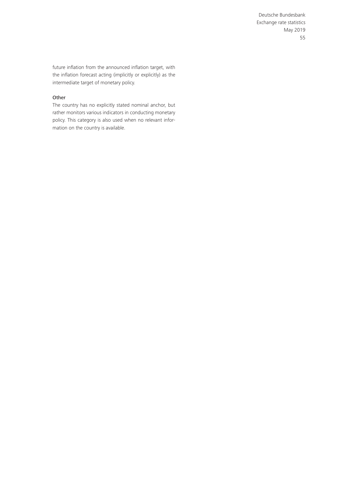Deutsche Bundesbank [Exchange rate statistics](#page-3-0) May 2019 55

future inflation from the announced inflation target, with the inflation forecast acting (implicitly or explicitly) as the intermediate target of monetary policy.

#### **Other**

The country has no explicitly stated nominal anchor, but rather monitors various indicators in conducting monetary policy. This category is also used when no relevant information on the country is available.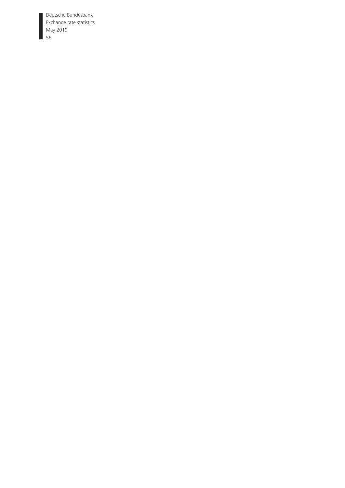Deutsche Bundesbank [Exchange rate statistics](#page-3-0) May 2019 **1** 56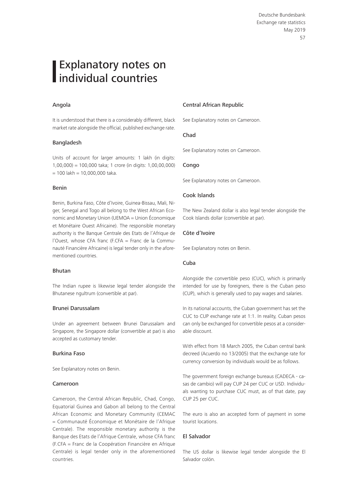Deutsche Bundesbank [Exchange rate statistics](#page-3-0) May 2019 57

# Explanatory notes on individual countries

#### Angola

It is understood that there is a considerably different, black market rate alongside the official, published exchange rate.

#### Bangladesh

Units of account for larger amounts: 1 lakh (in digits: 1,00,000) = 100,000 taka; 1 crore (in digits: 1,00,00,000)  $= 100$  lakh  $= 10,000,000$  taka.

#### Benin

Benin, Burkina Faso, Côte d'Ivoire, Guinea-Bissau, Mali, Niger, Senegal and Togo all belong to the West African Economic and Monetary Union (UEMOA = Union Économique et Monétaire Ouest Africaine). The responsible monetary authority is the Banque Centrale des Etats de l'Afrique de l'Ouest, whose CFA franc (F.CFA = Franc de la Communauté Financière Africaine) is legal tender only in the aforementioned countries.

#### Bhutan

The Indian rupee is likewise legal tender alongside the Bhutanese ngultrum (convertible at par).

#### Brunei Darussalam

Under an agreement between Brunei Darussalam and Singapore, the Singapore dollar (convertible at par) is also accepted as customary tender.

#### Burkina Faso

See Explanatory notes on Benin.

#### Cameroon

<span id="page-56-0"></span>Cameroon, the Central African Republic, Chad, Congo, Equatorial Guinea and Gabon all belong to the Central African Economic and Monetary Community (CEMAC = Communauté Économique et Monétaire de l'Afrique Centrale). The responsible monetary authority is the Banque des Etats de l'Afrique Centrale, whose CFA franc (F.CFA = Franc de la Coopération Financière en Afrique Centrale) is legal tender only in the aforementioned countries.

#### Central African Republic

See Explanatory notes on Cameroon.

#### Chad

See Explanatory notes on Cameroon.

#### Congo

See Explanatory notes on Cameroon.

#### Cook Islands

The New Zealand dollar is also legal tender alongside the Cook Islands dollar (convertible at par).

#### Côte d'Ivoire

See Explanatory notes on Benin.

#### Cuba

Alongside the convertible peso (CUC), which is primarily intended for use by foreigners, there is the Cuban peso (CUP), which is generally used to pay wages and salaries.

In its national accounts, the Cuban government has set the CUC to CUP exchange rate at 1:1. In reality, Cuban pesos can only be exchanged for convertible pesos at a considerable discount.

With effect from 18 March 2005, the Cuban central bank decreed (Acuerdo no 13/2005) that the exchange rate for currency conversion by individuals would be as follows.

The government foreign exchange bureaus (CADECA - casas de cambio) will pay CUP 24 per CUC or USD. Individuals wanting to purchase CUC must, as of that date, pay CUP 25 per CUC.

The euro is also an accepted form of payment in some tourist locations.

#### El Salvador

The US dollar is likewise legal tender alongside the El Salvador colón.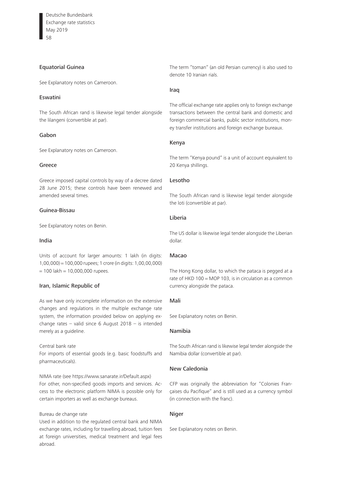Deutsche Bundesbank [Exchange rate statistics](#page-3-0) May 2019 58

#### Equatorial Guinea

See Explanatory notes on Cameroon.

#### Eswatini

The South African rand is likewise legal tender alongside the lilangeni (convertible at par).

#### Gabon

See Explanatory notes on Cameroon.

#### Greece

Greece imposed capital controls by way of a decree dated 28 June 2015; these controls have been renewed and amended several times.

#### Guinea-Bissau

See Explanatory notes on Benin.

#### India

Units of account for larger amounts: 1 lakh (in digits: 1,00,000) = 100,000 rupees; 1 crore (in digits: 1,00,00,000)  $= 100$  lakh  $= 10,000,000$  rupees.

#### Iran, Islamic Republic of

As we have only incomplete information on the extensive changes and regulations in the multiple exchange rate system, the information provided below on applying exchange rates – valid since 6 August 2018 – is intended merely as a guideline.

Central bank rate

For imports of essential goods (e.g. basic foodstuffs and pharmaceuticals).

NIMA rate (see https://www.sanarate.ir/Default.aspx) For other, non-specified goods imports and services. Access to the electronic platform NIMA is possible only for certain importers as well as exchange bureaus.

#### Bureau de change rate

Used in addition to the regulated central bank and NIMA exchange rates, including for travelling abroad, tuition fees at foreign universities, medical treatment and legal fees abroad.

The term "toman" (an old Persian currency) is also used to denote 10 Iranian rials.

#### Iraq

The official exchange rate applies only to foreign exchange transactions between the central bank and domestic and foreign commercial banks, public sector institutions, money transfer institutions and foreign exchange bureaux.

#### Kenya

The term "Kenya pound" is a unit of account equivalent to 20 Kenya shillings.

#### Lesotho

The South African rand is likewise legal tender alongside the loti (convertible at par).

#### Liberia

The US dollar is likewise legal tender alongside the Liberian dollar.

#### Macao

The Hong Kong dollar, to which the pataca is pegged at a rate of HKD 100 = MOP 103, is in circulation as a common currency alongside the pataca.

#### Mali

See Explanatory notes on Benin.

#### Namibia

The South African rand is likewise legal tender alongside the Namibia dollar (convertible at par).

#### New Caledonia

CFP was originally the abbreviation for "Colonies Françaises du Pacifique" and is still used as a currency symbol (in connection with the franc).

#### Niger

See Explanatory notes on Benin.